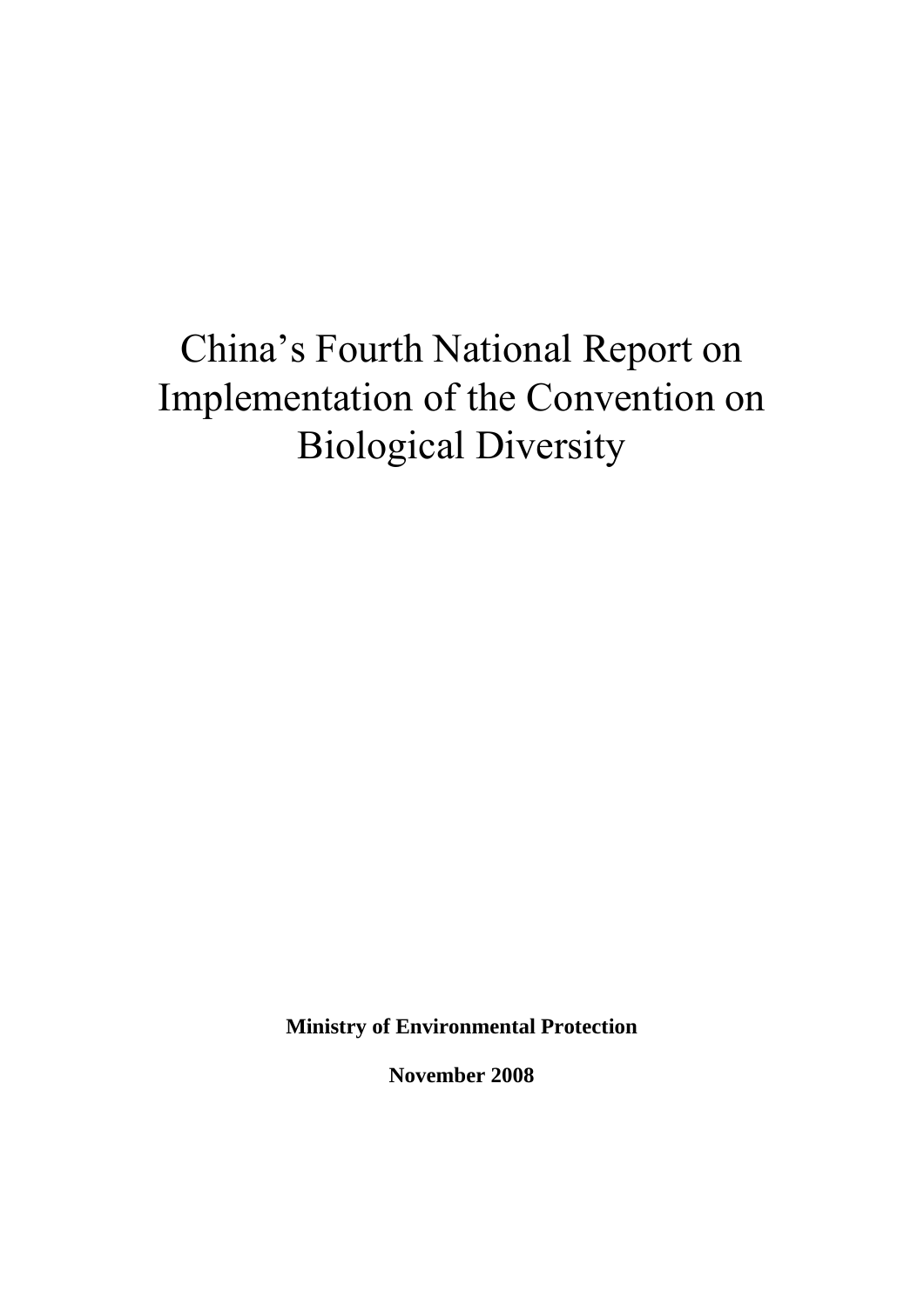# China's Fourth National Report on Implementation of the Convention on Biological Diversity

**Ministry of Environmental Protection** 

**November 2008**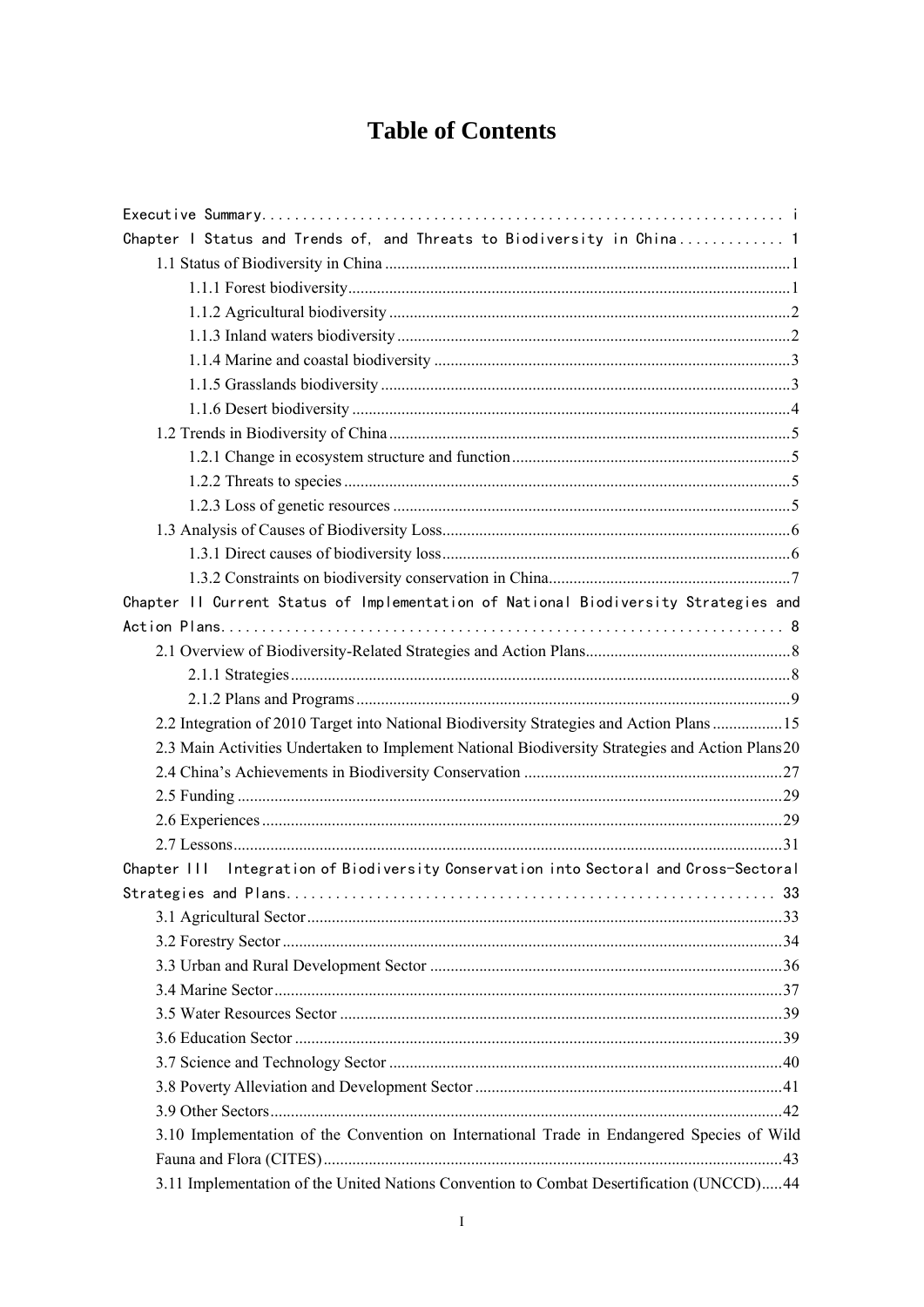## **Table of Contents**

| Chapter I Status and Trends of, and Threats to Biodiversity in China 1                          |
|-------------------------------------------------------------------------------------------------|
|                                                                                                 |
|                                                                                                 |
|                                                                                                 |
|                                                                                                 |
|                                                                                                 |
|                                                                                                 |
|                                                                                                 |
|                                                                                                 |
|                                                                                                 |
|                                                                                                 |
|                                                                                                 |
|                                                                                                 |
|                                                                                                 |
|                                                                                                 |
| Chapter II Current Status of Implementation of National Biodiversity Strategies and             |
|                                                                                                 |
|                                                                                                 |
|                                                                                                 |
|                                                                                                 |
| 2.2 Integration of 2010 Target into National Biodiversity Strategies and Action Plans  15       |
| 2.3 Main Activities Undertaken to Implement National Biodiversity Strategies and Action Plans20 |
|                                                                                                 |
|                                                                                                 |
|                                                                                                 |
|                                                                                                 |
| Integration of Biodiversity Conservation into Sectoral and Cross-Sectoral<br>Chapter III        |
|                                                                                                 |
|                                                                                                 |
|                                                                                                 |
|                                                                                                 |
|                                                                                                 |
|                                                                                                 |
|                                                                                                 |
|                                                                                                 |
|                                                                                                 |
|                                                                                                 |
| 3.10 Implementation of the Convention on International Trade in Endangered Species of Wild      |
|                                                                                                 |
| 3.11 Implementation of the United Nations Convention to Combat Desertification (UNCCD) 44       |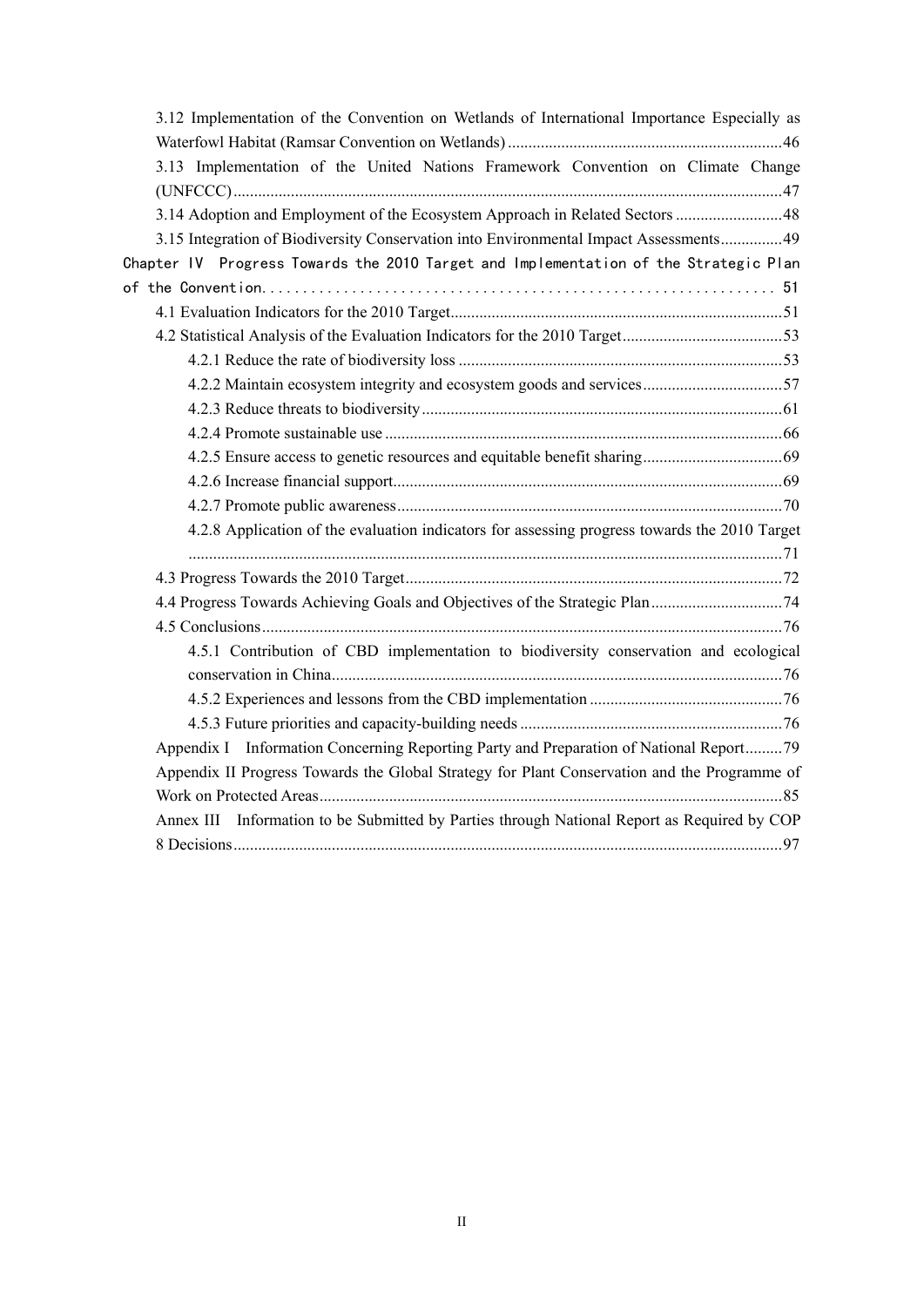| 3.12 Implementation of the Convention on Wetlands of International Importance Especially as   |
|-----------------------------------------------------------------------------------------------|
|                                                                                               |
| 3.13 Implementation of the United Nations Framework Convention on Climate Change              |
|                                                                                               |
| 3.14 Adoption and Employment of the Ecosystem Approach in Related Sectors 48                  |
| 3.15 Integration of Biodiversity Conservation into Environmental Impact Assessments 49        |
| Chapter IV Progress Towards the 2010 Target and Implementation of the Strategic Plan          |
|                                                                                               |
|                                                                                               |
|                                                                                               |
|                                                                                               |
| 4.2.2 Maintain ecosystem integrity and ecosystem goods and services57                         |
|                                                                                               |
|                                                                                               |
|                                                                                               |
|                                                                                               |
|                                                                                               |
| 4.2.8 Application of the evaluation indicators for assessing progress towards the 2010 Target |
|                                                                                               |
|                                                                                               |
|                                                                                               |
|                                                                                               |
| 4.5.1 Contribution of CBD implementation to biodiversity conservation and ecological          |
|                                                                                               |
|                                                                                               |
|                                                                                               |
| Appendix I Information Concerning Reporting Party and Preparation of National Report79        |
| Appendix II Progress Towards the Global Strategy for Plant Conservation and the Programme of  |
|                                                                                               |
| Annex III Information to be Submitted by Parties through National Report as Required by COP   |
|                                                                                               |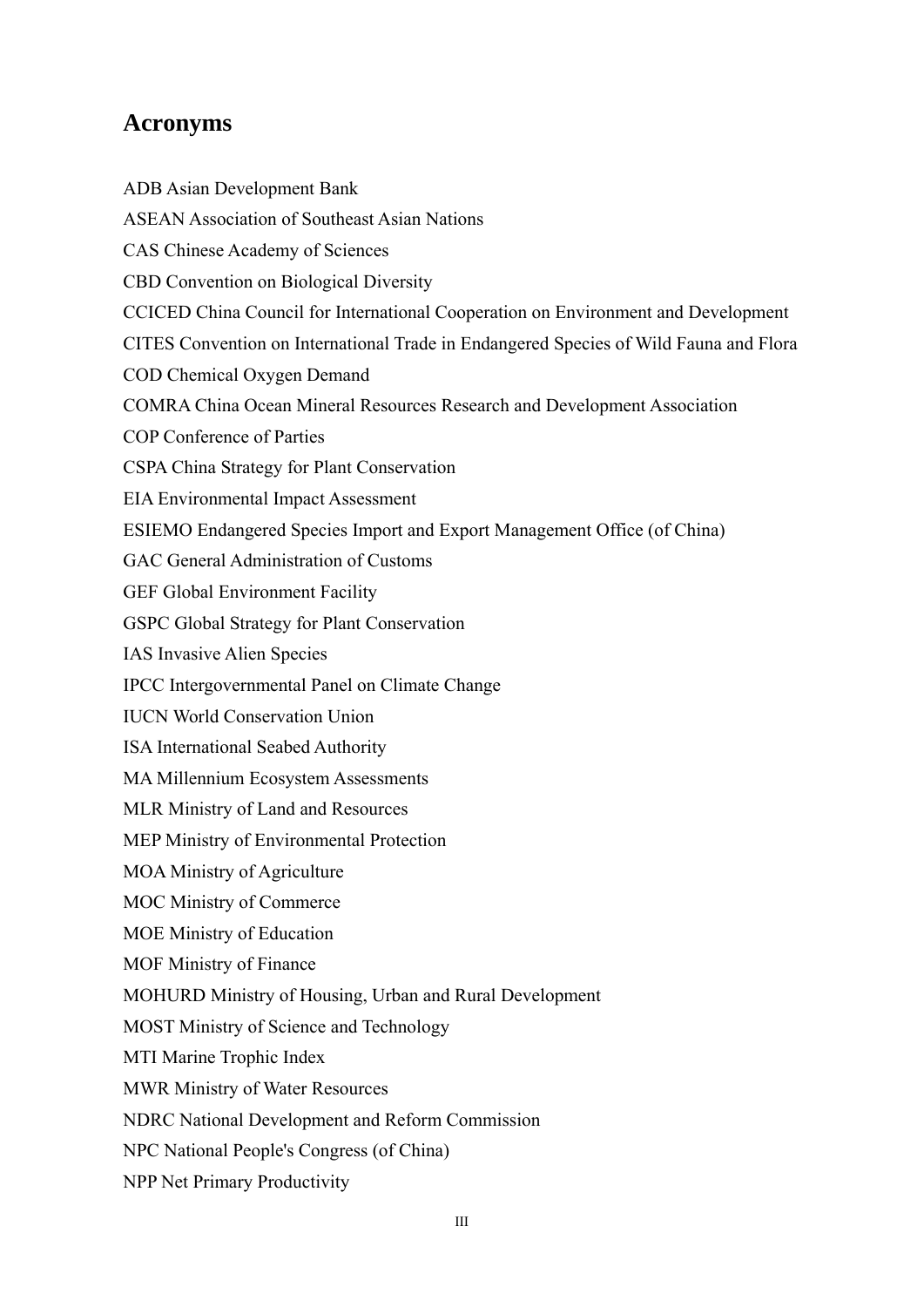### **Acronyms**

ADB Asian Development Bank ASEAN Association of Southeast Asian Nations CAS Chinese Academy of Sciences CBD Convention on Biological Diversity CCICED China Council for International Cooperation on Environment and Development CITES Convention on International Trade in Endangered Species of Wild Fauna and Flora COD Chemical Oxygen Demand COMRA China Ocean Mineral Resources Research and Development Association COP Conference of Parties CSPA China Strategy for Plant Conservation EIA Environmental Impact Assessment ESIEMO Endangered Species Import and Export Management Office (of China) GAC General Administration of Customs GEF Global Environment Facility GSPC Global Strategy for Plant Conservation IAS Invasive Alien Species IPCC Intergovernmental Panel on Climate Change IUCN World Conservation Union ISA International Seabed Authority MA Millennium Ecosystem Assessments MLR Ministry of Land and Resources MEP Ministry of Environmental Protection MOA Ministry of Agriculture MOC Ministry of Commerce MOE Ministry of Education MOF Ministry of Finance MOHURD Ministry of Housing, Urban and Rural Development MOST Ministry of Science and Technology MTI Marine Trophic Index MWR Ministry of Water Resources NDRC National Development and Reform Commission NPC National People's Congress (of China) NPP Net Primary Productivity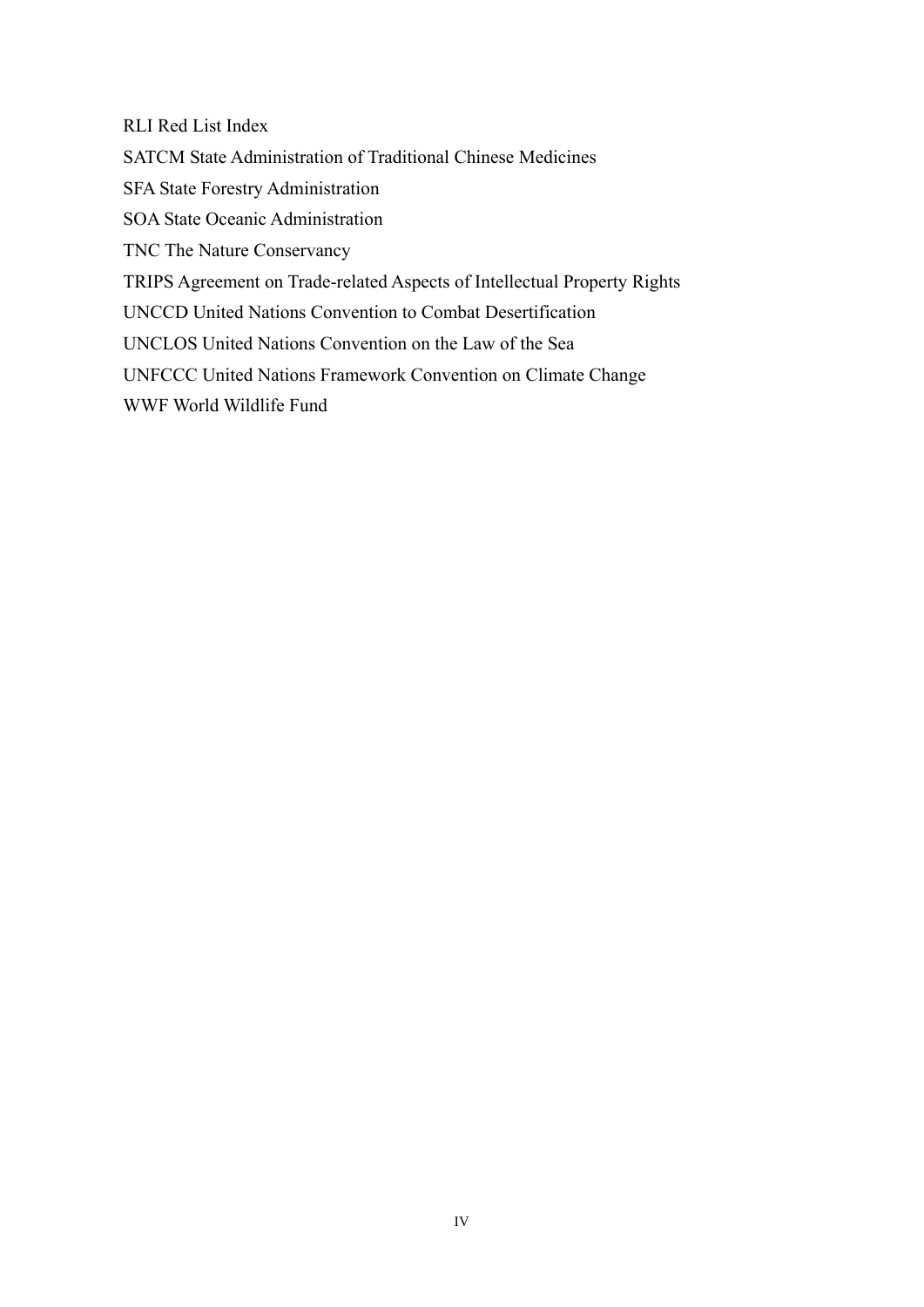RLI Red List Index

SATCM State Administration of Traditional Chinese Medicines

SFA State Forestry Administration

SOA State Oceanic Administration

TNC The Nature Conservancy

TRIPS Agreement on Trade-related Aspects of Intellectual Property Rights

UNCCD United Nations Convention to Combat Desertification

UNCLOS United Nations Convention on the Law of the Sea

UNFCCC United Nations Framework Convention on Climate Change

WWF World Wildlife Fund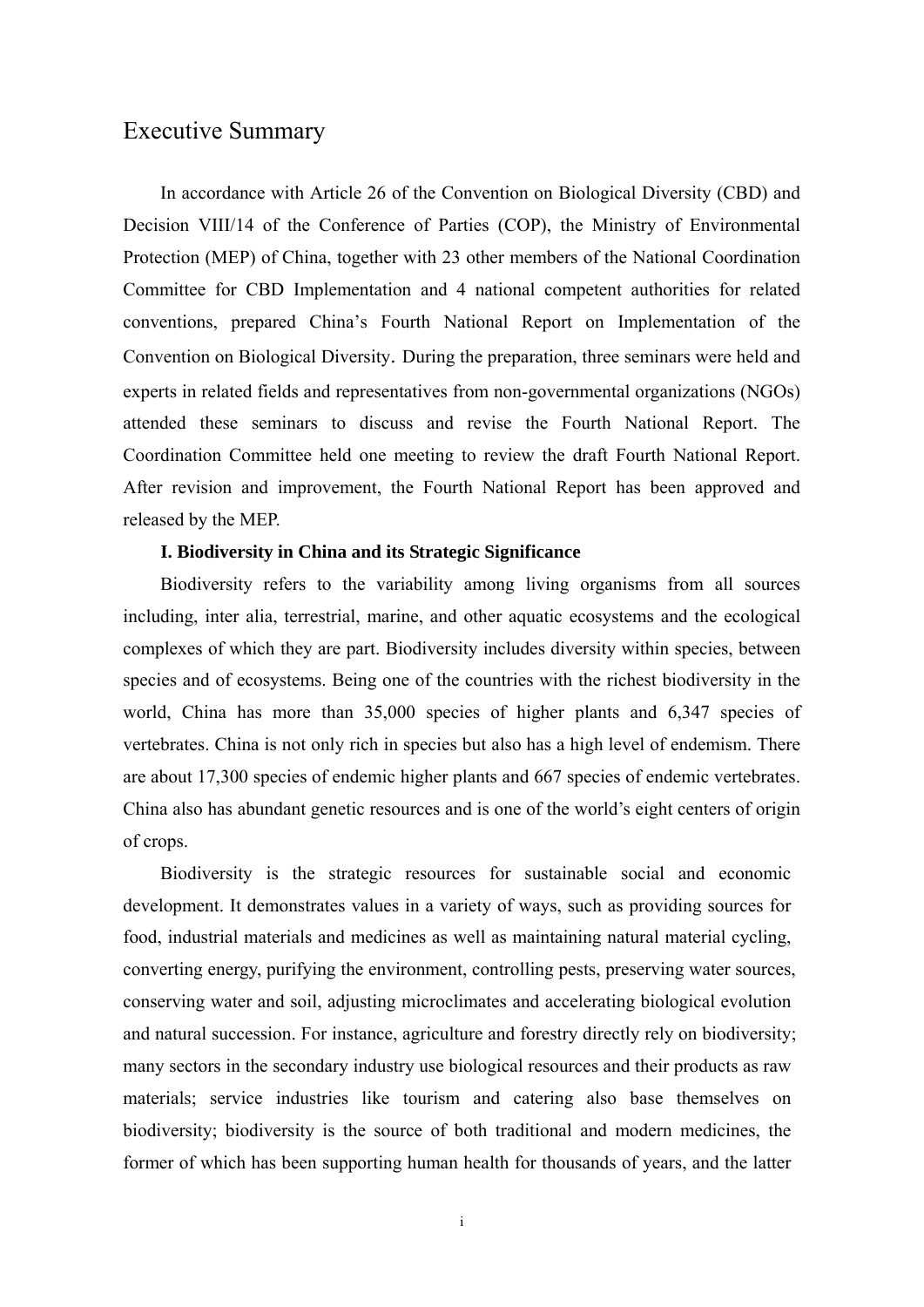### <span id="page-5-0"></span>Executive Summary

In accordance with Article 26 of the Convention on Biological Diversity (CBD) and Decision VIII/14 of the Conference of Parties (COP), the Ministry of Environmental Protection (MEP) of China, together with 23 other members of the National Coordination Committee for CBD Implementation and 4 national competent authorities for related conventions, prepared China's Fourth National Report on Implementation of the Convention on Biological Diversity. During the preparation, three seminars were held and experts in related fields and representatives from non-governmental organizations (NGOs) attended these seminars to discuss and revise the Fourth National Report. The Coordination Committee held one meeting to review the draft Fourth National Report. After revision and improvement, the Fourth National Report has been approved and released by the MEP.

#### **I. Biodiversity in China and its Strategic Significance**

Biodiversity refers to the variability among living organisms from all sources including, inter alia, terrestrial, marine, and other aquatic ecosystems and the ecological complexes of which they are part. Biodiversity includes diversity within species, between species and of ecosystems. Being one of the countries with the richest biodiversity in the world, China has more than 35,000 species of higher plants and 6,347 species of vertebrates. China is not only rich in species but also has a high level of endemism. There are about 17,300 species of endemic higher plants and 667 species of endemic vertebrates. China also has abundant genetic resources and is one of the world's eight centers of origin of crops.

Biodiversity is the strategic resources for sustainable social and economic development. It demonstrates values in a variety of ways, such as providing sources for food, industrial materials and medicines as well as maintaining natural material cycling, converting energy, purifying the environment, controlling pests, preserving water sources, conserving water and soil, adjusting microclimates and accelerating biological evolution and natural succession. For instance, agriculture and forestry directly rely on biodiversity; many sectors in the secondary industry use biological resources and their products as raw materials; service industries like tourism and catering also base themselves on biodiversity; biodiversity is the source of both traditional and modern medicines, the former of which has been supporting human health for thousands of years, and the latter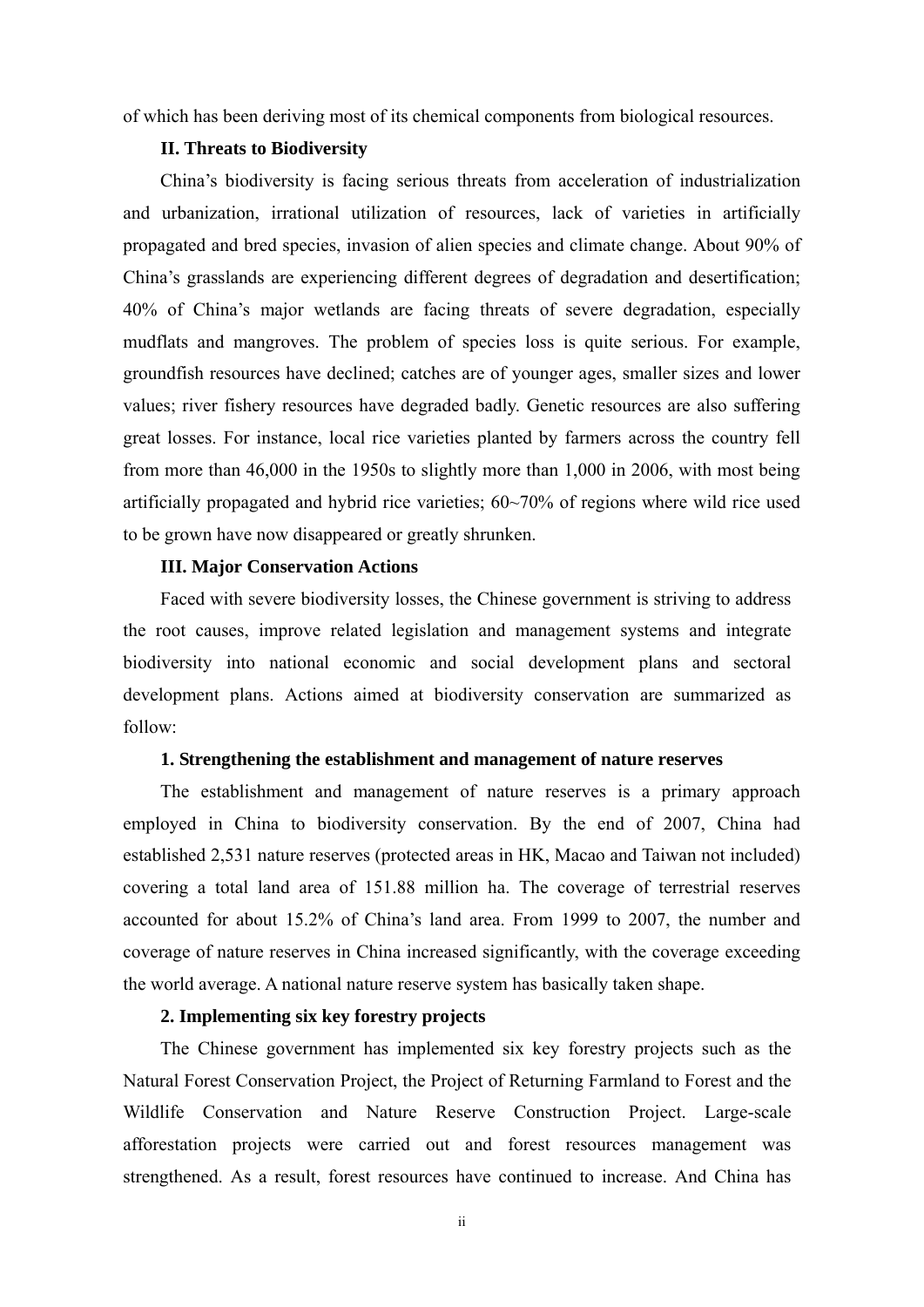of which has been deriving most of its chemical components from biological resources.

#### **II. Threats to Biodiversity**

China's biodiversity is facing serious threats from acceleration of industrialization and urbanization, irrational utilization of resources, lack of varieties in artificially propagated and bred species, invasion of alien species and climate change. About 90% of China's grasslands are experiencing different degrees of degradation and desertification; 40% of China's major wetlands are facing threats of severe degradation, especially mudflats and mangroves. The problem of species loss is quite serious. For example, groundfish resources have declined; catches are of younger ages, smaller sizes and lower values; river fishery resources have degraded badly. Genetic resources are also suffering great losses. For instance, local rice varieties planted by farmers across the country fell from more than 46,000 in the 1950s to slightly more than 1,000 in 2006, with most being artificially propagated and hybrid rice varieties; 60~70% of regions where wild rice used to be grown have now disappeared or greatly shrunken.

#### **III. Major Conservation Actions**

Faced with severe biodiversity losses, the Chinese government is striving to address the root causes, improve related legislation and management systems and integrate biodiversity into national economic and social development plans and sectoral development plans. Actions aimed at biodiversity conservation are summarized as follow:

#### **1. Strengthening the establishment and management of nature reserves**

The establishment and management of nature reserves is a primary approach employed in China to biodiversity conservation. By the end of 2007, China had established 2,531 nature reserves (protected areas in HK, Macao and Taiwan not included) covering a total land area of 151.88 million ha. The coverage of terrestrial reserves accounted for about 15.2% of China's land area. From 1999 to 2007, the number and coverage of nature reserves in China increased significantly, with the coverage exceeding the world average. A national nature reserve system has basically taken shape.

#### **2. Implementing six key forestry projects**

The Chinese government has implemented six key forestry projects such as the Natural Forest Conservation Project, the Project of Returning Farmland to Forest and the Wildlife Conservation and Nature Reserve Construction Project. Large-scale afforestation projects were carried out and forest resources management was strengthened. As a result, forest resources have continued to increase. And China has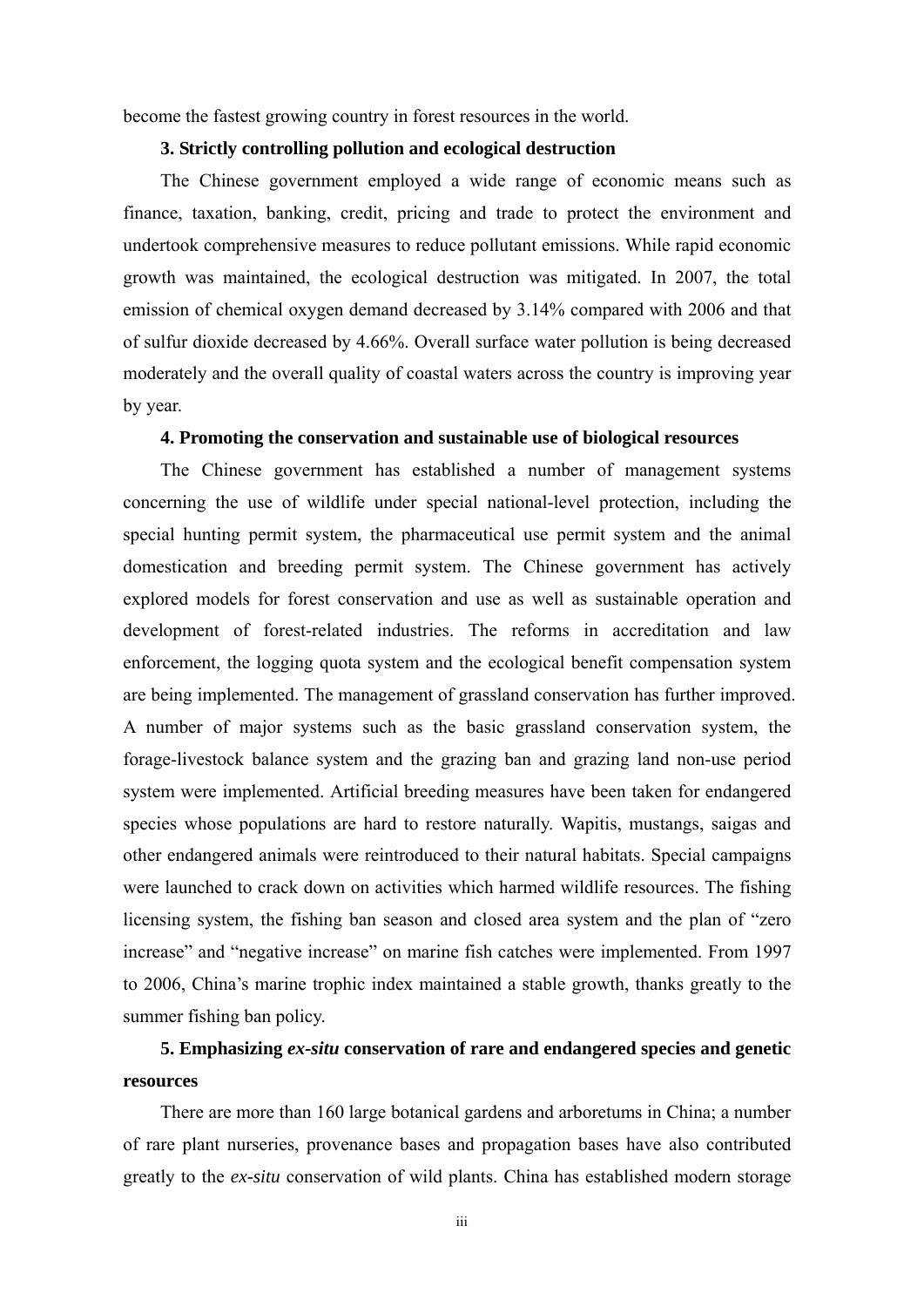become the fastest growing country in forest resources in the world.

#### **3. Strictly controlling pollution and ecological destruction**

The Chinese government employed a wide range of economic means such as finance, taxation, banking, credit, pricing and trade to protect the environment and undertook comprehensive measures to reduce pollutant emissions. While rapid economic growth was maintained, the ecological destruction was mitigated. In 2007, the total emission of chemical oxygen demand decreased by 3.14% compared with 2006 and that of sulfur dioxide decreased by 4.66%. Overall surface water pollution is being decreased moderately and the overall quality of coastal waters across the country is improving year by year.

#### **4. Promoting the conservation and sustainable use of biological resources**

The Chinese government has established a number of management systems concerning the use of wildlife under special national-level protection, including the special hunting permit system, the pharmaceutical use permit system and the animal domestication and breeding permit system. The Chinese government has actively explored models for forest conservation and use as well as sustainable operation and development of forest-related industries. The reforms in accreditation and law enforcement, the logging quota system and the ecological benefit compensation system are being implemented. The management of grassland conservation has further improved. A number of major systems such as the basic grassland conservation system, the forage-livestock balance system and the grazing ban and grazing land non-use period system were implemented. Artificial breeding measures have been taken for endangered species whose populations are hard to restore naturally. Wapitis, mustangs, saigas and other endangered animals were reintroduced to their natural habitats. Special campaigns were launched to crack down on activities which harmed wildlife resources. The fishing licensing system, the fishing ban season and closed area system and the plan of "zero increase" and "negative increase" on marine fish catches were implemented. From 1997 to 2006, China's marine trophic index maintained a stable growth, thanks greatly to the summer fishing ban policy.

### **5. Emphasizing** *ex-situ* **conservation of rare and endangered species and genetic resources**

There are more than 160 large botanical gardens and arboretums in China; a number of rare plant nurseries, provenance bases and propagation bases have also contributed greatly to the *ex-situ* conservation of wild plants. China has established modern storage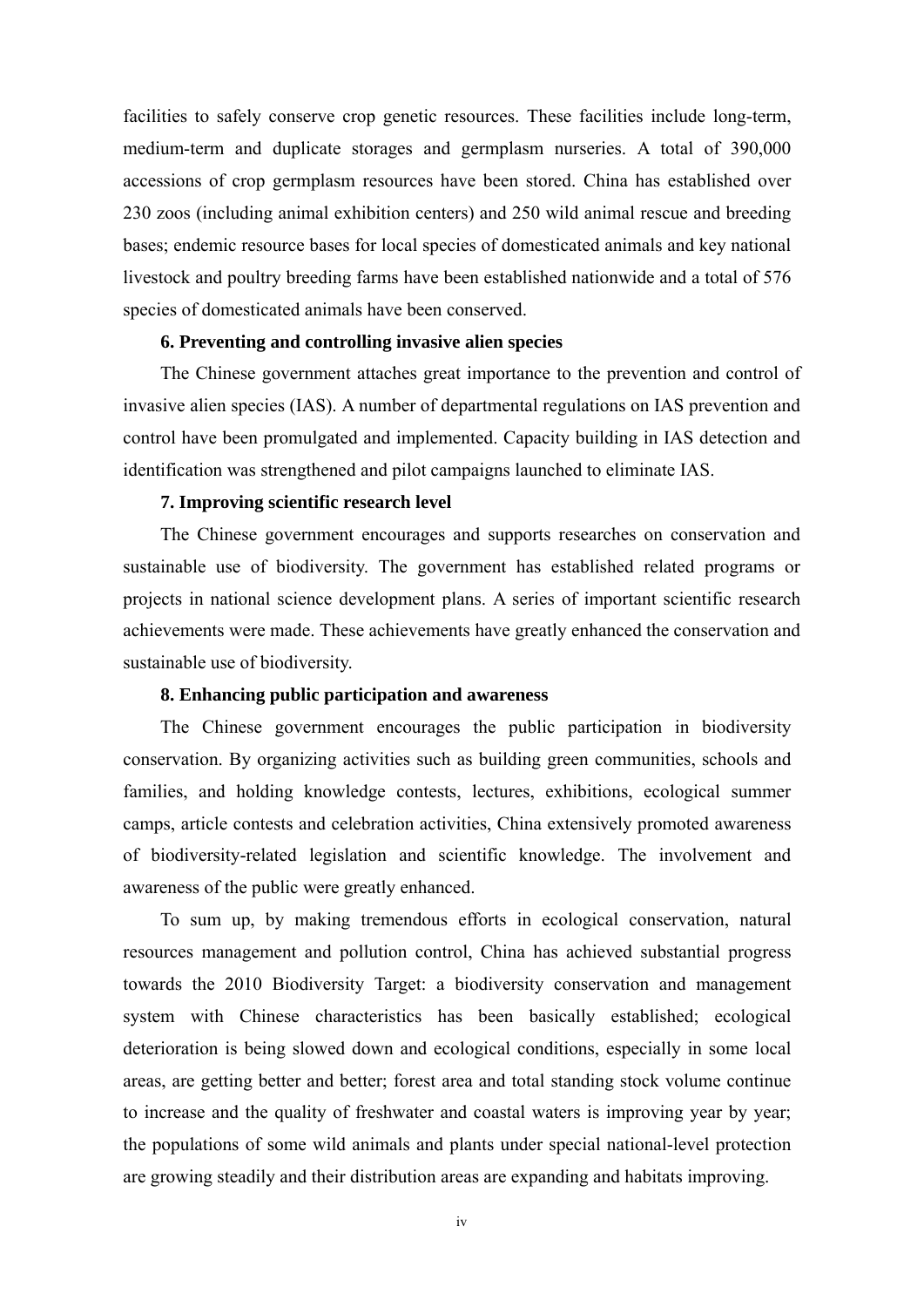facilities to safely conserve crop genetic resources. These facilities include long-term, medium-term and duplicate storages and germplasm nurseries. A total of 390,000 accessions of crop germplasm resources have been stored. China has established over 230 zoos (including animal exhibition centers) and 250 wild animal rescue and breeding bases; endemic resource bases for local species of domesticated animals and key national livestock and poultry breeding farms have been established nationwide and a total of 576 species of domesticated animals have been conserved.

#### **6. Preventing and controlling invasive alien species**

The Chinese government attaches great importance to the prevention and control of invasive alien species (IAS). A number of departmental regulations on IAS prevention and control have been promulgated and implemented. Capacity building in IAS detection and identification was strengthened and pilot campaigns launched to eliminate IAS.

#### **7. Improving scientific research level**

The Chinese government encourages and supports researches on conservation and sustainable use of biodiversity. The government has established related programs or projects in national science development plans. A series of important scientific research achievements were made. These achievements have greatly enhanced the conservation and sustainable use of biodiversity.

#### **8. Enhancing public participation and awareness**

The Chinese government encourages the public participation in biodiversity conservation. By organizing activities such as building green communities, schools and families, and holding knowledge contests, lectures, exhibitions, ecological summer camps, article contests and celebration activities, China extensively promoted awareness of biodiversity-related legislation and scientific knowledge. The involvement and awareness of the public were greatly enhanced.

To sum up, by making tremendous efforts in ecological conservation, natural resources management and pollution control, China has achieved substantial progress towards the 2010 Biodiversity Target: a biodiversity conservation and management system with Chinese characteristics has been basically established; ecological deterioration is being slowed down and ecological conditions, especially in some local areas, are getting better and better; forest area and total standing stock volume continue to increase and the quality of freshwater and coastal waters is improving year by year; the populations of some wild animals and plants under special national-level protection are growing steadily and their distribution areas are expanding and habitats improving.

iv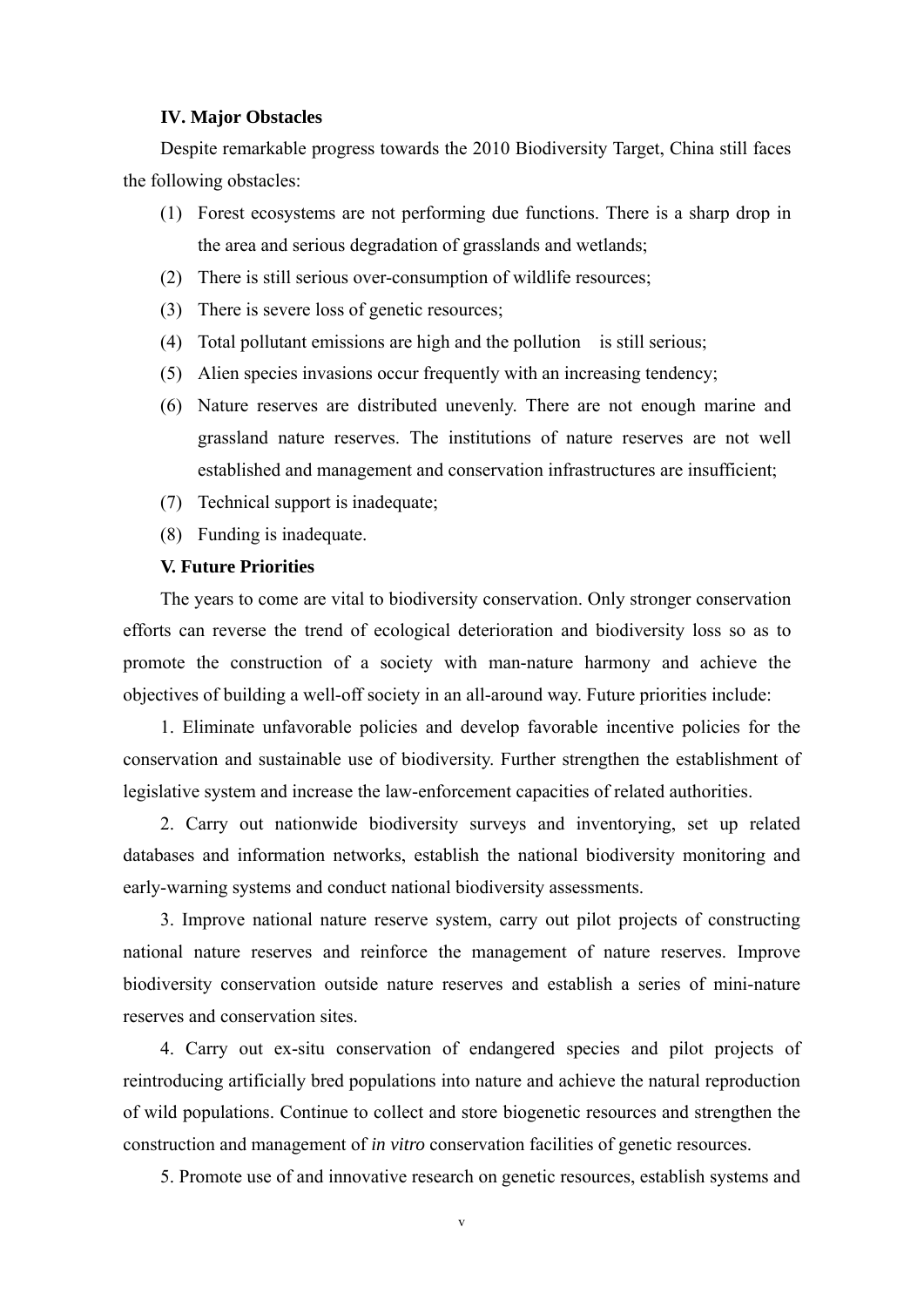#### **IV. Major Obstacles**

Despite remarkable progress towards the 2010 Biodiversity Target, China still faces the following obstacles:

- (1) Forest ecosystems are not performing due functions. There is a sharp drop in the area and serious degradation of grasslands and wetlands;
- (2) There is still serious over-consumption of wildlife resources;
- (3) There is severe loss of genetic resources;
- (4) Total pollutant emissions are high and the pollution is still serious;
- (5) Alien species invasions occur frequently with an increasing tendency;
- (6) Nature reserves are distributed unevenly. There are not enough marine and grassland nature reserves. The institutions of nature reserves are not well established and management and conservation infrastructures are insufficient;
- (7) Technical support is inadequate;
- (8) Funding is inadequate.

#### **V. Future Priorities**

The years to come are vital to biodiversity conservation. Only stronger conservation efforts can reverse the trend of ecological deterioration and biodiversity loss so as to promote the construction of a society with man-nature harmony and achieve the objectives of building a well-off society in an all-around way. Future priorities include:

1. Eliminate unfavorable policies and develop favorable incentive policies for the conservation and sustainable use of biodiversity. Further strengthen the establishment of legislative system and increase the law-enforcement capacities of related authorities.

2. Carry out nationwide biodiversity surveys and inventorying, set up related databases and information networks, establish the national biodiversity monitoring and early-warning systems and conduct national biodiversity assessments.

3. Improve national nature reserve system, carry out pilot projects of constructing national nature reserves and reinforce the management of nature reserves. Improve biodiversity conservation outside nature reserves and establish a series of mini-nature reserves and conservation sites.

4. Carry out ex-situ conservation of endangered species and pilot projects of reintroducing artificially bred populations into nature and achieve the natural reproduction of wild populations. Continue to collect and store biogenetic resources and strengthen the construction and management of *in vitro* conservation facilities of genetic resources.

5. Promote use of and innovative research on genetic resources, establish systems and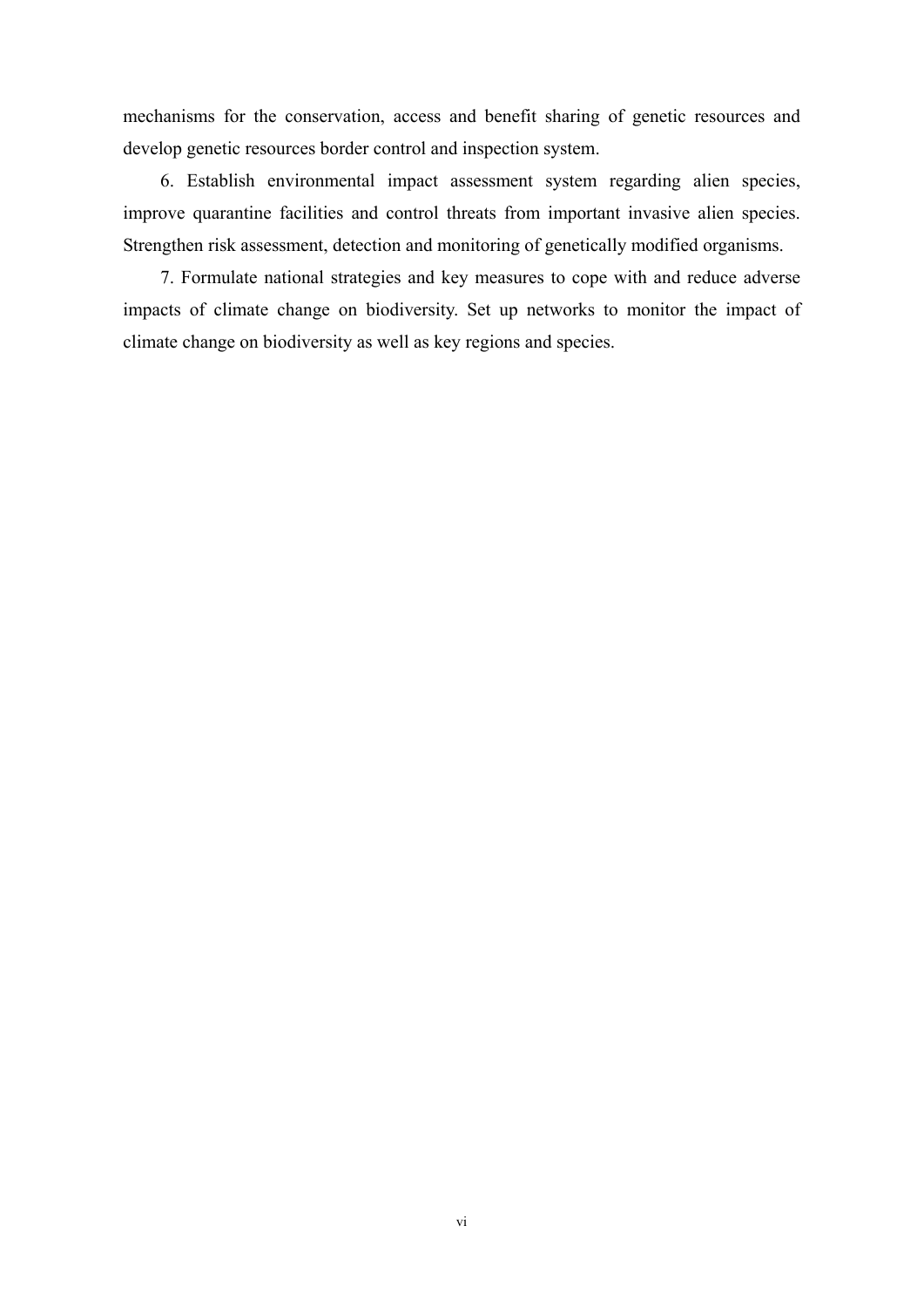mechanisms for the conservation, access and benefit sharing of genetic resources and develop genetic resources border control and inspection system.

6. Establish environmental impact assessment system regarding alien species, improve quarantine facilities and control threats from important invasive alien species. Strengthen risk assessment, detection and monitoring of genetically modified organisms.

7. Formulate national strategies and key measures to cope with and reduce adverse impacts of climate change on biodiversity. Set up networks to monitor the impact of climate change on biodiversity as well as key regions and species.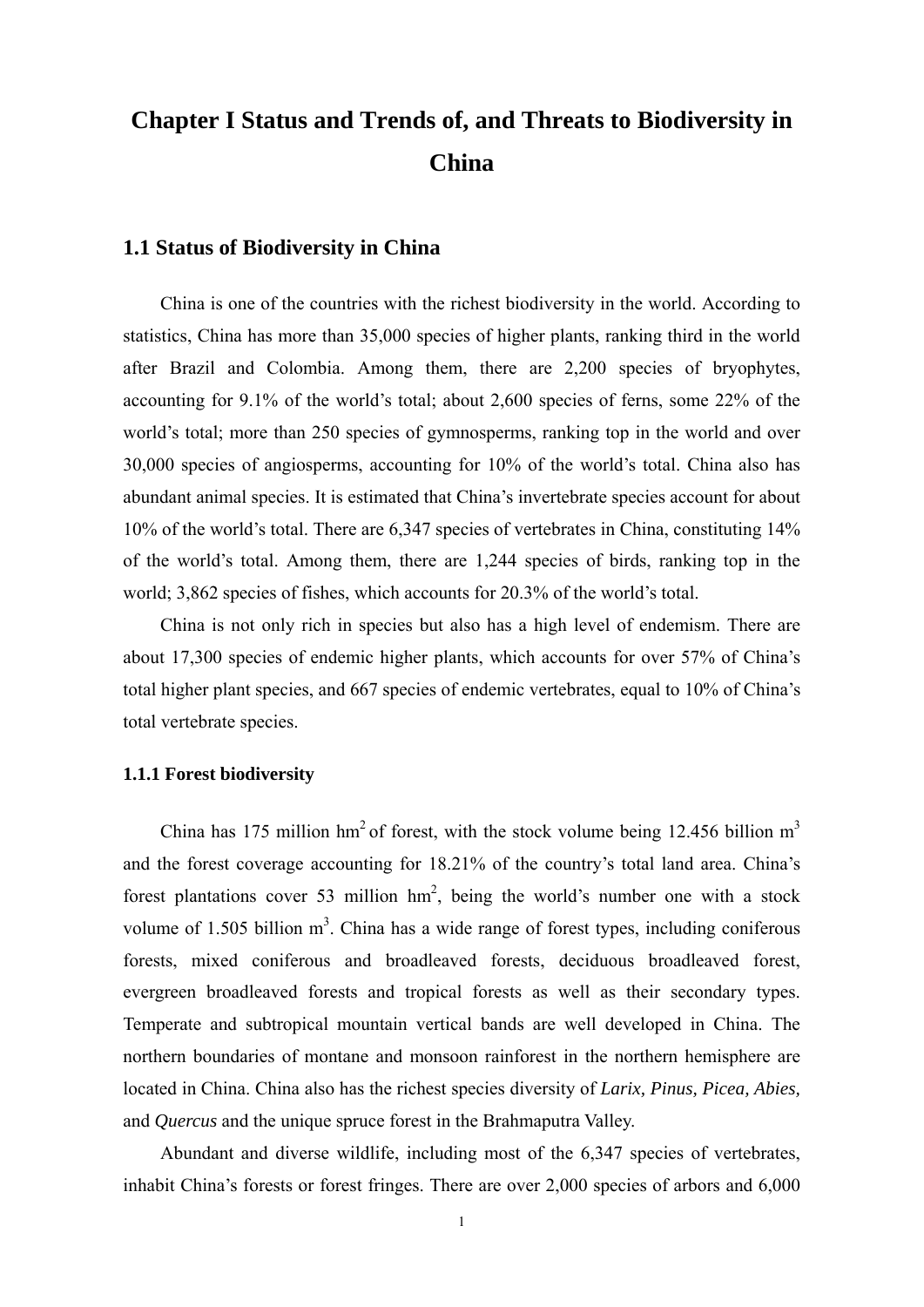## <span id="page-11-0"></span>**Chapter I Status and Trends of, and Threats to Biodiversity in China**

### **1.1 Status of Biodiversity in China**

China is one of the countries with the richest biodiversity in the world. According to statistics, China has more than 35,000 species of higher plants, ranking third in the world after Brazil and Colombia. Among them, there are 2,200 species of bryophytes, accounting for 9.1% of the world's total; about 2,600 species of ferns, some 22% of the world's total; more than 250 species of gymnosperms, ranking top in the world and over 30,000 species of angiosperms, accounting for 10% of the world's total. China also has abundant animal species. It is estimated that China's invertebrate species account for about 10% of the world's total. There are 6,347 species of vertebrates in China, constituting 14% of the world's total. Among them, there are 1,244 species of birds, ranking top in the world; 3,862 species of fishes, which accounts for 20.3% of the world's total.

China is not only rich in species but also has a high level of endemism. There are about 17,300 species of endemic higher plants, which accounts for over 57% of China's total higher plant species, and 667 species of endemic vertebrates, equal to 10% of China's total vertebrate species.

#### **1.1.1 Forest biodiversity**

China has 175 million hm<sup>2</sup> of forest, with the stock volume being 12.456 billion m<sup>3</sup> and the forest coverage accounting for 18.21% of the country's total land area. China's forest plantations cover 53 million  $hm^2$ , being the world's number one with a stock volume of  $1.505$  billion  $m<sup>3</sup>$ . China has a wide range of forest types, including coniferous forests, mixed coniferous and broadleaved forests, deciduous broadleaved forest, evergreen broadleaved forests and tropical forests as well as their secondary types. Temperate and subtropical mountain vertical bands are well developed in China. The northern boundaries of montane and monsoon rainforest in the northern hemisphere are located in China. China also has the richest species diversity of *Larix, Pinus, Picea, Abies,* and *Quercus* and the unique spruce forest in the Brahmaputra Valley.

Abundant and diverse wildlife, including most of the 6,347 species of vertebrates, inhabit China's forests or forest fringes. There are over 2,000 species of arbors and 6,000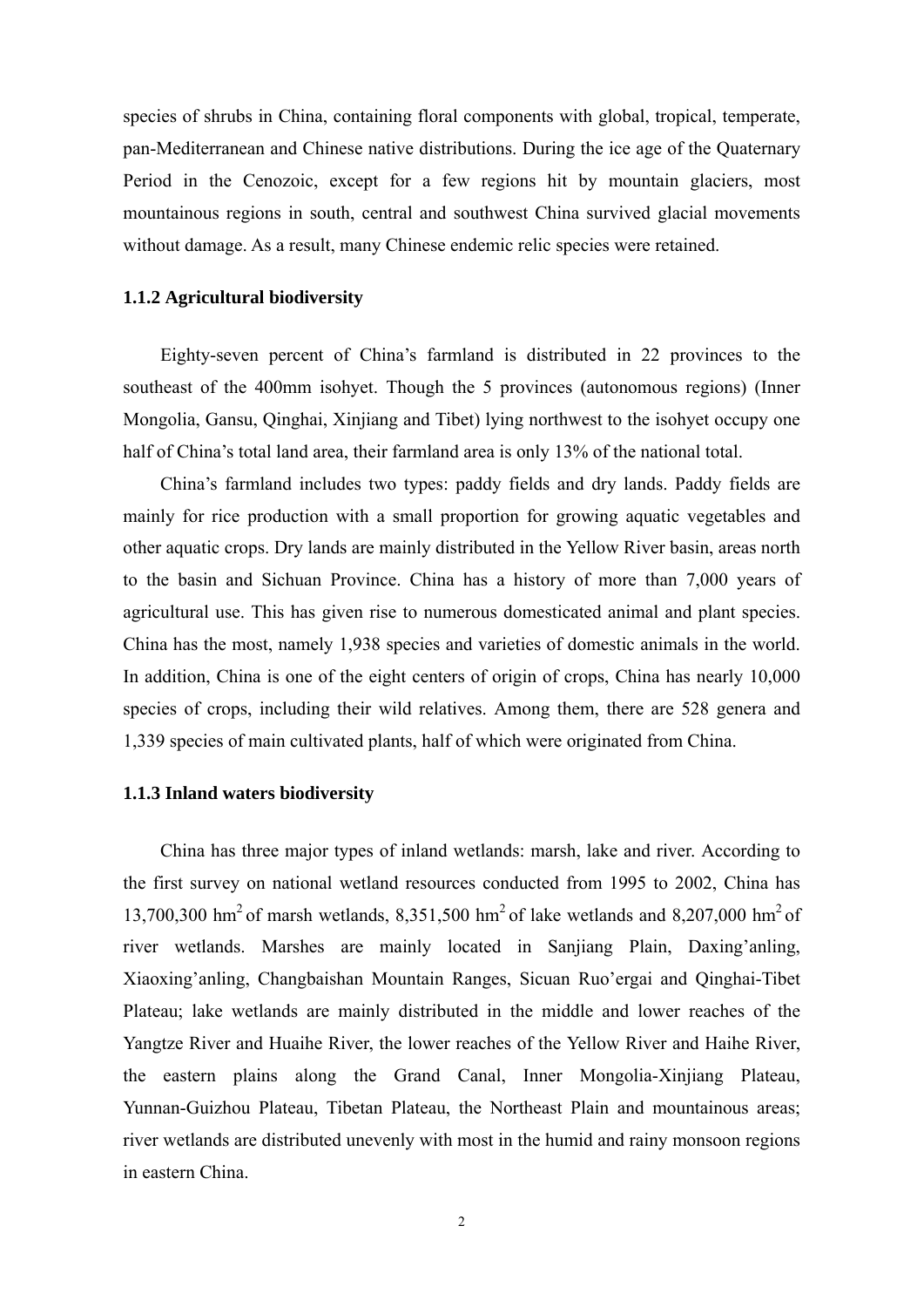<span id="page-12-0"></span>species of shrubs in China, containing floral components with global, tropical, temperate, pan-Mediterranean and Chinese native distributions. During the ice age of the Quaternary Period in the Cenozoic, except for a few regions hit by mountain glaciers, most mountainous regions in south, central and southwest China survived glacial movements without damage. As a result, many Chinese endemic relic species were retained.

#### **1.1.2 Agricultural biodiversity**

Eighty-seven percent of China's farmland is distributed in 22 provinces to the southeast of the 400mm isohyet. Though the 5 provinces (autonomous regions) (Inner Mongolia, Gansu, Qinghai, Xinjiang and Tibet) lying northwest to the isohyet occupy one half of China's total land area, their farmland area is only 13% of the national total.

China's farmland includes two types: paddy fields and dry lands. Paddy fields are mainly for rice production with a small proportion for growing aquatic vegetables and other aquatic crops. Dry lands are mainly distributed in the Yellow River basin, areas north to the basin and Sichuan Province. China has a history of more than 7,000 years of agricultural use. This has given rise to numerous domesticated animal and plant species. China has the most, namely 1,938 species and varieties of domestic animals in the world. In addition, China is one of the eight centers of origin of crops, China has nearly 10,000 species of crops, including their wild relatives. Among them, there are 528 genera and 1,339 species of main cultivated plants, half of which were originated from China.

#### **1.1.3 Inland waters biodiversity**

China has three major types of inland wetlands: marsh, lake and river. According to the first survey on national wetland resources conducted from 1995 to 2002, China has 13,700,300 hm<sup>2</sup> of marsh wetlands, 8,351,500 hm<sup>2</sup> of lake wetlands and 8,207,000 hm<sup>2</sup> of river wetlands. Marshes are mainly located in Sanjiang Plain, Daxing'anling, Xiaoxing'anling, Changbaishan Mountain Ranges, Sicuan Ruo'ergai and Qinghai-Tibet Plateau; lake wetlands are mainly distributed in the middle and lower reaches of the Yangtze River and Huaihe River, the lower reaches of the Yellow River and Haihe River, the eastern plains along the Grand Canal, Inner Mongolia-Xinjiang Plateau, Yunnan-Guizhou Plateau, Tibetan Plateau, the Northeast Plain and mountainous areas; river wetlands are distributed unevenly with most in the humid and rainy monsoon regions in eastern China.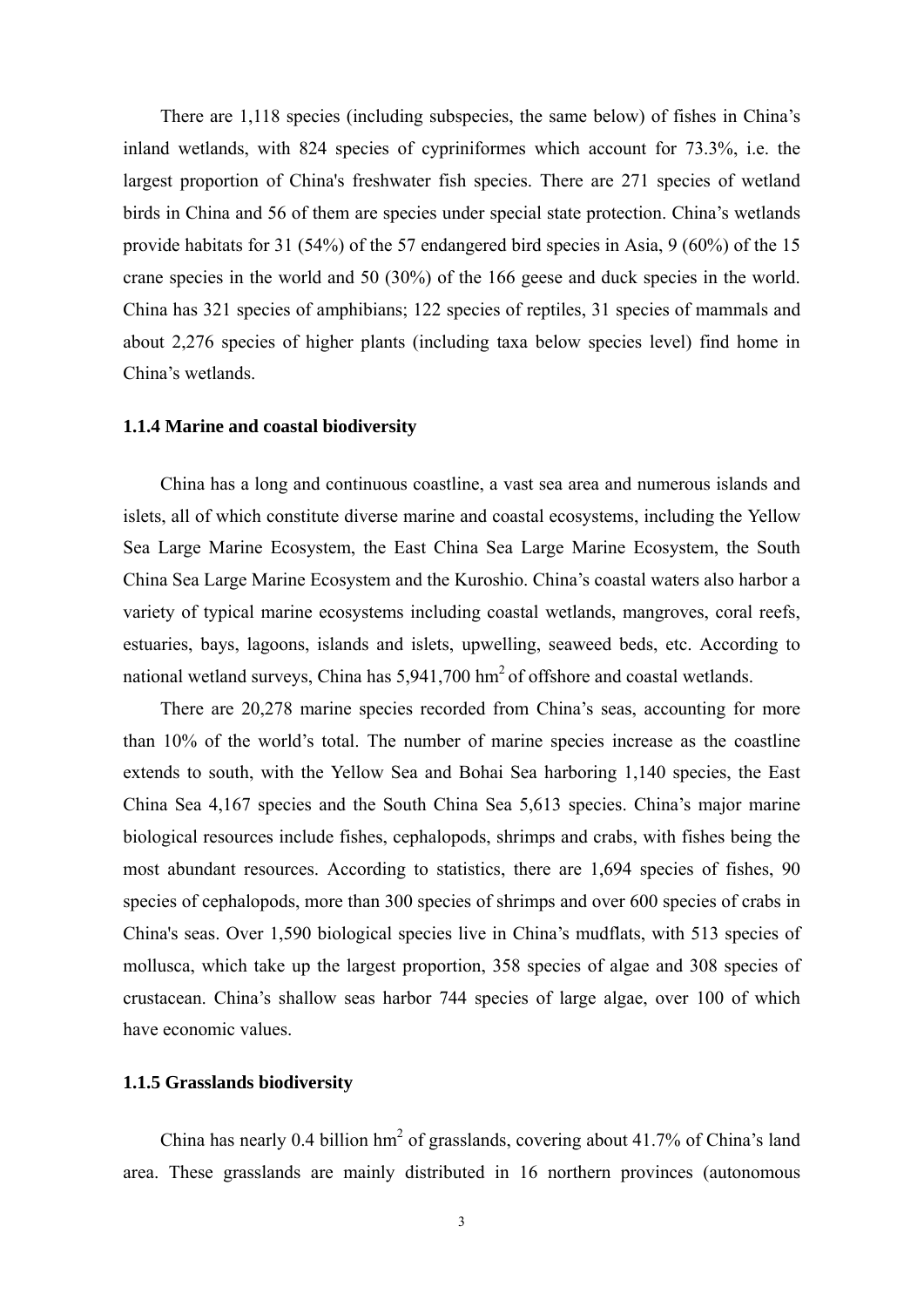<span id="page-13-0"></span>There are 1,118 species (including subspecies, the same below) of fishes in China's inland wetlands, with 824 species of cypriniformes which account for 73.3%, i.e. the largest proportion of China's freshwater fish species. There are 271 species of wetland birds in China and 56 of them are species under special state protection. China's wetlands provide habitats for 31 (54%) of the 57 endangered bird species in Asia, 9 (60%) of the 15 crane species in the world and 50 (30%) of the 166 geese and duck species in the world. China has 321 species of amphibians; 122 species of reptiles, 31 species of mammals and about 2,276 species of higher plants (including taxa below species level) find home in China's wetlands.

#### **1.1.4 Marine and coastal biodiversity**

China has a long and continuous coastline, a vast sea area and numerous islands and islets, all of which constitute diverse marine and coastal ecosystems, including the Yellow Sea Large Marine Ecosystem, the East China Sea Large Marine Ecosystem, the South China Sea Large Marine Ecosystem and the Kuroshio. China's coastal waters also harbor a variety of typical marine ecosystems including coastal wetlands, mangroves, coral reefs, estuaries, bays, lagoons, islands and islets, upwelling, seaweed beds, etc. According to national wetland surveys, China has 5,941,700 hm<sup>2</sup> of offshore and coastal wetlands.

There are 20,278 marine species recorded from China's seas, accounting for more than 10% of the world's total. The number of marine species increase as the coastline extends to south, with the Yellow Sea and Bohai Sea harboring 1,140 species, the East China Sea 4,167 species and the South China Sea 5,613 species. China's major marine biological resources include fishes, cephalopods, shrimps and crabs, with fishes being the most abundant resources. According to statistics, there are 1,694 species of fishes, 90 species of cephalopods, more than 300 species of shrimps and over 600 species of crabs in China's seas. Over 1,590 biological species live in China's mudflats, with 513 species of mollusca, which take up the largest proportion, 358 species of algae and 308 species of crustacean. China's shallow seas harbor 744 species of large algae, over 100 of which have economic values.

#### **1.1.5 Grasslands biodiversity**

China has nearly 0.4 billion  $hm^2$  of grasslands, covering about 41.7% of China's land area. These grasslands are mainly distributed in 16 northern provinces (autonomous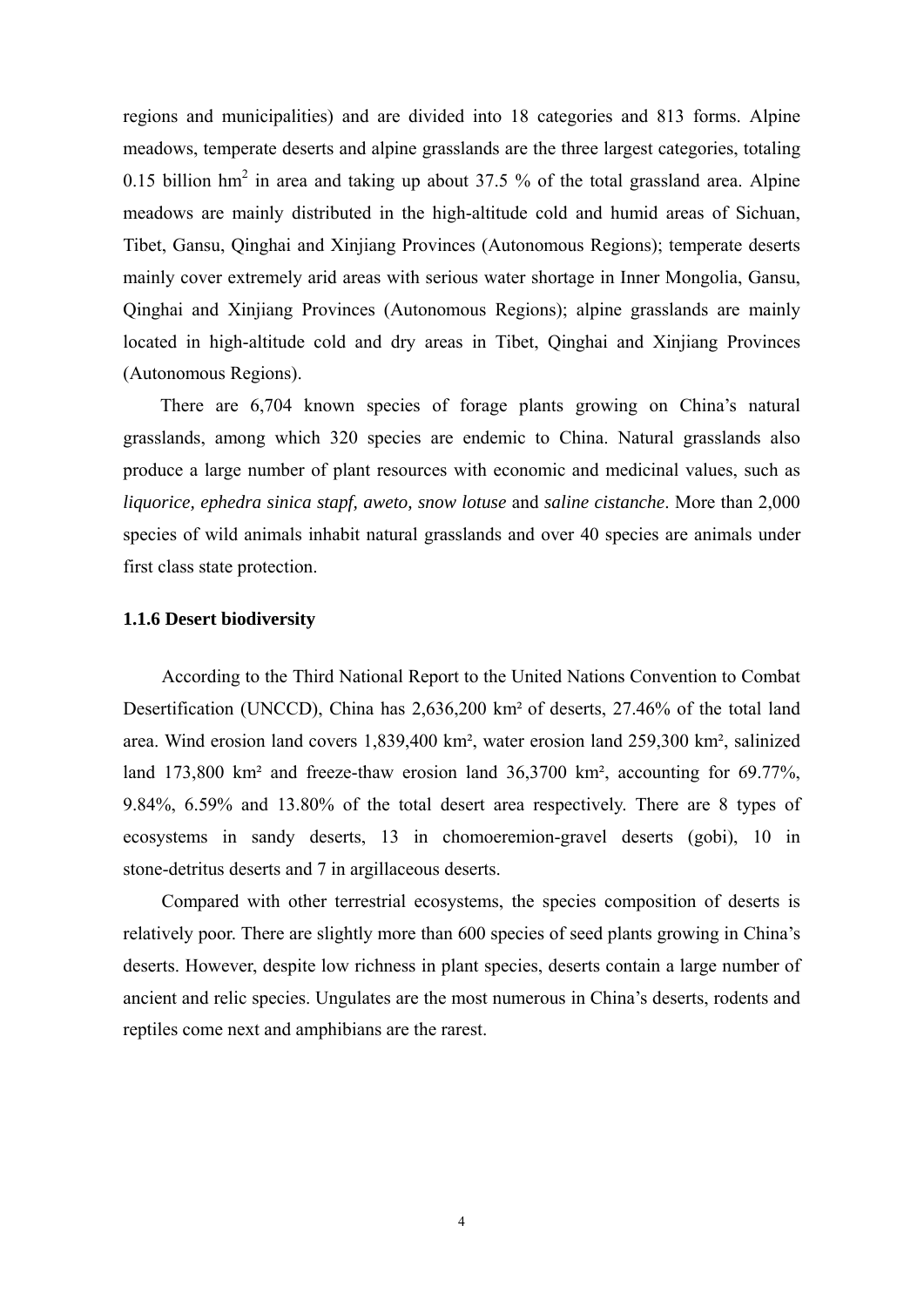<span id="page-14-0"></span>regions and municipalities) and are divided into 18 categories and 813 forms. Alpine meadows, temperate deserts and alpine grasslands are the three largest categories, totaling 0.15 billion  $hm^2$  in area and taking up about 37.5 % of the total grassland area. Alpine meadows are mainly distributed in the high-altitude cold and humid areas of Sichuan, Tibet, Gansu, Qinghai and Xinjiang Provinces (Autonomous Regions); temperate deserts mainly cover extremely arid areas with serious water shortage in Inner Mongolia, Gansu, Qinghai and Xinjiang Provinces (Autonomous Regions); alpine grasslands are mainly located in high-altitude cold and dry areas in Tibet, Qinghai and Xinjiang Provinces (Autonomous Regions).

There are 6,704 known species of forage plants growing on China's natural grasslands, among which 320 species are endemic to China. Natural grasslands also produce a large number of plant resources with economic and medicinal values, such as *liquorice, ephedra sinica stapf, aweto, snow lotuse* and *saline cistanche*. More than 2,000 species of wild animals inhabit natural grasslands and over 40 species are animals under first class state protection.

#### **1.1.6 Desert biodiversity**

According to the Third National Report to the United Nations Convention to Combat Desertification (UNCCD), China has 2,636,200 km² of deserts, 27.46% of the total land area. Wind erosion land covers 1,839,400 km², water erosion land 259,300 km², salinized land 173,800 km² and freeze-thaw erosion land 36,3700 km², accounting for 69.77%, 9.84%, 6.59% and 13.80% of the total desert area respectively. There are 8 types of ecosystems in sandy deserts, 13 in chomoeremion-gravel deserts (gobi), 10 in stone-detritus deserts and 7 in argillaceous deserts.

Compared with other terrestrial ecosystems, the species composition of deserts is relatively poor. There are slightly more than 600 species of seed plants growing in China's deserts. However, despite low richness in plant species, deserts contain a large number of ancient and relic species. Ungulates are the most numerous in China's deserts, rodents and reptiles come next and amphibians are the rarest.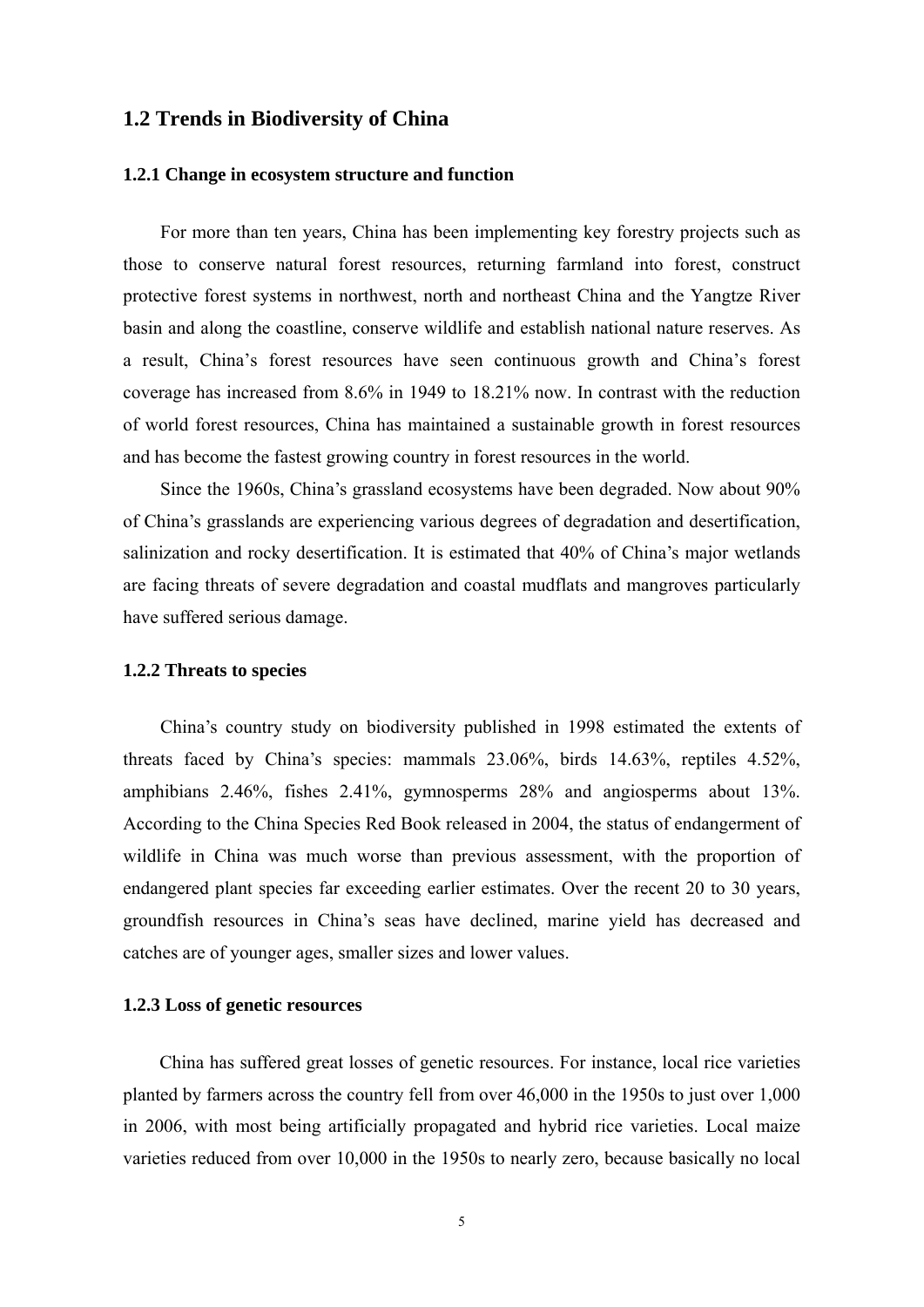#### <span id="page-15-0"></span>**1.2 Trends in Biodiversity of China**

#### **1.2.1 Change in ecosystem structure and function**

For more than ten years, China has been implementing key forestry projects such as those to conserve natural forest resources, returning farmland into forest, construct protective forest systems in northwest, north and northeast China and the Yangtze River basin and along the coastline, conserve wildlife and establish national nature reserves. As a result, China's forest resources have seen continuous growth and China's forest coverage has increased from 8.6% in 1949 to 18.21% now. In contrast with the reduction of world forest resources, China has maintained a sustainable growth in forest resources and has become the fastest growing country in forest resources in the world.

Since the 1960s, China's grassland ecosystems have been degraded. Now about 90% of China's grasslands are experiencing various degrees of degradation and desertification, salinization and rocky desertification. It is estimated that 40% of China's major wetlands are facing threats of severe degradation and coastal mudflats and mangroves particularly have suffered serious damage.

#### **1.2.2 Threats to species**

China's country study on biodiversity published in 1998 estimated the extents of threats faced by China's species: mammals 23.06%, birds 14.63%, reptiles 4.52%, amphibians 2.46%, fishes 2.41%, gymnosperms 28% and angiosperms about 13%. According to the China Species Red Book released in 2004, the status of endangerment of wildlife in China was much worse than previous assessment, with the proportion of endangered plant species far exceeding earlier estimates. Over the recent 20 to 30 years, groundfish resources in China's seas have declined, marine yield has decreased and catches are of younger ages, smaller sizes and lower values.

#### **1.2.3 Loss of genetic resources**

China has suffered great losses of genetic resources. For instance, local rice varieties planted by farmers across the country fell from over 46,000 in the 1950s to just over 1,000 in 2006, with most being artificially propagated and hybrid rice varieties. Local maize varieties reduced from over 10,000 in the 1950s to nearly zero, because basically no local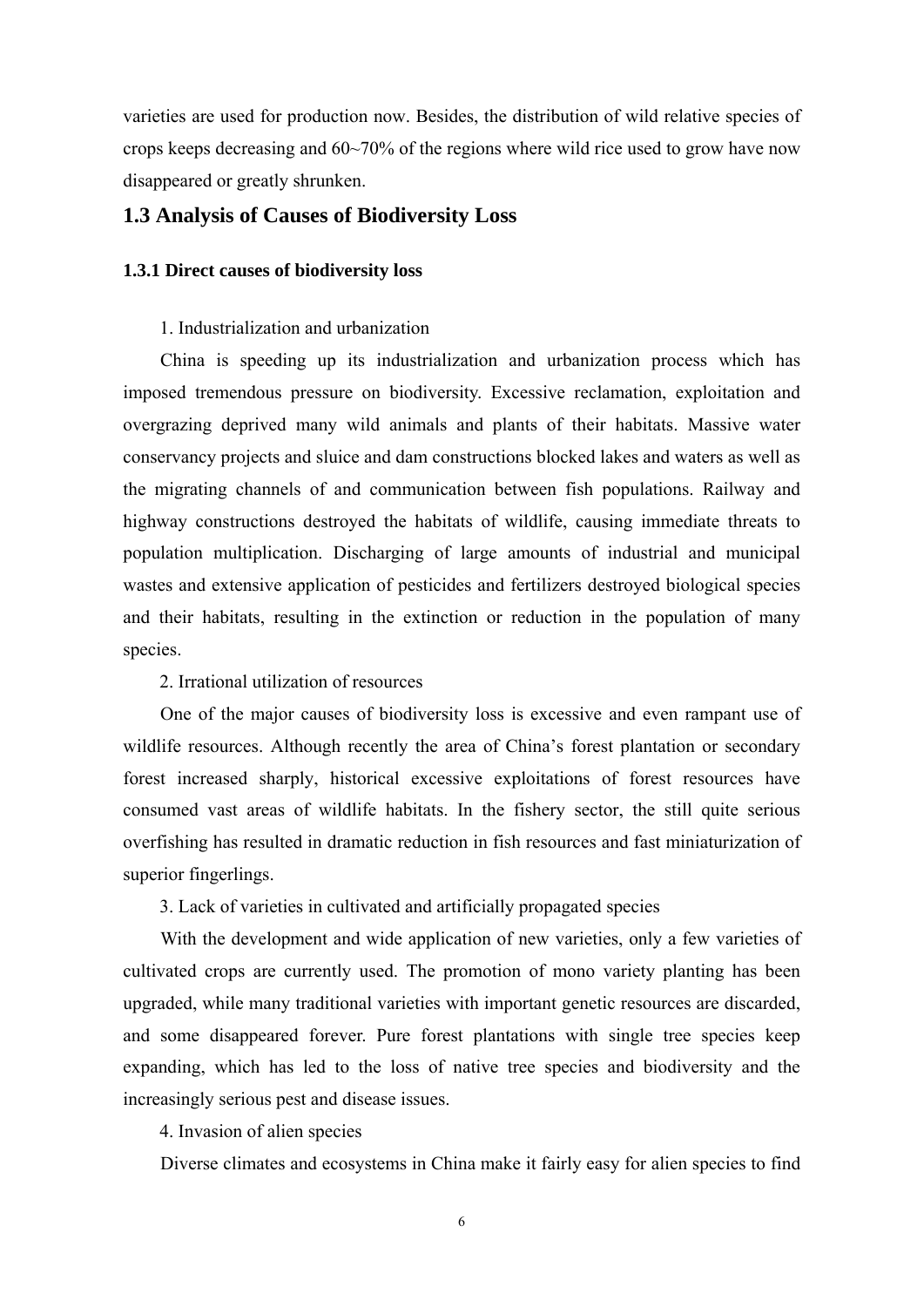<span id="page-16-0"></span>varieties are used for production now. Besides, the distribution of wild relative species of crops keeps decreasing and  $60~\text{--}70\%$  of the regions where wild rice used to grow have now disappeared or greatly shrunken.

#### **1.3 Analysis of Causes of Biodiversity Loss**

#### **1.3.1 Direct causes of biodiversity loss**

#### 1. Industrialization and urbanization

China is speeding up its industrialization and urbanization process which has imposed tremendous pressure on biodiversity. Excessive reclamation, exploitation and overgrazing deprived many wild animals and plants of their habitats. Massive water conservancy projects and sluice and dam constructions blocked lakes and waters as well as the migrating channels of and communication between fish populations. Railway and highway constructions destroyed the habitats of wildlife, causing immediate threats to population multiplication. Discharging of large amounts of industrial and municipal wastes and extensive application of pesticides and fertilizers destroyed biological species and their habitats, resulting in the extinction or reduction in the population of many species.

#### 2. Irrational utilization of resources

One of the major causes of biodiversity loss is excessive and even rampant use of wildlife resources. Although recently the area of China's forest plantation or secondary forest increased sharply, historical excessive exploitations of forest resources have consumed vast areas of wildlife habitats. In the fishery sector, the still quite serious overfishing has resulted in dramatic reduction in fish resources and fast miniaturization of superior fingerlings.

3. Lack of varieties in cultivated and artificially propagated species

With the development and wide application of new varieties, only a few varieties of cultivated crops are currently used. The promotion of mono variety planting has been upgraded, while many traditional varieties with important genetic resources are discarded, and some disappeared forever. Pure forest plantations with single tree species keep expanding, which has led to the loss of native tree species and biodiversity and the increasingly serious pest and disease issues.

4. Invasion of alien species

Diverse climates and ecosystems in China make it fairly easy for alien species to find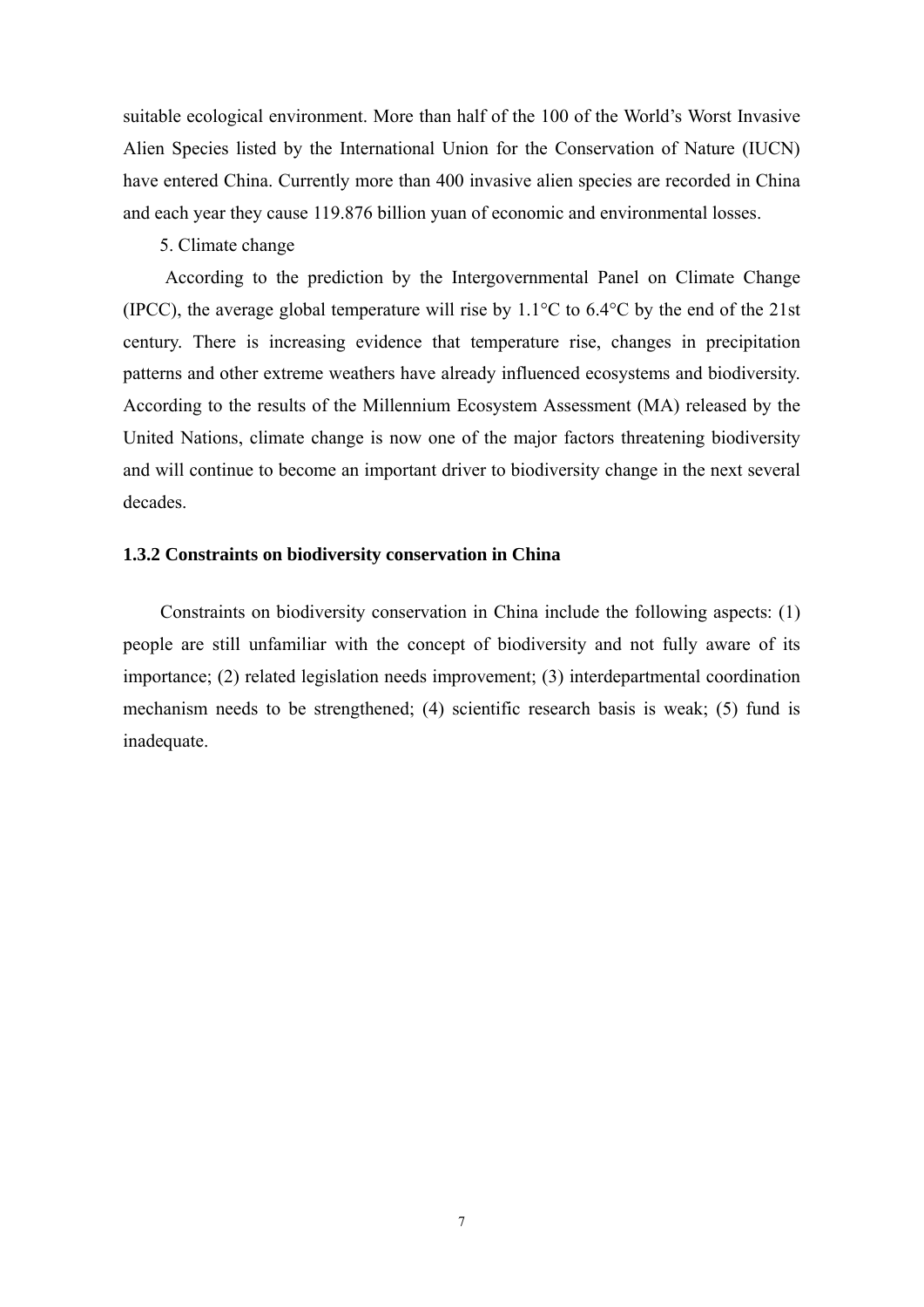<span id="page-17-0"></span>suitable ecological environment. More than half of the 100 of the World's Worst Invasive Alien Species listed by the International Union for the Conservation of Nature (IUCN) have entered China. Currently more than 400 invasive alien species are recorded in China and each year they cause 119.876 billion yuan of economic and environmental losses.

#### 5. Climate change

According to the prediction by the Intergovernmental Panel on Climate Change (IPCC), the average global temperature will rise by 1.1°C to 6.4°C by the end of the 21st century. There is increasing evidence that temperature rise, changes in precipitation patterns and other extreme weathers have already influenced ecosystems and biodiversity. According to the results of the Millennium Ecosystem Assessment (MA) released by the United Nations, climate change is now one of the major factors threatening biodiversity and will continue to become an important driver to biodiversity change in the next several decades.

#### **1.3.2 Constraints on biodiversity conservation in China**

Constraints on biodiversity conservation in China include the following aspects: (1) people are still unfamiliar with the concept of biodiversity and not fully aware of its importance; (2) related legislation needs improvement; (3) interdepartmental coordination mechanism needs to be strengthened; (4) scientific research basis is weak; (5) fund is inadequate.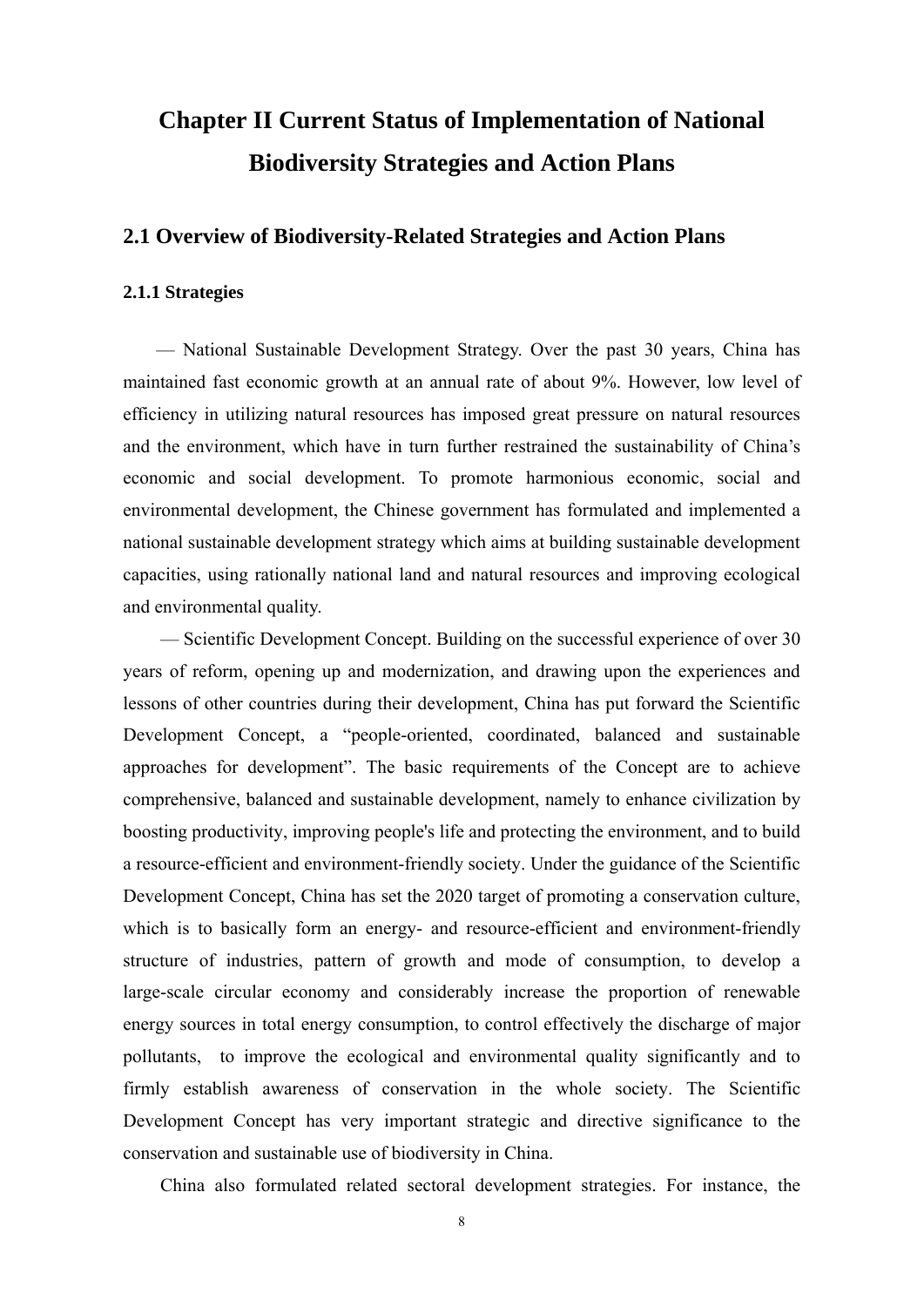## <span id="page-18-0"></span>**Chapter II Current Status of Implementation of National Biodiversity Strategies and Action Plans**

#### **2.1 Overview of Biodiversity-Related Strategies and Action Plans**

#### **2.1.1 Strategies**

— National Sustainable Development Strategy. Over the past 30 years, China has maintained fast economic growth at an annual rate of about 9%. However, low level of efficiency in utilizing natural resources has imposed great pressure on natural resources and the environment, which have in turn further restrained the sustainability of China's economic and social development. To promote harmonious economic, social and environmental development, the Chinese government has formulated and implemented a national sustainable development strategy which aims at building sustainable development capacities, using rationally national land and natural resources and improving ecological and environmental quality.

— Scientific Development Concept. Building on the successful experience of over 30 years of reform, opening up and modernization, and drawing upon the experiences and lessons of other countries during their development, China has put forward the Scientific Development Concept, a "people-oriented, coordinated, balanced and sustainable approaches for development". The basic requirements of the Concept are to achieve comprehensive, balanced and sustainable development, namely to enhance civilization by boosting productivity, improving people's life and protecting the environment, and to build a resource-efficient and environment-friendly society. Under the guidance of the Scientific Development Concept, China has set the 2020 target of promoting a conservation culture, which is to basically form an energy- and resource-efficient and environment-friendly structure of industries, pattern of growth and mode of consumption, to develop a large-scale circular economy and considerably increase the proportion of renewable energy sources in total energy consumption, to control effectively the discharge of major pollutants, to improve the ecological and environmental quality significantly and to firmly establish awareness of conservation in the whole society. The Scientific Development Concept has very important strategic and directive significance to the conservation and sustainable use of biodiversity in China.

China also formulated related sectoral development strategies. For instance, the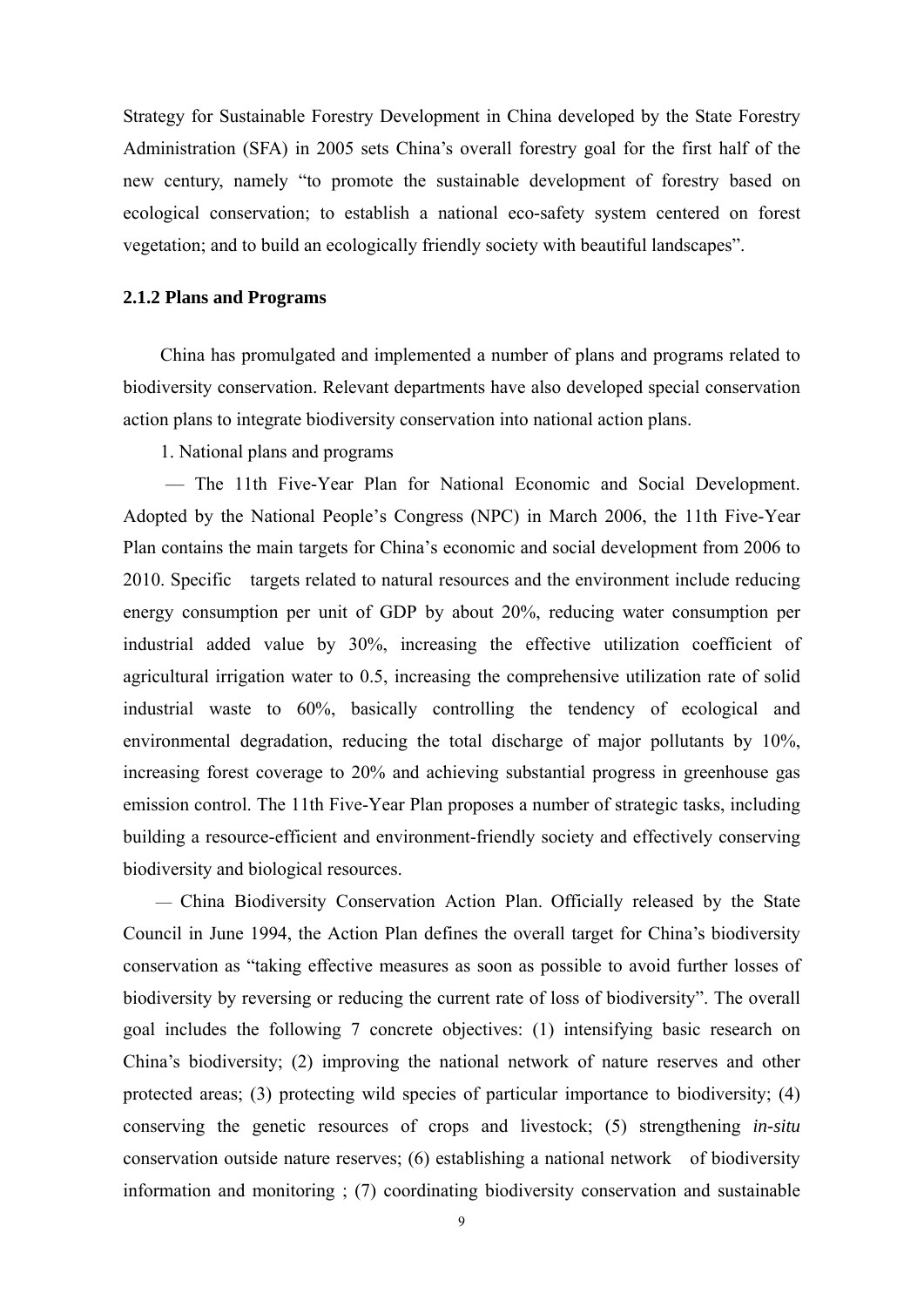<span id="page-19-0"></span>Strategy for Sustainable Forestry Development in China developed by the State Forestry Administration (SFA) in 2005 sets China's overall forestry goal for the first half of the new century, namely "to promote the sustainable development of forestry based on ecological conservation; to establish a national eco-safety system centered on forest vegetation; and to build an ecologically friendly society with beautiful landscapes".

#### **2.1.2 Plans and Programs**

China has promulgated and implemented a number of plans and programs related to biodiversity conservation. Relevant departments have also developed special conservation action plans to integrate biodiversity conservation into national action plans.

1. National plans and programs

 — The 11th Five-Year Plan for National Economic and Social Development. Adopted by the National People's Congress (NPC) in March 2006, the 11th Five-Year Plan contains the main targets for China's economic and social development from 2006 to 2010. Specific targets related to natural resources and the environment include reducing energy consumption per unit of GDP by about 20%, reducing water consumption per industrial added value by 30%, increasing the effective utilization coefficient of agricultural irrigation water to 0.5, increasing the comprehensive utilization rate of solid industrial waste to 60%, basically controlling the tendency of ecological and environmental degradation, reducing the total discharge of major pollutants by 10%, increasing forest coverage to 20% and achieving substantial progress in greenhouse gas emission control. The 11th Five-Year Plan proposes a number of strategic tasks, including building a resource-efficient and environment-friendly society and effectively conserving biodiversity and biological resources.

— China Biodiversity Conservation Action Plan. Officially released by the State Council in June 1994, the Action Plan defines the overall target for China's biodiversity conservation as "taking effective measures as soon as possible to avoid further losses of biodiversity by reversing or reducing the current rate of loss of biodiversity". The overall goal includes the following 7 concrete objectives: (1) intensifying basic research on China's biodiversity; (2) improving the national network of nature reserves and other protected areas; (3) protecting wild species of particular importance to biodiversity; (4) conserving the genetic resources of crops and livestock; (5) strengthening *in-situ* conservation outside nature reserves; (6) establishing a national network of biodiversity information and monitoring ; (7) coordinating biodiversity conservation and sustainable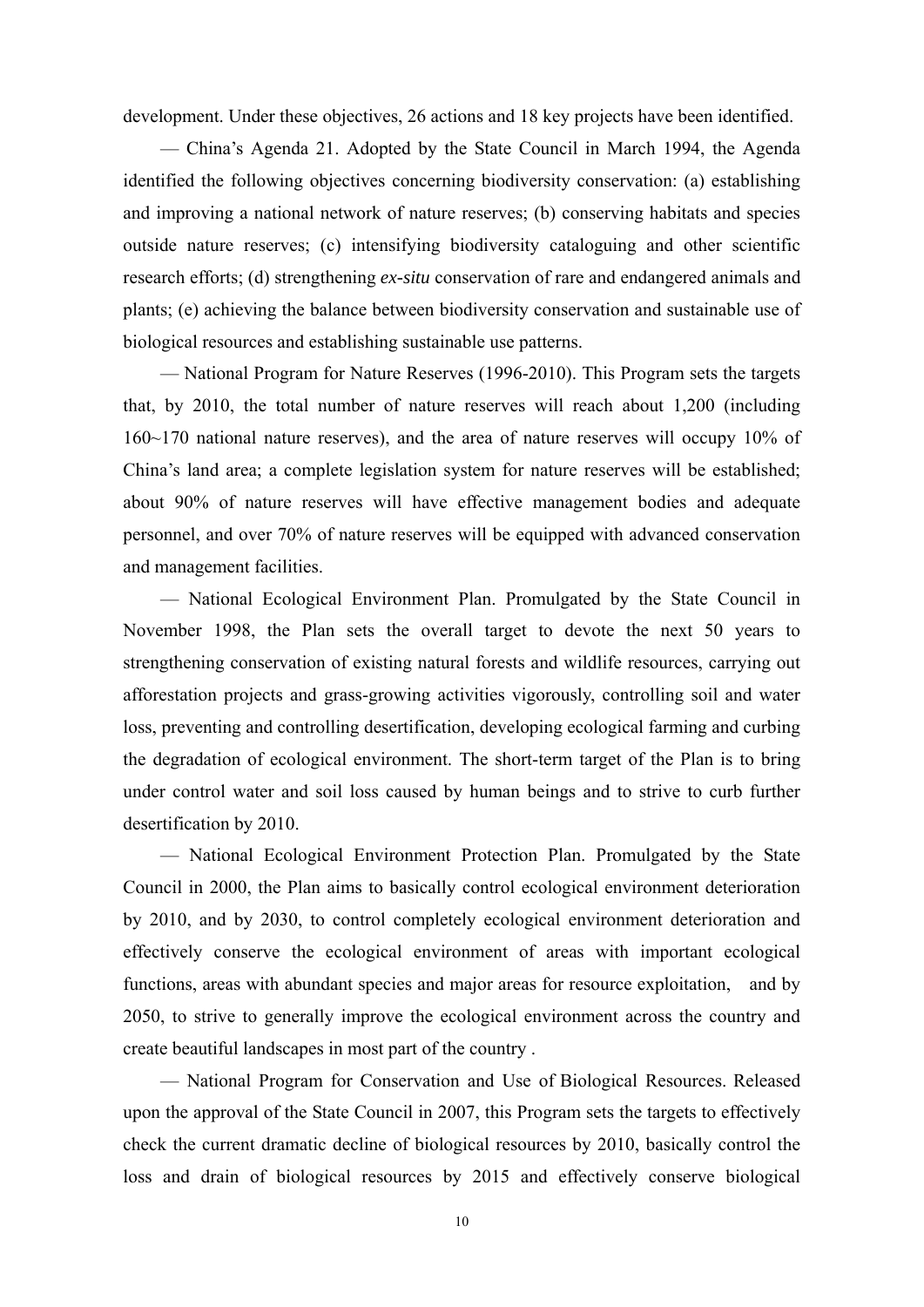development. Under these objectives, 26 actions and 18 key projects have been identified.

— China's Agenda 21. Adopted by the State Council in March 1994, the Agenda identified the following objectives concerning biodiversity conservation: (a) establishing and improving a national network of nature reserves; (b) conserving habitats and species outside nature reserves; (c) intensifying biodiversity cataloguing and other scientific research efforts; (d) strengthening *ex-situ* conservation of rare and endangered animals and plants; (e) achieving the balance between biodiversity conservation and sustainable use of biological resources and establishing sustainable use patterns.

— National Program for Nature Reserves (1996-2010). This Program sets the targets that, by 2010, the total number of nature reserves will reach about 1,200 (including 160~170 national nature reserves), and the area of nature reserves will occupy 10% of China's land area; a complete legislation system for nature reserves will be established; about 90% of nature reserves will have effective management bodies and adequate personnel, and over 70% of nature reserves will be equipped with advanced conservation and management facilities.

— National Ecological Environment Plan. Promulgated by the State Council in November 1998, the Plan sets the overall target to devote the next 50 years to strengthening conservation of existing natural forests and wildlife resources, carrying out afforestation projects and grass-growing activities vigorously, controlling soil and water loss, preventing and controlling desertification, developing ecological farming and curbing the degradation of ecological environment. The short-term target of the Plan is to bring under control water and soil loss caused by human beings and to strive to curb further desertification by 2010.

— National Ecological Environment Protection Plan. Promulgated by the State Council in 2000, the Plan aims to basically control ecological environment deterioration by 2010, and by 2030, to control completely ecological environment deterioration and effectively conserve the ecological environment of areas with important ecological functions, areas with abundant species and major areas for resource exploitation, and by 2050, to strive to generally improve the ecological environment across the country and create beautiful landscapes in most part of the country .

— National Program for Conservation and Use of Biological Resources. Released upon the approval of the State Council in 2007, this Program sets the targets to effectively check the current dramatic decline of biological resources by 2010, basically control the loss and drain of biological resources by 2015 and effectively conserve biological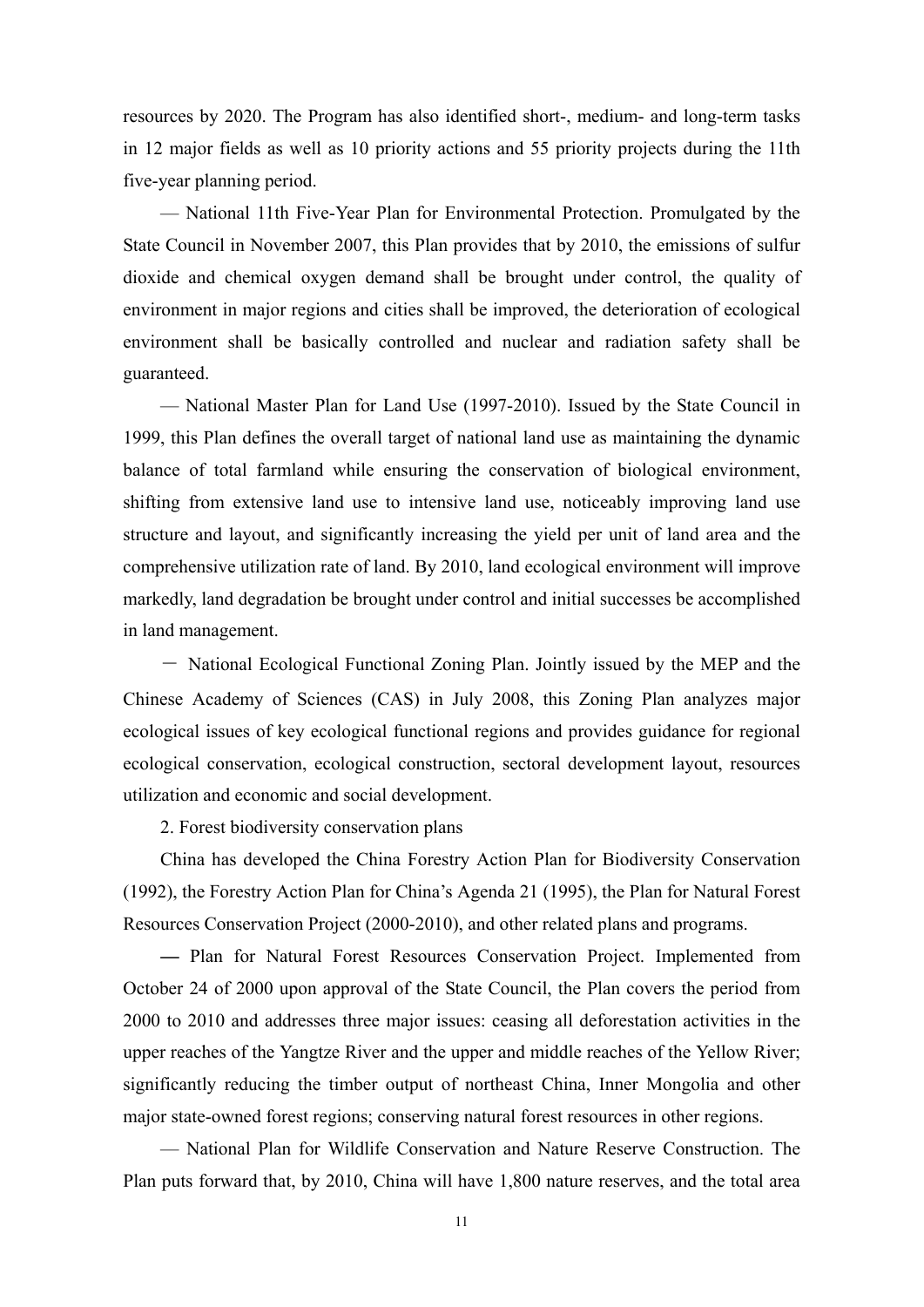resources by 2020. The Program has also identified short-, medium- and long-term tasks in 12 major fields as well as 10 priority actions and 55 priority projects during the 11th five-year planning period.

— National 11th Five-Year Plan for Environmental Protection. Promulgated by the State Council in November 2007, this Plan provides that by 2010, the emissions of sulfur dioxide and chemical oxygen demand shall be brought under control, the quality of environment in major regions and cities shall be improved, the deterioration of ecological environment shall be basically controlled and nuclear and radiation safety shall be guaranteed.

— National Master Plan for Land Use (1997-2010). Issued by the State Council in 1999, this Plan defines the overall target of national land use as maintaining the dynamic balance of total farmland while ensuring the conservation of biological environment, shifting from extensive land use to intensive land use, noticeably improving land use structure and layout, and significantly increasing the yield per unit of land area and the comprehensive utilization rate of land. By 2010, land ecological environment will improve markedly, land degradation be brought under control and initial successes be accomplished in land management.

- National Ecological Functional Zoning Plan. Jointly issued by the MEP and the Chinese Academy of Sciences (CAS) in July 2008, this Zoning Plan analyzes major ecological issues of key ecological functional regions and provides guidance for regional ecological conservation, ecological construction, sectoral development layout, resources utilization and economic and social development.

2. Forest biodiversity conservation plans

China has developed the China Forestry Action Plan for Biodiversity Conservation (1992), the Forestry Action Plan for China's Agenda 21 (1995), the Plan for Natural Forest Resources Conservation Project (2000-2010), and other related plans and programs.

**—** Plan for Natural Forest Resources Conservation Project. Implemented from October 24 of 2000 upon approval of the State Council, the Plan covers the period from 2000 to 2010 and addresses three major issues: ceasing all deforestation activities in the upper reaches of the Yangtze River and the upper and middle reaches of the Yellow River; significantly reducing the timber output of northeast China, Inner Mongolia and other major state-owned forest regions; conserving natural forest resources in other regions.

— National Plan for Wildlife Conservation and Nature Reserve Construction. The Plan puts forward that, by 2010, China will have 1,800 nature reserves, and the total area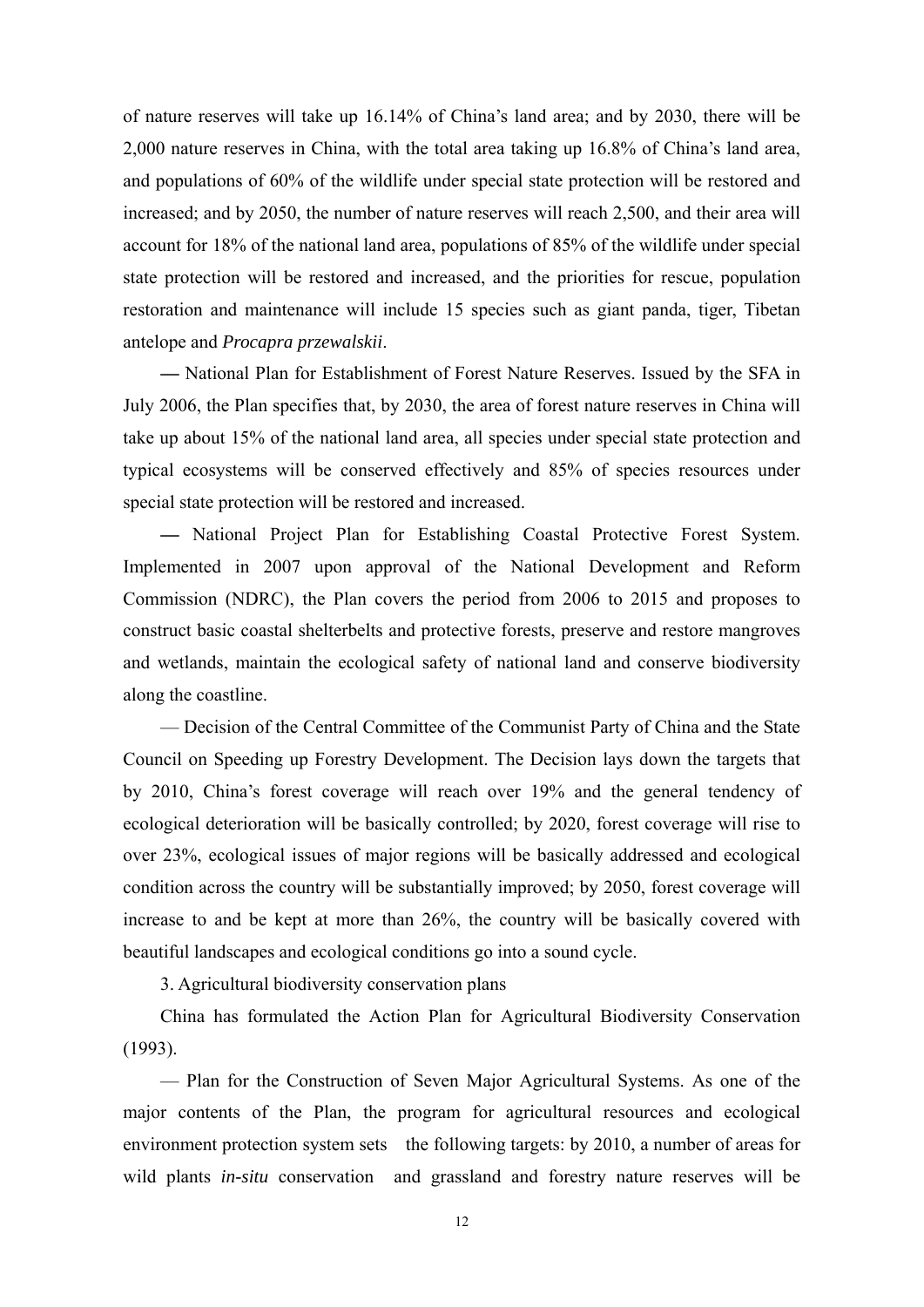of nature reserves will take up 16.14% of China's land area; and by 2030, there will be 2,000 nature reserves in China, with the total area taking up 16.8% of China's land area, and populations of 60% of the wildlife under special state protection will be restored and increased; and by 2050, the number of nature reserves will reach 2,500, and their area will account for 18% of the national land area, populations of 85% of the wildlife under special state protection will be restored and increased, and the priorities for rescue, population restoration and maintenance will include 15 species such as giant panda, tiger, Tibetan antelope and *Procapra przewalskii*.

**—** National Plan for Establishment of Forest Nature Reserves. Issued by the SFA in July 2006, the Plan specifies that, by 2030, the area of forest nature reserves in China will take up about 15% of the national land area, all species under special state protection and typical ecosystems will be conserved effectively and 85% of species resources under special state protection will be restored and increased.

**—** National Project Plan for Establishing Coastal Protective Forest System. Implemented in 2007 upon approval of the National Development and Reform Commission (NDRC), the Plan covers the period from 2006 to 2015 and proposes to construct basic coastal shelterbelts and protective forests, preserve and restore mangroves and wetlands, maintain the ecological safety of national land and conserve biodiversity along the coastline.

— Decision of the Central Committee of the Communist Party of China and the State Council on Speeding up Forestry Development. The Decision lays down the targets that by 2010, China's forest coverage will reach over 19% and the general tendency of ecological deterioration will be basically controlled; by 2020, forest coverage will rise to over 23%, ecological issues of major regions will be basically addressed and ecological condition across the country will be substantially improved; by 2050, forest coverage will increase to and be kept at more than 26%, the country will be basically covered with beautiful landscapes and ecological conditions go into a sound cycle.

3. Agricultural biodiversity conservation plans

China has formulated the Action Plan for Agricultural Biodiversity Conservation (1993).

— Plan for the Construction of Seven Major Agricultural Systems. As one of the major contents of the Plan, the program for agricultural resources and ecological environment protection system sets the following targets: by 2010, a number of areas for wild plants *in-situ* conservation and grassland and forestry nature reserves will be

12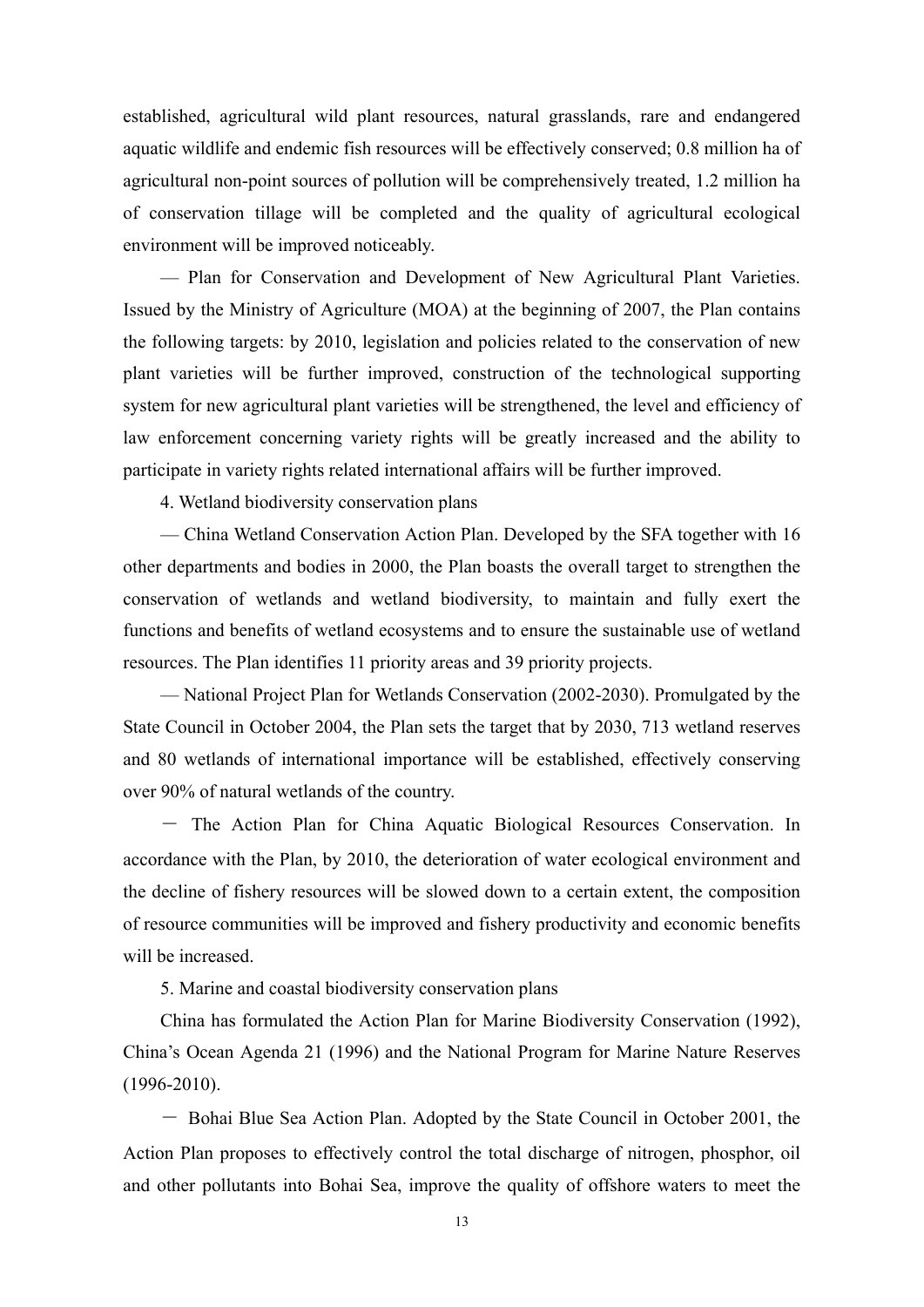established, agricultural wild plant resources, natural grasslands, rare and endangered aquatic wildlife and endemic fish resources will be effectively conserved; 0.8 million ha of agricultural non-point sources of pollution will be comprehensively treated, 1.2 million ha of conservation tillage will be completed and the quality of agricultural ecological environment will be improved noticeably.

— Plan for Conservation and Development of New Agricultural Plant Varieties. Issued by the Ministry of Agriculture (MOA) at the beginning of 2007, the Plan contains the following targets: by 2010, legislation and policies related to the conservation of new plant varieties will be further improved, construction of the technological supporting system for new agricultural plant varieties will be strengthened, the level and efficiency of law enforcement concerning variety rights will be greatly increased and the ability to participate in variety rights related international affairs will be further improved.

4. Wetland biodiversity conservation plans

— China Wetland Conservation Action Plan. Developed by the SFA together with 16 other departments and bodies in 2000, the Plan boasts the overall target to strengthen the conservation of wetlands and wetland biodiversity, to maintain and fully exert the functions and benefits of wetland ecosystems and to ensure the sustainable use of wetland resources. The Plan identifies 11 priority areas and 39 priority projects.

— National Project Plan for Wetlands Conservation (2002-2030). Promulgated by the State Council in October 2004, the Plan sets the target that by 2030, 713 wetland reserves and 80 wetlands of international importance will be established, effectively conserving over 90% of natural wetlands of the country.

- The Action Plan for China Aquatic Biological Resources Conservation. In accordance with the Plan, by 2010, the deterioration of water ecological environment and the decline of fishery resources will be slowed down to a certain extent, the composition of resource communities will be improved and fishery productivity and economic benefits will be increased.

5. Marine and coastal biodiversity conservation plans

China has formulated the Action Plan for Marine Biodiversity Conservation (1992), China's Ocean Agenda 21 (1996) and the National Program for Marine Nature Reserves (1996-2010).

- Bohai Blue Sea Action Plan. Adopted by the State Council in October 2001, the Action Plan proposes to effectively control the total discharge of nitrogen, phosphor, oil and other pollutants into Bohai Sea, improve the quality of offshore waters to meet the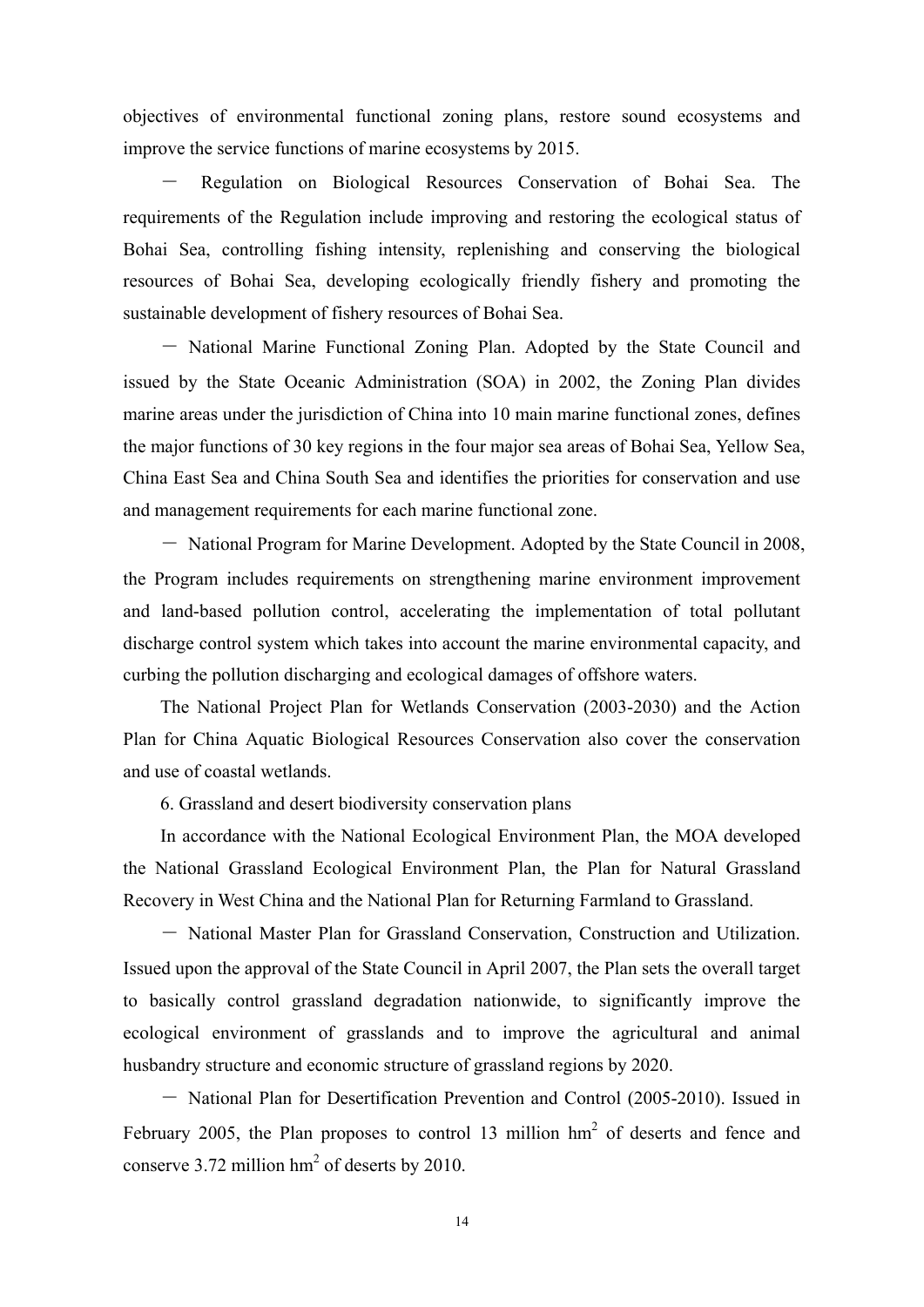objectives of environmental functional zoning plans, restore sound ecosystems and improve the service functions of marine ecosystems by 2015.

- Regulation on Biological Resources Conservation of Bohai Sea. The requirements of the Regulation include improving and restoring the ecological status of Bohai Sea, controlling fishing intensity, replenishing and conserving the biological resources of Bohai Sea, developing ecologically friendly fishery and promoting the sustainable development of fishery resources of Bohai Sea.

- National Marine Functional Zoning Plan. Adopted by the State Council and issued by the State Oceanic Administration (SOA) in 2002, the Zoning Plan divides marine areas under the jurisdiction of China into 10 main marine functional zones, defines the major functions of 30 key regions in the four major sea areas of Bohai Sea, Yellow Sea, China East Sea and China South Sea and identifies the priorities for conservation and use and management requirements for each marine functional zone.

- National Program for Marine Development. Adopted by the State Council in 2008, the Program includes requirements on strengthening marine environment improvement and land-based pollution control, accelerating the implementation of total pollutant discharge control system which takes into account the marine environmental capacity, and curbing the pollution discharging and ecological damages of offshore waters.

The National Project Plan for Wetlands Conservation (2003-2030) and the Action Plan for China Aquatic Biological Resources Conservation also cover the conservation and use of coastal wetlands.

6. Grassland and desert biodiversity conservation plans

In accordance with the National Ecological Environment Plan, the MOA developed the National Grassland Ecological Environment Plan, the Plan for Natural Grassland Recovery in West China and the National Plan for Returning Farmland to Grassland.

- National Master Plan for Grassland Conservation, Construction and Utilization. Issued upon the approval of the State Council in April 2007, the Plan sets the overall target to basically control grassland degradation nationwide, to significantly improve the ecological environment of grasslands and to improve the agricultural and animal husbandry structure and economic structure of grassland regions by 2020.

- National Plan for Desertification Prevention and Control (2005-2010). Issued in February 2005, the Plan proposes to control 13 million  $hm^2$  of deserts and fence and conserve 3.72 million  $hm^2$  of deserts by 2010.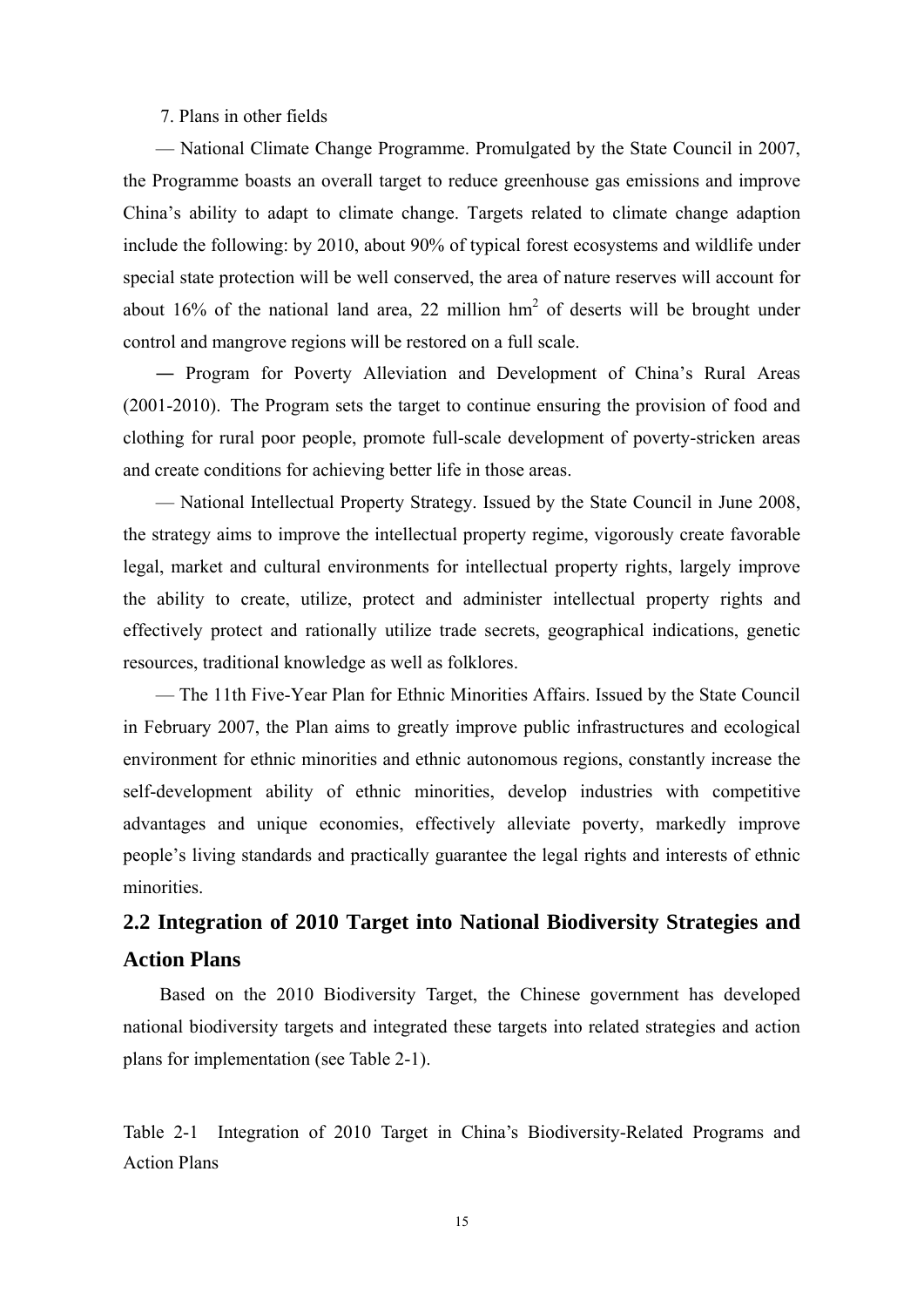#### 7. Plans in other fields

<span id="page-25-0"></span>— National Climate Change Programme. Promulgated by the State Council in 2007, the Programme boasts an overall target to reduce greenhouse gas emissions and improve China's ability to adapt to climate change. Targets related to climate change adaption include the following: by 2010, about 90% of typical forest ecosystems and wildlife under special state protection will be well conserved, the area of nature reserves will account for about 16% of the national land area, 22 million  $hm^2$  of deserts will be brought under control and mangrove regions will be restored on a full scale.

― Program for Poverty Alleviation and Development of China's Rural Areas (2001-2010). The Program sets the target to continue ensuring the provision of food and clothing for rural poor people, promote full-scale development of poverty-stricken areas and create conditions for achieving better life in those areas.

— National Intellectual Property Strategy. Issued by the State Council in June 2008, the strategy aims to improve the intellectual property regime, vigorously create favorable legal, market and cultural environments for intellectual property rights, largely improve the ability to create, utilize, protect and administer intellectual property rights and effectively protect and rationally utilize trade secrets, geographical indications, genetic resources, traditional knowledge as well as folklores.

— The 11th Five-Year Plan for Ethnic Minorities Affairs. Issued by the State Council in February 2007, the Plan aims to greatly improve public infrastructures and ecological environment for ethnic minorities and ethnic autonomous regions, constantly increase the self-development ability of ethnic minorities, develop industries with competitive advantages and unique economies, effectively alleviate poverty, markedly improve people's living standards and practically guarantee the legal rights and interests of ethnic minorities.

## **2.2 Integration of 2010 Target into National Biodiversity Strategies and Action Plans**

Based on the 2010 Biodiversity Target, the Chinese government has developed national biodiversity targets and integrated these targets into related strategies and action plans for implementation (see Table 2-1).

Table 2-1 Integration of 2010 Target in China's Biodiversity-Related Programs and Action Plans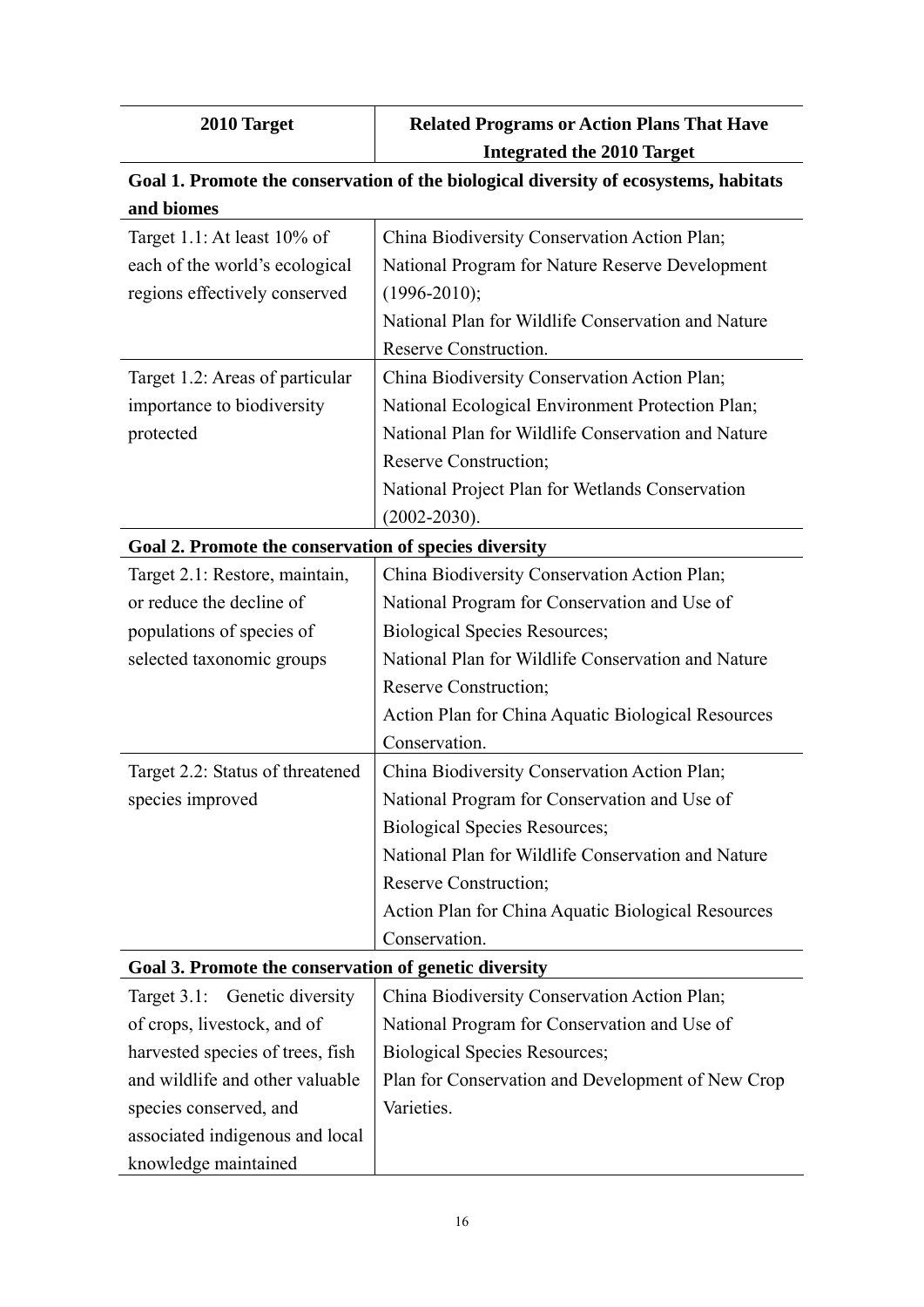| 2010 Target                                           | <b>Related Programs or Action Plans That Have</b>                                    |
|-------------------------------------------------------|--------------------------------------------------------------------------------------|
|                                                       | <b>Integrated the 2010 Target</b>                                                    |
|                                                       | Goal 1. Promote the conservation of the biological diversity of ecosystems, habitats |
| and biomes                                            |                                                                                      |
| Target 1.1: At least 10% of                           | China Biodiversity Conservation Action Plan;                                         |
| each of the world's ecological                        | National Program for Nature Reserve Development                                      |
| regions effectively conserved                         | $(1996 - 2010);$                                                                     |
|                                                       | National Plan for Wildlife Conservation and Nature                                   |
|                                                       | Reserve Construction.                                                                |
| Target 1.2: Areas of particular                       | China Biodiversity Conservation Action Plan;                                         |
| importance to biodiversity                            | National Ecological Environment Protection Plan;                                     |
| protected                                             | National Plan for Wildlife Conservation and Nature                                   |
|                                                       | <b>Reserve Construction;</b>                                                         |
|                                                       | National Project Plan for Wetlands Conservation                                      |
|                                                       | $(2002 - 2030)$ .                                                                    |
| Goal 2. Promote the conservation of species diversity |                                                                                      |
| Target 2.1: Restore, maintain,                        | China Biodiversity Conservation Action Plan;                                         |
| or reduce the decline of                              | National Program for Conservation and Use of                                         |
| populations of species of                             | <b>Biological Species Resources;</b>                                                 |
| selected taxonomic groups                             | National Plan for Wildlife Conservation and Nature                                   |
|                                                       | Reserve Construction;                                                                |
|                                                       | Action Plan for China Aquatic Biological Resources                                   |
|                                                       | Conservation.                                                                        |
| Target 2.2: Status of threatened                      | China Biodiversity Conservation Action Plan;                                         |
| species improved                                      | National Program for Conservation and Use of                                         |
|                                                       | <b>Biological Species Resources;</b>                                                 |
|                                                       | National Plan for Wildlife Conservation and Nature                                   |
|                                                       | Reserve Construction;                                                                |
|                                                       | Action Plan for China Aquatic Biological Resources                                   |
|                                                       | Conservation.                                                                        |
| Goal 3. Promote the conservation of genetic diversity |                                                                                      |
| Target 3.1: Genetic diversity                         | China Biodiversity Conservation Action Plan;                                         |
| of crops, livestock, and of                           | National Program for Conservation and Use of                                         |
| harvested species of trees, fish                      | <b>Biological Species Resources;</b>                                                 |
| and wildlife and other valuable                       | Plan for Conservation and Development of New Crop                                    |
| species conserved, and                                | Varieties.                                                                           |
| associated indigenous and local                       |                                                                                      |
| knowledge maintained                                  |                                                                                      |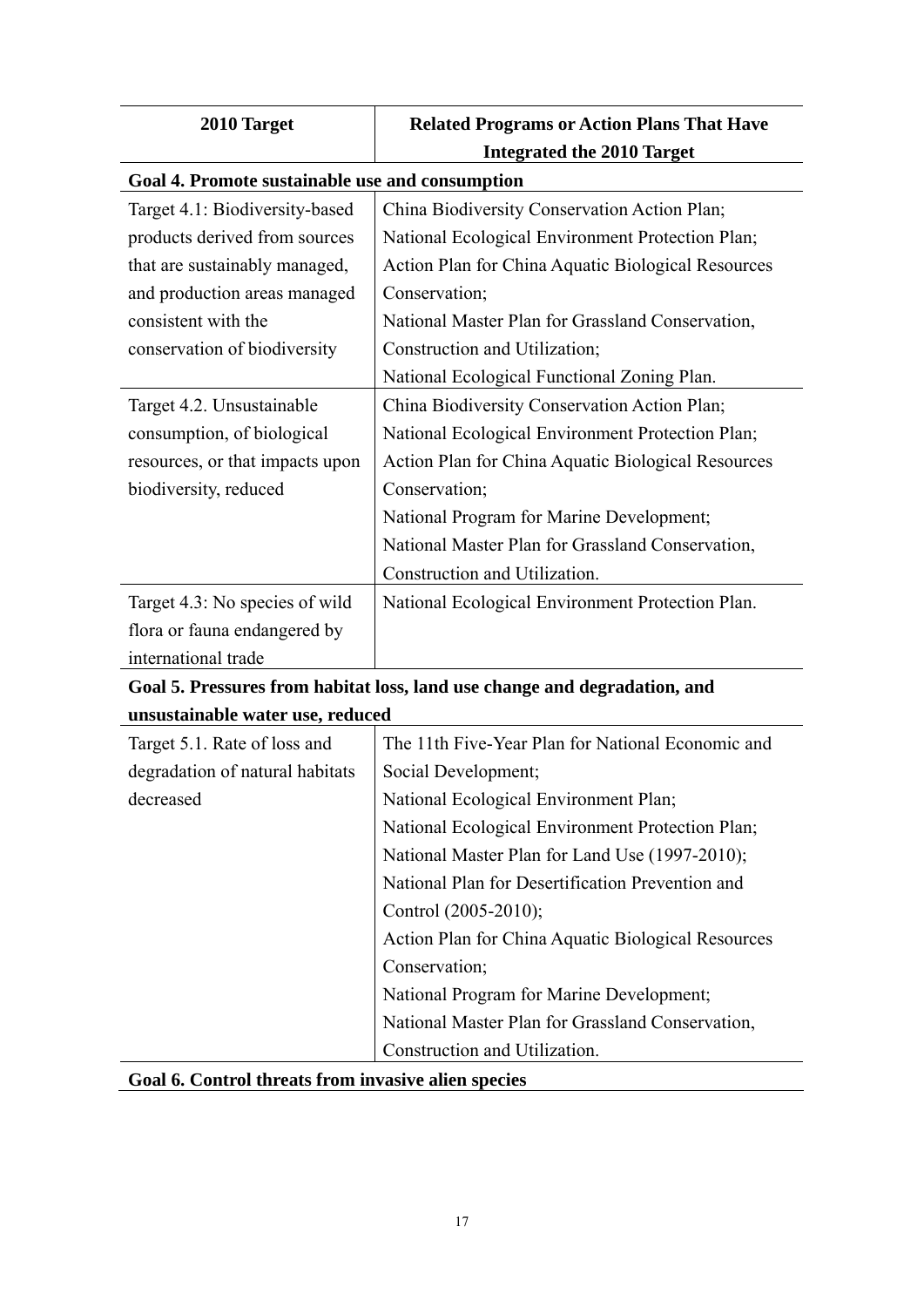| 2010 Target                                                               | <b>Related Programs or Action Plans That Have</b>  |  |
|---------------------------------------------------------------------------|----------------------------------------------------|--|
|                                                                           | <b>Integrated the 2010 Target</b>                  |  |
| Goal 4. Promote sustainable use and consumption                           |                                                    |  |
| Target 4.1: Biodiversity-based                                            | China Biodiversity Conservation Action Plan;       |  |
| products derived from sources                                             | National Ecological Environment Protection Plan;   |  |
| that are sustainably managed,                                             | Action Plan for China Aquatic Biological Resources |  |
| and production areas managed                                              | Conservation;                                      |  |
| consistent with the                                                       | National Master Plan for Grassland Conservation,   |  |
| conservation of biodiversity                                              | Construction and Utilization;                      |  |
|                                                                           | National Ecological Functional Zoning Plan.        |  |
| Target 4.2. Unsustainable                                                 | China Biodiversity Conservation Action Plan;       |  |
| consumption, of biological                                                | National Ecological Environment Protection Plan;   |  |
| resources, or that impacts upon                                           | Action Plan for China Aquatic Biological Resources |  |
| biodiversity, reduced                                                     | Conservation;                                      |  |
|                                                                           | National Program for Marine Development;           |  |
|                                                                           | National Master Plan for Grassland Conservation,   |  |
|                                                                           | Construction and Utilization.                      |  |
| Target 4.3: No species of wild                                            | National Ecological Environment Protection Plan.   |  |
| flora or fauna endangered by                                              |                                                    |  |
| international trade                                                       |                                                    |  |
| Goal 5. Pressures from habitat loss, land use change and degradation, and |                                                    |  |
| unsustainable water use, reduced                                          |                                                    |  |
| Target 5.1. Rate of loss and                                              | The 11th Five-Year Plan for National Economic and  |  |
| degradation of natural habitats                                           | Social Development;                                |  |
| decreased                                                                 | National Ecological Environment Plan;              |  |
|                                                                           | National Ecological Environment Protection Plan;   |  |

| Goal 6. Control threats from invasive alien species |  |  |  |  |  |  |  |
|-----------------------------------------------------|--|--|--|--|--|--|--|
|-----------------------------------------------------|--|--|--|--|--|--|--|

Control (2005-2010);

Construction and Utilization.

Conservation;

National Master Plan for Land Use (1997-2010); National Plan for Desertification Prevention and

Action Plan for China Aquatic Biological Resources

National Master Plan for Grassland Conservation,

National Program for Marine Development;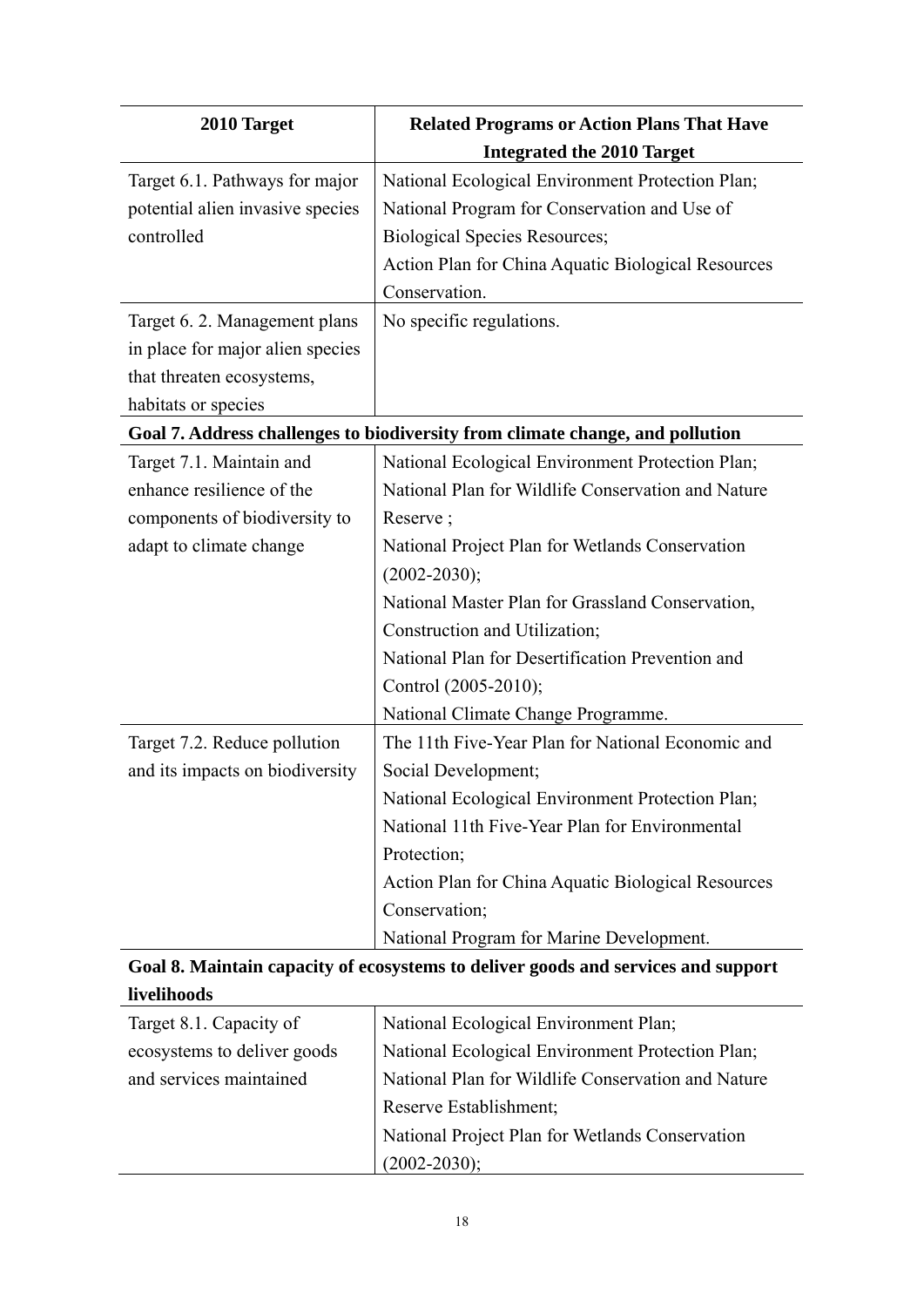| 2010 Target                      | <b>Related Programs or Action Plans That Have</b>                                 |
|----------------------------------|-----------------------------------------------------------------------------------|
|                                  | <b>Integrated the 2010 Target</b>                                                 |
| Target 6.1. Pathways for major   | National Ecological Environment Protection Plan;                                  |
| potential alien invasive species | National Program for Conservation and Use of                                      |
| controlled                       | <b>Biological Species Resources;</b>                                              |
|                                  | Action Plan for China Aquatic Biological Resources                                |
|                                  | Conservation.                                                                     |
| Target 6. 2. Management plans    | No specific regulations.                                                          |
| in place for major alien species |                                                                                   |
| that threaten ecosystems,        |                                                                                   |
| habitats or species              |                                                                                   |
|                                  | Goal 7. Address challenges to biodiversity from climate change, and pollution     |
| Target 7.1. Maintain and         | National Ecological Environment Protection Plan;                                  |
| enhance resilience of the        | National Plan for Wildlife Conservation and Nature                                |
| components of biodiversity to    | Reserve;                                                                          |
| adapt to climate change          | National Project Plan for Wetlands Conservation                                   |
|                                  | $(2002 - 2030);$                                                                  |
|                                  | National Master Plan for Grassland Conservation,                                  |
|                                  | Construction and Utilization;                                                     |
|                                  | National Plan for Desertification Prevention and                                  |
|                                  | Control (2005-2010);                                                              |
|                                  | National Climate Change Programme.                                                |
| Target 7.2. Reduce pollution     | The 11th Five-Year Plan for National Economic and                                 |
| and its impacts on biodiversity  | Social Development;                                                               |
|                                  | National Ecological Environment Protection Plan;                                  |
|                                  | National 11th Five-Year Plan for Environmental                                    |
|                                  | Protection;                                                                       |
|                                  | Action Plan for China Aquatic Biological Resources                                |
|                                  | Conservation;                                                                     |
|                                  | National Program for Marine Development.                                          |
|                                  | Goal 8. Maintain capacity of ecosystems to deliver goods and services and support |
| livelihoods                      |                                                                                   |

| Target 8.1. Capacity of     | National Ecological Environment Plan;              |
|-----------------------------|----------------------------------------------------|
| ecosystems to deliver goods | National Ecological Environment Protection Plan;   |
| and services maintained     | National Plan for Wildlife Conservation and Nature |
|                             | Reserve Establishment;                             |
|                             | National Project Plan for Wetlands Conservation    |
|                             | $(2002 - 2030);$                                   |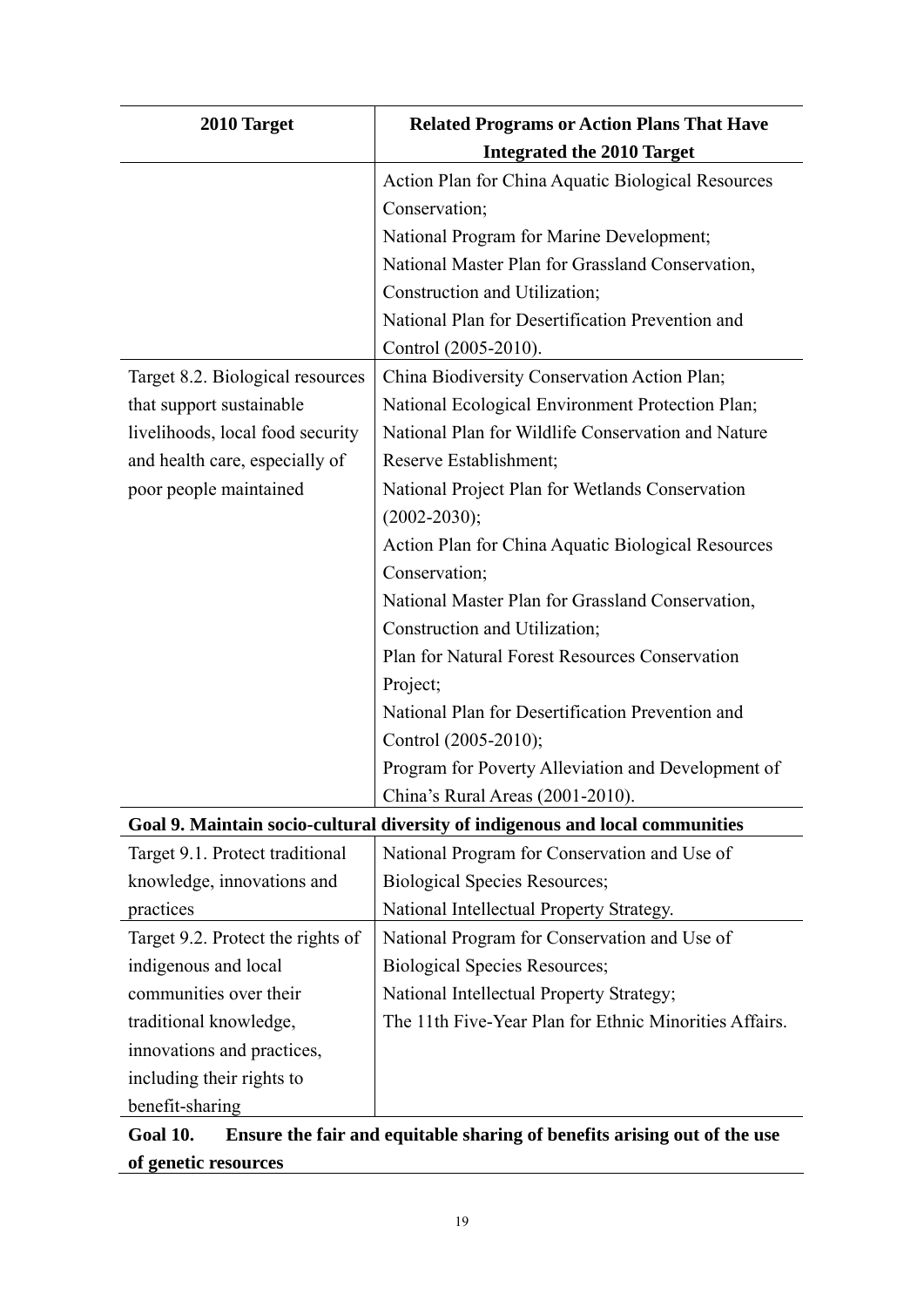| 2010 Target                       | <b>Related Programs or Action Plans That Have</b>                             |
|-----------------------------------|-------------------------------------------------------------------------------|
|                                   | <b>Integrated the 2010 Target</b>                                             |
|                                   | Action Plan for China Aquatic Biological Resources                            |
|                                   | Conservation;                                                                 |
|                                   | National Program for Marine Development;                                      |
|                                   | National Master Plan for Grassland Conservation,                              |
|                                   | Construction and Utilization;                                                 |
|                                   | National Plan for Desertification Prevention and                              |
|                                   | Control (2005-2010).                                                          |
| Target 8.2. Biological resources  | China Biodiversity Conservation Action Plan;                                  |
| that support sustainable          | National Ecological Environment Protection Plan;                              |
| livelihoods, local food security  | National Plan for Wildlife Conservation and Nature                            |
| and health care, especially of    | Reserve Establishment;                                                        |
| poor people maintained            | National Project Plan for Wetlands Conservation                               |
|                                   | $(2002 - 2030);$                                                              |
|                                   | Action Plan for China Aquatic Biological Resources                            |
|                                   | Conservation;                                                                 |
|                                   | National Master Plan for Grassland Conservation,                              |
|                                   | Construction and Utilization;                                                 |
|                                   | Plan for Natural Forest Resources Conservation                                |
|                                   | Project;                                                                      |
|                                   | National Plan for Desertification Prevention and                              |
|                                   | Control (2005-2010);                                                          |
|                                   | Program for Poverty Alleviation and Development of                            |
|                                   | China's Rural Areas (2001-2010).                                              |
|                                   | Goal 9. Maintain socio-cultural diversity of indigenous and local communities |
| Target 9.1. Protect traditional   | National Program for Conservation and Use of                                  |
| knowledge, innovations and        | <b>Biological Species Resources;</b>                                          |
| practices                         | National Intellectual Property Strategy.                                      |
| Target 9.2. Protect the rights of | National Program for Conservation and Use of                                  |
| indigenous and local              | <b>Biological Species Resources;</b>                                          |
| communities over their            | National Intellectual Property Strategy;                                      |
| traditional knowledge,            | The 11th Five-Year Plan for Ethnic Minorities Affairs.                        |
| innovations and practices,        |                                                                               |
| including their rights to         |                                                                               |
| benefit-sharing                   |                                                                               |

## **Goal 10. Ensure the fair and equitable sharing of benefits arising out of the use of genetic resources**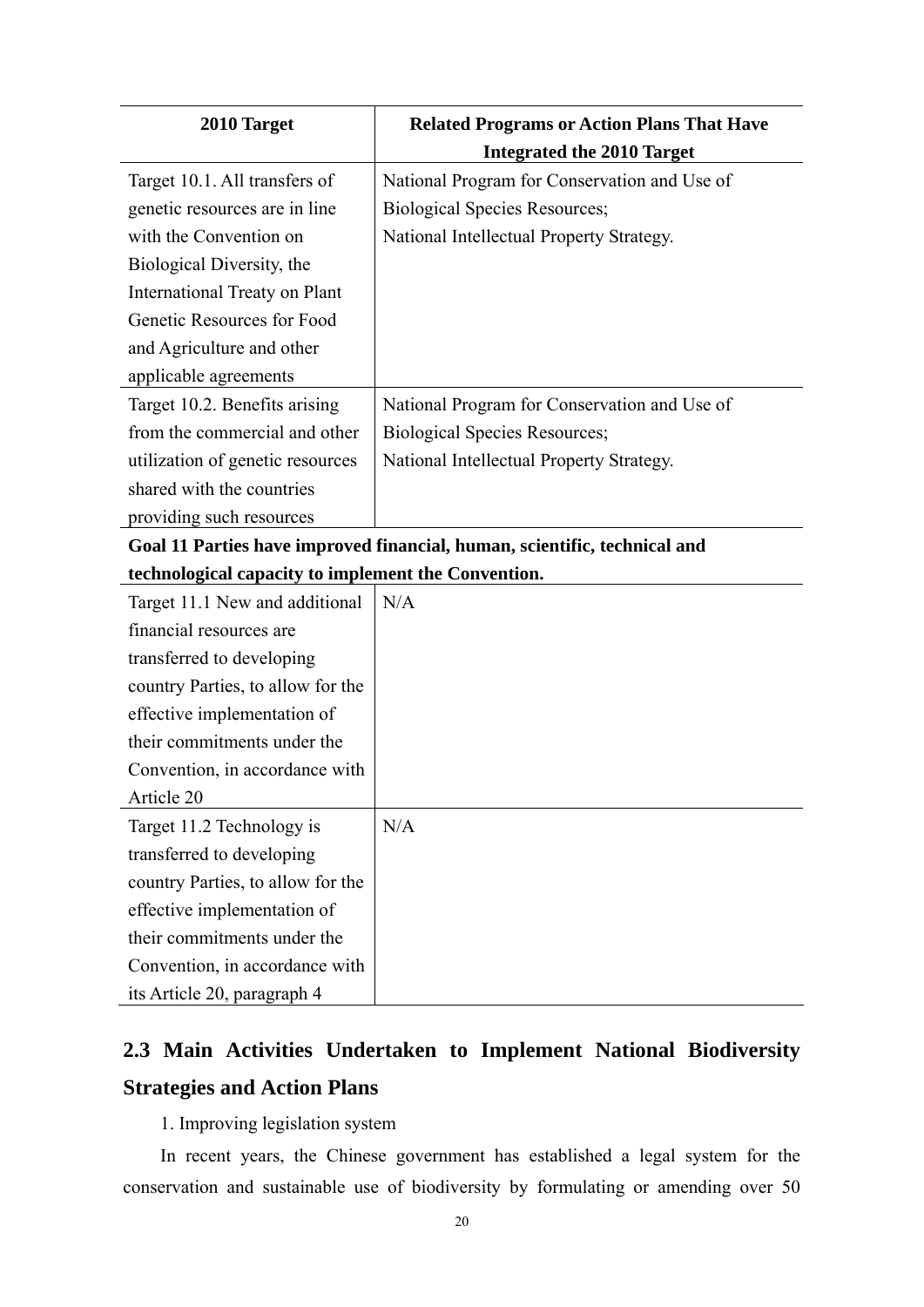<span id="page-30-0"></span>

| 2010 Target                                         | <b>Related Programs or Action Plans That Have</b>                         |
|-----------------------------------------------------|---------------------------------------------------------------------------|
|                                                     | <b>Integrated the 2010 Target</b>                                         |
| Target 10.1. All transfers of                       | National Program for Conservation and Use of                              |
| genetic resources are in line                       | <b>Biological Species Resources;</b>                                      |
| with the Convention on                              | National Intellectual Property Strategy.                                  |
| Biological Diversity, the                           |                                                                           |
| International Treaty on Plant                       |                                                                           |
| Genetic Resources for Food                          |                                                                           |
| and Agriculture and other                           |                                                                           |
| applicable agreements                               |                                                                           |
| Target 10.2. Benefits arising                       | National Program for Conservation and Use of                              |
| from the commercial and other                       | <b>Biological Species Resources;</b>                                      |
| utilization of genetic resources                    | National Intellectual Property Strategy.                                  |
| shared with the countries                           |                                                                           |
| providing such resources                            |                                                                           |
|                                                     | Goal 11 Parties have improved financial, human, scientific, technical and |
| technological capacity to implement the Convention. |                                                                           |
| Target 11.1 New and additional                      | N/A                                                                       |
| financial resources are                             |                                                                           |
| transferred to developing                           |                                                                           |
| country Parties, to allow for the                   |                                                                           |
| effective implementation of                         |                                                                           |
| their commitments under the                         |                                                                           |
| Convention, in accordance with                      |                                                                           |
| Article 20                                          |                                                                           |
| Target 11.2 Technology is                           | N/A                                                                       |
| transferred to developing                           |                                                                           |
| country Parties, to allow for the                   |                                                                           |
| effective implementation of                         |                                                                           |
| their commitments under the                         |                                                                           |
| Convention, in accordance with                      |                                                                           |
| its Article 20, paragraph 4                         |                                                                           |

## **2.3 Main Activities Undertaken to Implement National Biodiversity Strategies and Action Plans**

1. Improving legislation system

In recent years, the Chinese government has established a legal system for the conservation and sustainable use of biodiversity by formulating or amending over 50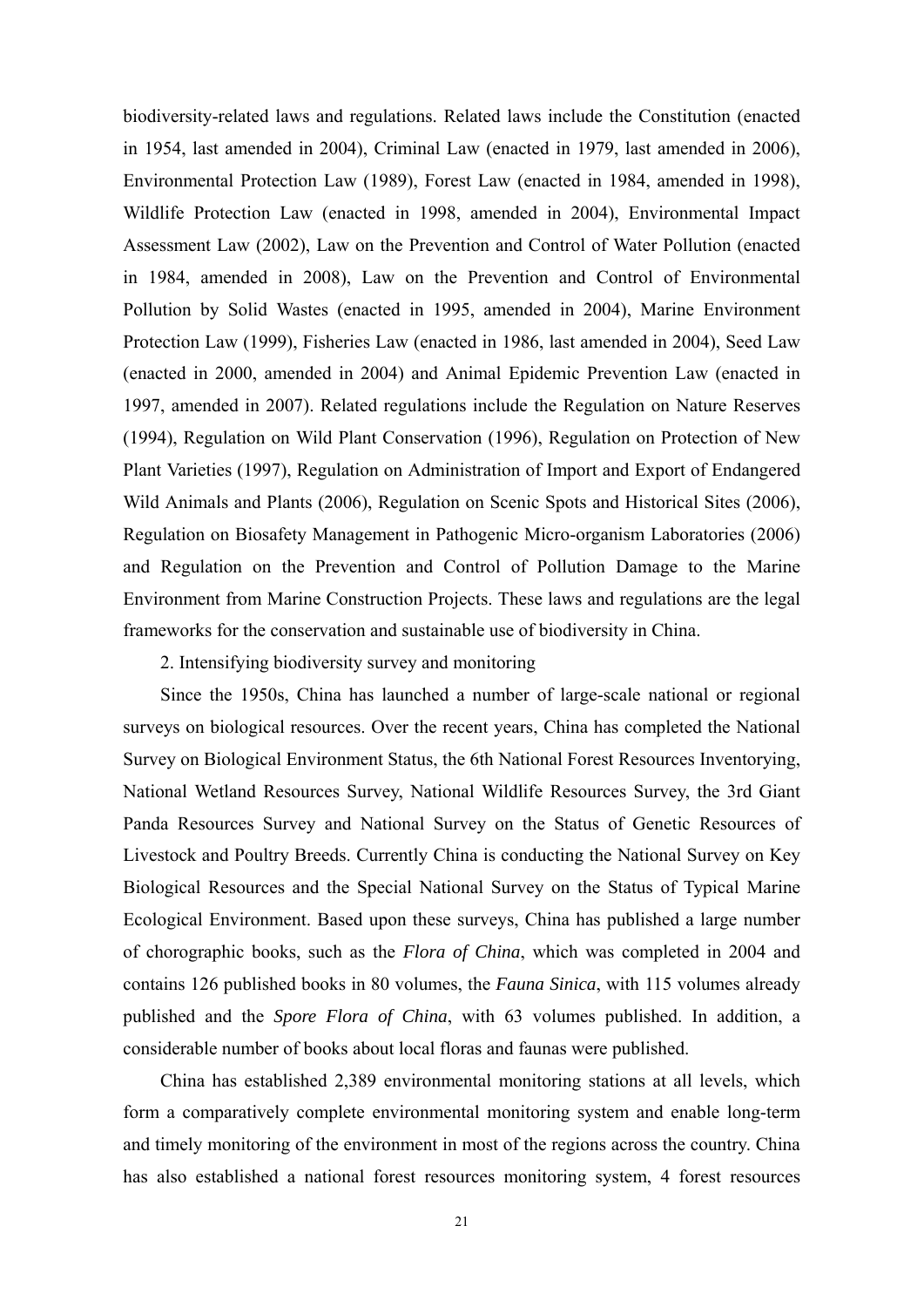biodiversity-related laws and regulations. Related laws include the Constitution (enacted in 1954, last amended in 2004), Criminal Law (enacted in 1979, last amended in 2006), Environmental Protection Law (1989), Forest Law (enacted in 1984, amended in 1998), Wildlife Protection Law (enacted in 1998, amended in 2004), Environmental Impact Assessment Law (2002), Law on the Prevention and Control of Water Pollution (enacted in 1984, amended in 2008), Law on the Prevention and Control of Environmental Pollution by Solid Wastes (enacted in 1995, amended in 2004), Marine Environment Protection Law (1999), Fisheries Law (enacted in 1986, last amended in 2004), Seed Law (enacted in 2000, amended in 2004) and Animal Epidemic Prevention Law (enacted in 1997, amended in 2007). Related regulations include the Regulation on Nature Reserves (1994), Regulation on Wild Plant Conservation (1996), Regulation on Protection of New Plant Varieties (1997), Regulation on Administration of Import and Export of Endangered Wild Animals and Plants (2006), Regulation on Scenic Spots and Historical Sites (2006), Regulation on Biosafety Management in Pathogenic Micro-organism Laboratories (2006) and Regulation on the Prevention and Control of Pollution Damage to the Marine Environment from Marine Construction Projects. These laws and regulations are the legal frameworks for the conservation and sustainable use of biodiversity in China.

2. Intensifying biodiversity survey and monitoring

Since the 1950s, China has launched a number of large-scale national or regional surveys on biological resources. Over the recent years, China has completed the National Survey on Biological Environment Status, the 6th National Forest Resources Inventorying, National Wetland Resources Survey, National Wildlife Resources Survey, the 3rd Giant Panda Resources Survey and National Survey on the Status of Genetic Resources of Livestock and Poultry Breeds. Currently China is conducting the National Survey on Key Biological Resources and the Special National Survey on the Status of Typical Marine Ecological Environment. Based upon these surveys, China has published a large number of chorographic books, such as the *Flora of China*, which was completed in 2004 and contains 126 published books in 80 volumes, the *Fauna Sinica*, with 115 volumes already published and the *Spore Flora of China*, with 63 volumes published. In addition, a considerable number of books about local floras and faunas were published.

China has established 2,389 environmental monitoring stations at all levels, which form a comparatively complete environmental monitoring system and enable long-term and timely monitoring of the environment in most of the regions across the country. China has also established a national forest resources monitoring system, 4 forest resources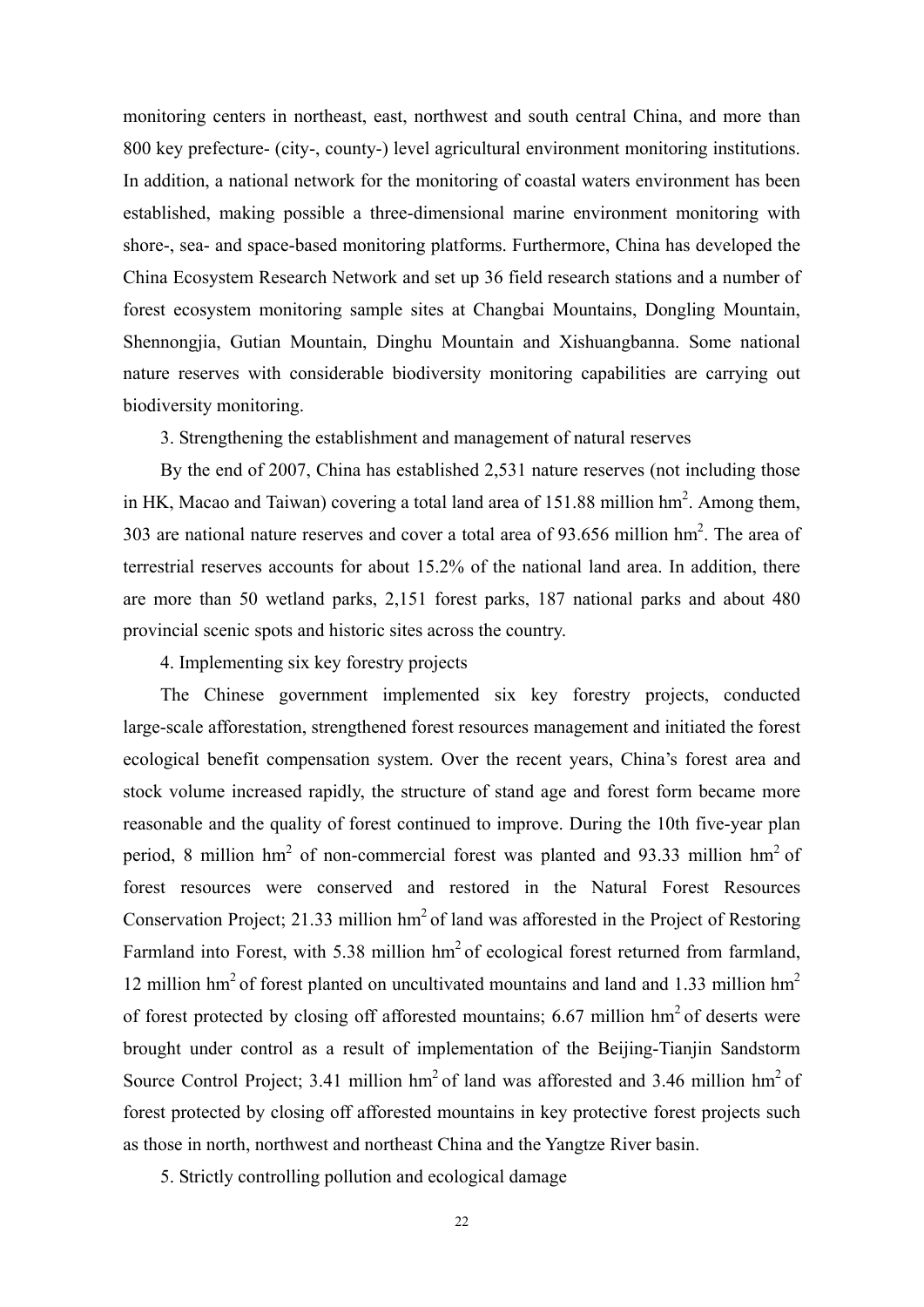monitoring centers in northeast, east, northwest and south central China, and more than 800 key prefecture- (city-, county-) level agricultural environment monitoring institutions. In addition, a national network for the monitoring of coastal waters environment has been established, making possible a three-dimensional marine environment monitoring with shore-, sea- and space-based monitoring platforms. Furthermore, China has developed the China Ecosystem Research Network and set up 36 field research stations and a number of forest ecosystem monitoring sample sites at Changbai Mountains, Dongling Mountain, Shennongjia, Gutian Mountain, Dinghu Mountain and Xishuangbanna. Some national nature reserves with considerable biodiversity monitoring capabilities are carrying out biodiversity monitoring.

3. Strengthening the establishment and management of natural reserves

By the end of 2007, China has established 2,531 nature reserves (not including those in HK, Macao and Taiwan) covering a total land area of  $151.88$  million hm<sup>2</sup>. Among them, 303 are national nature reserves and cover a total area of  $93.656$  million hm<sup>2</sup>. The area of terrestrial reserves accounts for about 15.2% of the national land area. In addition, there are more than 50 wetland parks, 2,151 forest parks, 187 national parks and about 480 provincial scenic spots and historic sites across the country.

4. Implementing six key forestry projects

The Chinese government implemented six key forestry projects, conducted large-scale afforestation, strengthened forest resources management and initiated the forest ecological benefit compensation system. Over the recent years, China's forest area and stock volume increased rapidly, the structure of stand age and forest form became more reasonable and the quality of forest continued to improve. During the 10th five-year plan period, 8 million  $hm^2$  of non-commercial forest was planted and 93.33 million  $hm^2$  of forest resources were conserved and restored in the Natural Forest Resources Conservation Project; 21.33 million  $hm^2$  of land was afforested in the Project of Restoring Farmland into Forest, with 5.38 million  $hm^2$  of ecological forest returned from farmland, 12 million hm<sup>2</sup> of forest planted on uncultivated mountains and land and 1.33 million hm<sup>2</sup> of forest protected by closing off afforested mountains; 6.67 million  $hm<sup>2</sup>$  of deserts were brought under control as a result of implementation of the Beijing-Tianjin Sandstorm Source Control Project: 3.41 million  $hm^2$  of land was afforested and 3.46 million  $hm^2$  of forest protected by closing off afforested mountains in key protective forest projects such as those in north, northwest and northeast China and the Yangtze River basin.

5. Strictly controlling pollution and ecological damage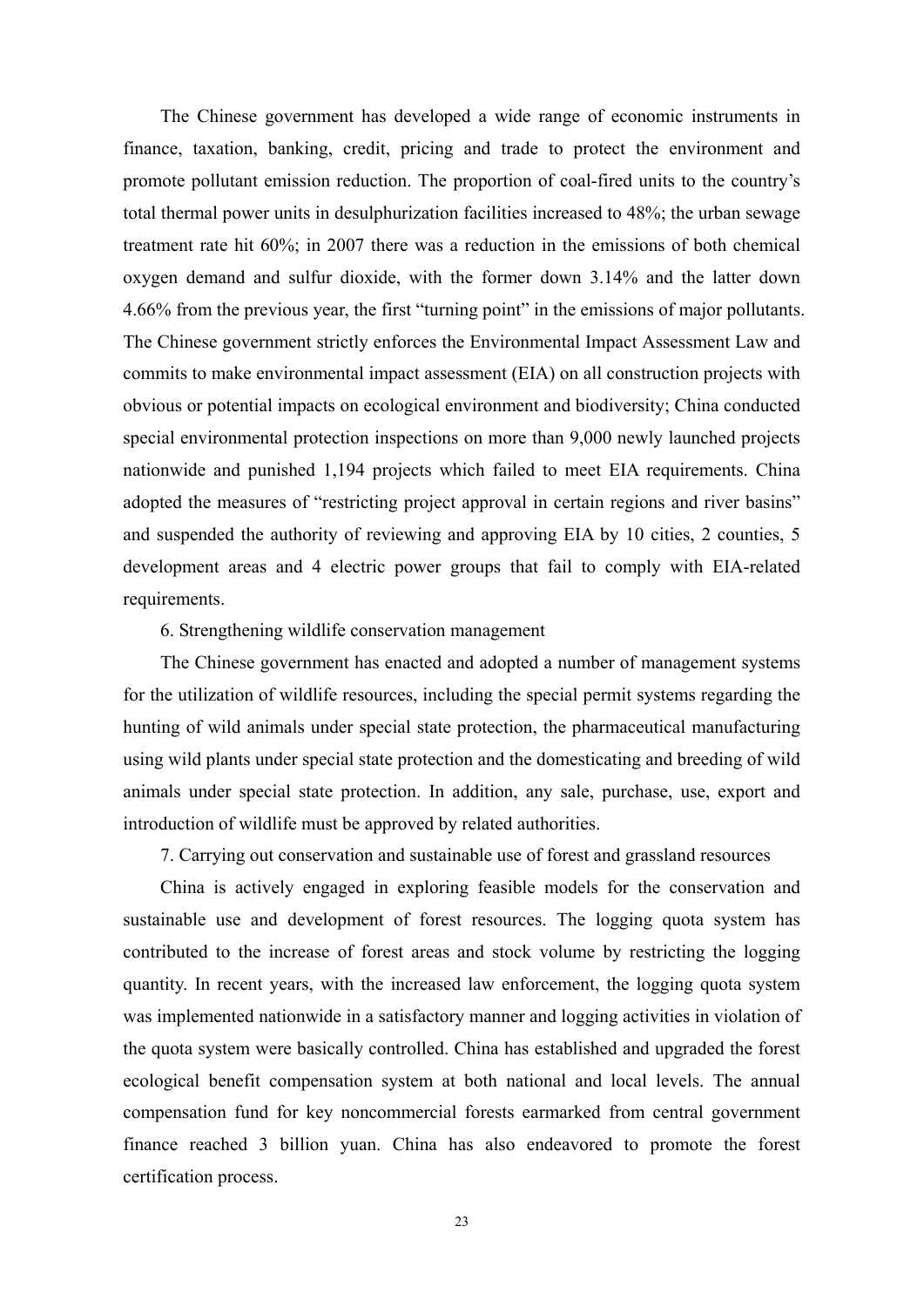The Chinese government has developed a wide range of economic instruments in finance, taxation, banking, credit, pricing and trade to protect the environment and promote pollutant emission reduction. The proportion of coal-fired units to the country's total thermal power units in desulphurization facilities increased to 48%; the urban sewage treatment rate hit 60%; in 2007 there was a reduction in the emissions of both chemical oxygen demand and sulfur dioxide, with the former down 3.14% and the latter down 4.66% from the previous year, the first "turning point" in the emissions of major pollutants. The Chinese government strictly enforces the Environmental Impact Assessment Law and commits to make environmental impact assessment (EIA) on all construction projects with obvious or potential impacts on ecological environment and biodiversity; China conducted special environmental protection inspections on more than 9,000 newly launched projects nationwide and punished 1,194 projects which failed to meet EIA requirements. China adopted the measures of "restricting project approval in certain regions and river basins" and suspended the authority of reviewing and approving EIA by 10 cities, 2 counties, 5 development areas and 4 electric power groups that fail to comply with EIA-related requirements.

#### 6. Strengthening wildlife conservation management

The Chinese government has enacted and adopted a number of management systems for the utilization of wildlife resources, including the special permit systems regarding the hunting of wild animals under special state protection, the pharmaceutical manufacturing using wild plants under special state protection and the domesticating and breeding of wild animals under special state protection. In addition, any sale, purchase, use, export and introduction of wildlife must be approved by related authorities.

7. Carrying out conservation and sustainable use of forest and grassland resources

China is actively engaged in exploring feasible models for the conservation and sustainable use and development of forest resources. The logging quota system has contributed to the increase of forest areas and stock volume by restricting the logging quantity. In recent years, with the increased law enforcement, the logging quota system was implemented nationwide in a satisfactory manner and logging activities in violation of the quota system were basically controlled. China has established and upgraded the forest ecological benefit compensation system at both national and local levels. The annual compensation fund for key noncommercial forests earmarked from central government finance reached 3 billion yuan. China has also endeavored to promote the forest certification process.

23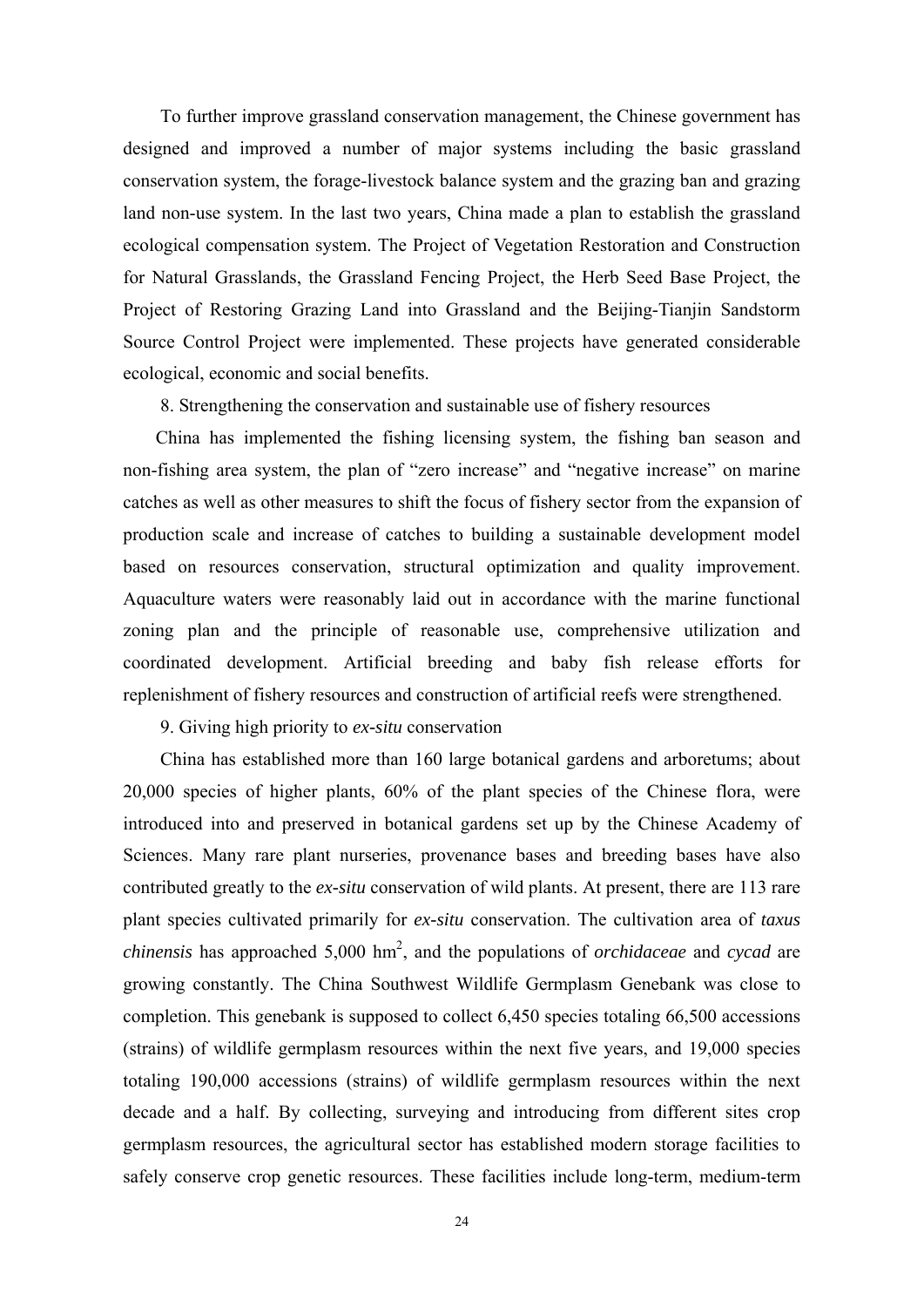To further improve grassland conservation management, the Chinese government has designed and improved a number of major systems including the basic grassland conservation system, the forage-livestock balance system and the grazing ban and grazing land non-use system. In the last two years, China made a plan to establish the grassland ecological compensation system. The Project of Vegetation Restoration and Construction for Natural Grasslands, the Grassland Fencing Project, the Herb Seed Base Project, the Project of Restoring Grazing Land into Grassland and the Beijing-Tianjin Sandstorm Source Control Project were implemented. These projects have generated considerable ecological, economic and social benefits.

8. Strengthening the conservation and sustainable use of fishery resources

China has implemented the fishing licensing system, the fishing ban season and non-fishing area system, the plan of "zero increase" and "negative increase" on marine catches as well as other measures to shift the focus of fishery sector from the expansion of production scale and increase of catches to building a sustainable development model based on resources conservation, structural optimization and quality improvement. Aquaculture waters were reasonably laid out in accordance with the marine functional zoning plan and the principle of reasonable use, comprehensive utilization and coordinated development. Artificial breeding and baby fish release efforts for replenishment of fishery resources and construction of artificial reefs were strengthened.

9. Giving high priority to *ex-situ* conservation

China has established more than 160 large botanical gardens and arboretums; about 20,000 species of higher plants, 60% of the plant species of the Chinese flora, were introduced into and preserved in botanical gardens set up by the Chinese Academy of Sciences. Many rare plant nurseries, provenance bases and breeding bases have also contributed greatly to the *ex-situ* conservation of wild plants. At present, there are 113 rare plant species cultivated primarily for *ex-situ* conservation. The cultivation area of *taxus chinensis* has approached 5,000 hm2 , and the populations of *orchidaceae* and *cycad* are growing constantly. The China Southwest Wildlife Germplasm Genebank was close to completion. This genebank is supposed to collect 6,450 species totaling 66,500 accessions (strains) of wildlife germplasm resources within the next five years, and 19,000 species totaling 190,000 accessions (strains) of wildlife germplasm resources within the next decade and a half. By collecting, surveying and introducing from different sites crop germplasm resources, the agricultural sector has established modern storage facilities to safely conserve crop genetic resources. These facilities include long-term, medium-term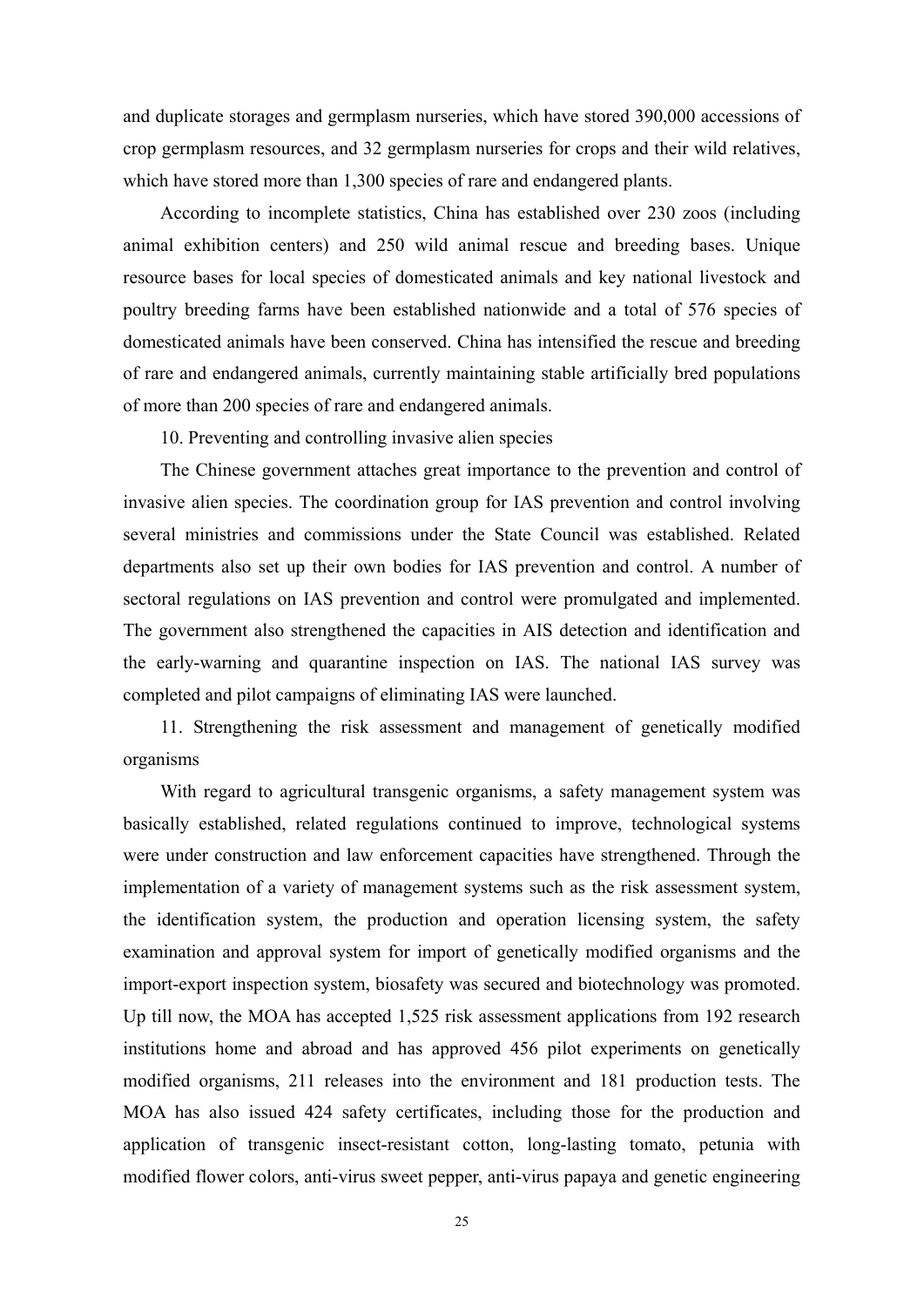and duplicate storages and germplasm nurseries, which have stored 390,000 accessions of crop germplasm resources, and 32 germplasm nurseries for crops and their wild relatives, which have stored more than 1,300 species of rare and endangered plants.

According to incomplete statistics, China has established over 230 zoos (including animal exhibition centers) and 250 wild animal rescue and breeding bases. Unique resource bases for local species of domesticated animals and key national livestock and poultry breeding farms have been established nationwide and a total of 576 species of domesticated animals have been conserved. China has intensified the rescue and breeding of rare and endangered animals, currently maintaining stable artificially bred populations of more than 200 species of rare and endangered animals.

10. Preventing and controlling invasive alien species

The Chinese government attaches great importance to the prevention and control of invasive alien species. The coordination group for IAS prevention and control involving several ministries and commissions under the State Council was established. Related departments also set up their own bodies for IAS prevention and control. A number of sectoral regulations on IAS prevention and control were promulgated and implemented. The government also strengthened the capacities in AIS detection and identification and the early-warning and quarantine inspection on IAS. The national IAS survey was completed and pilot campaigns of eliminating IAS were launched.

11. Strengthening the risk assessment and management of genetically modified organisms

With regard to agricultural transgenic organisms, a safety management system was basically established, related regulations continued to improve, technological systems were under construction and law enforcement capacities have strengthened. Through the implementation of a variety of management systems such as the risk assessment system, the identification system, the production and operation licensing system, the safety examination and approval system for import of genetically modified organisms and the import-export inspection system, biosafety was secured and biotechnology was promoted. Up till now, the MOA has accepted 1,525 risk assessment applications from 192 research institutions home and abroad and has approved 456 pilot experiments on genetically modified organisms, 211 releases into the environment and 181 production tests. The MOA has also issued 424 safety certificates, including those for the production and application of transgenic insect-resistant cotton, long-lasting tomato, petunia with modified flower colors, anti-virus sweet pepper, anti-virus papaya and genetic engineering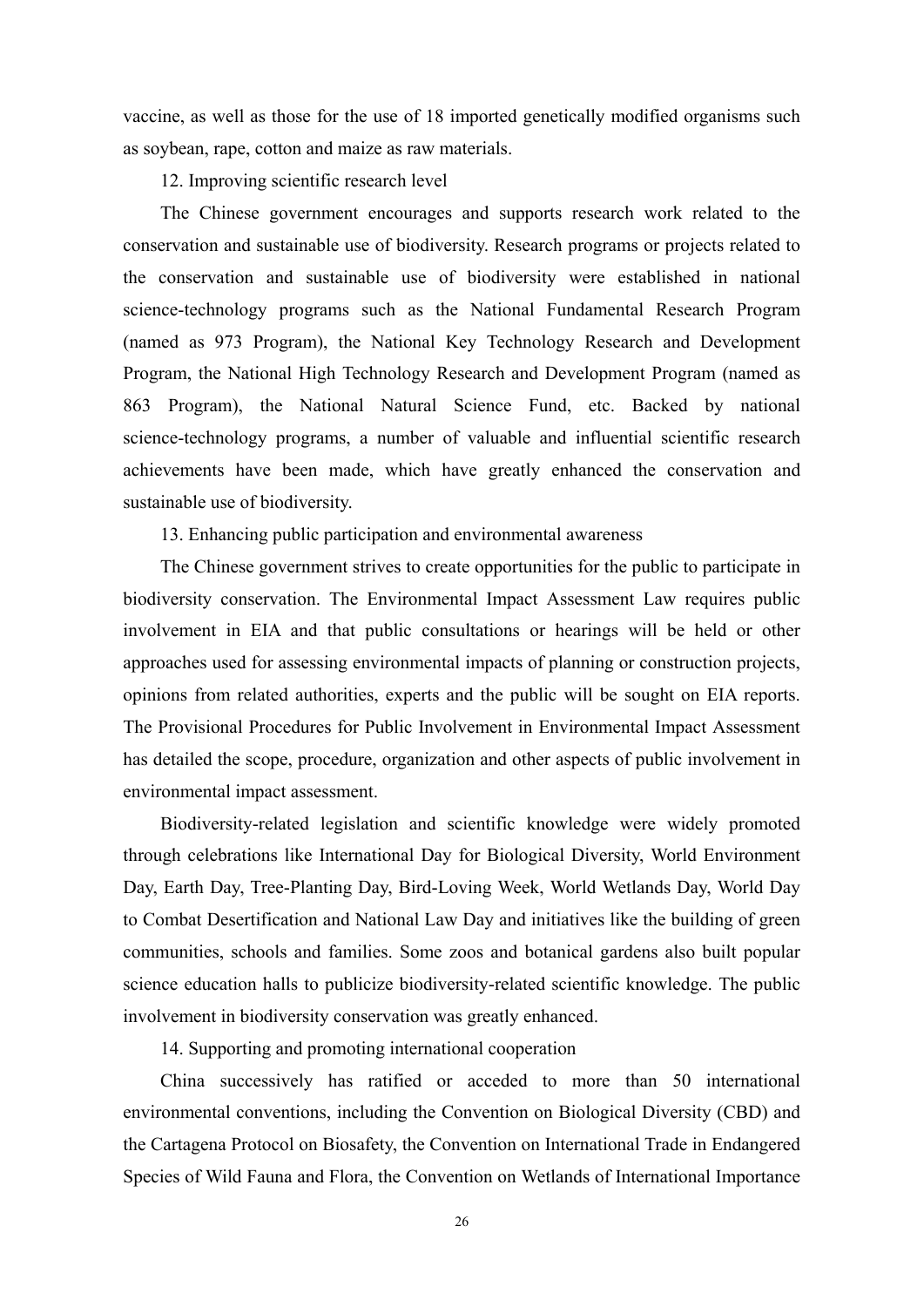vaccine, as well as those for the use of 18 imported genetically modified organisms such as soybean, rape, cotton and maize as raw materials.

12. Improving scientific research level

The Chinese government encourages and supports research work related to the conservation and sustainable use of biodiversity. Research programs or projects related to the conservation and sustainable use of biodiversity were established in national science-technology programs such as the National Fundamental Research Program (named as 973 Program), the National Key Technology Research and Development Program, the National High Technology Research and Development Program (named as 863 Program), the National Natural Science Fund, etc. Backed by national science-technology programs, a number of valuable and influential scientific research achievements have been made, which have greatly enhanced the conservation and sustainable use of biodiversity.

13. Enhancing public participation and environmental awareness

The Chinese government strives to create opportunities for the public to participate in biodiversity conservation. The Environmental Impact Assessment Law requires public involvement in EIA and that public consultations or hearings will be held or other approaches used for assessing environmental impacts of planning or construction projects, opinions from related authorities, experts and the public will be sought on EIA reports. The Provisional Procedures for Public Involvement in Environmental Impact Assessment has detailed the scope, procedure, organization and other aspects of public involvement in environmental impact assessment.

Biodiversity-related legislation and scientific knowledge were widely promoted through celebrations like International Day for Biological Diversity, World Environment Day, Earth Day, Tree-Planting Day, Bird-Loving Week, World Wetlands Day, World Day to Combat Desertification and National Law Day and initiatives like the building of green communities, schools and families. Some zoos and botanical gardens also built popular science education halls to publicize biodiversity-related scientific knowledge. The public involvement in biodiversity conservation was greatly enhanced.

14. Supporting and promoting international cooperation

China successively has ratified or acceded to more than 50 international environmental conventions, including the Convention on Biological Diversity (CBD) and the Cartagena Protocol on Biosafety, the Convention on International Trade in Endangered Species of Wild Fauna and Flora, the Convention on Wetlands of International Importance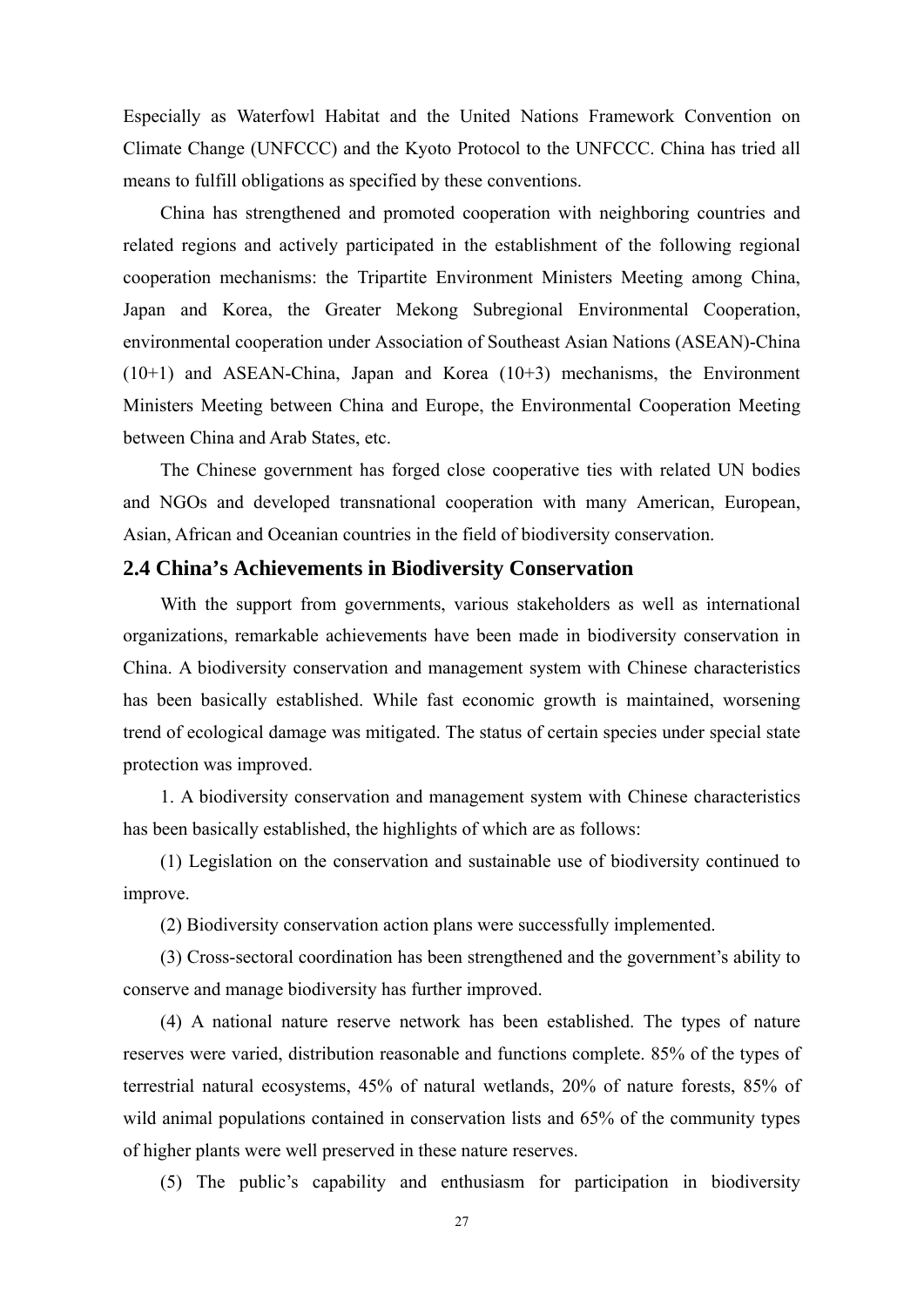Especially as Waterfowl Habitat and the United Nations Framework Convention on Climate Change (UNFCCC) and the Kyoto Protocol to the UNFCCC. China has tried all means to fulfill obligations as specified by these conventions.

China has strengthened and promoted cooperation with neighboring countries and related regions and actively participated in the establishment of the following regional cooperation mechanisms: the Tripartite Environment Ministers Meeting among China, Japan and Korea, the Greater Mekong Subregional Environmental Cooperation, environmental cooperation under Association of Southeast Asian Nations (ASEAN)-China (10+1) and ASEAN-China, Japan and Korea (10+3) mechanisms, the Environment Ministers Meeting between China and Europe, the Environmental Cooperation Meeting between China and Arab States, etc.

The Chinese government has forged close cooperative ties with related UN bodies and NGOs and developed transnational cooperation with many American, European, Asian, African and Oceanian countries in the field of biodiversity conservation.

### **2.4 China's Achievements in Biodiversity Conservation**

With the support from governments, various stakeholders as well as international organizations, remarkable achievements have been made in biodiversity conservation in China. A biodiversity conservation and management system with Chinese characteristics has been basically established. While fast economic growth is maintained, worsening trend of ecological damage was mitigated. The status of certain species under special state protection was improved.

1. A biodiversity conservation and management system with Chinese characteristics has been basically established, the highlights of which are as follows:

(1) Legislation on the conservation and sustainable use of biodiversity continued to improve.

(2) Biodiversity conservation action plans were successfully implemented.

(3) Cross-sectoral coordination has been strengthened and the government's ability to conserve and manage biodiversity has further improved.

(4) A national nature reserve network has been established. The types of nature reserves were varied, distribution reasonable and functions complete. 85% of the types of terrestrial natural ecosystems, 45% of natural wetlands, 20% of nature forests, 85% of wild animal populations contained in conservation lists and 65% of the community types of higher plants were well preserved in these nature reserves.

(5) The public's capability and enthusiasm for participation in biodiversity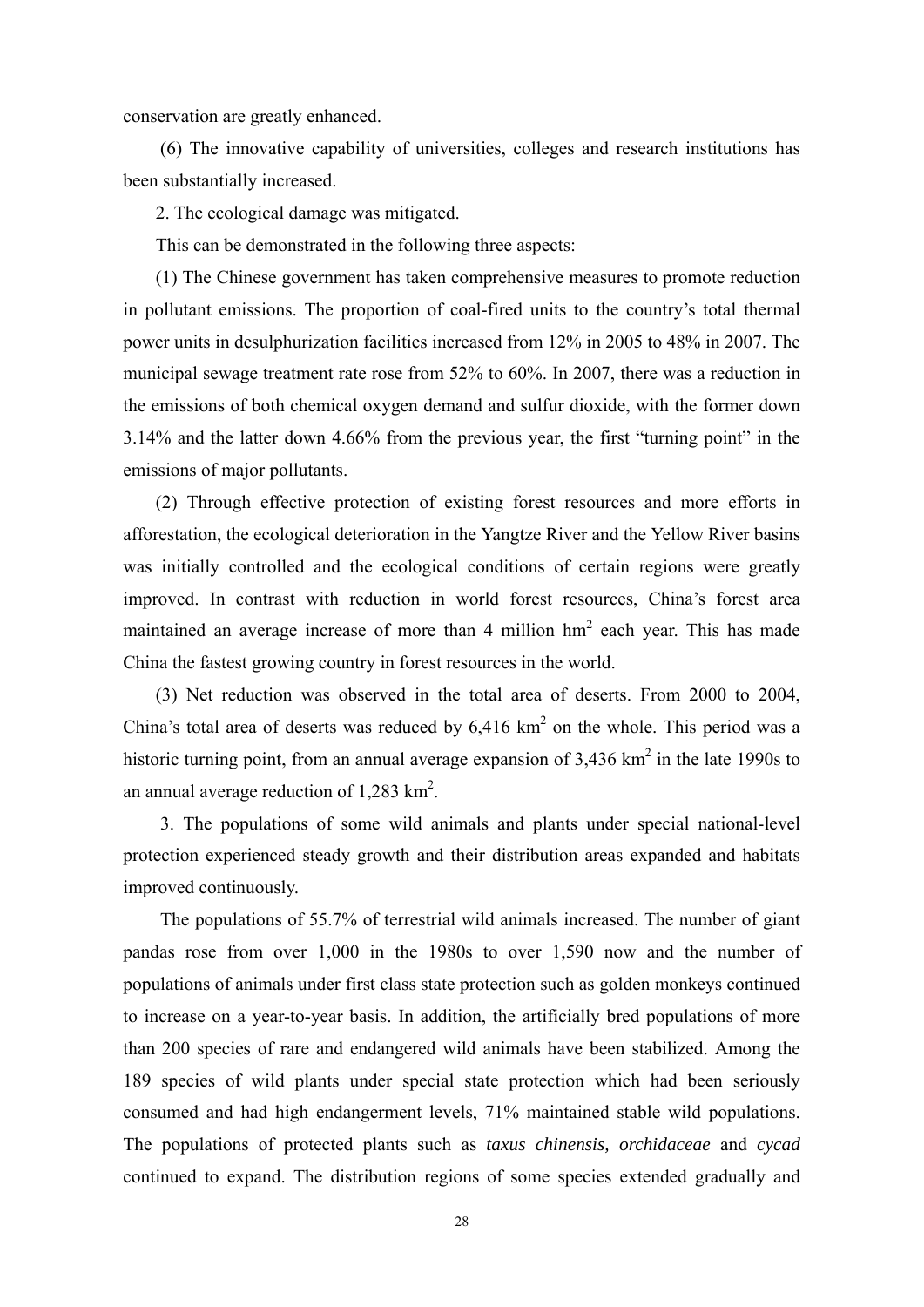conservation are greatly enhanced.

(6) The innovative capability of universities, colleges and research institutions has been substantially increased.

2. The ecological damage was mitigated.

This can be demonstrated in the following three aspects:

(1) The Chinese government has taken comprehensive measures to promote reduction in pollutant emissions. The proportion of coal-fired units to the country's total thermal power units in desulphurization facilities increased from 12% in 2005 to 48% in 2007. The municipal sewage treatment rate rose from 52% to 60%. In 2007, there was a reduction in the emissions of both chemical oxygen demand and sulfur dioxide, with the former down 3.14% and the latter down 4.66% from the previous year, the first "turning point" in the emissions of major pollutants.

(2) Through effective protection of existing forest resources and more efforts in afforestation, the ecological deterioration in the Yangtze River and the Yellow River basins was initially controlled and the ecological conditions of certain regions were greatly improved. In contrast with reduction in world forest resources, China's forest area maintained an average increase of more than 4 million  $hm<sup>2</sup>$  each year. This has made China the fastest growing country in forest resources in the world.

(3) Net reduction was observed in the total area of deserts. From 2000 to 2004, China's total area of deserts was reduced by  $6,416 \text{ km}^2$  on the whole. This period was a historic turning point, from an annual average expansion of  $3,436 \text{ km}^2$  in the late 1990s to an annual average reduction of  $1,283$  km<sup>2</sup>.

3. The populations of some wild animals and plants under special national-level protection experienced steady growth and their distribution areas expanded and habitats improved continuously.

The populations of 55.7% of terrestrial wild animals increased. The number of giant pandas rose from over 1,000 in the 1980s to over 1,590 now and the number of populations of animals under first class state protection such as golden monkeys continued to increase on a year-to-year basis. In addition, the artificially bred populations of more than 200 species of rare and endangered wild animals have been stabilized. Among the 189 species of wild plants under special state protection which had been seriously consumed and had high endangerment levels, 71% maintained stable wild populations. The populations of protected plants such as *taxus chinensis, orchidaceae* and *cycad* continued to expand. The distribution regions of some species extended gradually and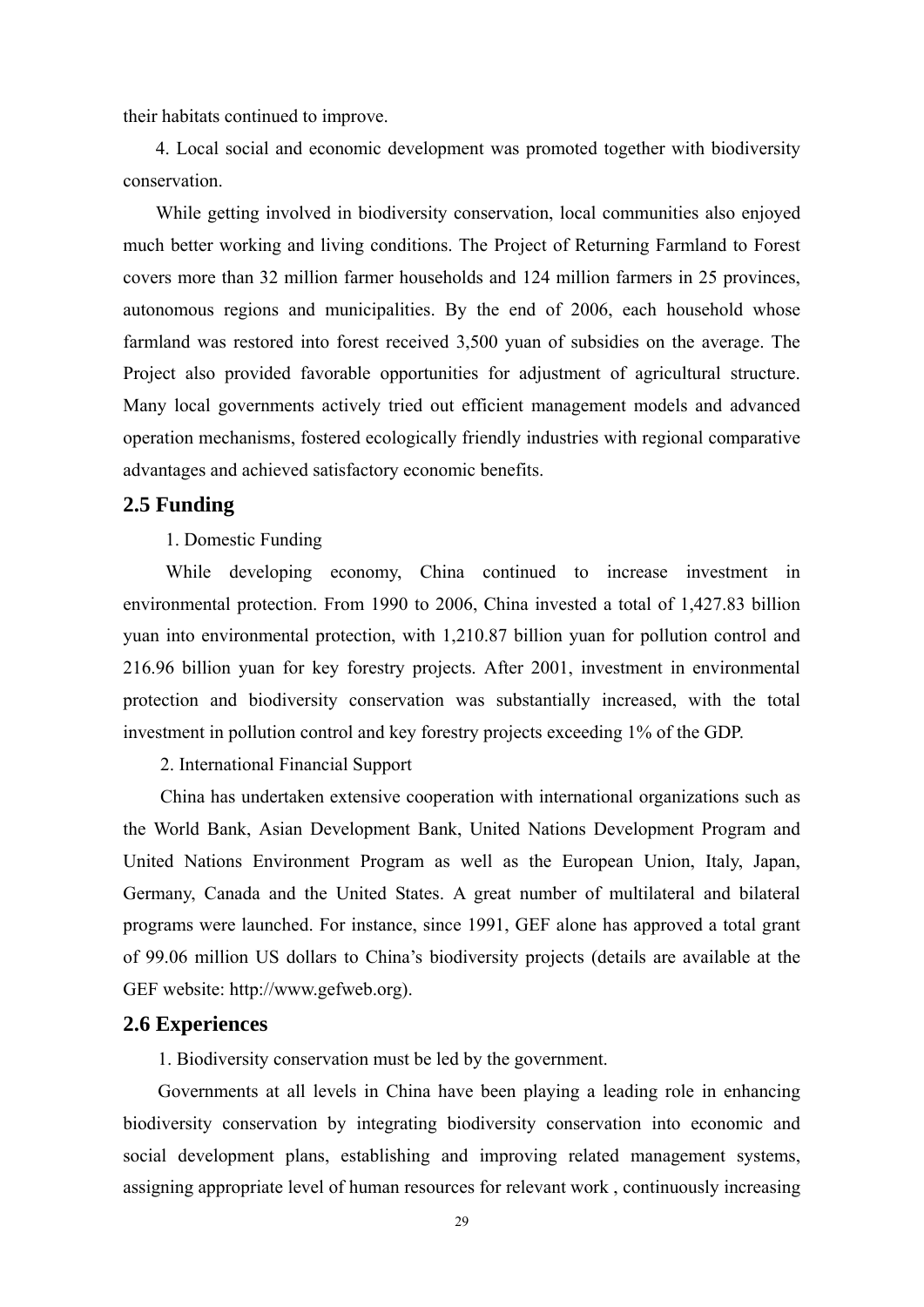their habitats continued to improve.

4. Local social and economic development was promoted together with biodiversity conservation.

While getting involved in biodiversity conservation, local communities also enjoyed much better working and living conditions. The Project of Returning Farmland to Forest covers more than 32 million farmer households and 124 million farmers in 25 provinces, autonomous regions and municipalities. By the end of 2006, each household whose farmland was restored into forest received 3,500 yuan of subsidies on the average. The Project also provided favorable opportunities for adjustment of agricultural structure. Many local governments actively tried out efficient management models and advanced operation mechanisms, fostered ecologically friendly industries with regional comparative advantages and achieved satisfactory economic benefits.

### **2.5 Funding**

### 1. Domestic Funding

While developing economy, China continued to increase investment in environmental protection. From 1990 to 2006, China invested a total of 1,427.83 billion yuan into environmental protection, with 1,210.87 billion yuan for pollution control and 216.96 billion yuan for key forestry projects. After 2001, investment in environmental protection and biodiversity conservation was substantially increased, with the total investment in pollution control and key forestry projects exceeding 1% of the GDP.

2. International Financial Support

China has undertaken extensive cooperation with international organizations such as the World Bank, Asian Development Bank, United Nations Development Program and United Nations Environment Program as well as the European Union, Italy, Japan, Germany, Canada and the United States. A great number of multilateral and bilateral programs were launched. For instance, since 1991, GEF alone has approved a total grant of 99.06 million US dollars to China's biodiversity projects (details are available at the GEF website: http://www.gefweb.org).

### **2.6 Experiences**

1. Biodiversity conservation must be led by the government.

Governments at all levels in China have been playing a leading role in enhancing biodiversity conservation by integrating biodiversity conservation into economic and social development plans, establishing and improving related management systems, assigning appropriate level of human resources for relevant work , continuously increasing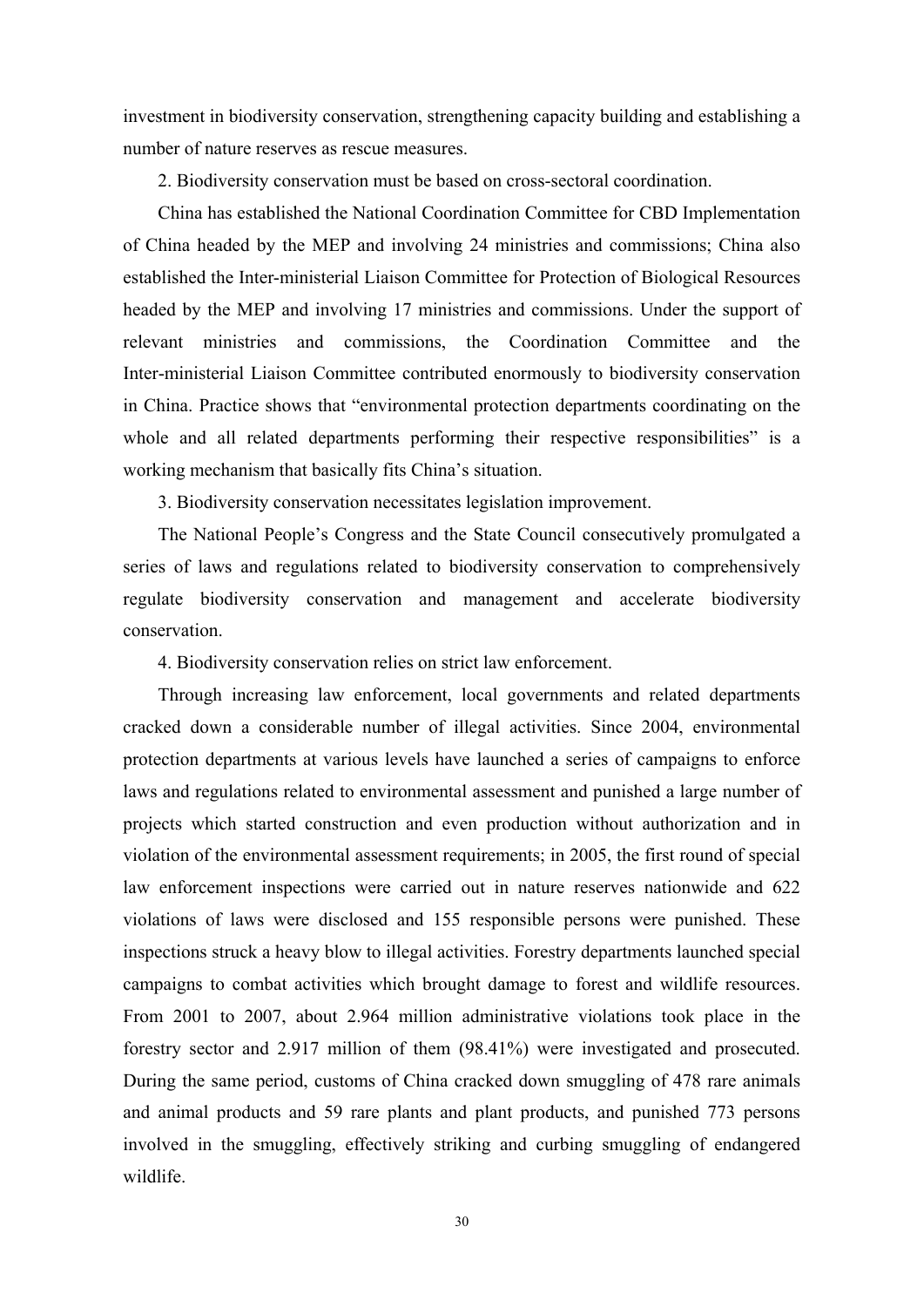investment in biodiversity conservation, strengthening capacity building and establishing a number of nature reserves as rescue measures.

2. Biodiversity conservation must be based on cross-sectoral coordination.

China has established the National Coordination Committee for CBD Implementation of China headed by the MEP and involving 24 ministries and commissions; China also established the Inter-ministerial Liaison Committee for Protection of Biological Resources headed by the MEP and involving 17 ministries and commissions. Under the support of relevant ministries and commissions, the Coordination Committee and the Inter-ministerial Liaison Committee contributed enormously to biodiversity conservation in China. Practice shows that "environmental protection departments coordinating on the whole and all related departments performing their respective responsibilities" is a working mechanism that basically fits China's situation.

3. Biodiversity conservation necessitates legislation improvement.

The National People's Congress and the State Council consecutively promulgated a series of laws and regulations related to biodiversity conservation to comprehensively regulate biodiversity conservation and management and accelerate biodiversity conservation.

4. Biodiversity conservation relies on strict law enforcement.

Through increasing law enforcement, local governments and related departments cracked down a considerable number of illegal activities. Since 2004, environmental protection departments at various levels have launched a series of campaigns to enforce laws and regulations related to environmental assessment and punished a large number of projects which started construction and even production without authorization and in violation of the environmental assessment requirements; in 2005, the first round of special law enforcement inspections were carried out in nature reserves nationwide and 622 violations of laws were disclosed and 155 responsible persons were punished. These inspections struck a heavy blow to illegal activities. Forestry departments launched special campaigns to combat activities which brought damage to forest and wildlife resources. From 2001 to 2007, about 2.964 million administrative violations took place in the forestry sector and 2.917 million of them (98.41%) were investigated and prosecuted. During the same period, customs of China cracked down smuggling of 478 rare animals and animal products and 59 rare plants and plant products, and punished 773 persons involved in the smuggling, effectively striking and curbing smuggling of endangered wildlife.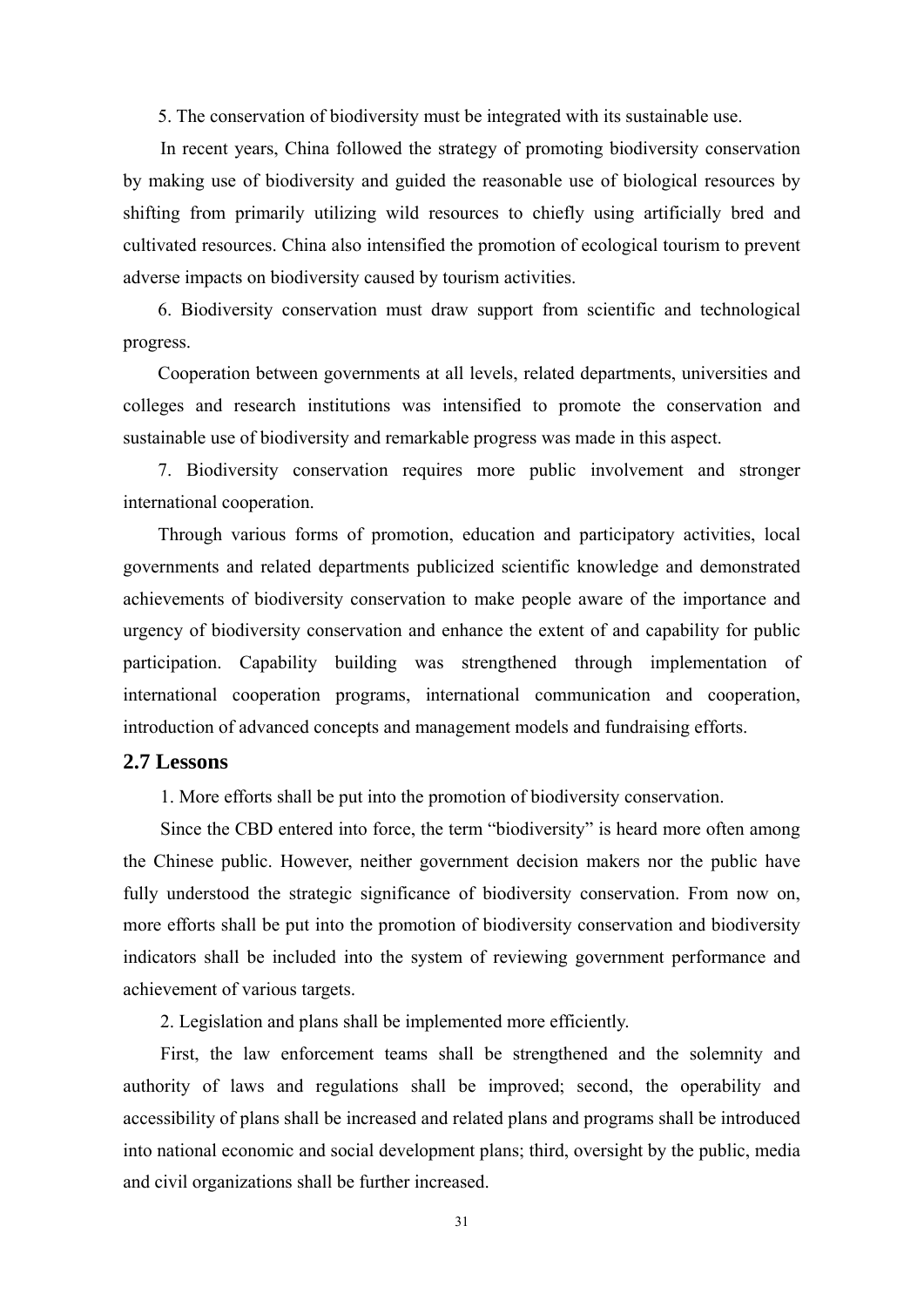5. The conservation of biodiversity must be integrated with its sustainable use.

In recent years, China followed the strategy of promoting biodiversity conservation by making use of biodiversity and guided the reasonable use of biological resources by shifting from primarily utilizing wild resources to chiefly using artificially bred and cultivated resources. China also intensified the promotion of ecological tourism to prevent adverse impacts on biodiversity caused by tourism activities.

6. Biodiversity conservation must draw support from scientific and technological progress.

Cooperation between governments at all levels, related departments, universities and colleges and research institutions was intensified to promote the conservation and sustainable use of biodiversity and remarkable progress was made in this aspect.

7. Biodiversity conservation requires more public involvement and stronger international cooperation.

Through various forms of promotion, education and participatory activities, local governments and related departments publicized scientific knowledge and demonstrated achievements of biodiversity conservation to make people aware of the importance and urgency of biodiversity conservation and enhance the extent of and capability for public participation. Capability building was strengthened through implementation of international cooperation programs, international communication and cooperation, introduction of advanced concepts and management models and fundraising efforts.

### **2.7 Lessons**

1. More efforts shall be put into the promotion of biodiversity conservation.

Since the CBD entered into force, the term "biodiversity" is heard more often among the Chinese public. However, neither government decision makers nor the public have fully understood the strategic significance of biodiversity conservation. From now on, more efforts shall be put into the promotion of biodiversity conservation and biodiversity indicators shall be included into the system of reviewing government performance and achievement of various targets.

2. Legislation and plans shall be implemented more efficiently.

First, the law enforcement teams shall be strengthened and the solemnity and authority of laws and regulations shall be improved; second, the operability and accessibility of plans shall be increased and related plans and programs shall be introduced into national economic and social development plans; third, oversight by the public, media and civil organizations shall be further increased.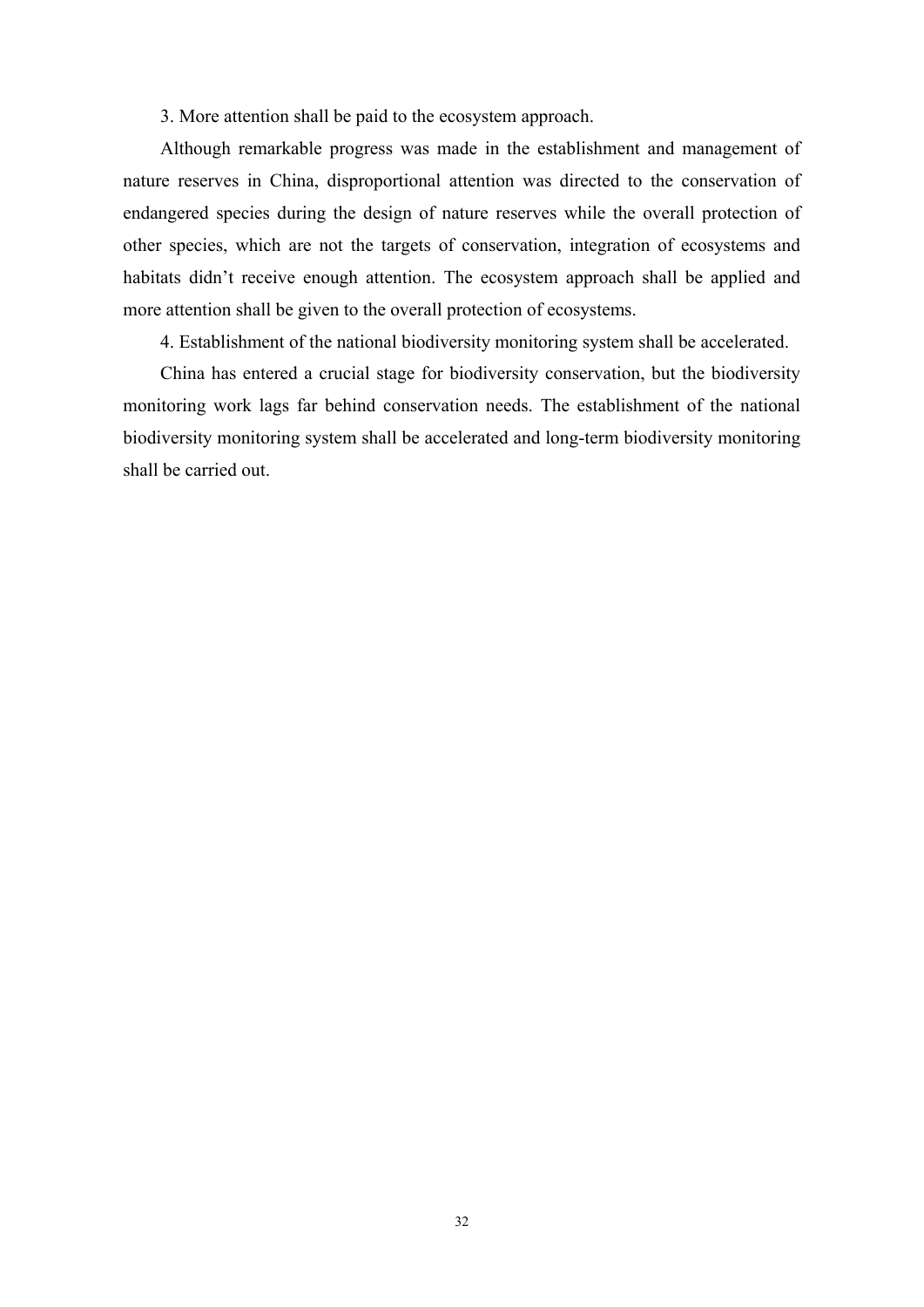3. More attention shall be paid to the ecosystem approach.

Although remarkable progress was made in the establishment and management of nature reserves in China, disproportional attention was directed to the conservation of endangered species during the design of nature reserves while the overall protection of other species, which are not the targets of conservation, integration of ecosystems and habitats didn't receive enough attention. The ecosystem approach shall be applied and more attention shall be given to the overall protection of ecosystems.

4. Establishment of the national biodiversity monitoring system shall be accelerated.

 China has entered a crucial stage for biodiversity conservation, but the biodiversity monitoring work lags far behind conservation needs. The establishment of the national biodiversity monitoring system shall be accelerated and long-term biodiversity monitoring shall be carried out.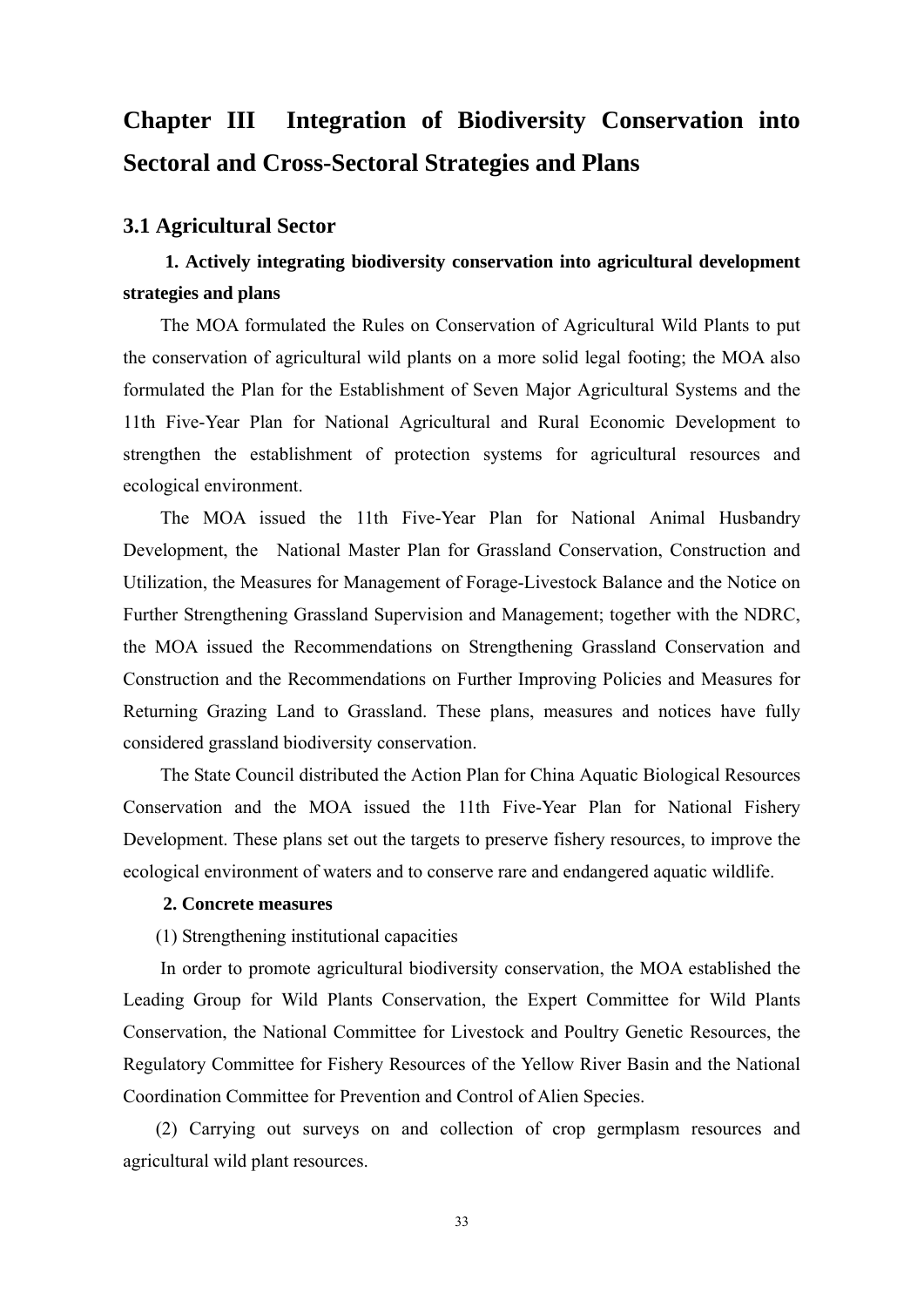# **Chapter III Integration of Biodiversity Conservation into Sectoral and Cross-Sectoral Strategies and Plans**

### **3.1 Agricultural Sector**

### **1. Actively integrating biodiversity conservation into agricultural development strategies and plans**

The MOA formulated the Rules on Conservation of Agricultural Wild Plants to put the conservation of agricultural wild plants on a more solid legal footing; the MOA also formulated the Plan for the Establishment of Seven Major Agricultural Systems and the 11th Five-Year Plan for National Agricultural and Rural Economic Development to strengthen the establishment of protection systems for agricultural resources and ecological environment.

The MOA issued the 11th Five-Year Plan for National Animal Husbandry Development, the National Master Plan for Grassland Conservation, Construction and Utilization, the Measures for Management of Forage-Livestock Balance and the Notice on Further Strengthening Grassland Supervision and Management; together with the NDRC, the MOA issued the Recommendations on Strengthening Grassland Conservation and Construction and the Recommendations on Further Improving Policies and Measures for Returning Grazing Land to Grassland. These plans, measures and notices have fully considered grassland biodiversity conservation.

The State Council distributed the Action Plan for China Aquatic Biological Resources Conservation and the MOA issued the 11th Five-Year Plan for National Fishery Development. These plans set out the targets to preserve fishery resources, to improve the ecological environment of waters and to conserve rare and endangered aquatic wildlife.

### **2. Concrete measures**

(1) Strengthening institutional capacities

In order to promote agricultural biodiversity conservation, the MOA established the Leading Group for Wild Plants Conservation, the Expert Committee for Wild Plants Conservation, the National Committee for Livestock and Poultry Genetic Resources, the Regulatory Committee for Fishery Resources of the Yellow River Basin and the National Coordination Committee for Prevention and Control of Alien Species.

(2) Carrying out surveys on and collection of crop germplasm resources and agricultural wild plant resources.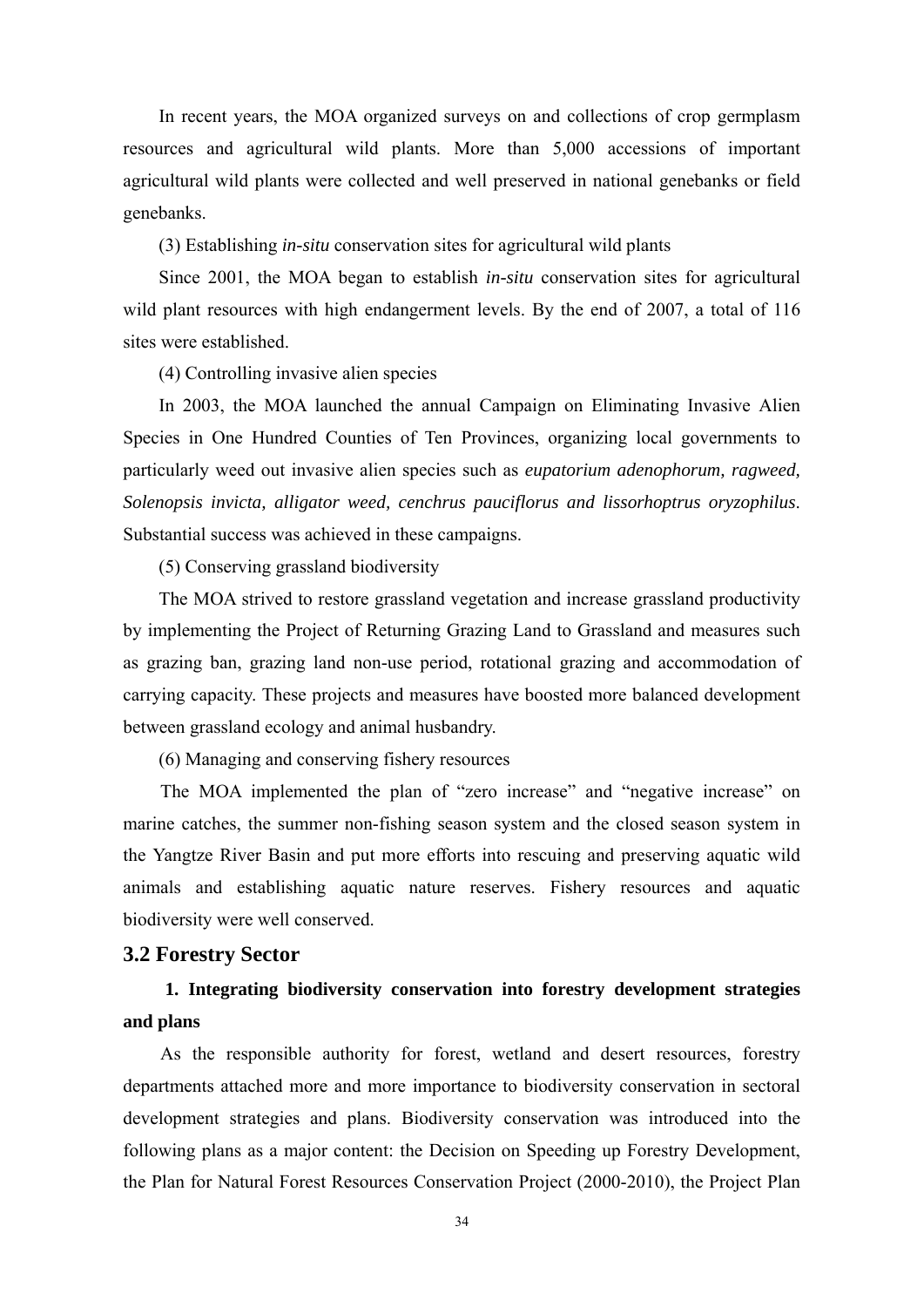In recent years, the MOA organized surveys on and collections of crop germplasm resources and agricultural wild plants. More than 5,000 accessions of important agricultural wild plants were collected and well preserved in national genebanks or field genebanks.

(3) Establishing *in-situ* conservation sites for agricultural wild plants

Since 2001, the MOA began to establish *in-situ* conservation sites for agricultural wild plant resources with high endangerment levels. By the end of 2007, a total of 116 sites were established.

(4) Controlling invasive alien species

In 2003, the MOA launched the annual Campaign on Eliminating Invasive Alien Species in One Hundred Counties of Ten Provinces, organizing local governments to particularly weed out invasive alien species such as *eupatorium adenophorum, ragweed, Solenopsis invicta, alligator weed, cenchrus pauciflorus and lissorhoptrus oryzophilus*. Substantial success was achieved in these campaigns.

(5) Conserving grassland biodiversity

The MOA strived to restore grassland vegetation and increase grassland productivity by implementing the Project of Returning Grazing Land to Grassland and measures such as grazing ban, grazing land non-use period, rotational grazing and accommodation of carrying capacity. These projects and measures have boosted more balanced development between grassland ecology and animal husbandry.

(6) Managing and conserving fishery resources

The MOA implemented the plan of "zero increase" and "negative increase" on marine catches, the summer non-fishing season system and the closed season system in the Yangtze River Basin and put more efforts into rescuing and preserving aquatic wild animals and establishing aquatic nature reserves. Fishery resources and aquatic biodiversity were well conserved.

### **3.2 Forestry Sector**

### **1. Integrating biodiversity conservation into forestry development strategies and plans**

As the responsible authority for forest, wetland and desert resources, forestry departments attached more and more importance to biodiversity conservation in sectoral development strategies and plans. Biodiversity conservation was introduced into the following plans as a major content: the Decision on Speeding up Forestry Development, the Plan for Natural Forest Resources Conservation Project (2000-2010), the Project Plan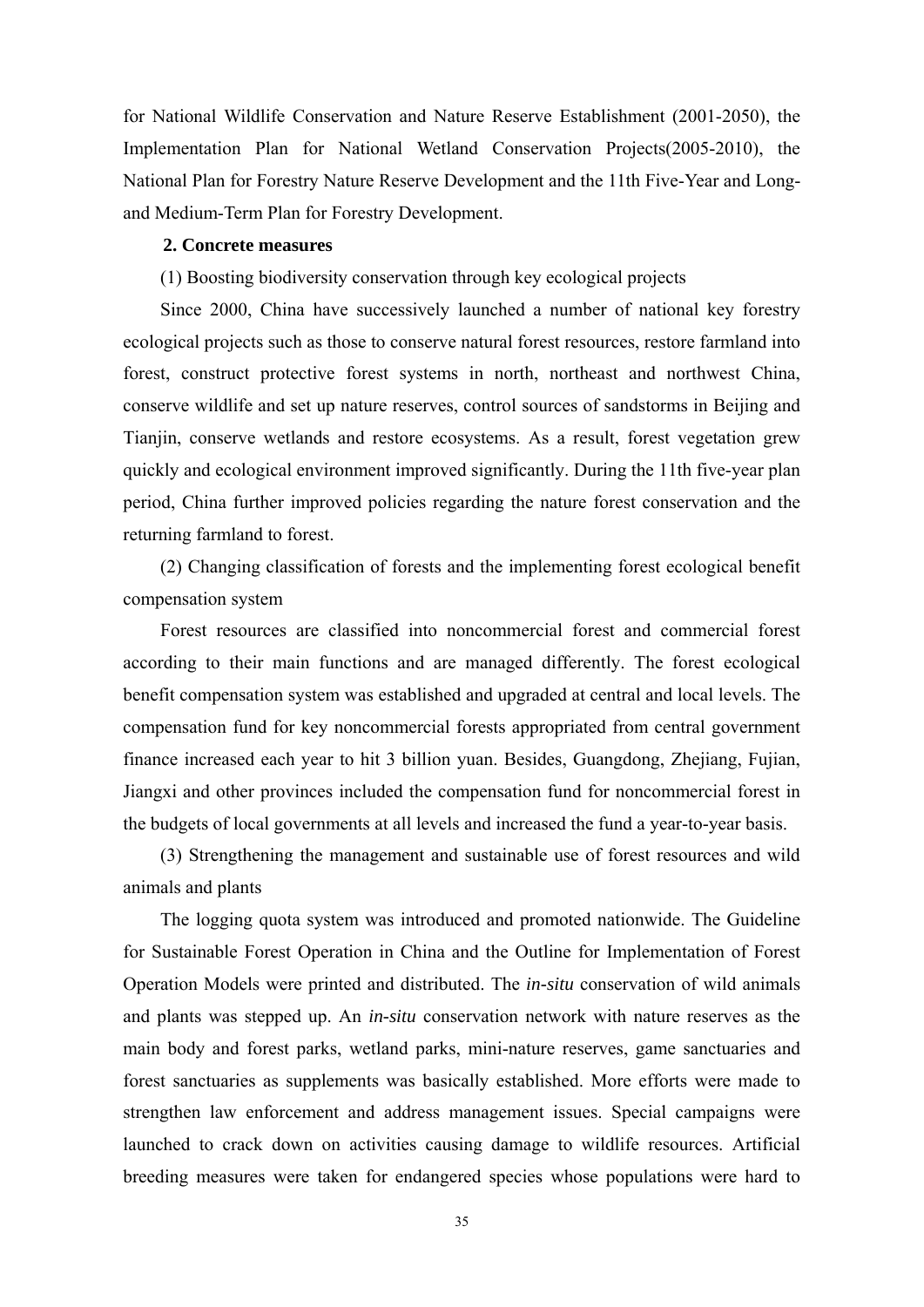for National Wildlife Conservation and Nature Reserve Establishment (2001-2050), the Implementation Plan for National Wetland Conservation Projects(2005-2010), the National Plan for Forestry Nature Reserve Development and the 11th Five-Year and Longand Medium-Term Plan for Forestry Development.

### **2. Concrete measures**

(1) Boosting biodiversity conservation through key ecological projects

Since 2000, China have successively launched a number of national key forestry ecological projects such as those to conserve natural forest resources, restore farmland into forest, construct protective forest systems in north, northeast and northwest China, conserve wildlife and set up nature reserves, control sources of sandstorms in Beijing and Tianjin, conserve wetlands and restore ecosystems. As a result, forest vegetation grew quickly and ecological environment improved significantly. During the 11th five-year plan period, China further improved policies regarding the nature forest conservation and the returning farmland to forest.

(2) Changing classification of forests and the implementing forest ecological benefit compensation system

Forest resources are classified into noncommercial forest and commercial forest according to their main functions and are managed differently. The forest ecological benefit compensation system was established and upgraded at central and local levels. The compensation fund for key noncommercial forests appropriated from central government finance increased each year to hit 3 billion yuan. Besides, Guangdong, Zhejiang, Fujian, Jiangxi and other provinces included the compensation fund for noncommercial forest in the budgets of local governments at all levels and increased the fund a year-to-year basis.

(3) Strengthening the management and sustainable use of forest resources and wild animals and plants

The logging quota system was introduced and promoted nationwide. The Guideline for Sustainable Forest Operation in China and the Outline for Implementation of Forest Operation Models were printed and distributed. The *in-situ* conservation of wild animals and plants was stepped up. An *in-situ* conservation network with nature reserves as the main body and forest parks, wetland parks, mini-nature reserves, game sanctuaries and forest sanctuaries as supplements was basically established. More efforts were made to strengthen law enforcement and address management issues. Special campaigns were launched to crack down on activities causing damage to wildlife resources. Artificial breeding measures were taken for endangered species whose populations were hard to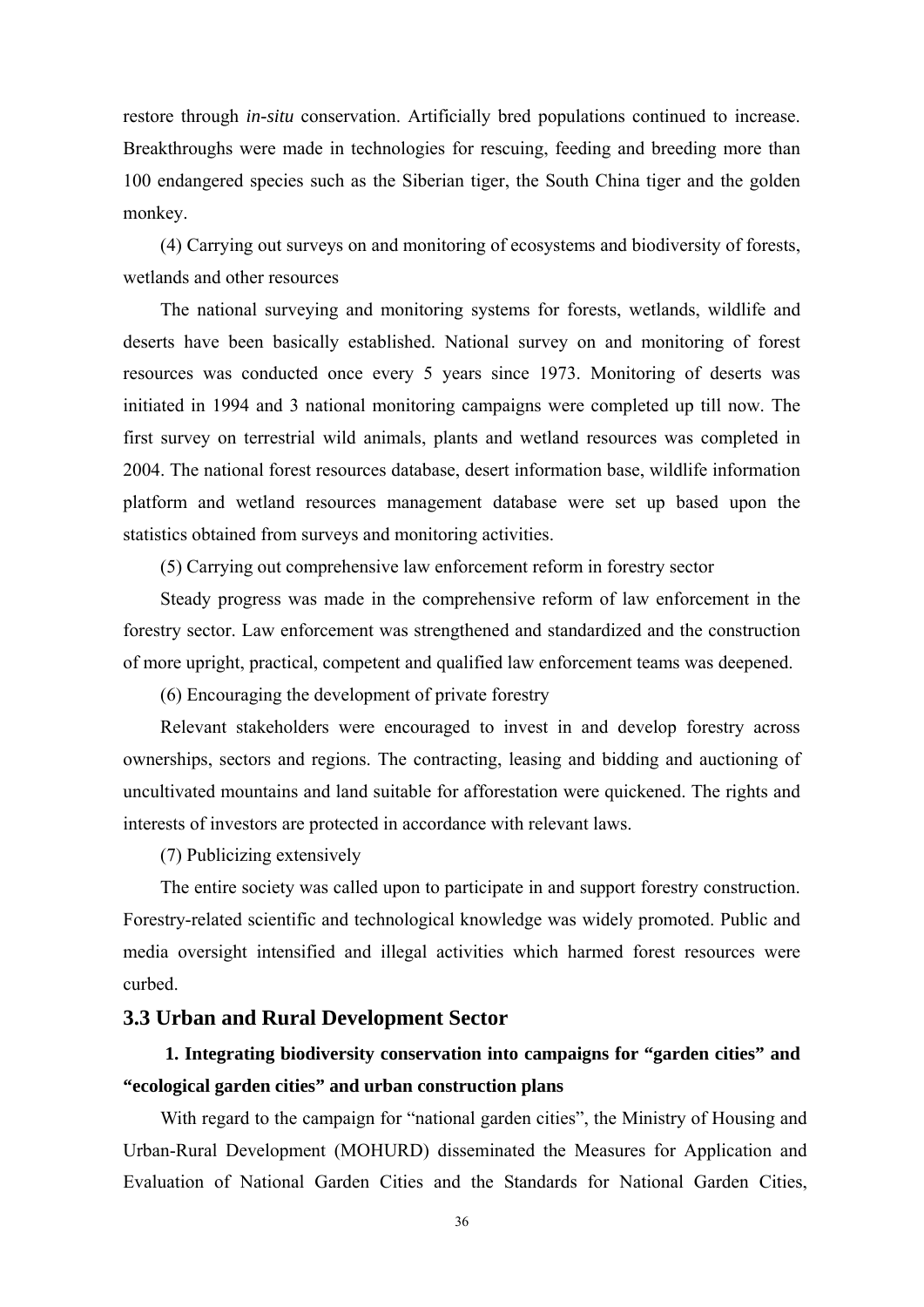restore through *in-situ* conservation. Artificially bred populations continued to increase. Breakthroughs were made in technologies for rescuing, feeding and breeding more than 100 endangered species such as the Siberian tiger, the South China tiger and the golden monkey.

(4) Carrying out surveys on and monitoring of ecosystems and biodiversity of forests, wetlands and other resources

The national surveying and monitoring systems for forests, wetlands, wildlife and deserts have been basically established. National survey on and monitoring of forest resources was conducted once every 5 years since 1973. Monitoring of deserts was initiated in 1994 and 3 national monitoring campaigns were completed up till now. The first survey on terrestrial wild animals, plants and wetland resources was completed in 2004. The national forest resources database, desert information base, wildlife information platform and wetland resources management database were set up based upon the statistics obtained from surveys and monitoring activities.

(5) Carrying out comprehensive law enforcement reform in forestry sector

Steady progress was made in the comprehensive reform of law enforcement in the forestry sector. Law enforcement was strengthened and standardized and the construction of more upright, practical, competent and qualified law enforcement teams was deepened.

(6) Encouraging the development of private forestry

Relevant stakeholders were encouraged to invest in and develop forestry across ownerships, sectors and regions. The contracting, leasing and bidding and auctioning of uncultivated mountains and land suitable for afforestation were quickened. The rights and interests of investors are protected in accordance with relevant laws.

(7) Publicizing extensively

The entire society was called upon to participate in and support forestry construction. Forestry-related scientific and technological knowledge was widely promoted. Public and media oversight intensified and illegal activities which harmed forest resources were curbed.

### **3.3 Urban and Rural Development Sector**

### **1. Integrating biodiversity conservation into campaigns for "garden cities" and "ecological garden cities" and urban construction plans**

With regard to the campaign for "national garden cities", the Ministry of Housing and Urban-Rural Development (MOHURD) disseminated the Measures for Application and Evaluation of National Garden Cities and the Standards for National Garden Cities,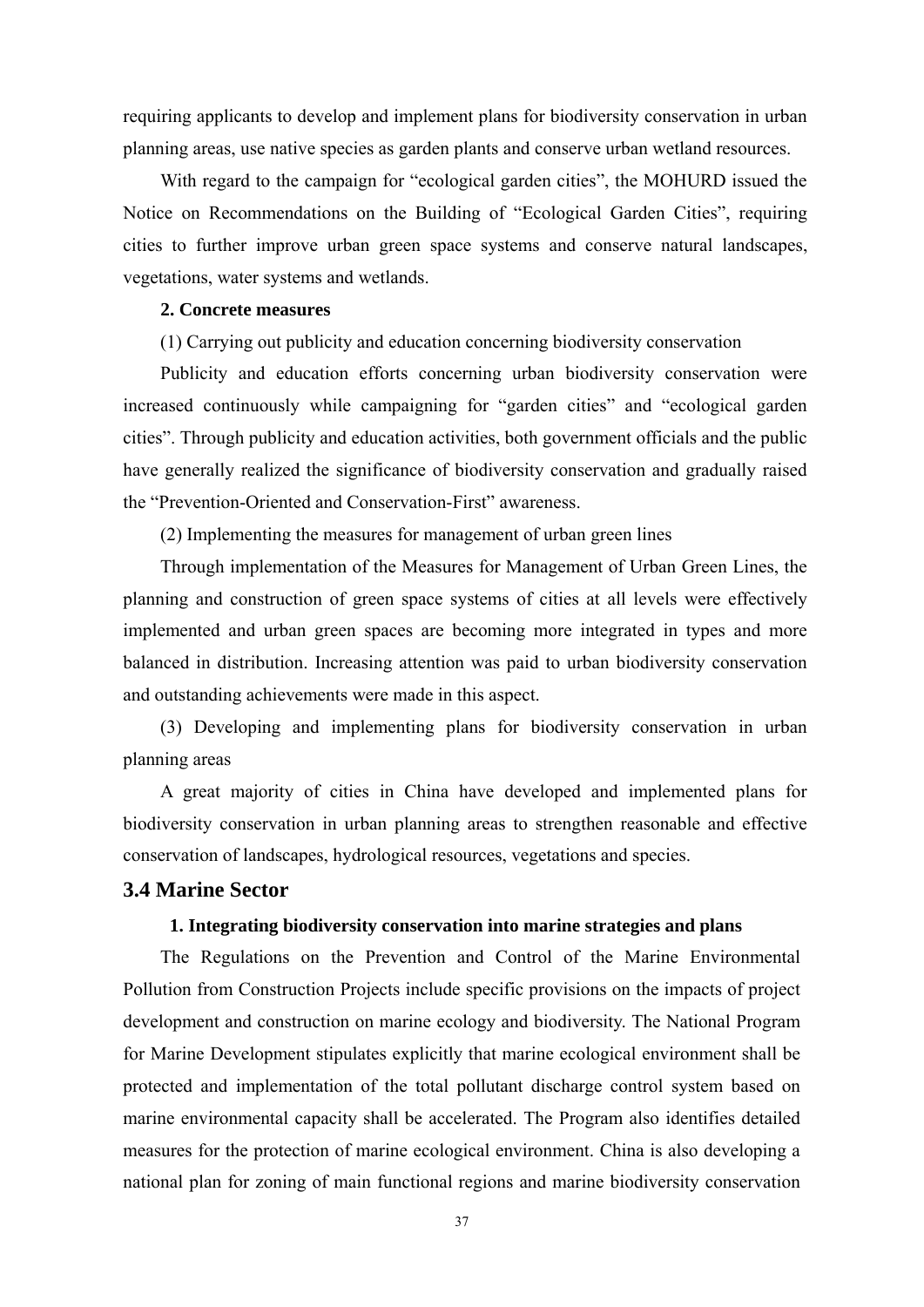requiring applicants to develop and implement plans for biodiversity conservation in urban planning areas, use native species as garden plants and conserve urban wetland resources.

With regard to the campaign for "ecological garden cities", the MOHURD issued the Notice on Recommendations on the Building of "Ecological Garden Cities", requiring cities to further improve urban green space systems and conserve natural landscapes, vegetations, water systems and wetlands.

#### **2. Concrete measures**

(1) Carrying out publicity and education concerning biodiversity conservation

Publicity and education efforts concerning urban biodiversity conservation were increased continuously while campaigning for "garden cities" and "ecological garden cities". Through publicity and education activities, both government officials and the public have generally realized the significance of biodiversity conservation and gradually raised the "Prevention-Oriented and Conservation-First" awareness.

(2) Implementing the measures for management of urban green lines

Through implementation of the Measures for Management of Urban Green Lines, the planning and construction of green space systems of cities at all levels were effectively implemented and urban green spaces are becoming more integrated in types and more balanced in distribution. Increasing attention was paid to urban biodiversity conservation and outstanding achievements were made in this aspect.

(3) Developing and implementing plans for biodiversity conservation in urban planning areas

A great majority of cities in China have developed and implemented plans for biodiversity conservation in urban planning areas to strengthen reasonable and effective conservation of landscapes, hydrological resources, vegetations and species.

### **3.4 Marine Sector**

### **1. Integrating biodiversity conservation into marine strategies and plans**

The Regulations on the Prevention and Control of the Marine Environmental Pollution from Construction Projects include specific provisions on the impacts of project development and construction on marine ecology and biodiversity. The National Program for Marine Development stipulates explicitly that marine ecological environment shall be protected and implementation of the total pollutant discharge control system based on marine environmental capacity shall be accelerated. The Program also identifies detailed measures for the protection of marine ecological environment. China is also developing a national plan for zoning of main functional regions and marine biodiversity conservation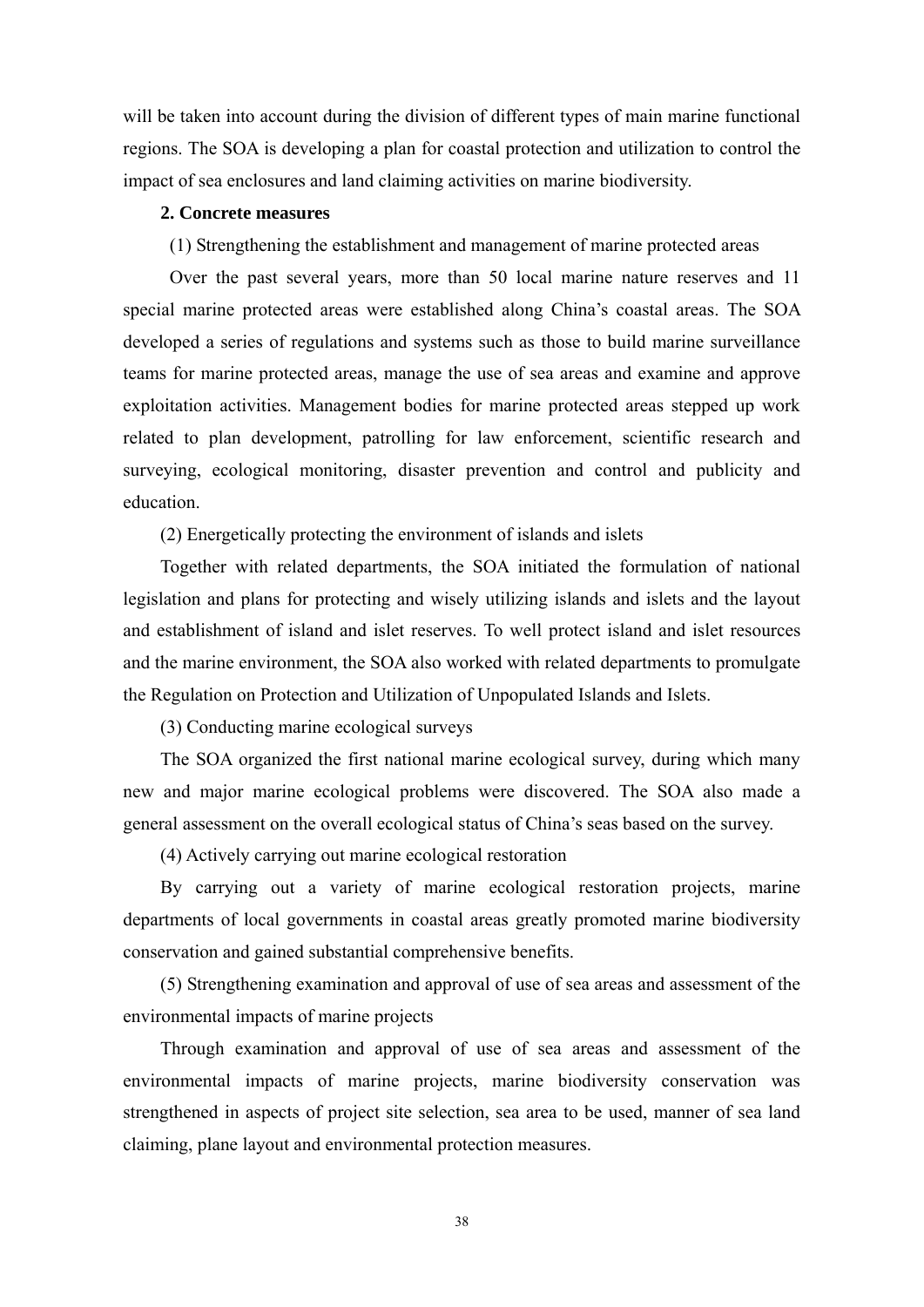will be taken into account during the division of different types of main marine functional regions. The SOA is developing a plan for coastal protection and utilization to control the impact of sea enclosures and land claiming activities on marine biodiversity.

### **2. Concrete measures**

(1) Strengthening the establishment and management of marine protected areas

Over the past several years, more than 50 local marine nature reserves and 11 special marine protected areas were established along China's coastal areas. The SOA developed a series of regulations and systems such as those to build marine surveillance teams for marine protected areas, manage the use of sea areas and examine and approve exploitation activities. Management bodies for marine protected areas stepped up work related to plan development, patrolling for law enforcement, scientific research and surveying, ecological monitoring, disaster prevention and control and publicity and education.

(2) Energetically protecting the environment of islands and islets

Together with related departments, the SOA initiated the formulation of national legislation and plans for protecting and wisely utilizing islands and islets and the layout and establishment of island and islet reserves. To well protect island and islet resources and the marine environment, the SOA also worked with related departments to promulgate the Regulation on Protection and Utilization of Unpopulated Islands and Islets.

(3) Conducting marine ecological surveys

The SOA organized the first national marine ecological survey, during which many new and major marine ecological problems were discovered. The SOA also made a general assessment on the overall ecological status of China's seas based on the survey.

(4) Actively carrying out marine ecological restoration

By carrying out a variety of marine ecological restoration projects, marine departments of local governments in coastal areas greatly promoted marine biodiversity conservation and gained substantial comprehensive benefits.

(5) Strengthening examination and approval of use of sea areas and assessment of the environmental impacts of marine projects

Through examination and approval of use of sea areas and assessment of the environmental impacts of marine projects, marine biodiversity conservation was strengthened in aspects of project site selection, sea area to be used, manner of sea land claiming, plane layout and environmental protection measures.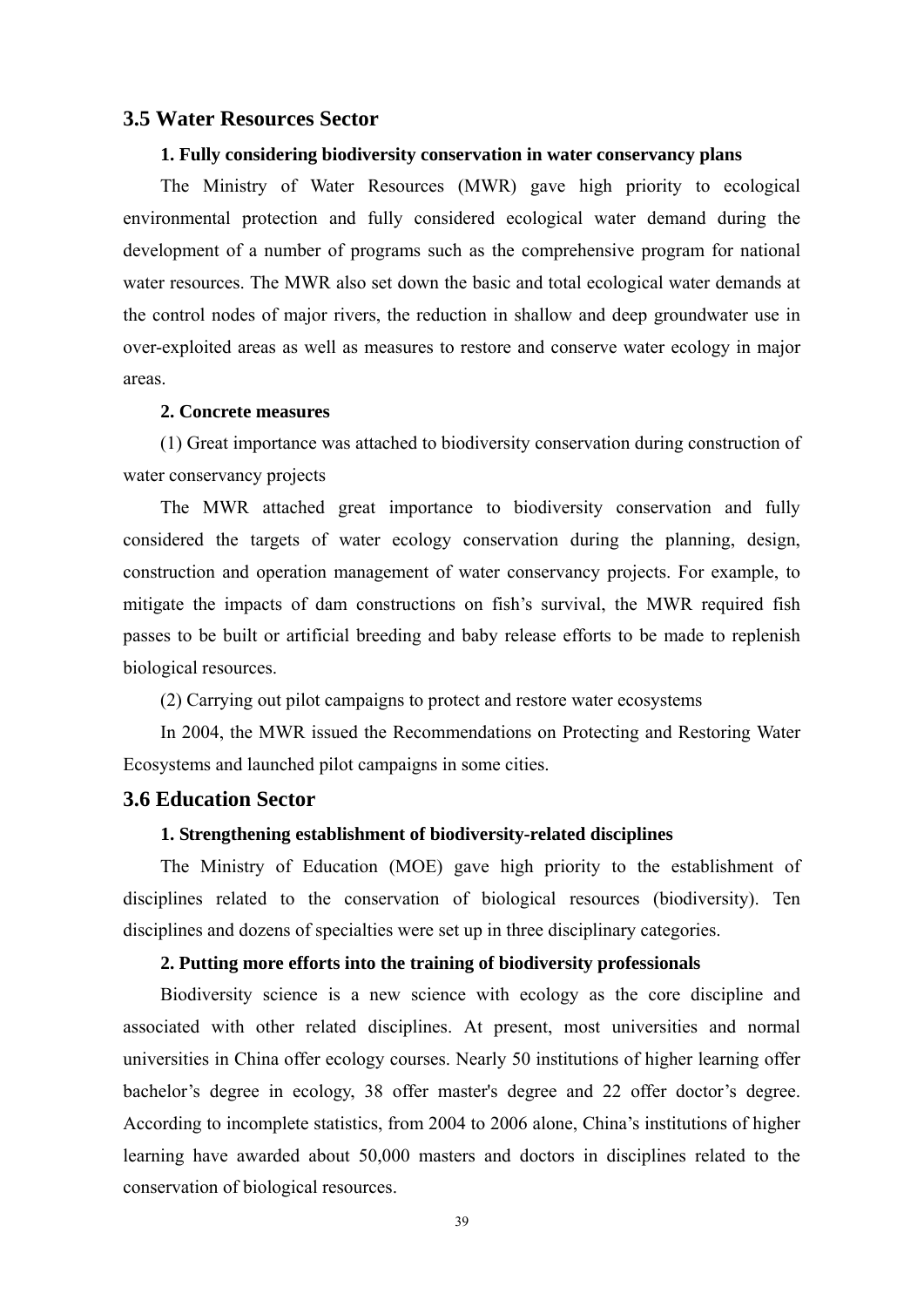### **3.5 Water Resources Sector**

#### **1. Fully considering biodiversity conservation in water conservancy plans**

The Ministry of Water Resources (MWR) gave high priority to ecological environmental protection and fully considered ecological water demand during the development of a number of programs such as the comprehensive program for national water resources. The MWR also set down the basic and total ecological water demands at the control nodes of major rivers, the reduction in shallow and deep groundwater use in over-exploited areas as well as measures to restore and conserve water ecology in major areas.

#### **2. Concrete measures**

(1) Great importance was attached to biodiversity conservation during construction of water conservancy projects

The MWR attached great importance to biodiversity conservation and fully considered the targets of water ecology conservation during the planning, design, construction and operation management of water conservancy projects. For example, to mitigate the impacts of dam constructions on fish's survival, the MWR required fish passes to be built or artificial breeding and baby release efforts to be made to replenish biological resources.

(2) Carrying out pilot campaigns to protect and restore water ecosystems

In 2004, the MWR issued the Recommendations on Protecting and Restoring Water Ecosystems and launched pilot campaigns in some cities.

### **3.6 Education Sector**

#### **1. Strengthening establishment of biodiversity-related disciplines**

The Ministry of Education (MOE) gave high priority to the establishment of disciplines related to the conservation of biological resources (biodiversity). Ten disciplines and dozens of specialties were set up in three disciplinary categories.

### **2. Putting more efforts into the training of biodiversity professionals**

Biodiversity science is a new science with ecology as the core discipline and associated with other related disciplines. At present, most universities and normal universities in China offer ecology courses. Nearly 50 institutions of higher learning offer bachelor's degree in ecology, 38 offer master's degree and 22 offer doctor's degree. According to incomplete statistics, from 2004 to 2006 alone, China's institutions of higher learning have awarded about 50,000 masters and doctors in disciplines related to the conservation of biological resources.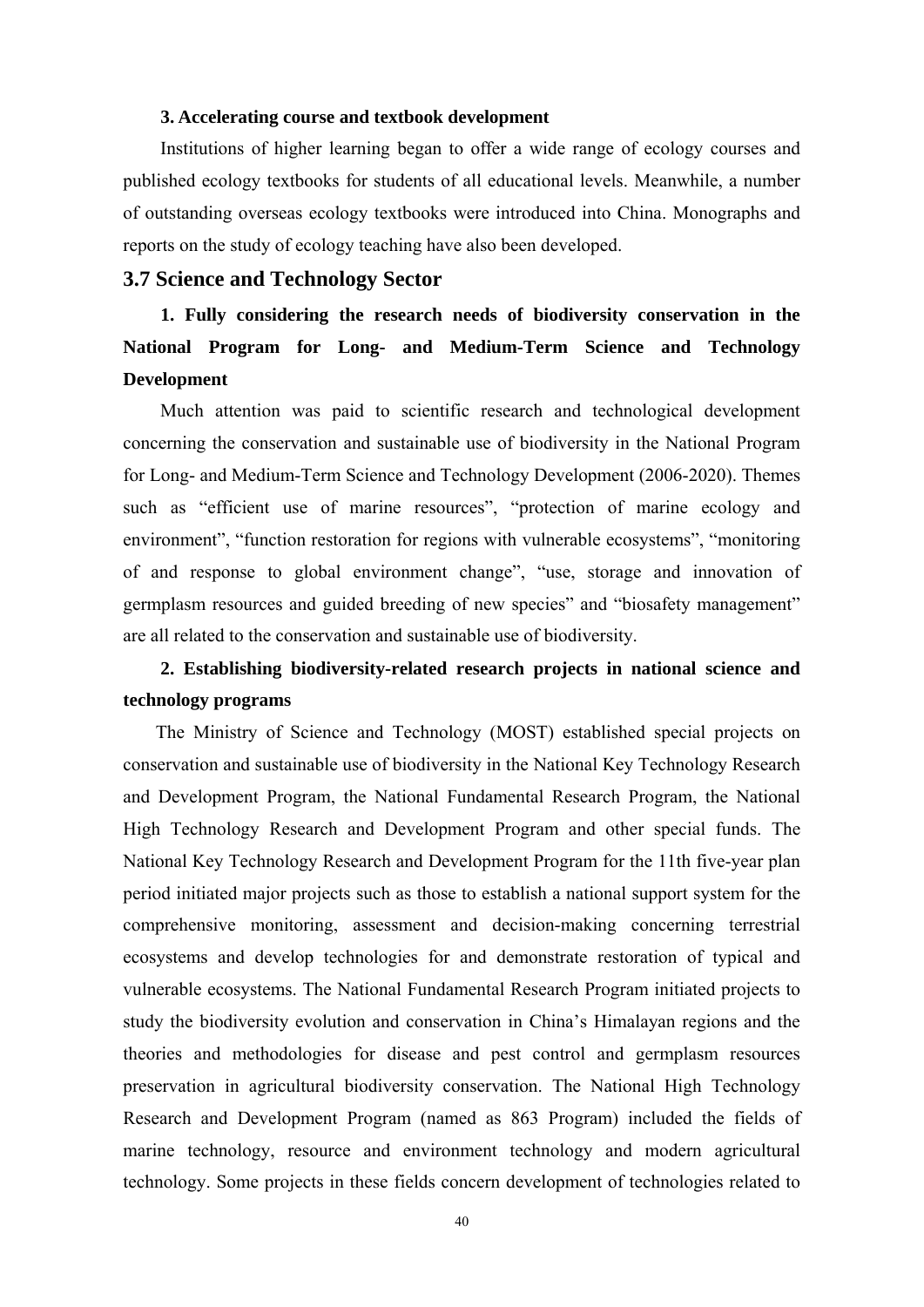#### **3. Accelerating course and textbook development**

Institutions of higher learning began to offer a wide range of ecology courses and published ecology textbooks for students of all educational levels. Meanwhile, a number of outstanding overseas ecology textbooks were introduced into China. Monographs and reports on the study of ecology teaching have also been developed.

### **3.7 Science and Technology Sector**

# **1. Fully considering the research needs of biodiversity conservation in the National Program for Long- and Medium-Term Science and Technology Development**

Much attention was paid to scientific research and technological development concerning the conservation and sustainable use of biodiversity in the National Program for Long- and Medium-Term Science and Technology Development (2006-2020). Themes such as "efficient use of marine resources", "protection of marine ecology and environment", "function restoration for regions with vulnerable ecosystems", "monitoring of and response to global environment change", "use, storage and innovation of germplasm resources and guided breeding of new species" and "biosafety management" are all related to the conservation and sustainable use of biodiversity.

### **2. Establishing biodiversity-related research projects in national science and technology programs**

The Ministry of Science and Technology (MOST) established special projects on conservation and sustainable use of biodiversity in the National Key Technology Research and Development Program, the National Fundamental Research Program, the National High Technology Research and Development Program and other special funds. The National Key Technology Research and Development Program for the 11th five-year plan period initiated major projects such as those to establish a national support system for the comprehensive monitoring, assessment and decision-making concerning terrestrial ecosystems and develop technologies for and demonstrate restoration of typical and vulnerable ecosystems. The National Fundamental Research Program initiated projects to study the biodiversity evolution and conservation in China's Himalayan regions and the theories and methodologies for disease and pest control and germplasm resources preservation in agricultural biodiversity conservation. The National High Technology Research and Development Program (named as 863 Program) included the fields of marine technology, resource and environment technology and modern agricultural technology. Some projects in these fields concern development of technologies related to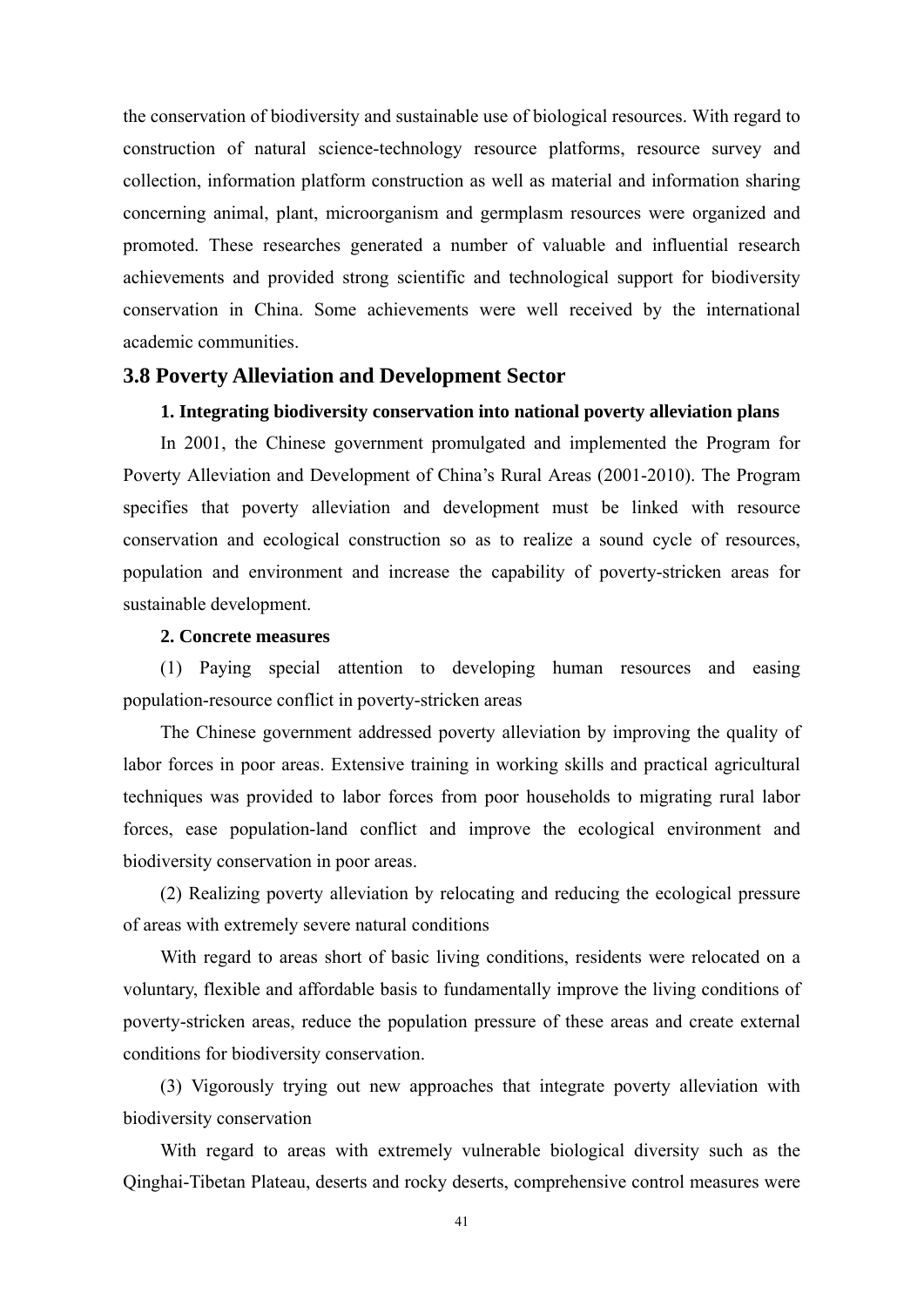the conservation of biodiversity and sustainable use of biological resources. With regard to construction of natural science-technology resource platforms, resource survey and collection, information platform construction as well as material and information sharing concerning animal, plant, microorganism and germplasm resources were organized and promoted. These researches generated a number of valuable and influential research achievements and provided strong scientific and technological support for biodiversity conservation in China. Some achievements were well received by the international academic communities.

### **3.8 Poverty Alleviation and Development Sector**

### **1. Integrating biodiversity conservation into national poverty alleviation plans**

In 2001, the Chinese government promulgated and implemented the Program for Poverty Alleviation and Development of China's Rural Areas (2001-2010). The Program specifies that poverty alleviation and development must be linked with resource conservation and ecological construction so as to realize a sound cycle of resources, population and environment and increase the capability of poverty-stricken areas for sustainable development.

### **2. Concrete measures**

(1) Paying special attention to developing human resources and easing population-resource conflict in poverty-stricken areas

The Chinese government addressed poverty alleviation by improving the quality of labor forces in poor areas. Extensive training in working skills and practical agricultural techniques was provided to labor forces from poor households to migrating rural labor forces, ease population-land conflict and improve the ecological environment and biodiversity conservation in poor areas.

(2) Realizing poverty alleviation by relocating and reducing the ecological pressure of areas with extremely severe natural conditions

With regard to areas short of basic living conditions, residents were relocated on a voluntary, flexible and affordable basis to fundamentally improve the living conditions of poverty-stricken areas, reduce the population pressure of these areas and create external conditions for biodiversity conservation.

(3) Vigorously trying out new approaches that integrate poverty alleviation with biodiversity conservation

With regard to areas with extremely vulnerable biological diversity such as the Qinghai-Tibetan Plateau, deserts and rocky deserts, comprehensive control measures were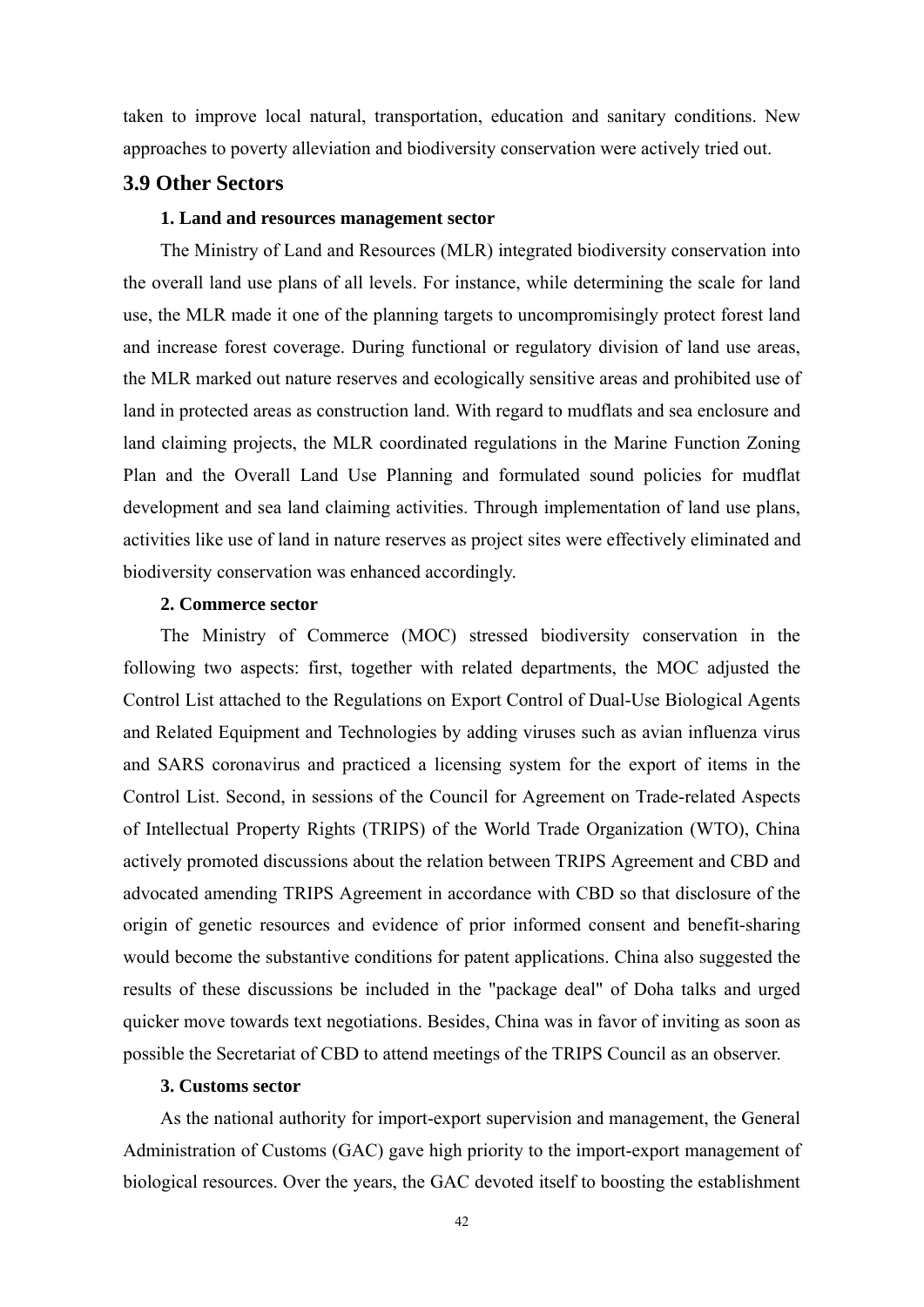taken to improve local natural, transportation, education and sanitary conditions. New approaches to poverty alleviation and biodiversity conservation were actively tried out.

### **3.9 Other Sectors**

### **1. Land and resources management sector**

The Ministry of Land and Resources (MLR) integrated biodiversity conservation into the overall land use plans of all levels. For instance, while determining the scale for land use, the MLR made it one of the planning targets to uncompromisingly protect forest land and increase forest coverage. During functional or regulatory division of land use areas, the MLR marked out nature reserves and ecologically sensitive areas and prohibited use of land in protected areas as construction land. With regard to mudflats and sea enclosure and land claiming projects, the MLR coordinated regulations in the Marine Function Zoning Plan and the Overall Land Use Planning and formulated sound policies for mudflat development and sea land claiming activities. Through implementation of land use plans, activities like use of land in nature reserves as project sites were effectively eliminated and biodiversity conservation was enhanced accordingly.

### **2. Commerce sector**

The Ministry of Commerce (MOC) stressed biodiversity conservation in the following two aspects: first, together with related departments, the MOC adjusted the Control List attached to the Regulations on Export Control of Dual-Use Biological Agents and Related Equipment and Technologies by adding viruses such as avian influenza virus and SARS coronavirus and practiced a licensing system for the export of items in the Control List. Second, in sessions of the Council for Agreement on Trade-related Aspects of Intellectual Property Rights (TRIPS) of the World Trade Organization (WTO), China actively promoted discussions about the relation between TRIPS Agreement and CBD and advocated amending TRIPS Agreement in accordance with CBD so that disclosure of the origin of genetic resources and evidence of prior informed consent and benefit-sharing would become the substantive conditions for patent applications. China also suggested the results of these discussions be included in the "package deal" of Doha talks and urged quicker move towards text negotiations. Besides, China was in favor of inviting as soon as possible the Secretariat of CBD to attend meetings of the TRIPS Council as an observer.

### **3. Customs sector**

As the national authority for import-export supervision and management, the General Administration of Customs (GAC) gave high priority to the import-export management of biological resources. Over the years, the GAC devoted itself to boosting the establishment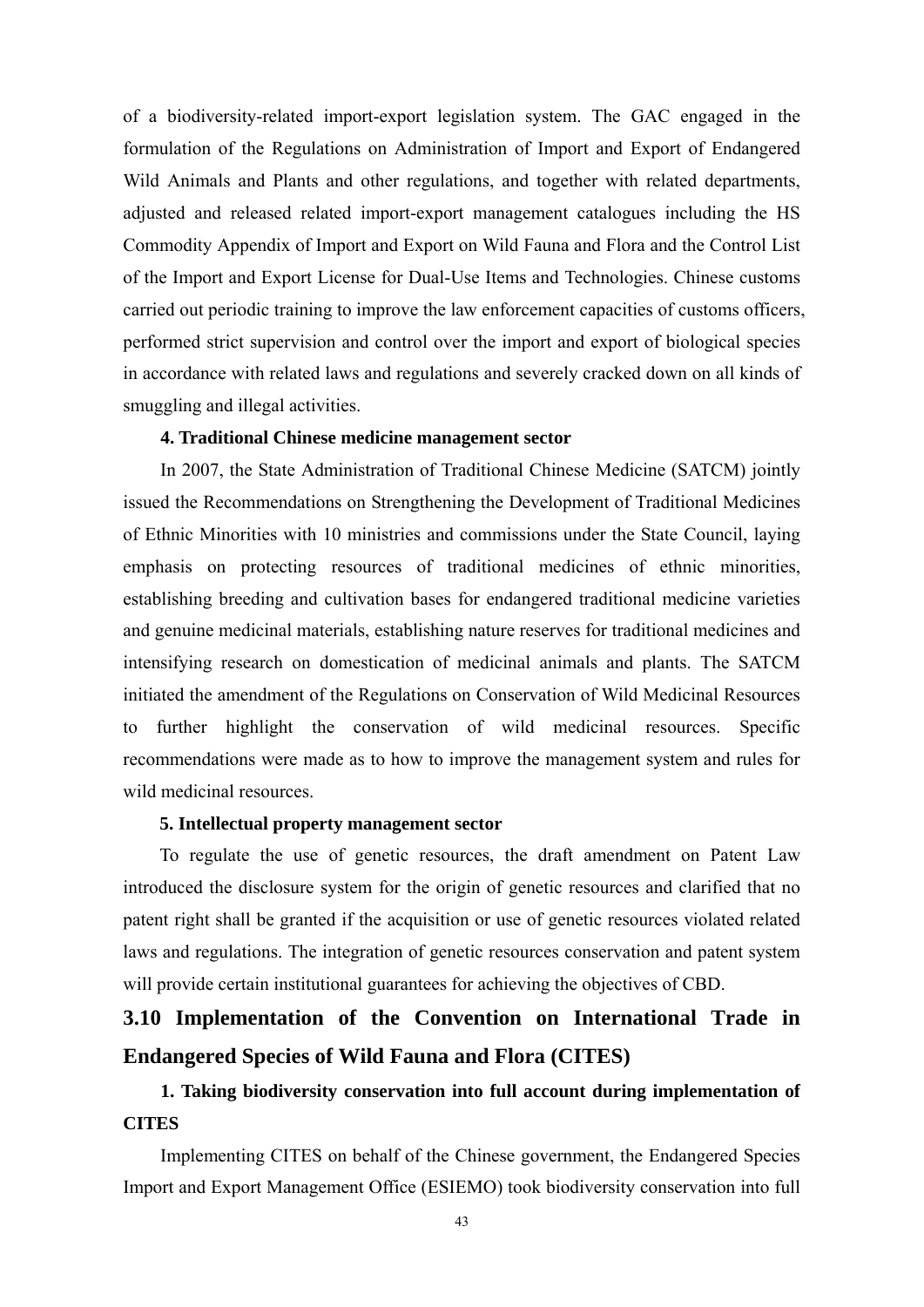of a biodiversity-related import-export legislation system. The GAC engaged in the formulation of the Regulations on Administration of Import and Export of Endangered Wild Animals and Plants and other regulations, and together with related departments, adjusted and released related import-export management catalogues including the HS Commodity Appendix of Import and Export on Wild Fauna and Flora and the Control List of the Import and Export License for Dual-Use Items and Technologies. Chinese customs carried out periodic training to improve the law enforcement capacities of customs officers, performed strict supervision and control over the import and export of biological species in accordance with related laws and regulations and severely cracked down on all kinds of smuggling and illegal activities.

### **4. Traditional Chinese medicine management sector**

In 2007, the State Administration of Traditional Chinese Medicine (SATCM) jointly issued the Recommendations on Strengthening the Development of Traditional Medicines of Ethnic Minorities with 10 ministries and commissions under the State Council, laying emphasis on protecting resources of traditional medicines of ethnic minorities, establishing breeding and cultivation bases for endangered traditional medicine varieties and genuine medicinal materials, establishing nature reserves for traditional medicines and intensifying research on domestication of medicinal animals and plants. The SATCM initiated the amendment of the Regulations on Conservation of Wild Medicinal Resources to further highlight the conservation of wild medicinal resources. Specific recommendations were made as to how to improve the management system and rules for wild medicinal resources.

### **5. Intellectual property management sector**

To regulate the use of genetic resources, the draft amendment on Patent Law introduced the disclosure system for the origin of genetic resources and clarified that no patent right shall be granted if the acquisition or use of genetic resources violated related laws and regulations. The integration of genetic resources conservation and patent system will provide certain institutional guarantees for achieving the objectives of CBD.

# **3.10 Implementation of the Convention on International Trade in Endangered Species of Wild Fauna and Flora (CITES)**

### **1. Taking biodiversity conservation into full account during implementation of CITES**

Implementing CITES on behalf of the Chinese government, the Endangered Species Import and Export Management Office (ESIEMO) took biodiversity conservation into full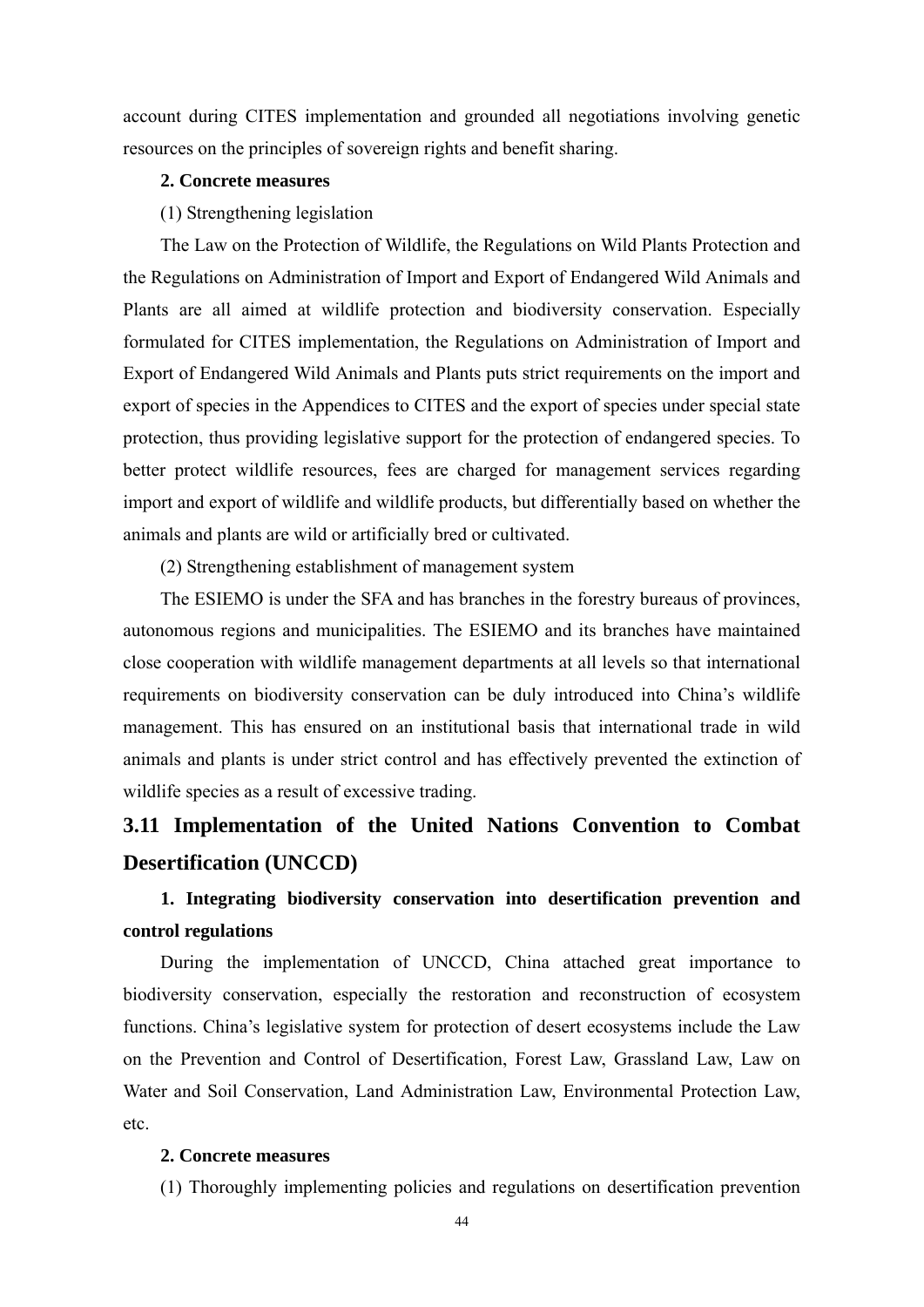account during CITES implementation and grounded all negotiations involving genetic resources on the principles of sovereign rights and benefit sharing.

### **2. Concrete measures**

(1) Strengthening legislation

The Law on the Protection of Wildlife, the Regulations on Wild Plants Protection and the Regulations on Administration of Import and Export of Endangered Wild Animals and Plants are all aimed at wildlife protection and biodiversity conservation. Especially formulated for CITES implementation, the Regulations on Administration of Import and Export of Endangered Wild Animals and Plants puts strict requirements on the import and export of species in the Appendices to CITES and the export of species under special state protection, thus providing legislative support for the protection of endangered species. To better protect wildlife resources, fees are charged for management services regarding import and export of wildlife and wildlife products, but differentially based on whether the animals and plants are wild or artificially bred or cultivated.

(2) Strengthening establishment of management system

The ESIEMO is under the SFA and has branches in the forestry bureaus of provinces, autonomous regions and municipalities. The ESIEMO and its branches have maintained close cooperation with wildlife management departments at all levels so that international requirements on biodiversity conservation can be duly introduced into China's wildlife management. This has ensured on an institutional basis that international trade in wild animals and plants is under strict control and has effectively prevented the extinction of wildlife species as a result of excessive trading.

# **3.11 Implementation of the United Nations Convention to Combat Desertification (UNCCD)**

### **1. Integrating biodiversity conservation into desertification prevention and control regulations**

During the implementation of UNCCD, China attached great importance to biodiversity conservation, especially the restoration and reconstruction of ecosystem functions. China's legislative system for protection of desert ecosystems include the Law on the Prevention and Control of Desertification, Forest Law, Grassland Law, Law on Water and Soil Conservation, Land Administration Law, Environmental Protection Law, etc.

### **2. Concrete measures**

(1) Thoroughly implementing policies and regulations on desertification prevention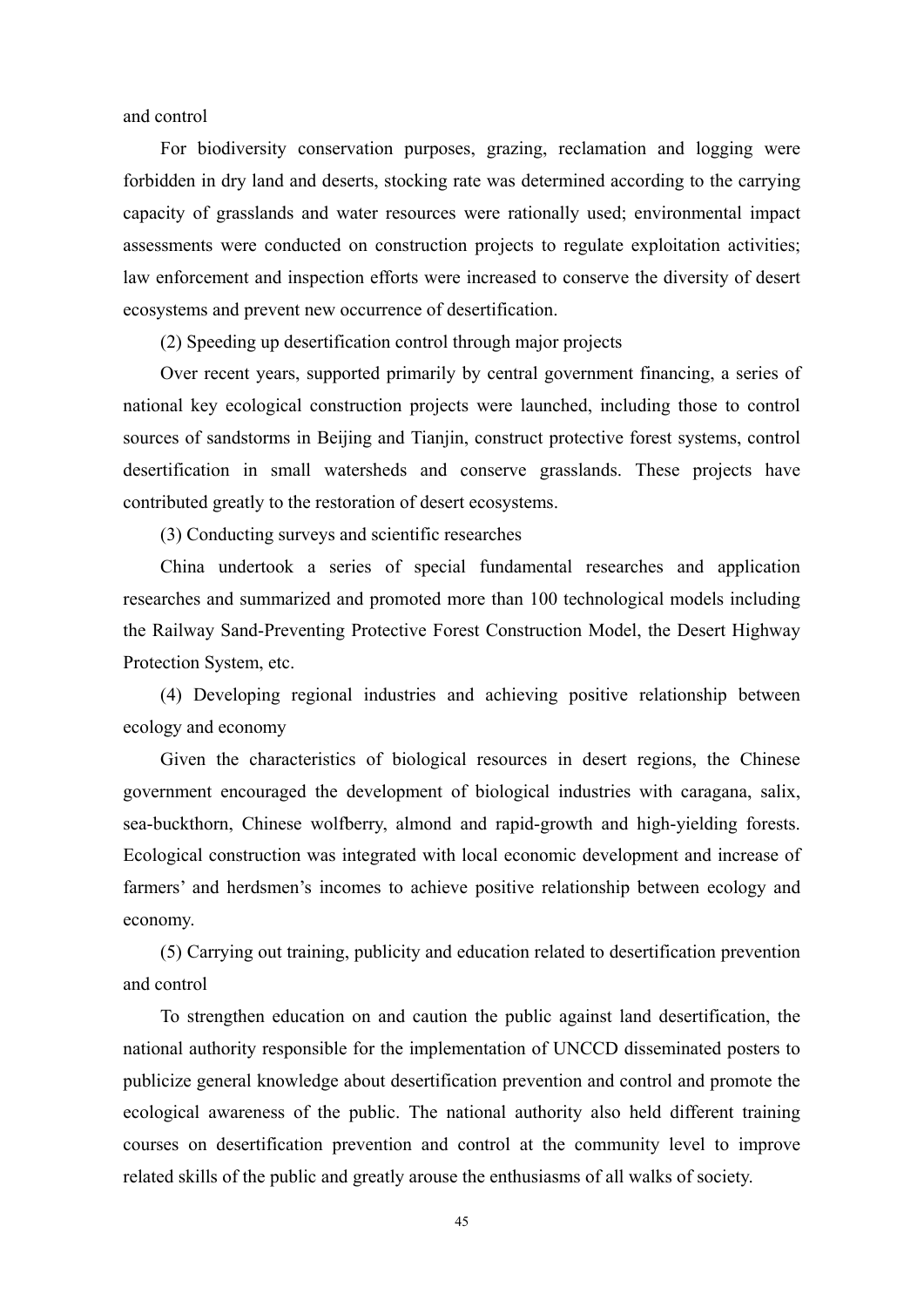and control

For biodiversity conservation purposes, grazing, reclamation and logging were forbidden in dry land and deserts, stocking rate was determined according to the carrying capacity of grasslands and water resources were rationally used; environmental impact assessments were conducted on construction projects to regulate exploitation activities; law enforcement and inspection efforts were increased to conserve the diversity of desert ecosystems and prevent new occurrence of desertification.

(2) Speeding up desertification control through major projects

Over recent years, supported primarily by central government financing, a series of national key ecological construction projects were launched, including those to control sources of sandstorms in Beijing and Tianjin, construct protective forest systems, control desertification in small watersheds and conserve grasslands. These projects have contributed greatly to the restoration of desert ecosystems.

(3) Conducting surveys and scientific researches

China undertook a series of special fundamental researches and application researches and summarized and promoted more than 100 technological models including the Railway Sand-Preventing Protective Forest Construction Model, the Desert Highway Protection System, etc.

(4) Developing regional industries and achieving positive relationship between ecology and economy

Given the characteristics of biological resources in desert regions, the Chinese government encouraged the development of biological industries with caragana, salix, sea-buckthorn, Chinese wolfberry, almond and rapid-growth and high-yielding forests. Ecological construction was integrated with local economic development and increase of farmers' and herdsmen's incomes to achieve positive relationship between ecology and economy.

(5) Carrying out training, publicity and education related to desertification prevention and control

To strengthen education on and caution the public against land desertification, the national authority responsible for the implementation of UNCCD disseminated posters to publicize general knowledge about desertification prevention and control and promote the ecological awareness of the public. The national authority also held different training courses on desertification prevention and control at the community level to improve related skills of the public and greatly arouse the enthusiasms of all walks of society.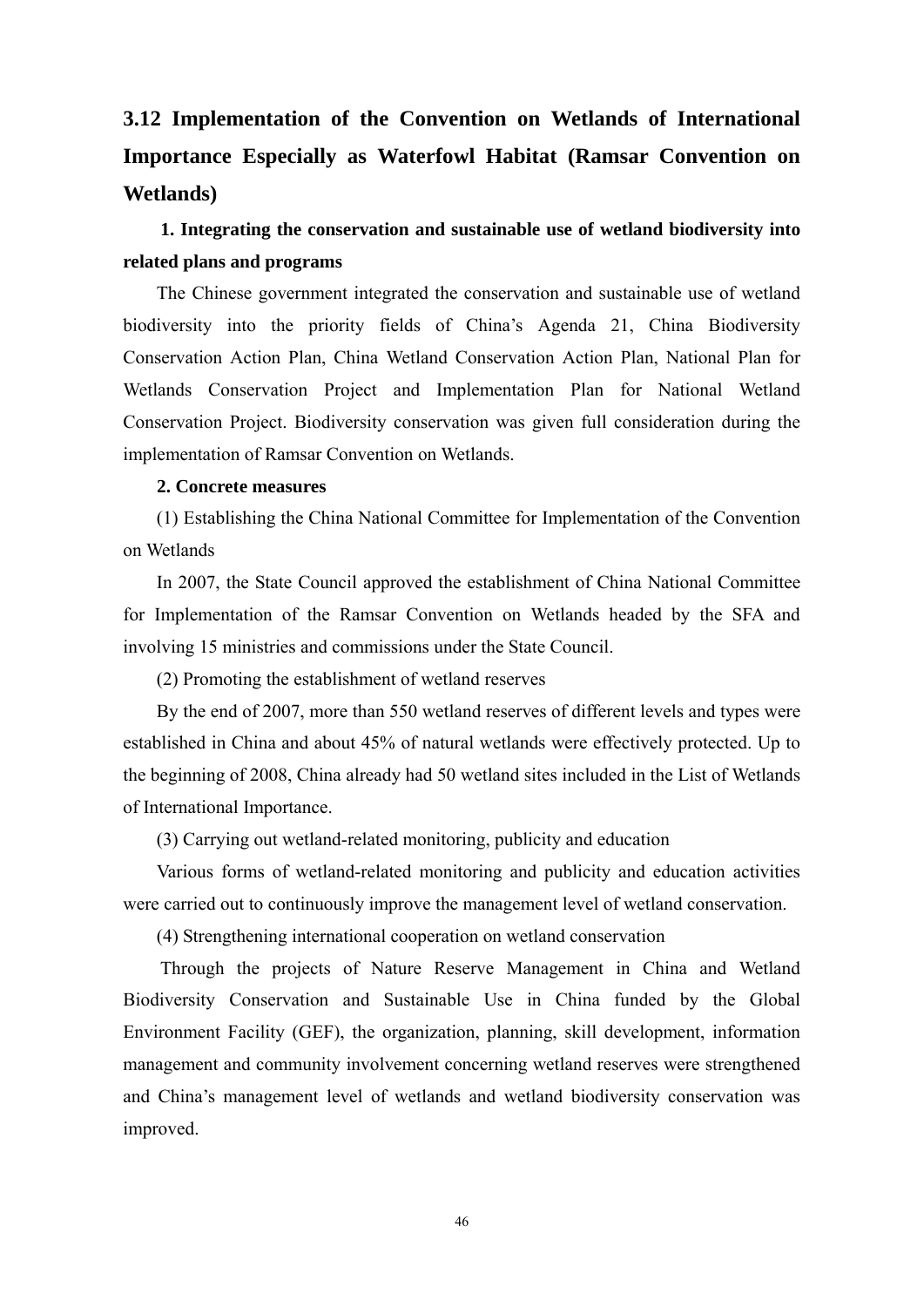# **3.12 Implementation of the Convention on Wetlands of International Importance Especially as Waterfowl Habitat (Ramsar Convention on Wetlands)**

### **1. Integrating the conservation and sustainable use of wetland biodiversity into related plans and programs**

The Chinese government integrated the conservation and sustainable use of wetland biodiversity into the priority fields of China's Agenda 21, China Biodiversity Conservation Action Plan, China Wetland Conservation Action Plan, National Plan for Wetlands Conservation Project and Implementation Plan for National Wetland Conservation Project. Biodiversity conservation was given full consideration during the implementation of Ramsar Convention on Wetlands.

### **2. Concrete measures**

(1) Establishing the China National Committee for Implementation of the Convention on Wetlands

In 2007, the State Council approved the establishment of China National Committee for Implementation of the Ramsar Convention on Wetlands headed by the SFA and involving 15 ministries and commissions under the State Council.

(2) Promoting the establishment of wetland reserves

By the end of 2007, more than 550 wetland reserves of different levels and types were established in China and about 45% of natural wetlands were effectively protected. Up to the beginning of 2008, China already had 50 wetland sites included in the List of Wetlands of International Importance.

(3) Carrying out wetland-related monitoring, publicity and education

Various forms of wetland-related monitoring and publicity and education activities were carried out to continuously improve the management level of wetland conservation.

(4) Strengthening international cooperation on wetland conservation

Through the projects of Nature Reserve Management in China and Wetland Biodiversity Conservation and Sustainable Use in China funded by the Global Environment Facility (GEF), the organization, planning, skill development, information management and community involvement concerning wetland reserves were strengthened and China's management level of wetlands and wetland biodiversity conservation was improved.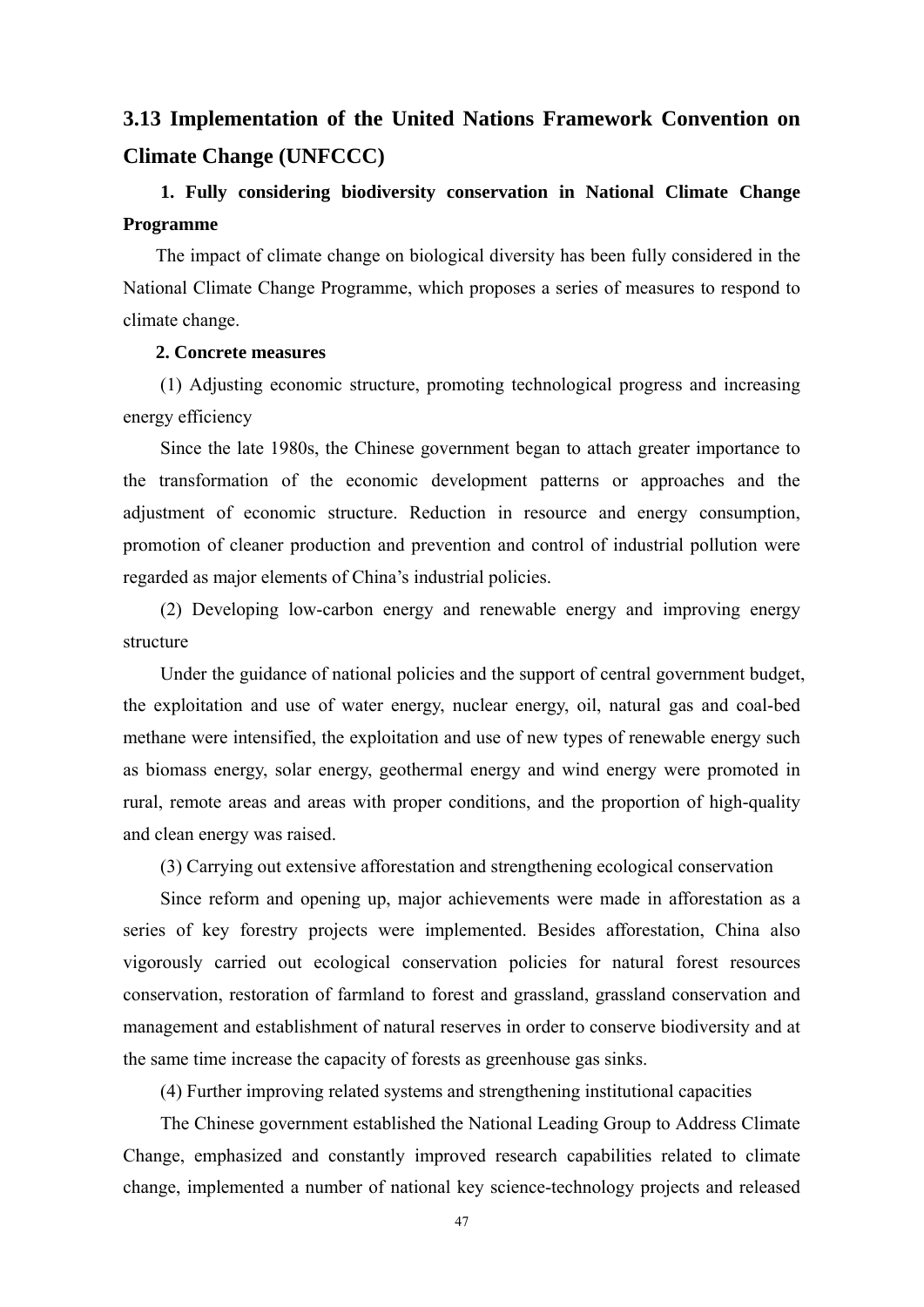# **3.13 Implementation of the United Nations Framework Convention on Climate Change (UNFCCC)**

### **1. Fully considering biodiversity conservation in National Climate Change Programme**

The impact of climate change on biological diversity has been fully considered in the National Climate Change Programme, which proposes a series of measures to respond to climate change.

### **2. Concrete measures**

(1) Adjusting economic structure, promoting technological progress and increasing energy efficiency

Since the late 1980s, the Chinese government began to attach greater importance to the transformation of the economic development patterns or approaches and the adjustment of economic structure. Reduction in resource and energy consumption, promotion of cleaner production and prevention and control of industrial pollution were regarded as major elements of China's industrial policies.

(2) Developing low-carbon energy and renewable energy and improving energy structure

Under the guidance of national policies and the support of central government budget, the exploitation and use of water energy, nuclear energy, oil, natural gas and coal-bed methane were intensified, the exploitation and use of new types of renewable energy such as biomass energy, solar energy, geothermal energy and wind energy were promoted in rural, remote areas and areas with proper conditions, and the proportion of high-quality and clean energy was raised.

(3) Carrying out extensive afforestation and strengthening ecological conservation

Since reform and opening up, major achievements were made in afforestation as a series of key forestry projects were implemented. Besides afforestation, China also vigorously carried out ecological conservation policies for natural forest resources conservation, restoration of farmland to forest and grassland, grassland conservation and management and establishment of natural reserves in order to conserve biodiversity and at the same time increase the capacity of forests as greenhouse gas sinks.

(4) Further improving related systems and strengthening institutional capacities

The Chinese government established the National Leading Group to Address Climate Change, emphasized and constantly improved research capabilities related to climate change, implemented a number of national key science-technology projects and released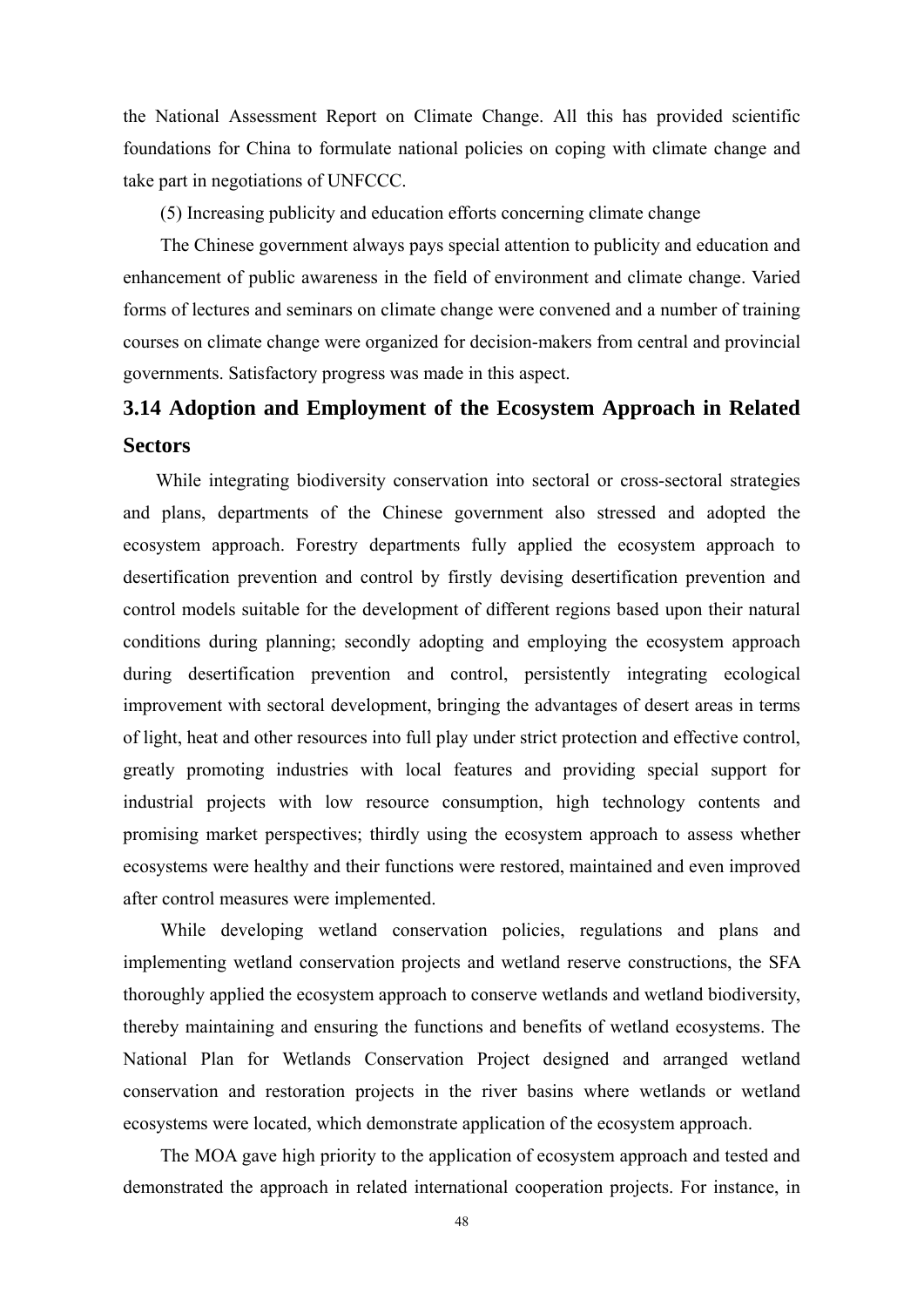the National Assessment Report on Climate Change. All this has provided scientific foundations for China to formulate national policies on coping with climate change and take part in negotiations of UNFCCC.

(5) Increasing publicity and education efforts concerning climate change

The Chinese government always pays special attention to publicity and education and enhancement of public awareness in the field of environment and climate change. Varied forms of lectures and seminars on climate change were convened and a number of training courses on climate change were organized for decision-makers from central and provincial governments. Satisfactory progress was made in this aspect.

# **3.14 Adoption and Employment of the Ecosystem Approach in Related Sectors**

While integrating biodiversity conservation into sectoral or cross-sectoral strategies and plans, departments of the Chinese government also stressed and adopted the ecosystem approach. Forestry departments fully applied the ecosystem approach to desertification prevention and control by firstly devising desertification prevention and control models suitable for the development of different regions based upon their natural conditions during planning; secondly adopting and employing the ecosystem approach during desertification prevention and control, persistently integrating ecological improvement with sectoral development, bringing the advantages of desert areas in terms of light, heat and other resources into full play under strict protection and effective control, greatly promoting industries with local features and providing special support for industrial projects with low resource consumption, high technology contents and promising market perspectives; thirdly using the ecosystem approach to assess whether ecosystems were healthy and their functions were restored, maintained and even improved after control measures were implemented.

While developing wetland conservation policies, regulations and plans and implementing wetland conservation projects and wetland reserve constructions, the SFA thoroughly applied the ecosystem approach to conserve wetlands and wetland biodiversity, thereby maintaining and ensuring the functions and benefits of wetland ecosystems. The National Plan for Wetlands Conservation Project designed and arranged wetland conservation and restoration projects in the river basins where wetlands or wetland ecosystems were located, which demonstrate application of the ecosystem approach.

The MOA gave high priority to the application of ecosystem approach and tested and demonstrated the approach in related international cooperation projects. For instance, in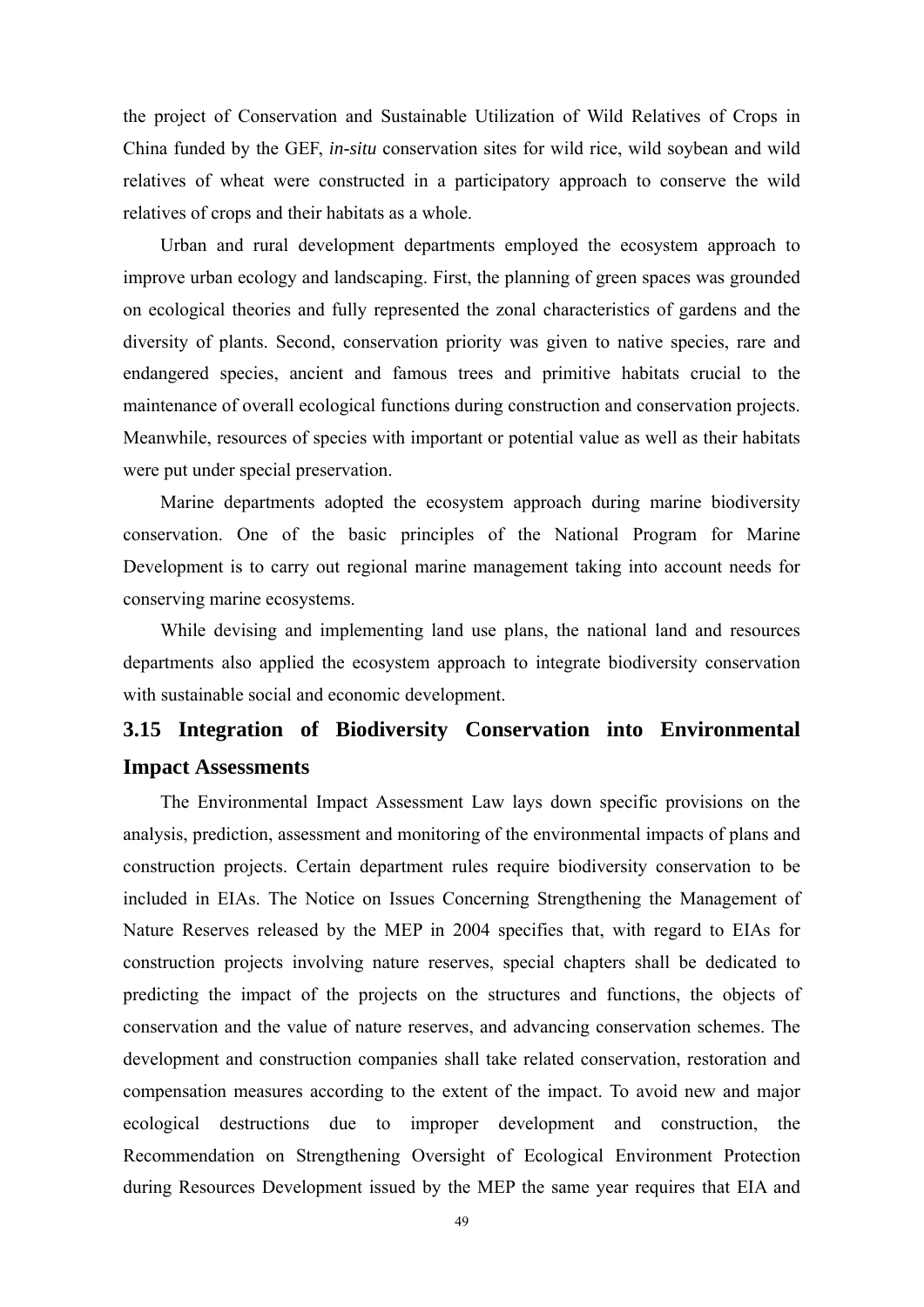the project of Conservation and Sustainable Utilization of Wild Relatives of Crops in China funded by the GEF, *in-situ* conservation sites for wild rice, wild soybean and wild relatives of wheat were constructed in a participatory approach to conserve the wild relatives of crops and their habitats as a whole.

Urban and rural development departments employed the ecosystem approach to improve urban ecology and landscaping. First, the planning of green spaces was grounded on ecological theories and fully represented the zonal characteristics of gardens and the diversity of plants. Second, conservation priority was given to native species, rare and endangered species, ancient and famous trees and primitive habitats crucial to the maintenance of overall ecological functions during construction and conservation projects. Meanwhile, resources of species with important or potential value as well as their habitats were put under special preservation.

Marine departments adopted the ecosystem approach during marine biodiversity conservation. One of the basic principles of the National Program for Marine Development is to carry out regional marine management taking into account needs for conserving marine ecosystems.

While devising and implementing land use plans, the national land and resources departments also applied the ecosystem approach to integrate biodiversity conservation with sustainable social and economic development.

## **3.15 Integration of Biodiversity Conservation into Environmental Impact Assessments**

The Environmental Impact Assessment Law lays down specific provisions on the analysis, prediction, assessment and monitoring of the environmental impacts of plans and construction projects. Certain department rules require biodiversity conservation to be included in EIAs. The Notice on Issues Concerning Strengthening the Management of Nature Reserves released by the MEP in 2004 specifies that, with regard to EIAs for construction projects involving nature reserves, special chapters shall be dedicated to predicting the impact of the projects on the structures and functions, the objects of conservation and the value of nature reserves, and advancing conservation schemes. The development and construction companies shall take related conservation, restoration and compensation measures according to the extent of the impact. To avoid new and major ecological destructions due to improper development and construction, the Recommendation on Strengthening Oversight of Ecological Environment Protection during Resources Development issued by the MEP the same year requires that EIA and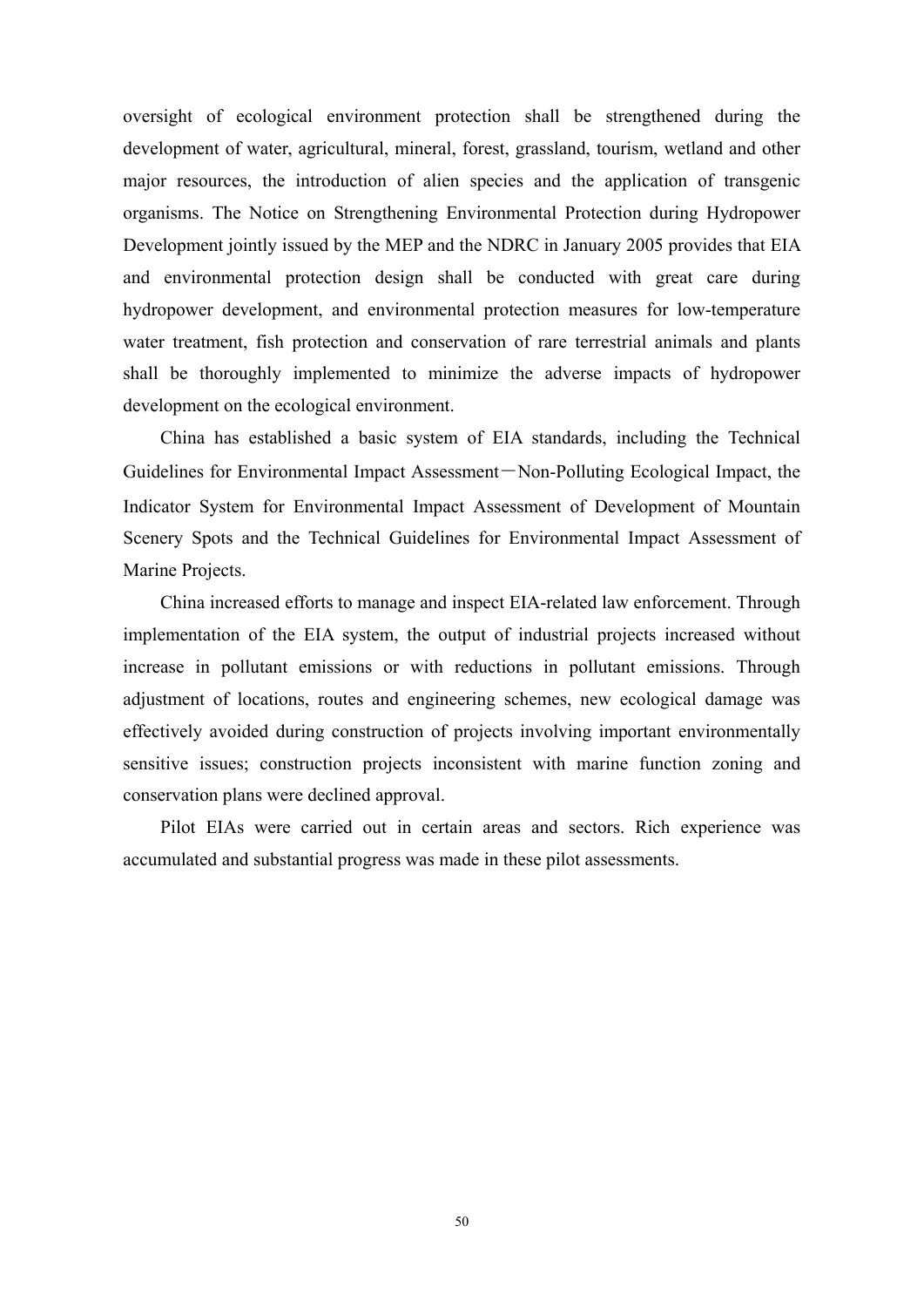oversight of ecological environment protection shall be strengthened during the development of water, agricultural, mineral, forest, grassland, tourism, wetland and other major resources, the introduction of alien species and the application of transgenic organisms. The Notice on Strengthening Environmental Protection during Hydropower Development jointly issued by the MEP and the NDRC in January 2005 provides that EIA and environmental protection design shall be conducted with great care during hydropower development, and environmental protection measures for low-temperature water treatment, fish protection and conservation of rare terrestrial animals and plants shall be thoroughly implemented to minimize the adverse impacts of hydropower development on the ecological environment.

China has established a basic system of EIA standards, including the Technical Guidelines for Environmental Impact Assessment-Non-Polluting Ecological Impact, the Indicator System for Environmental Impact Assessment of Development of Mountain Scenery Spots and the Technical Guidelines for Environmental Impact Assessment of Marine Projects.

China increased efforts to manage and inspect EIA-related law enforcement. Through implementation of the EIA system, the output of industrial projects increased without increase in pollutant emissions or with reductions in pollutant emissions. Through adjustment of locations, routes and engineering schemes, new ecological damage was effectively avoided during construction of projects involving important environmentally sensitive issues; construction projects inconsistent with marine function zoning and conservation plans were declined approval.

Pilot EIAs were carried out in certain areas and sectors. Rich experience was accumulated and substantial progress was made in these pilot assessments.

50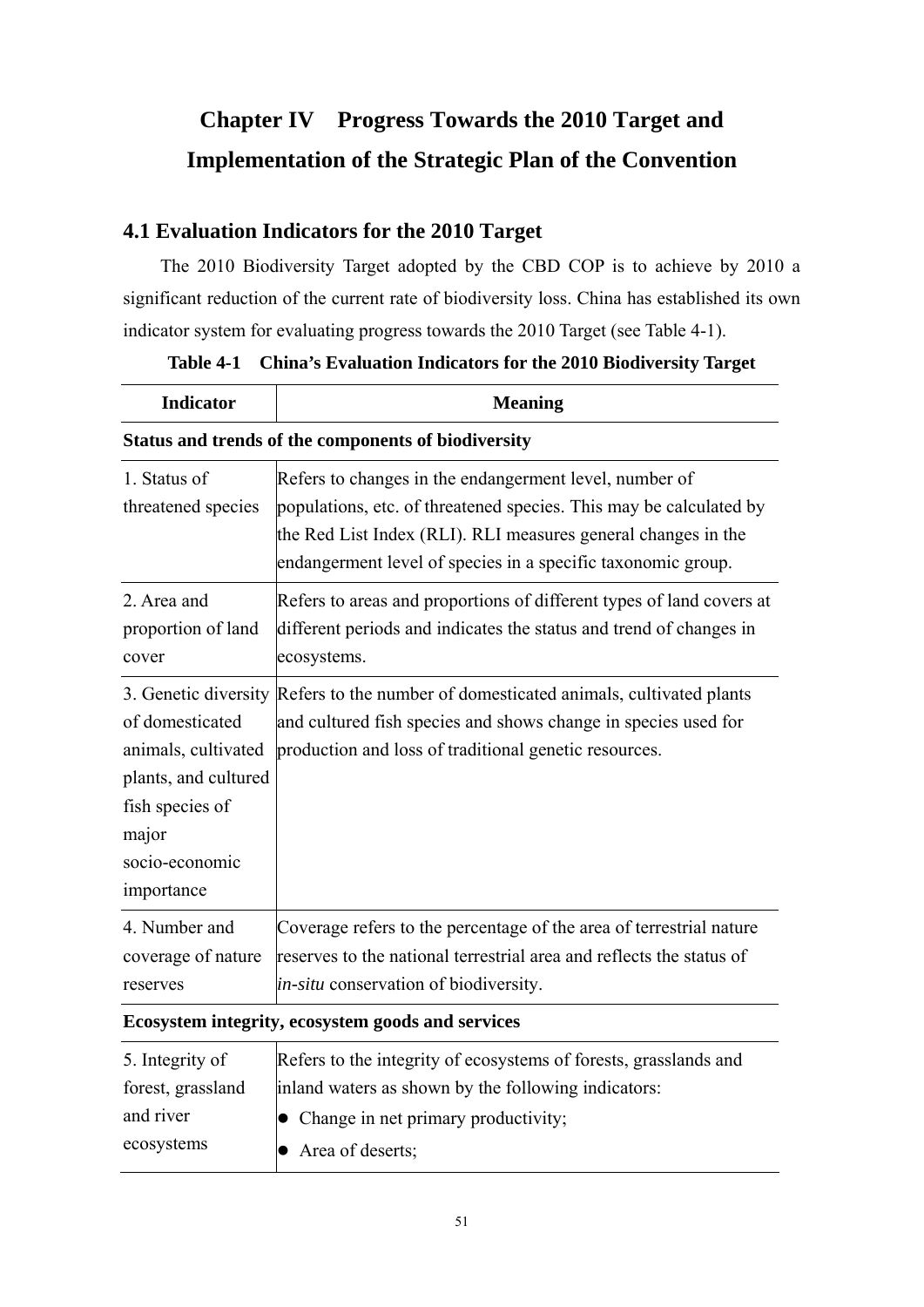# **Chapter IV Progress Towards the 2010 Target and Implementation of the Strategic Plan of the Convention**

### **4.1 Evaluation Indicators for the 2010 Target**

The 2010 Biodiversity Target adopted by the CBD COP is to achieve by 2010 a significant reduction of the current rate of biodiversity loss. China has established its own indicator system for evaluating progress towards the 2010 Target (see Table 4-1).

| <b>Indicator</b>                                                                                                           | <b>Meaning</b>                                                                                                                                                                                                                                                |  |
|----------------------------------------------------------------------------------------------------------------------------|---------------------------------------------------------------------------------------------------------------------------------------------------------------------------------------------------------------------------------------------------------------|--|
| Status and trends of the components of biodiversity                                                                        |                                                                                                                                                                                                                                                               |  |
| 1. Status of<br>threatened species                                                                                         | Refers to changes in the endangerment level, number of<br>populations, etc. of threatened species. This may be calculated by<br>the Red List Index (RLI). RLI measures general changes in the<br>endangerment level of species in a specific taxonomic group. |  |
| 2. Area and<br>proportion of land<br>cover                                                                                 | Refers to areas and proportions of different types of land covers at<br>different periods and indicates the status and trend of changes in<br>ecosystems.                                                                                                     |  |
| of domesticated<br>animals, cultivated<br>plants, and cultured<br>fish species of<br>major<br>socio-economic<br>importance | 3. Genetic diversity Refers to the number of domesticated animals, cultivated plants<br>and cultured fish species and shows change in species used for<br>production and loss of traditional genetic resources.                                               |  |
| 4. Number and<br>coverage of nature<br>reserves                                                                            | Coverage refers to the percentage of the area of terrestrial nature<br>reserves to the national terrestrial area and reflects the status of<br><i>in-situ</i> conservation of biodiversity.                                                                   |  |
|                                                                                                                            |                                                                                                                                                                                                                                                               |  |

**Table 4-1 China's Evaluation Indicators for the 2010 Biodiversity Target** 

### **Ecosystem integrity, ecosystem goods and services**

| 5. Integrity of   | Refers to the integrity of ecosystems of forests, grasslands and |
|-------------------|------------------------------------------------------------------|
| forest, grassland | inland waters as shown by the following indicators:              |
| and river         | $\bullet$ Change in net primary productivity;                    |
| ecosystems        | $\bullet$ Area of deserts;                                       |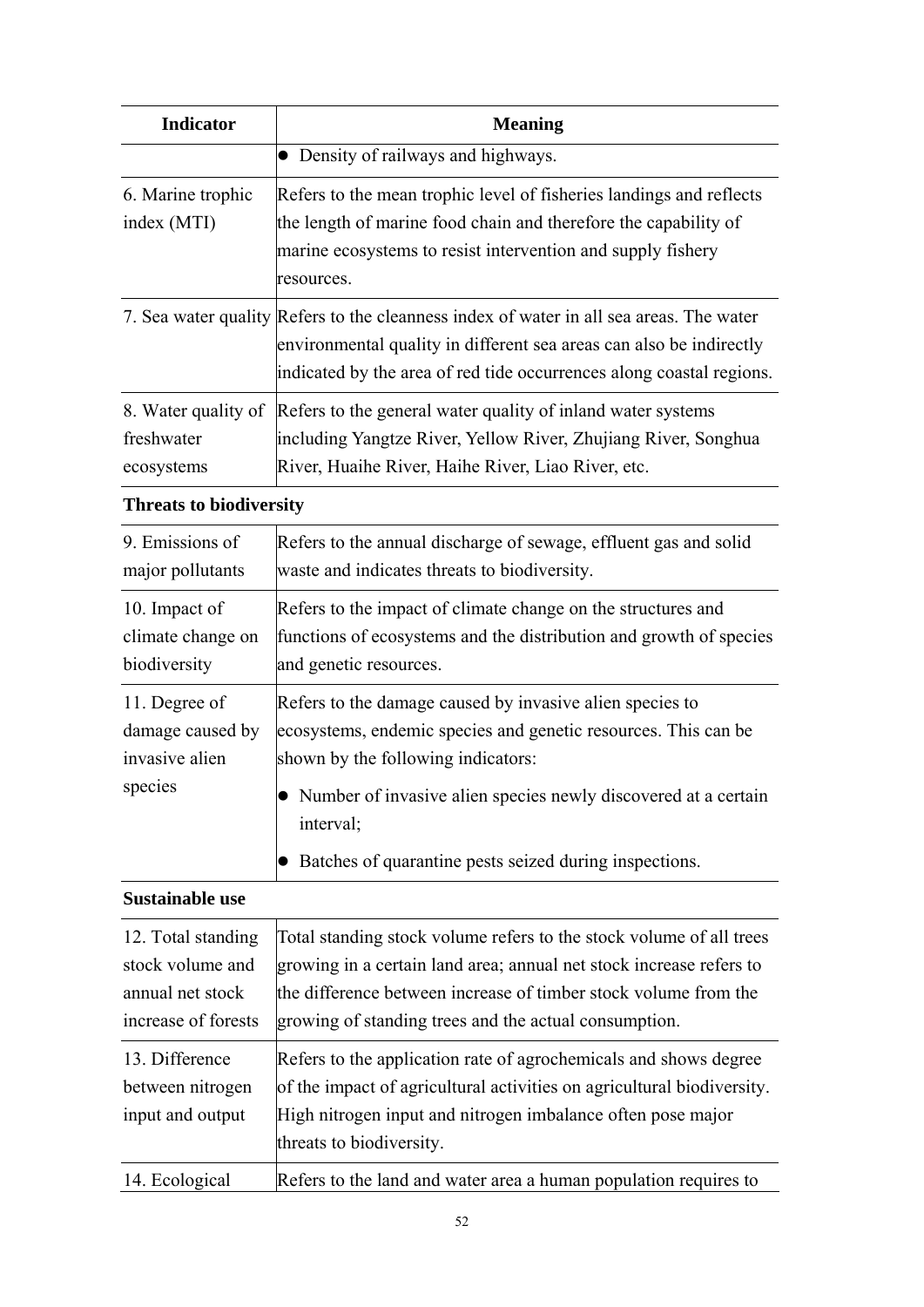| <b>Indicator</b>                                                                  | <b>Meaning</b>                                                                                                                                                                                                                                                         |
|-----------------------------------------------------------------------------------|------------------------------------------------------------------------------------------------------------------------------------------------------------------------------------------------------------------------------------------------------------------------|
|                                                                                   | • Density of railways and highways.                                                                                                                                                                                                                                    |
| 6. Marine trophic<br>index (MTI)                                                  | Refers to the mean trophic level of fisheries landings and reflects<br>the length of marine food chain and therefore the capability of<br>marine ecosystems to resist intervention and supply fishery<br>resources.                                                    |
|                                                                                   | 7. Sea water quality Refers to the cleanness index of water in all sea areas. The water<br>environmental quality in different sea areas can also be indirectly<br>indicated by the area of red tide occurrences along coastal regions.                                 |
| freshwater<br>ecosystems                                                          | 8. Water quality of Refers to the general water quality of inland water systems<br>including Yangtze River, Yellow River, Zhujiang River, Songhua<br>River, Huaihe River, Haihe River, Liao River, etc.                                                                |
| <b>Threats to biodiversity</b>                                                    |                                                                                                                                                                                                                                                                        |
| 9. Emissions of<br>major pollutants                                               | Refers to the annual discharge of sewage, effluent gas and solid<br>waste and indicates threats to biodiversity.                                                                                                                                                       |
| 10. Impact of<br>climate change on<br>biodiversity                                | Refers to the impact of climate change on the structures and<br>functions of ecosystems and the distribution and growth of species<br>and genetic resources.                                                                                                           |
| 11. Degree of<br>damage caused by<br>invasive alien<br>species                    | Refers to the damage caused by invasive alien species to<br>ecosystems, endemic species and genetic resources. This can be<br>shown by the following indicators:<br>• Number of invasive alien species newly discovered at a certain                                   |
|                                                                                   | interval;<br>Batches of quarantine pests seized during inspections.                                                                                                                                                                                                    |
| <b>Sustainable use</b>                                                            |                                                                                                                                                                                                                                                                        |
| 12. Total standing<br>stock volume and<br>annual net stock<br>increase of forests | Total standing stock volume refers to the stock volume of all trees<br>growing in a certain land area; annual net stock increase refers to<br>the difference between increase of timber stock volume from the<br>growing of standing trees and the actual consumption. |
| 13. Difference<br>between nitrogen<br>input and output                            | Refers to the application rate of agrochemicals and shows degree<br>of the impact of agricultural activities on agricultural biodiversity.<br>High nitrogen input and nitrogen imbalance often pose major<br>threats to biodiversity.                                  |
| 14. Ecological                                                                    | Refers to the land and water area a human population requires to                                                                                                                                                                                                       |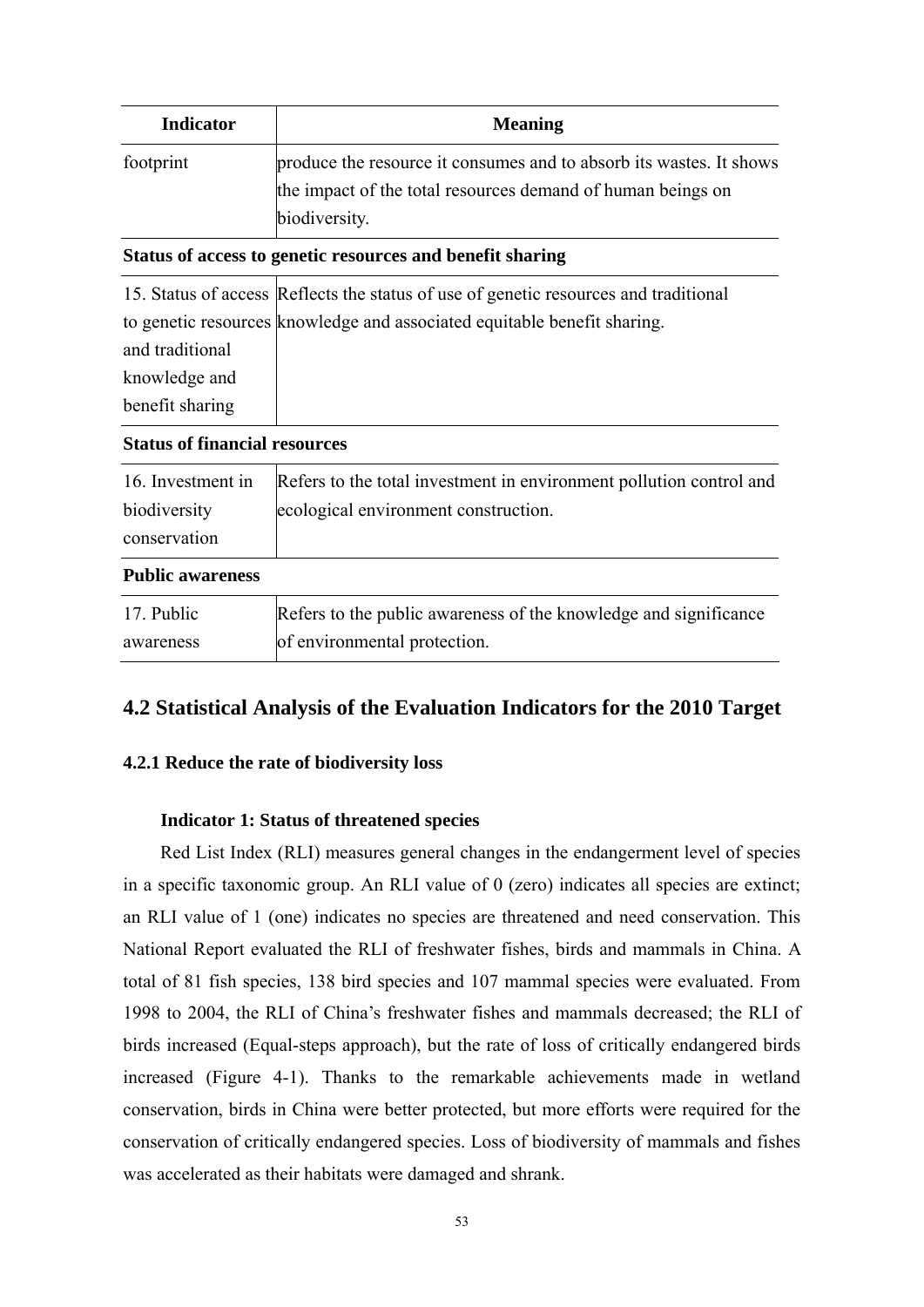| <b>Indicator</b> | <b>Meaning</b>                                                      |
|------------------|---------------------------------------------------------------------|
| footprint        | produce the resource it consumes and to absorb its wastes. It shows |
|                  | the impact of the total resources demand of human beings on         |
|                  | biodiversity.                                                       |
|                  | Status of access to genetic resources and benefit sharing           |

|                 | 15. Status of access Reflects the status of use of genetic resources and traditional |
|-----------------|--------------------------------------------------------------------------------------|
|                 | to genetic resources knowledge and associated equitable benefit sharing.             |
| and traditional |                                                                                      |
| knowledge and   |                                                                                      |
| benefit sharing |                                                                                      |

### **Status of financial resources**

| Public awareness  |                                                                     |
|-------------------|---------------------------------------------------------------------|
| conservation      |                                                                     |
| biodiversity      | ecological environment construction.                                |
| 16. Investment in | Refers to the total investment in environment pollution control and |

### **Public awareness**

| 17. Public | Refers to the public awareness of the knowledge and significance |
|------------|------------------------------------------------------------------|
| awareness  | of environmental protection.                                     |

### **4.2 Statistical Analysis of the Evaluation Indicators for the 2010 Target**

### **4.2.1 Reduce the rate of biodiversity loss**

### **Indicator 1: Status of threatened species**

Red List Index (RLI) measures general changes in the endangerment level of species in a specific taxonomic group. An RLI value of 0 (zero) indicates all species are extinct; an RLI value of 1 (one) indicates no species are threatened and need conservation. This National Report evaluated the RLI of freshwater fishes, birds and mammals in China. A total of 81 fish species, 138 bird species and 107 mammal species were evaluated. From 1998 to 2004, the RLI of China's freshwater fishes and mammals decreased; the RLI of birds increased (Equal-steps approach), but the rate of loss of critically endangered birds increased (Figure 4-1). Thanks to the remarkable achievements made in wetland conservation, birds in China were better protected, but more efforts were required for the conservation of critically endangered species. Loss of biodiversity of mammals and fishes was accelerated as their habitats were damaged and shrank.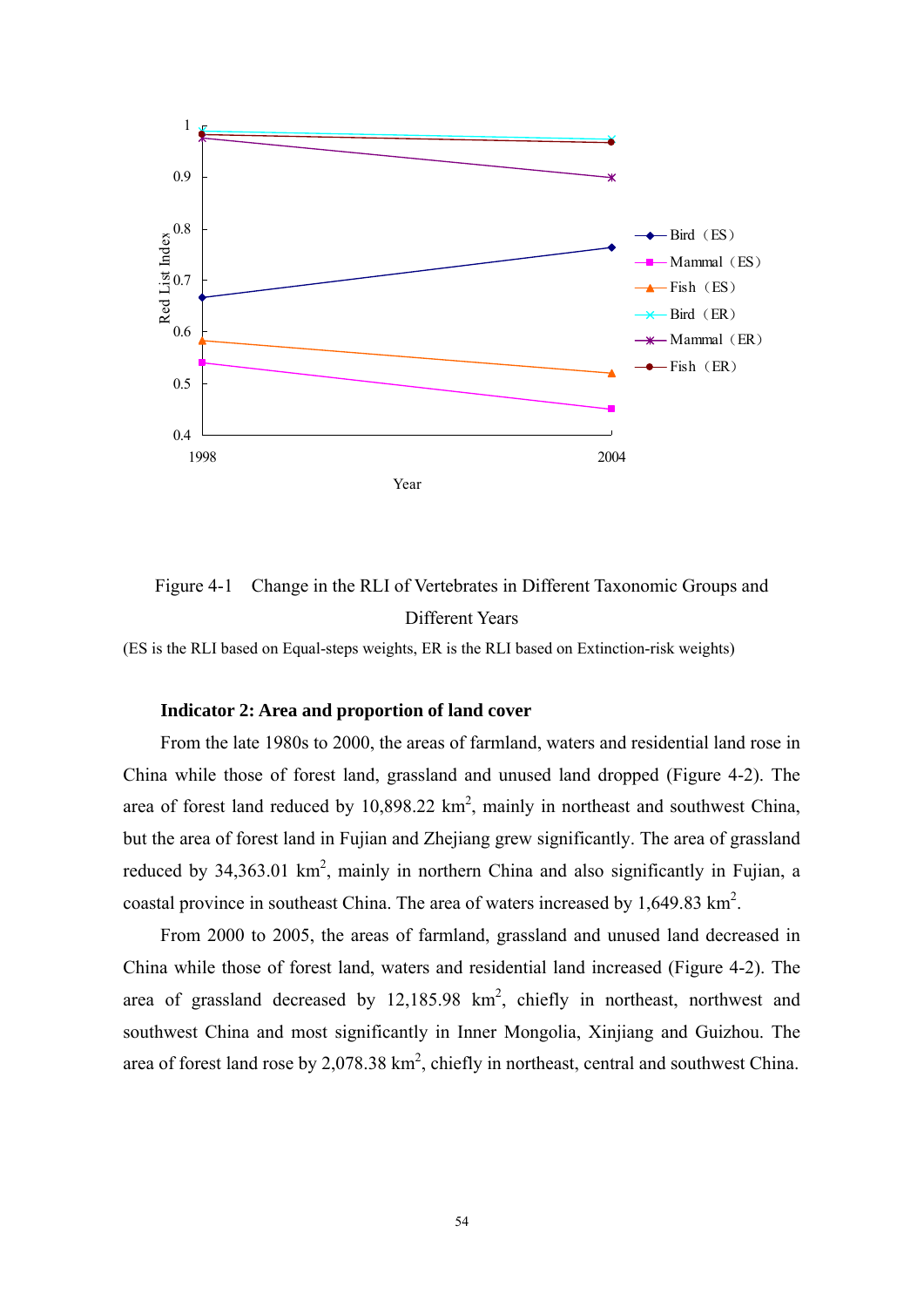

Figure 4-1 Change in the RLI of Vertebrates in Different Taxonomic Groups and Different Years

(ES is the RLI based on Equal-steps weights, ER is the RLI based on Extinction-risk weights)

### **Indicator 2: Area and proportion of land cover**

From the late 1980s to 2000, the areas of farmland, waters and residential land rose in China while those of forest land, grassland and unused land dropped (Figure 4-2). The area of forest land reduced by  $10,898.22 \text{ km}^2$ , mainly in northeast and southwest China, but the area of forest land in Fujian and Zhejiang grew significantly. The area of grassland reduced by  $34,363.01 \text{ km}^2$ , mainly in northern China and also significantly in Fujian, a coastal province in southeast China. The area of waters increased by  $1,649.83 \text{ km}^2$ .

From 2000 to 2005, the areas of farmland, grassland and unused land decreased in China while those of forest land, waters and residential land increased (Figure 4-2). The area of grassland decreased by  $12,185.98 \text{ km}^2$ , chiefly in northeast, northwest and southwest China and most significantly in Inner Mongolia, Xinjiang and Guizhou. The area of forest land rose by 2,078.38  $km^2$ , chiefly in northeast, central and southwest China.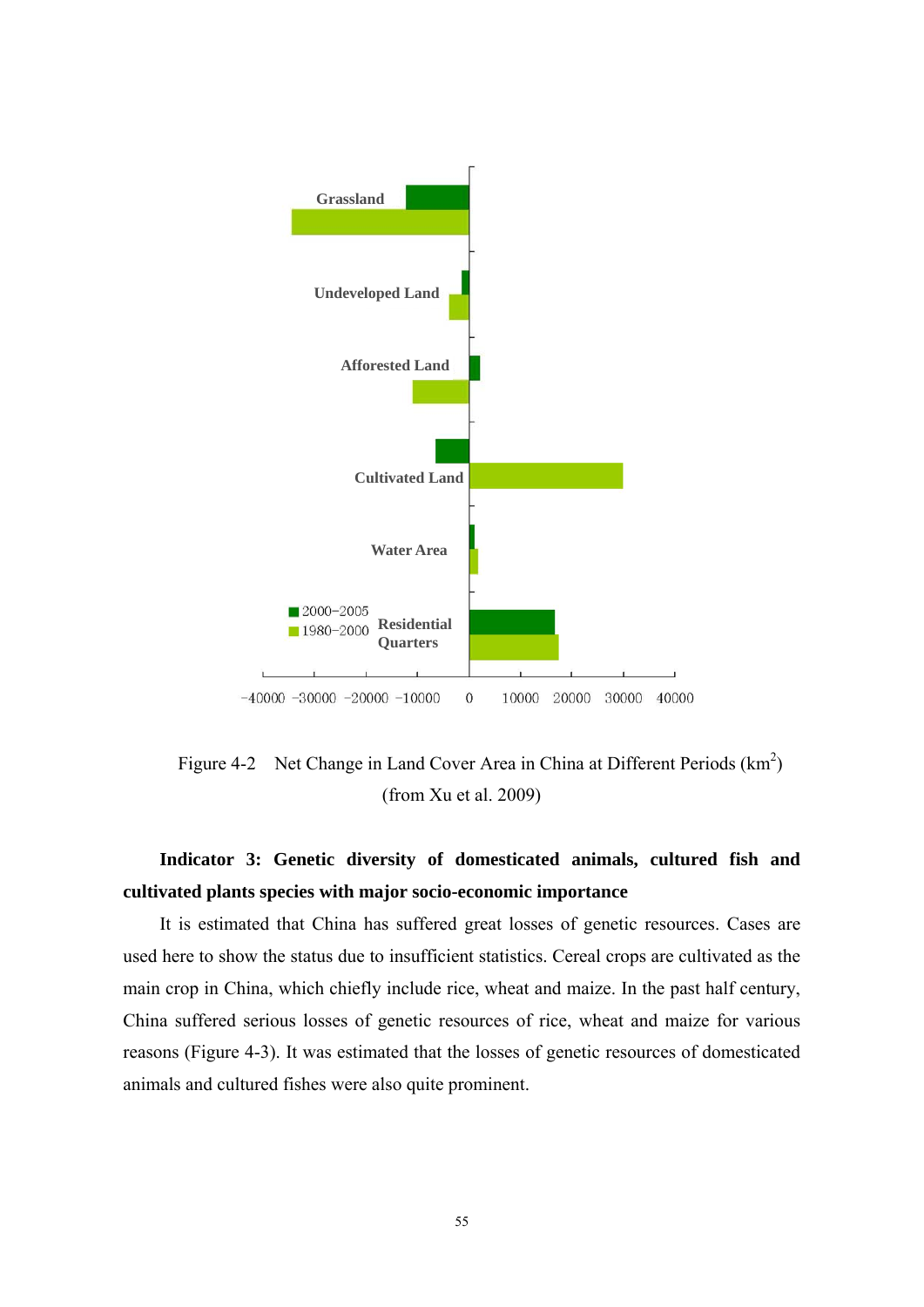

Figure 4-2 Net Change in Land Cover Area in China at Different Periods  $(km^2)$ (from Xu et al. 2009)

## **Indicator 3: Genetic diversity of domesticated animals, cultured fish and cultivated plants species with major socio-economic importance**

It is estimated that China has suffered great losses of genetic resources. Cases are used here to show the status due to insufficient statistics. Cereal crops are cultivated as the main crop in China, which chiefly include rice, wheat and maize. In the past half century, China suffered serious losses of genetic resources of rice, wheat and maize for various reasons (Figure 4-3). It was estimated that the losses of genetic resources of domesticated animals and cultured fishes were also quite prominent.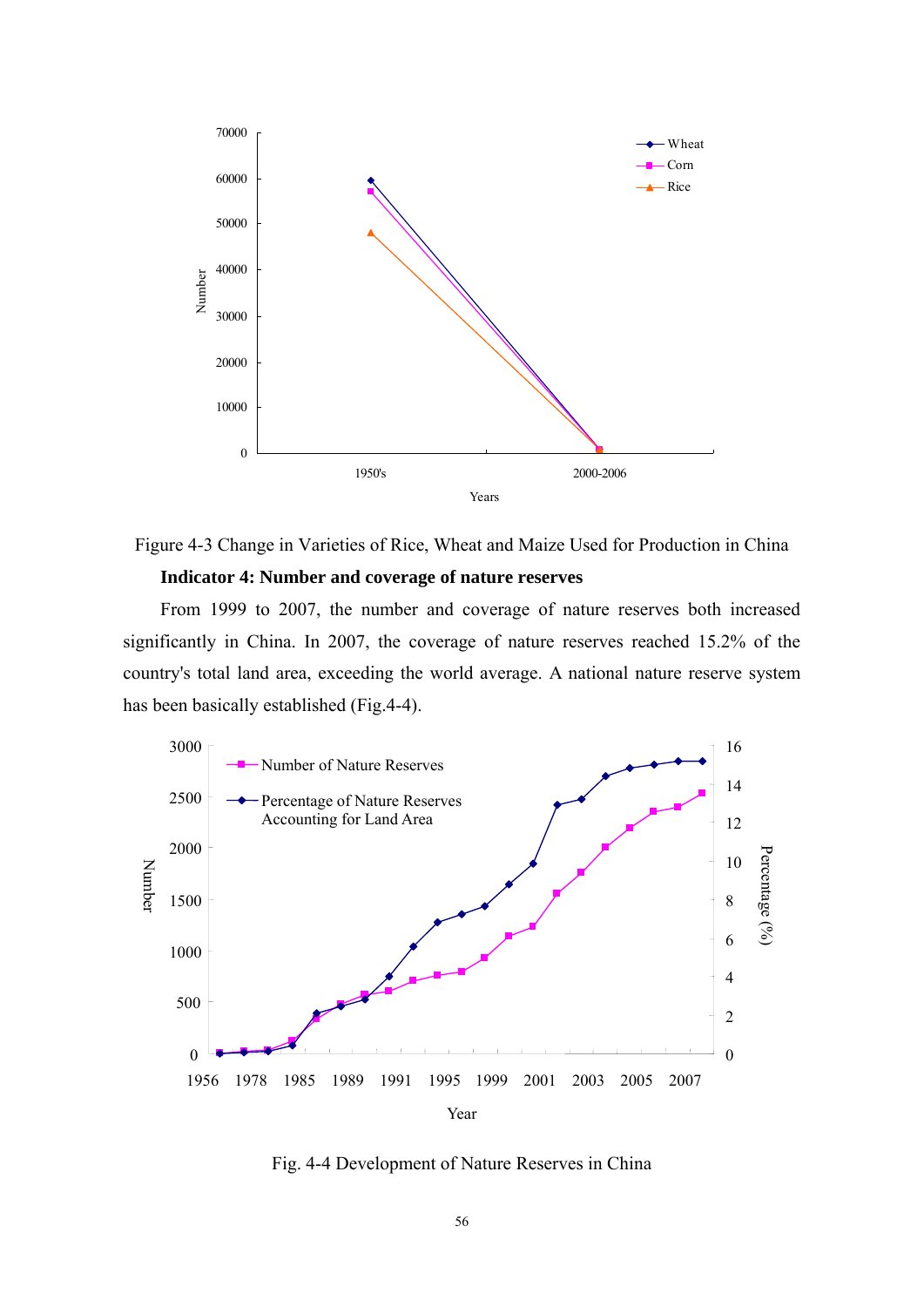

Figure 4-3 Change in Varieties of Rice, Wheat and Maize Used for Production in China

### **Indicator 4: Number and coverage of nature reserves**

From 1999 to 2007, the number and coverage of nature reserves both increased significantly in China. In 2007, the coverage of nature reserves reached 15.2% of the country's total land area, exceeding the world average. A national nature reserve system has been basically established (Fig.4-4).



Fig. 4-4 Development of Nature Reserves in China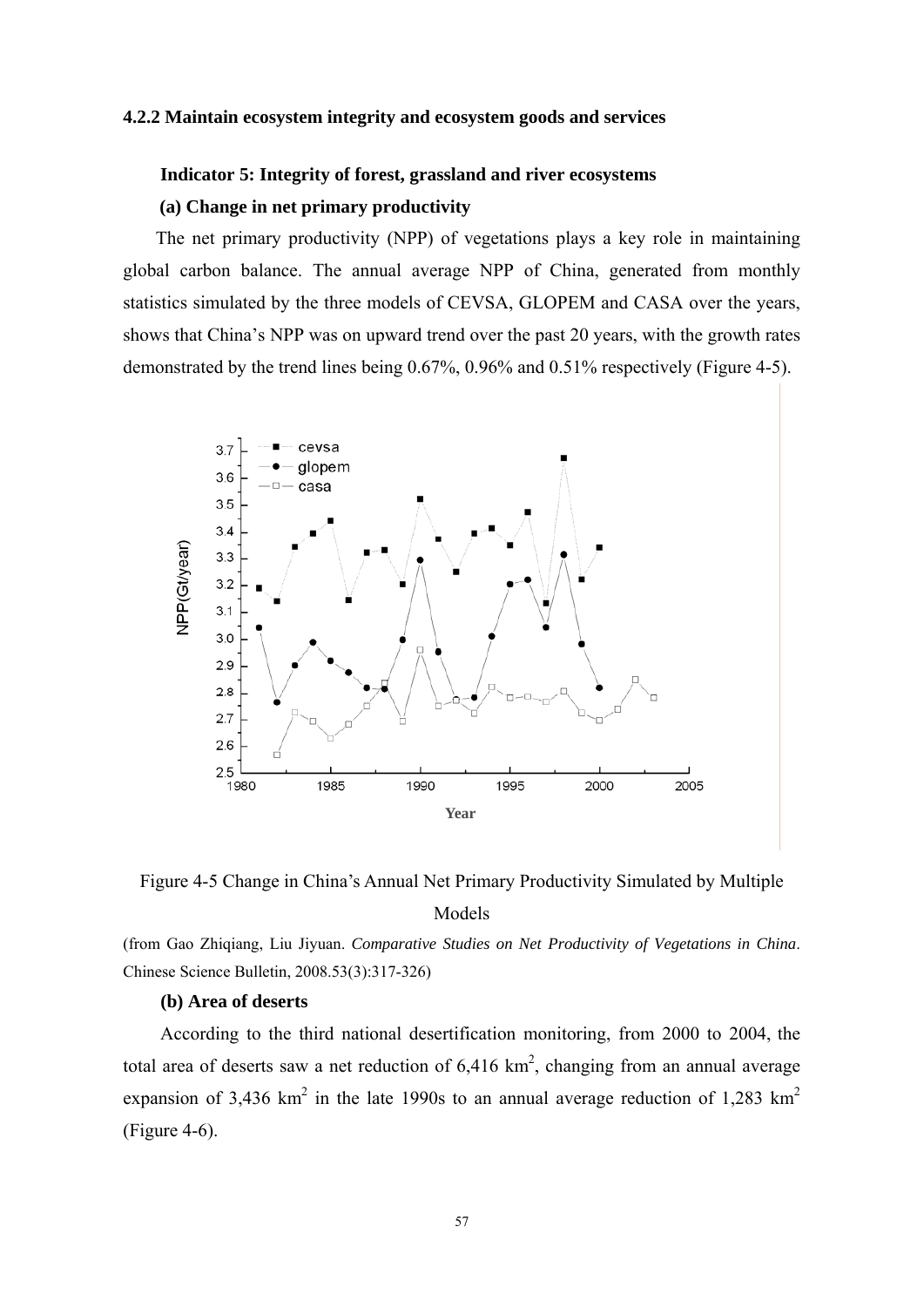#### **4.2.2 Maintain ecosystem integrity and ecosystem goods and services**

### **Indicator 5: Integrity of forest, grassland and river ecosystems (a) Change in net primary productivity**

The net primary productivity (NPP) of vegetations plays a key role in maintaining global carbon balance. The annual average NPP of China, generated from monthly statistics simulated by the three models of CEVSA, GLOPEM and CASA over the years, shows that China's NPP was on upward trend over the past 20 years, with the growth rates demonstrated by the trend lines being 0.67%, 0.96% and 0.51% respectively (Figure 4-5).





### Models

(from Gao Zhiqiang, Liu Jiyuan. *Comparative Studies on Net Productivity of Vegetations in China*. Chinese Science Bulletin, 2008.53(3):317-326)

### **(b) Area of deserts**

According to the third national desertification monitoring, from 2000 to 2004, the total area of deserts saw a net reduction of  $6,416 \text{ km}^2$ , changing from an annual average expansion of 3,436 km<sup>2</sup> in the late 1990s to an annual average reduction of 1,283 km<sup>2</sup> (Figure 4-6).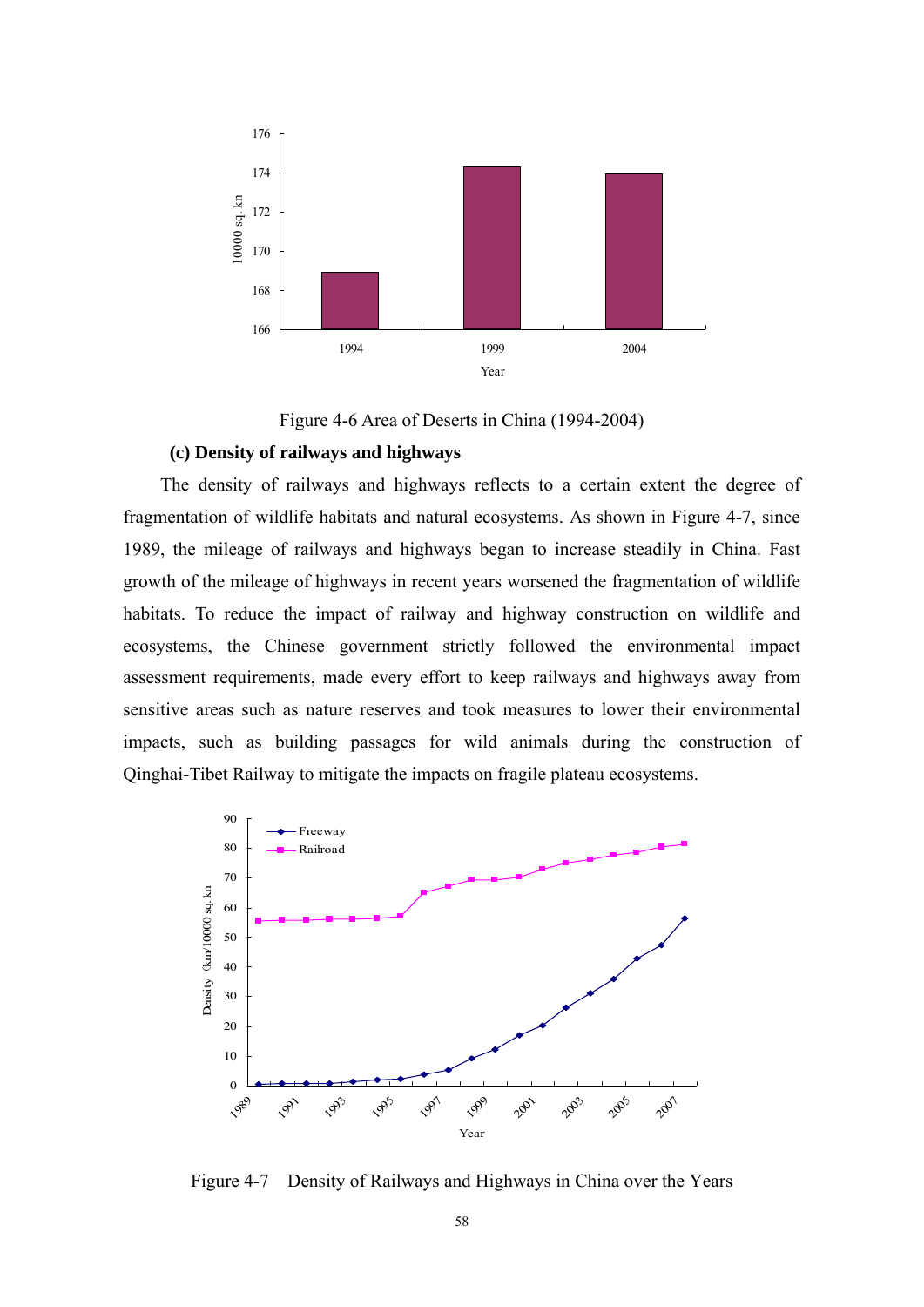

Figure 4-6 Area of Deserts in China (1994-2004)

### **(c) Density of railways and highways**

The density of railways and highways reflects to a certain extent the degree of fragmentation of wildlife habitats and natural ecosystems. As shown in Figure 4-7, since 1989, the mileage of railways and highways began to increase steadily in China. Fast growth of the mileage of highways in recent years worsened the fragmentation of wildlife habitats. To reduce the impact of railway and highway construction on wildlife and ecosystems, the Chinese government strictly followed the environmental impact assessment requirements, made every effort to keep railways and highways away from sensitive areas such as nature reserves and took measures to lower their environmental impacts, such as building passages for wild animals during the construction of Qinghai-Tibet Railway to mitigate the impacts on fragile plateau ecosystems.



Figure 4-7 Density of Railways and Highways in China over the Years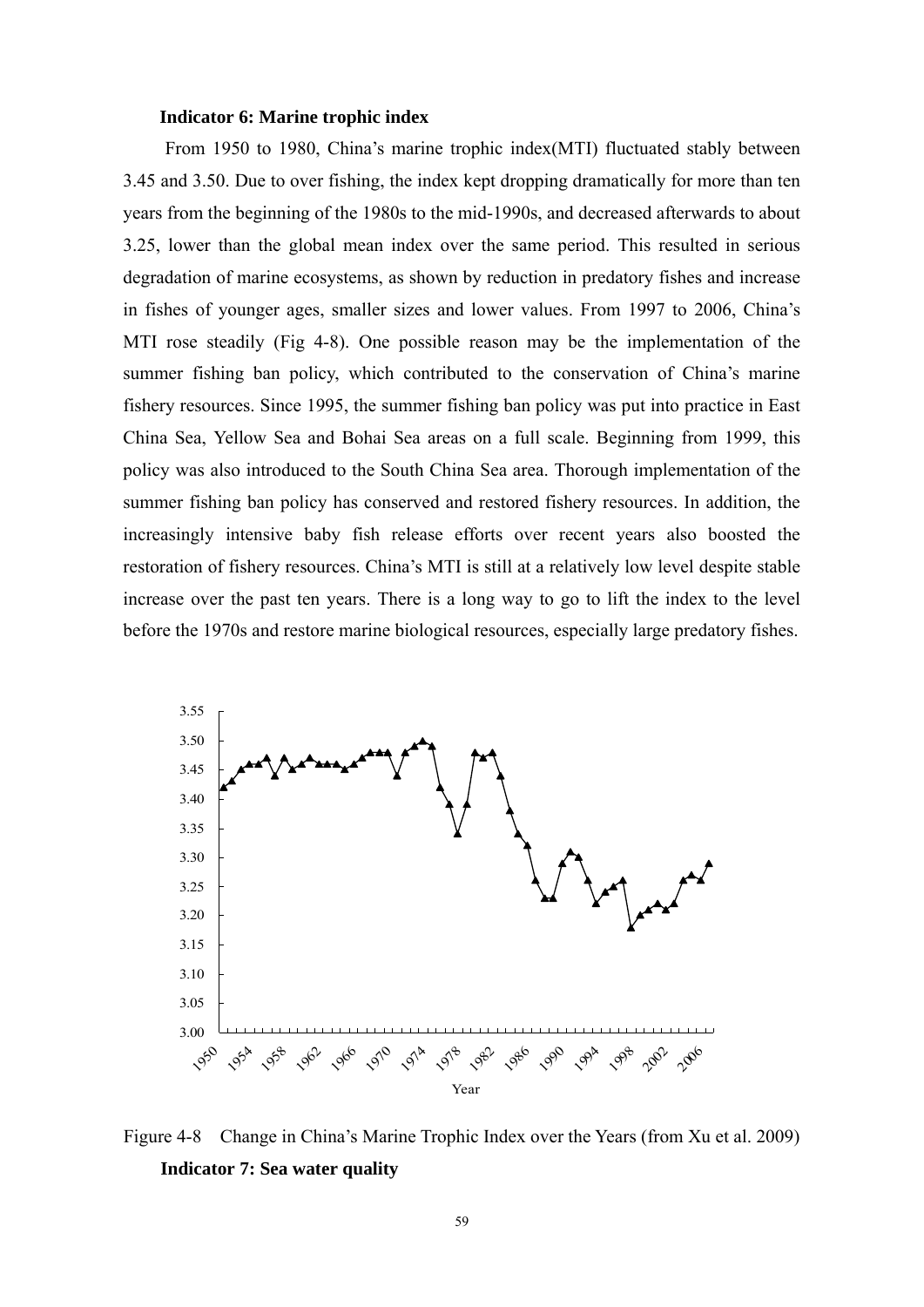#### **Indicator 6: Marine trophic index**

From 1950 to 1980, China's marine trophic index(MTI) fluctuated stably between 3.45 and 3.50. Due to over fishing, the index kept dropping dramatically for more than ten years from the beginning of the 1980s to the mid-1990s, and decreased afterwards to about 3.25, lower than the global mean index over the same period. This resulted in serious degradation of marine ecosystems, as shown by reduction in predatory fishes and increase in fishes of younger ages, smaller sizes and lower values. From 1997 to 2006, China's MTI rose steadily (Fig 4-8). One possible reason may be the implementation of the summer fishing ban policy, which contributed to the conservation of China's marine fishery resources. Since 1995, the summer fishing ban policy was put into practice in East China Sea, Yellow Sea and Bohai Sea areas on a full scale. Beginning from 1999, this policy was also introduced to the South China Sea area. Thorough implementation of the summer fishing ban policy has conserved and restored fishery resources. In addition, the increasingly intensive baby fish release efforts over recent years also boosted the restoration of fishery resources. China's MTI is still at a relatively low level despite stable increase over the past ten years. There is a long way to go to lift the index to the level before the 1970s and restore marine biological resources, especially large predatory fishes.



Figure 4-8 Change in China's Marine Trophic Index over the Years (from Xu et al. 2009) **Indicator 7: Sea water quality**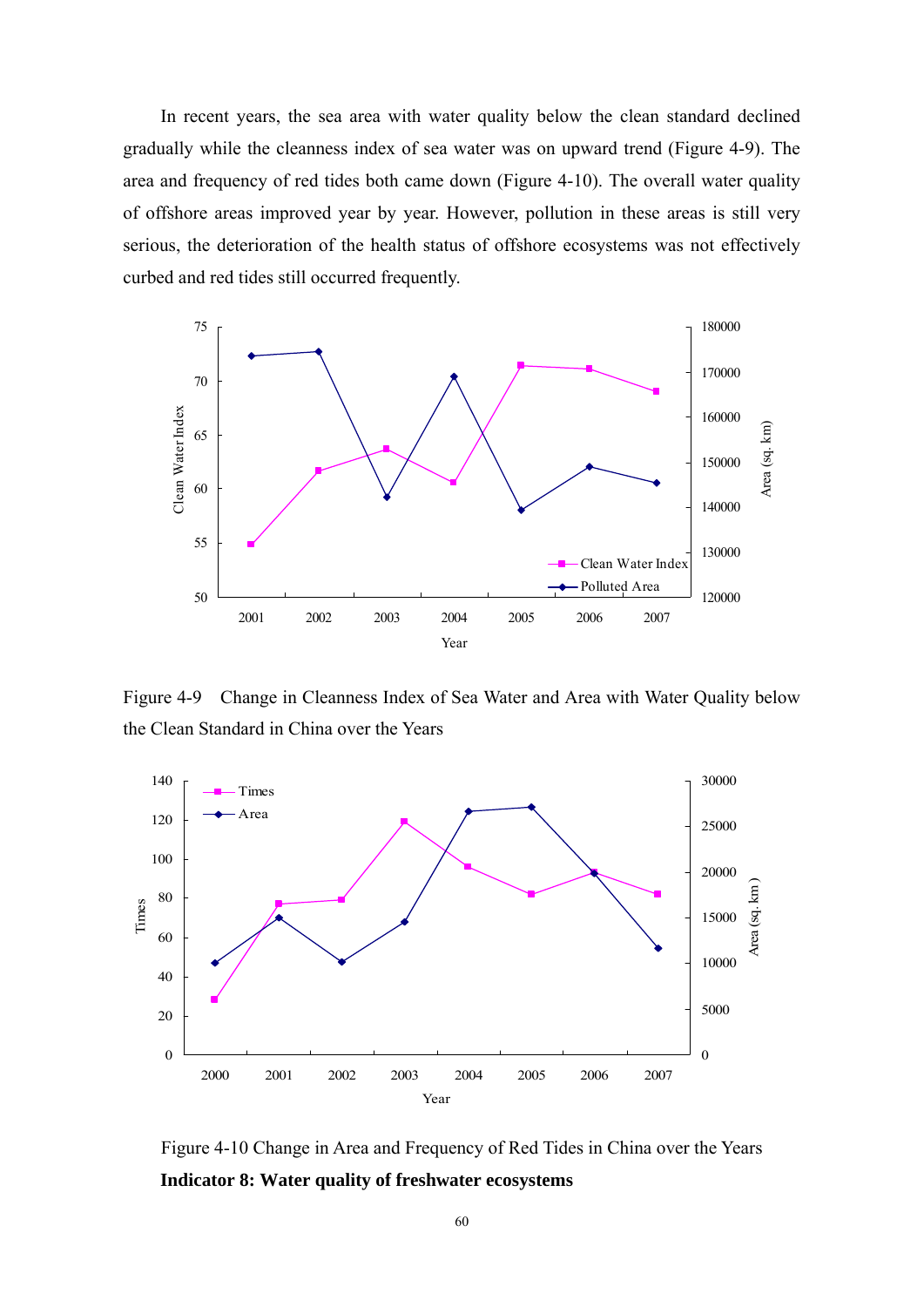In recent years, the sea area with water quality below the clean standard declined gradually while the cleanness index of sea water was on upward trend (Figure 4-9). The area and frequency of red tides both came down (Figure 4-10). The overall water quality of offshore areas improved year by year. However, pollution in these areas is still very serious, the deterioration of the health status of offshore ecosystems was not effectively curbed and red tides still occurred frequently.



Figure 4-9 Change in Cleanness Index of Sea Water and Area with Water Quality below the Clean Standard in China over the Years



Figure 4-10 Change in Area and Frequency of Red Tides in China over the Years **Indicator 8: Water quality of freshwater ecosystems**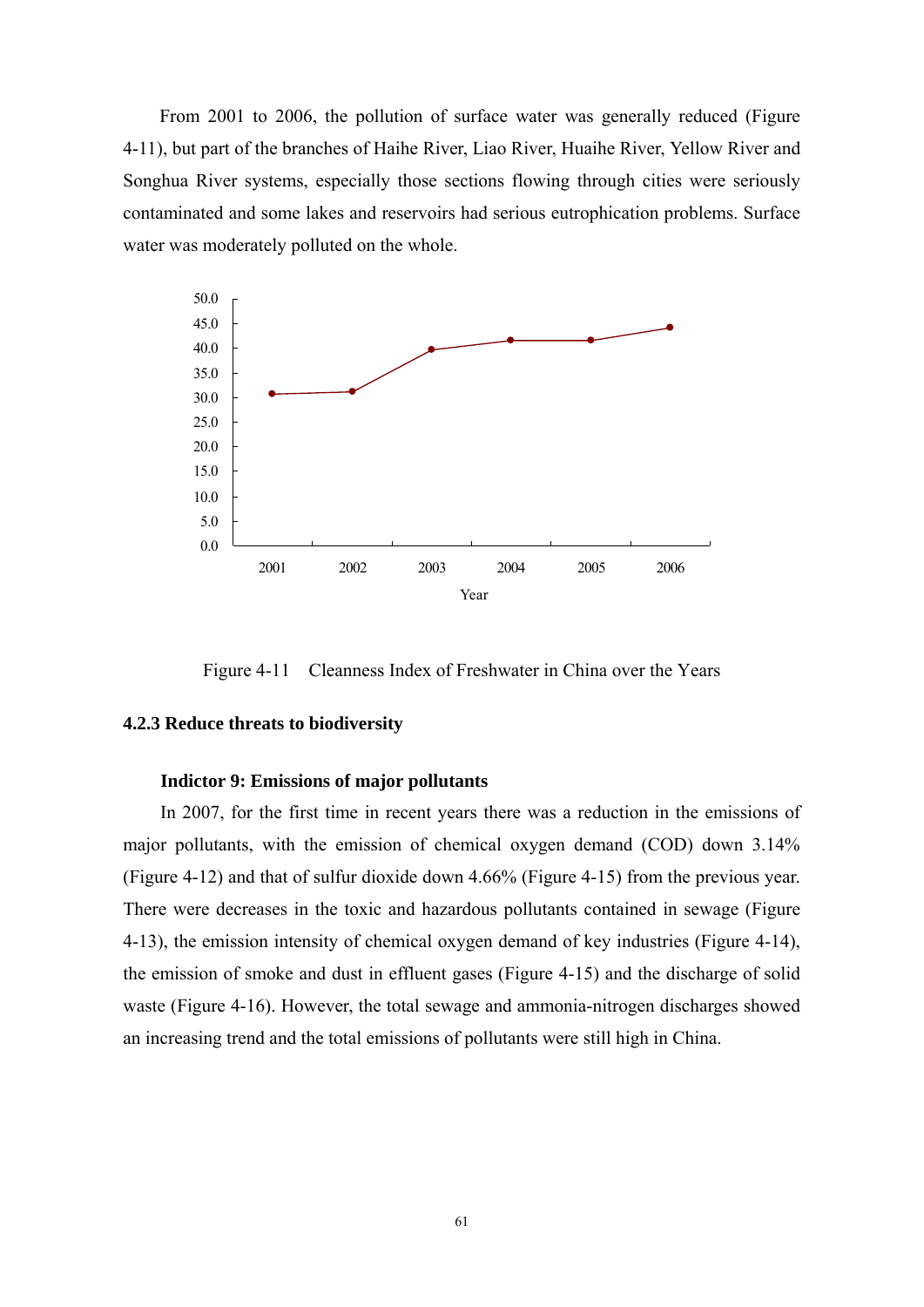From 2001 to 2006, the pollution of surface water was generally reduced (Figure 4-11), but part of the branches of Haihe River, Liao River, Huaihe River, Yellow River and Songhua River systems, especially those sections flowing through cities were seriously contaminated and some lakes and reservoirs had serious eutrophication problems. Surface water was moderately polluted on the whole.



Figure 4-11 Cleanness Index of Freshwater in China over the Years

### **4.2.3 Reduce threats to biodiversity**

### **Indictor 9: Emissions of major pollutants**

In 2007, for the first time in recent years there was a reduction in the emissions of major pollutants, with the emission of chemical oxygen demand (COD) down 3.14% (Figure 4-12) and that of sulfur dioxide down 4.66% (Figure 4-15) from the previous year. There were decreases in the toxic and hazardous pollutants contained in sewage (Figure 4-13), the emission intensity of chemical oxygen demand of key industries (Figure 4-14), the emission of smoke and dust in effluent gases (Figure 4-15) and the discharge of solid waste (Figure 4-16). However, the total sewage and ammonia-nitrogen discharges showed an increasing trend and the total emissions of pollutants were still high in China.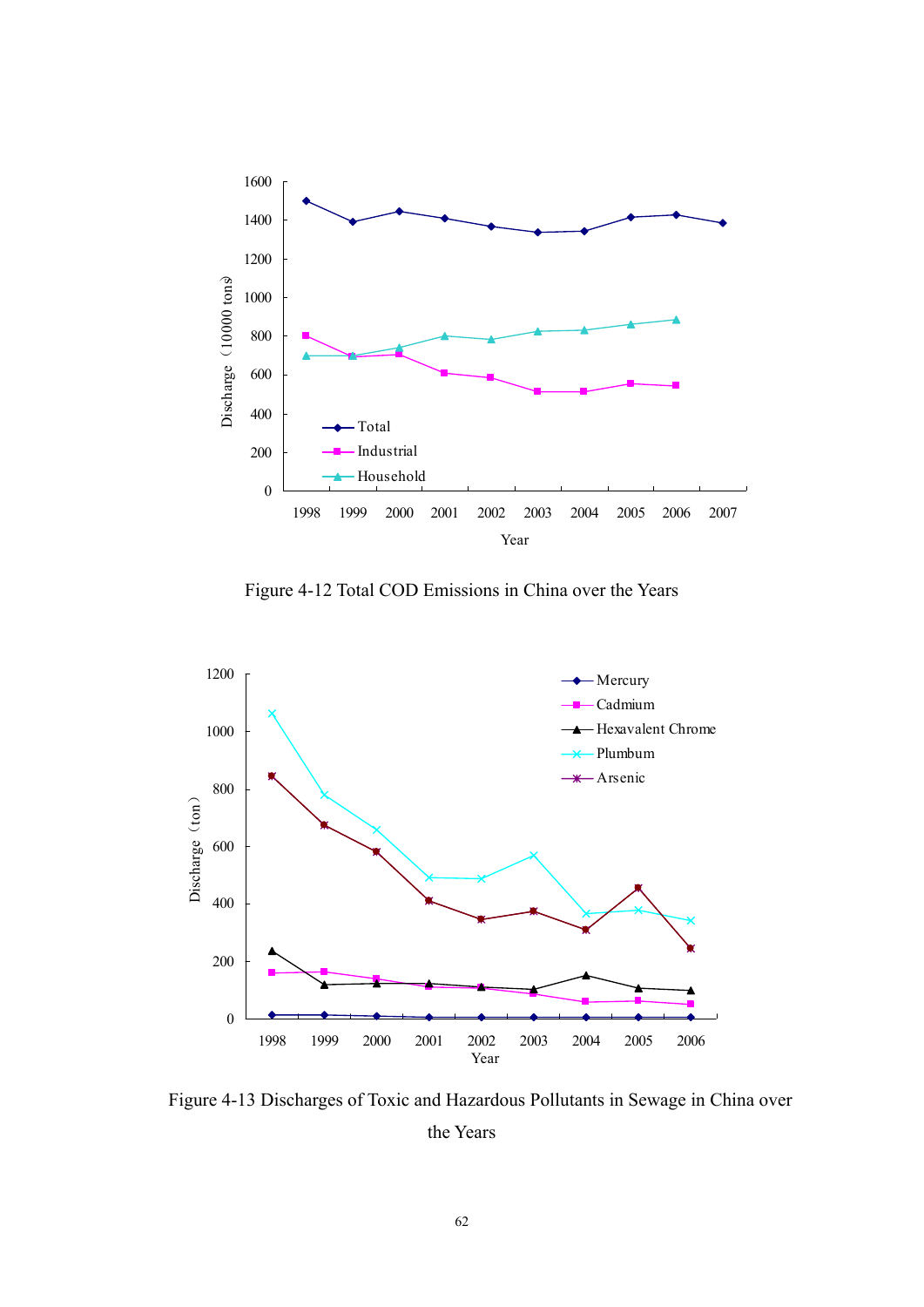

Figure 4-12 Total COD Emissions in China over the Years



Figure 4-13 Discharges of Toxic and Hazardous Pollutants in Sewage in China over the Years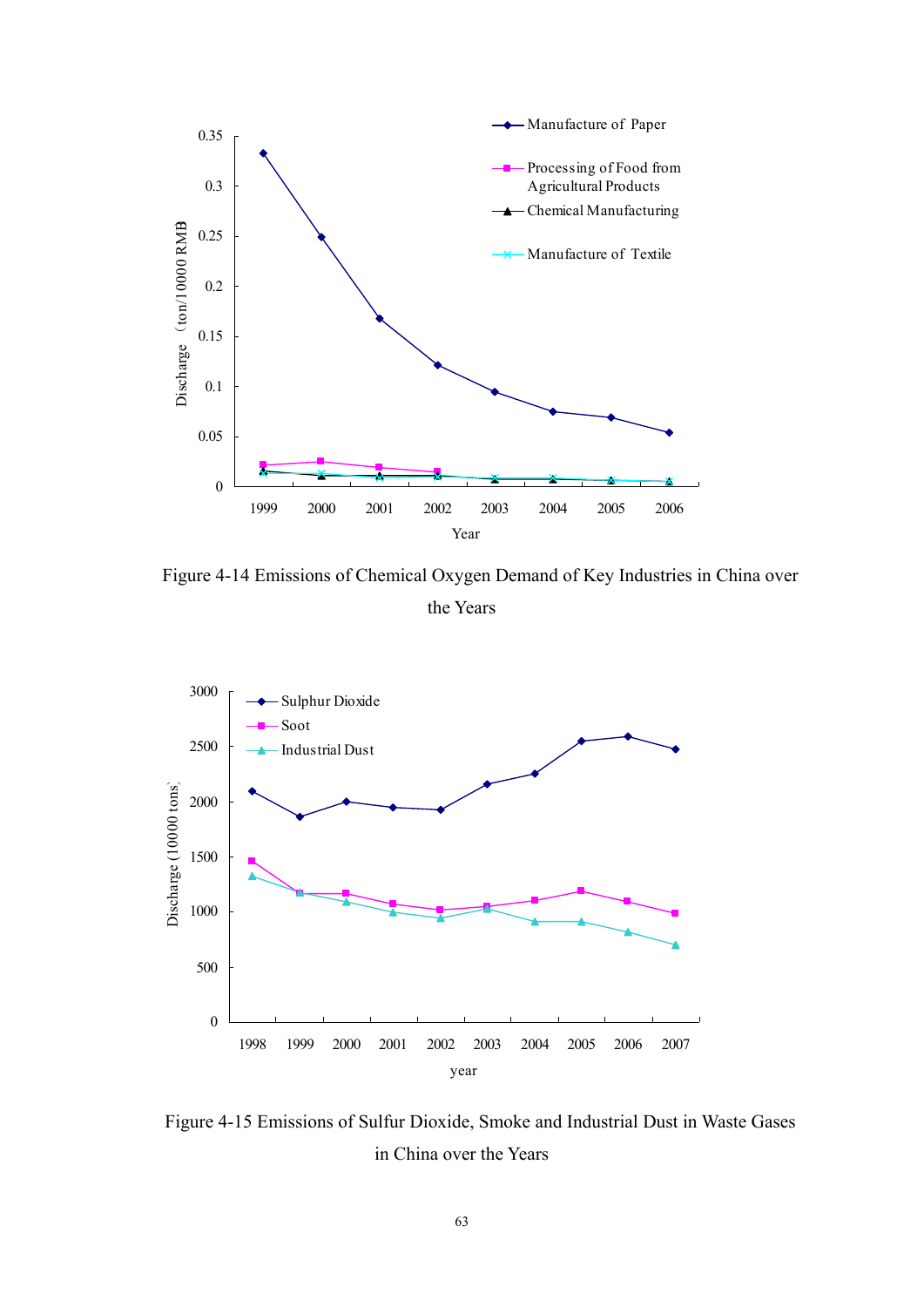

Figure 4-14 Emissions of Chemical Oxygen Demand of Key Industries in China over the Years



Figure 4-15 Emissions of Sulfur Dioxide, Smoke and Industrial Dust in Waste Gases in China over the Years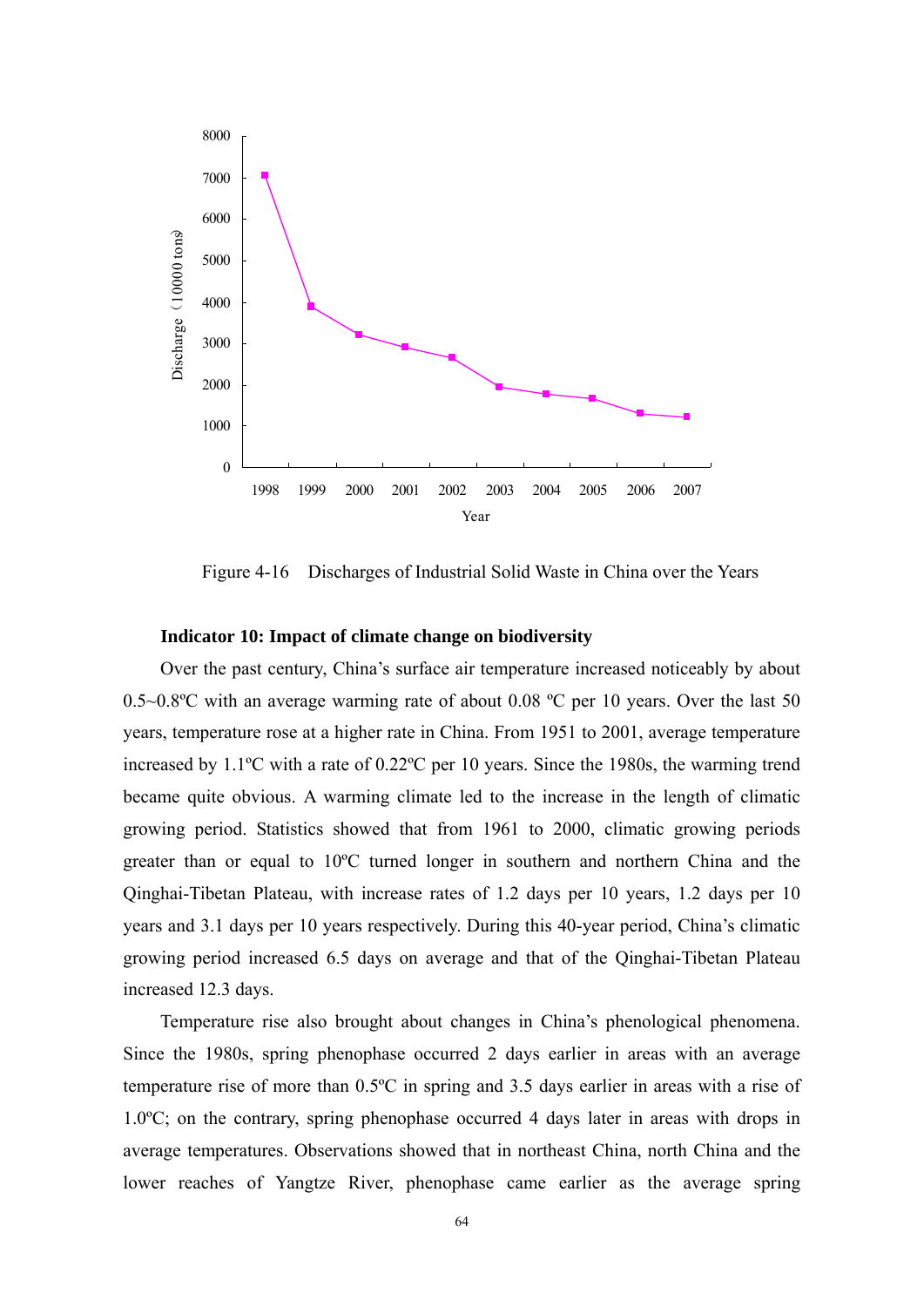

Figure 4-16 Discharges of Industrial Solid Waste in China over the Years

### **Indicator 10: Impact of climate change on biodiversity**

Over the past century, China's surface air temperature increased noticeably by about 0.5~0.8ºC with an average warming rate of about 0.08 ºC per 10 years. Over the last 50 years, temperature rose at a higher rate in China. From 1951 to 2001, average temperature increased by 1.1ºC with a rate of 0.22ºC per 10 years. Since the 1980s, the warming trend became quite obvious. A warming climate led to the increase in the length of climatic growing period. Statistics showed that from 1961 to 2000, climatic growing periods greater than or equal to 10ºC turned longer in southern and northern China and the Qinghai-Tibetan Plateau, with increase rates of 1.2 days per 10 years, 1.2 days per 10 years and 3.1 days per 10 years respectively. During this 40-year period, China's climatic growing period increased 6.5 days on average and that of the Qinghai-Tibetan Plateau increased 12.3 days.

Temperature rise also brought about changes in China's phenological phenomena. Since the 1980s, spring phenophase occurred 2 days earlier in areas with an average temperature rise of more than 0.5ºC in spring and 3.5 days earlier in areas with a rise of 1.0ºC; on the contrary, spring phenophase occurred 4 days later in areas with drops in average temperatures. Observations showed that in northeast China, north China and the lower reaches of Yangtze River, phenophase came earlier as the average spring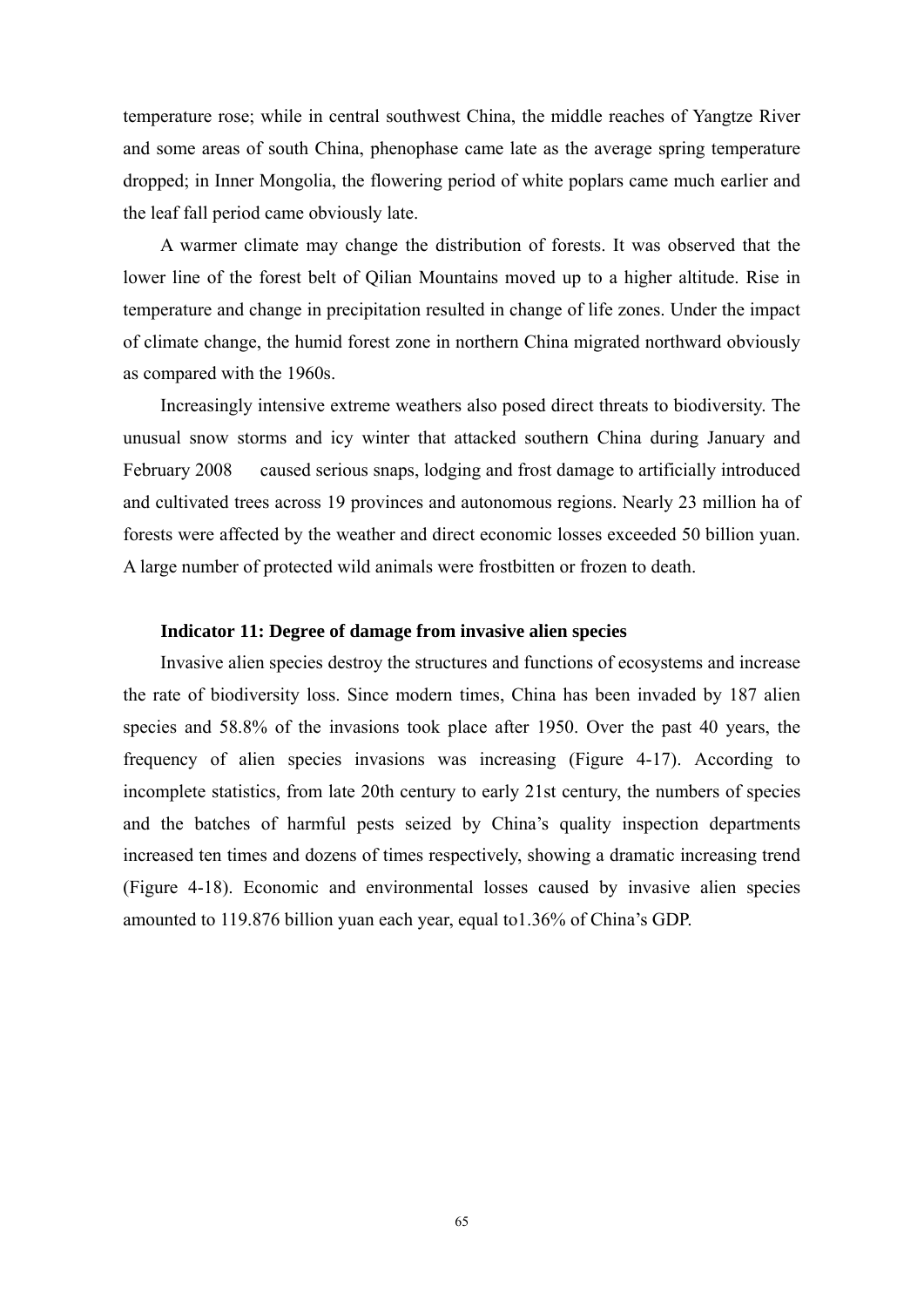temperature rose; while in central southwest China, the middle reaches of Yangtze River and some areas of south China, phenophase came late as the average spring temperature dropped; in Inner Mongolia, the flowering period of white poplars came much earlier and the leaf fall period came obviously late.

A warmer climate may change the distribution of forests. It was observed that the lower line of the forest belt of Qilian Mountains moved up to a higher altitude. Rise in temperature and change in precipitation resulted in change of life zones. Under the impact of climate change, the humid forest zone in northern China migrated northward obviously as compared with the 1960s.

Increasingly intensive extreme weathers also posed direct threats to biodiversity. The unusual snow storms and icy winter that attacked southern China during January and February 2008 caused serious snaps, lodging and frost damage to artificially introduced and cultivated trees across 19 provinces and autonomous regions. Nearly 23 million ha of forests were affected by the weather and direct economic losses exceeded 50 billion yuan. A large number of protected wild animals were frostbitten or frozen to death.

#### **Indicator 11: Degree of damage from invasive alien species**

Invasive alien species destroy the structures and functions of ecosystems and increase the rate of biodiversity loss. Since modern times, China has been invaded by 187 alien species and 58.8% of the invasions took place after 1950. Over the past 40 years, the frequency of alien species invasions was increasing (Figure 4-17). According to incomplete statistics, from late 20th century to early 21st century, the numbers of species and the batches of harmful pests seized by China's quality inspection departments increased ten times and dozens of times respectively, showing a dramatic increasing trend (Figure 4-18). Economic and environmental losses caused by invasive alien species amounted to 119.876 billion yuan each year, equal to1.36% of China's GDP.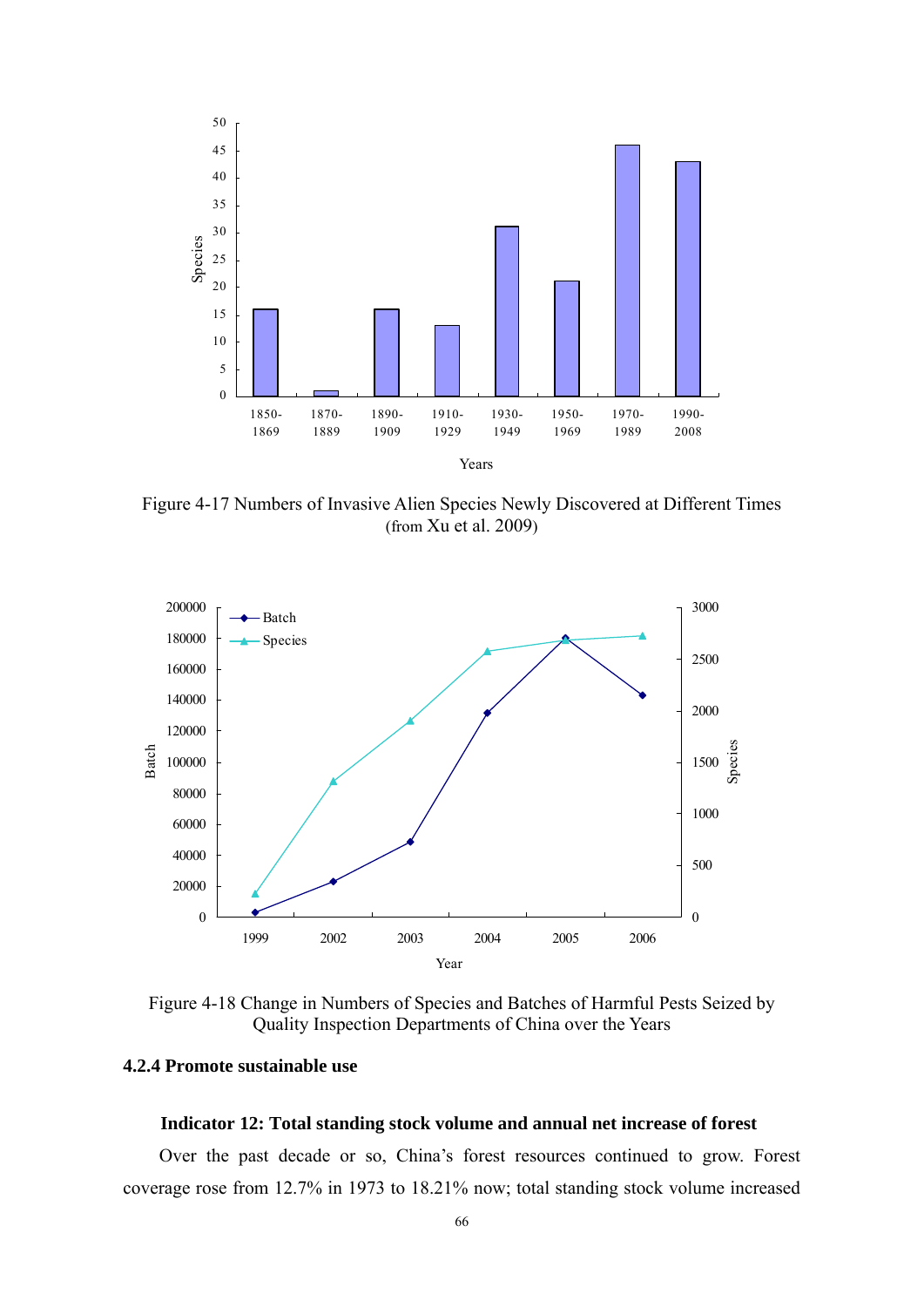

Figure 4-17 Numbers of Invasive Alien Species Newly Discovered at Different Times (from Xu et al. 2009)



Figure 4-18 Change in Numbers of Species and Batches of Harmful Pests Seized by Quality Inspection Departments of China over the Years

### **4.2.4 Promote sustainable use**

#### **Indicator 12: Total standing stock volume and annual net increase of forest**

Over the past decade or so, China's forest resources continued to grow. Forest coverage rose from 12.7% in 1973 to 18.21% now; total standing stock volume increased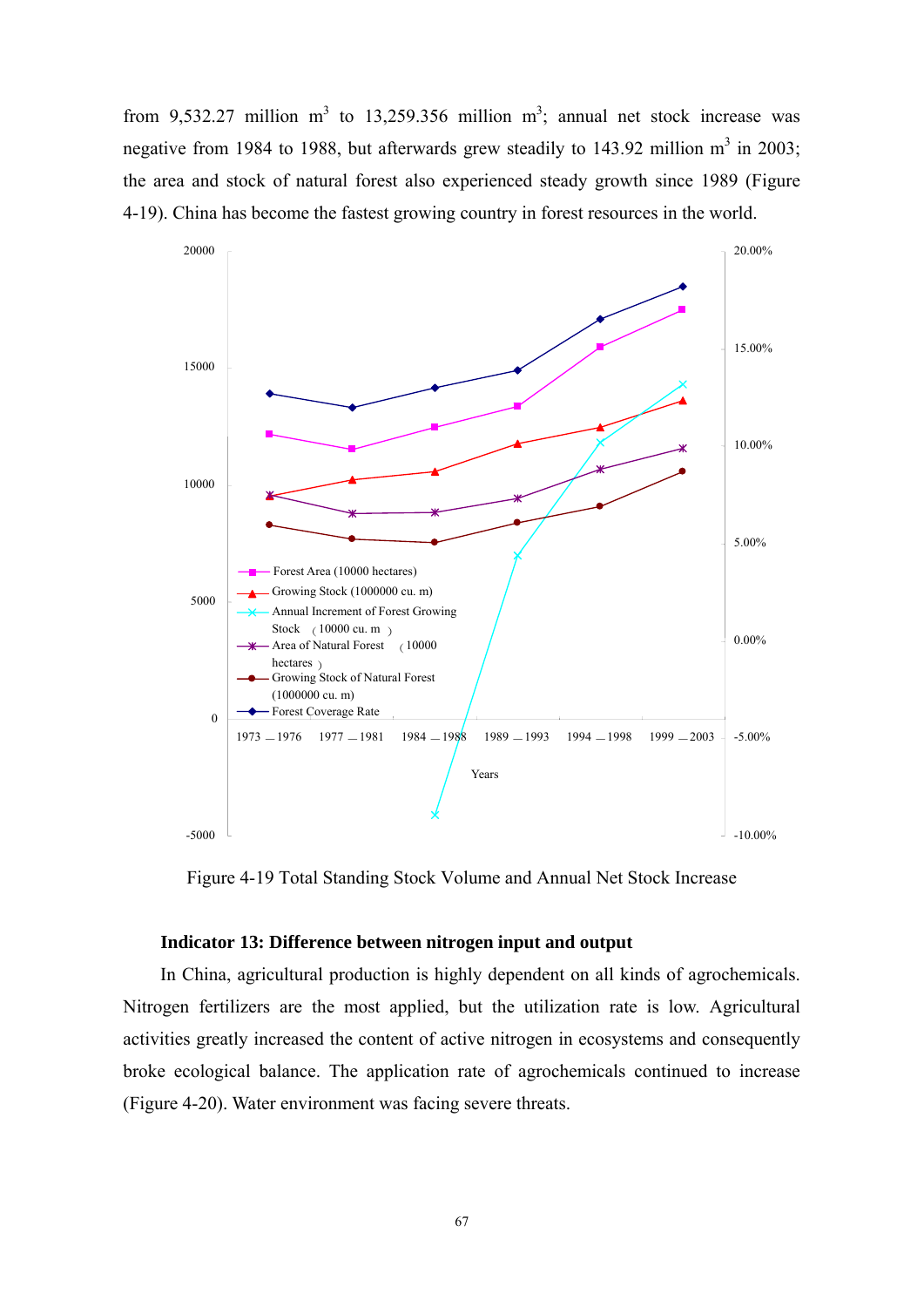from 9,532.27 million m<sup>3</sup> to 13,259.356 million m<sup>3</sup>; annual net stock increase was negative from 1984 to 1988, but afterwards grew steadily to 143.92 million  $m^3$  in 2003; the area and stock of natural forest also experienced steady growth since 1989 (Figure 4-19). China has become the fastest growing country in forest resources in the world.



Figure 4-19 Total Standing Stock Volume and Annual Net Stock Increase

### **Indicator 13: Difference between nitrogen input and output**

In China, agricultural production is highly dependent on all kinds of agrochemicals. Nitrogen fertilizers are the most applied, but the utilization rate is low. Agricultural activities greatly increased the content of active nitrogen in ecosystems and consequently broke ecological balance. The application rate of agrochemicals continued to increase (Figure 4-20). Water environment was facing severe threats.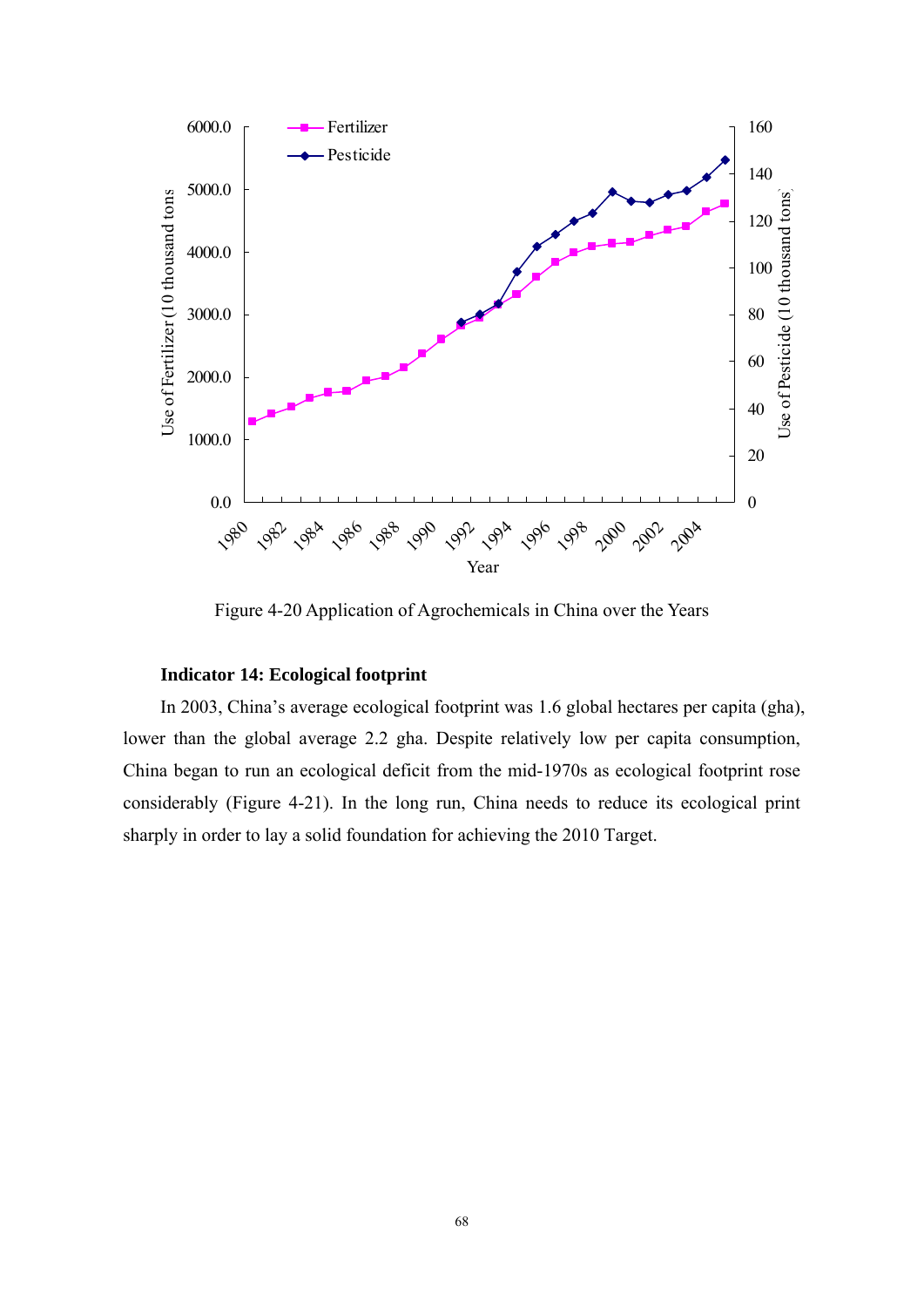

Figure 4-20 Application of Agrochemicals in China over the Years

### **Indicator 14: Ecological footprint**

In 2003, China's average ecological footprint was 1.6 global hectares per capita (gha), lower than the global average 2.2 gha. Despite relatively low per capita consumption, China began to run an ecological deficit from the mid-1970s as ecological footprint rose considerably (Figure 4-21). In the long run, China needs to reduce its ecological print sharply in order to lay a solid foundation for achieving the 2010 Target.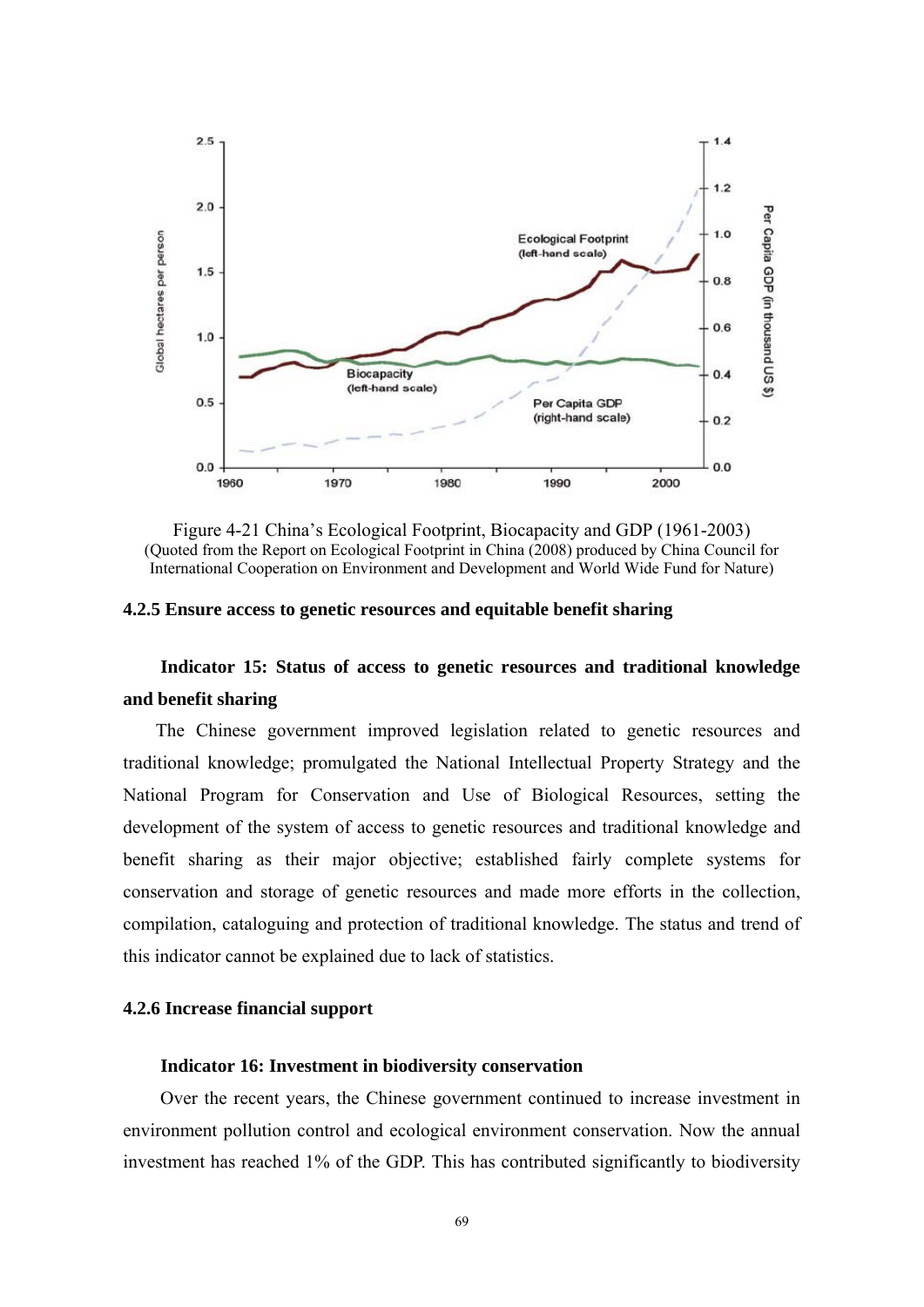

Figure 4-21 China's Ecological Footprint, Biocapacity and GDP (1961-2003) (Quoted from the Report on Ecological Footprint in China (2008) produced by China Council for International Cooperation on Environment and Development and World Wide Fund for Nature)

### **4.2.5 Ensure access to genetic resources and equitable benefit sharing**

### **Indicator 15: Status of access to genetic resources and traditional knowledge and benefit sharing**

The Chinese government improved legislation related to genetic resources and traditional knowledge; promulgated the National Intellectual Property Strategy and the National Program for Conservation and Use of Biological Resources, setting the development of the system of access to genetic resources and traditional knowledge and benefit sharing as their major objective; established fairly complete systems for conservation and storage of genetic resources and made more efforts in the collection, compilation, cataloguing and protection of traditional knowledge. The status and trend of this indicator cannot be explained due to lack of statistics.

### **4.2.6 Increase financial support**

#### **Indicator 16: Investment in biodiversity conservation**

Over the recent years, the Chinese government continued to increase investment in environment pollution control and ecological environment conservation. Now the annual investment has reached 1% of the GDP. This has contributed significantly to biodiversity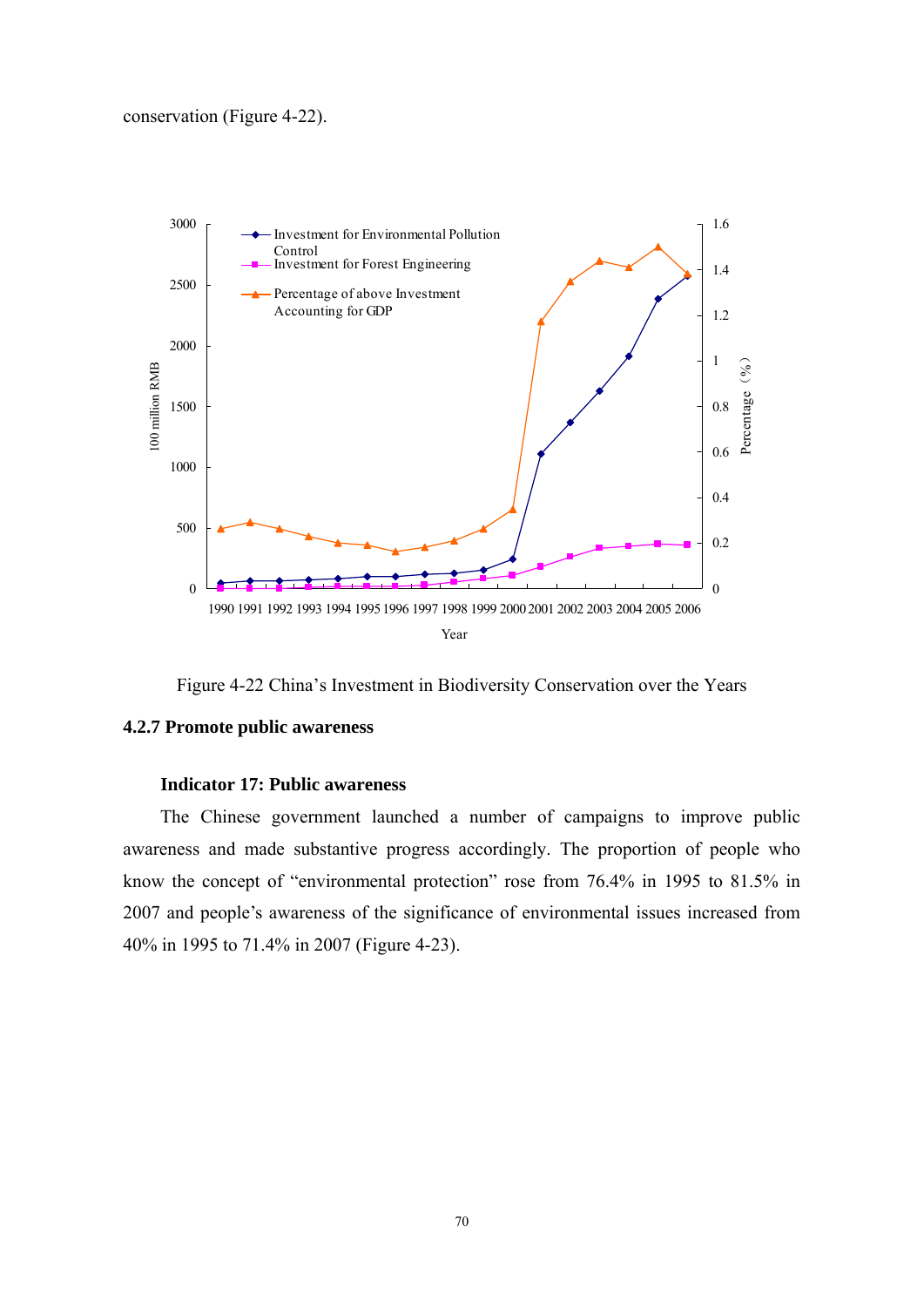

Figure 4-22 China's Investment in Biodiversity Conservation over the Years

### **4.2.7 Promote public awareness**

### **Indicator 17: Public awareness**

The Chinese government launched a number of campaigns to improve public awareness and made substantive progress accordingly. The proportion of people who know the concept of "environmental protection" rose from 76.4% in 1995 to 81.5% in 2007 and people's awareness of the significance of environmental issues increased from 40% in 1995 to 71.4% in 2007 (Figure 4-23).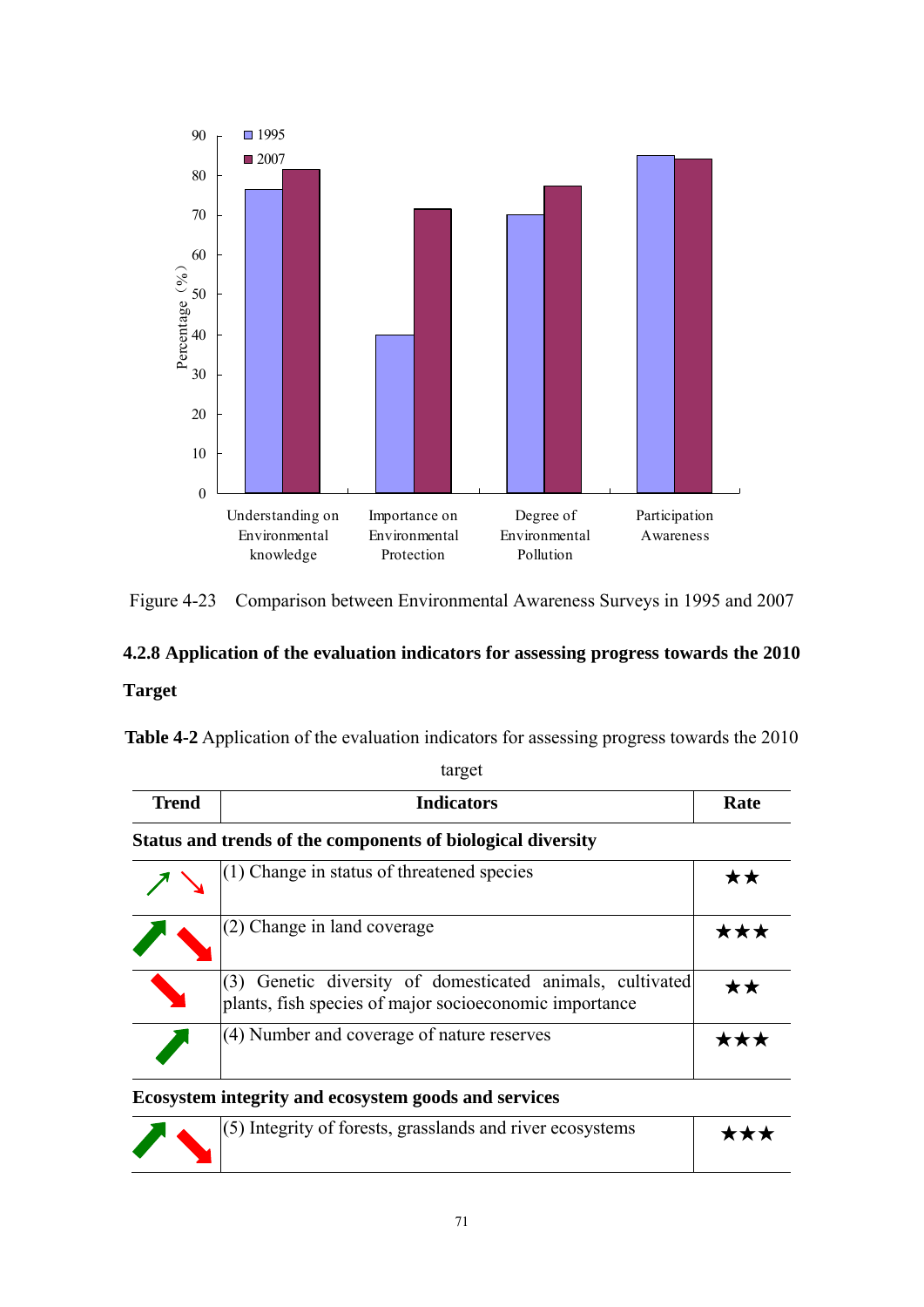

Figure 4-23 Comparison between Environmental Awareness Surveys in 1995 and 2007

## **4.2.8 Application of the evaluation indicators for assessing progress towards the 2010 Target**

**Table 4-2** Application of the evaluation indicators for assessing progress towards the 2010

| <b>Trend</b> | <b>Indicators</b>                                                                                               | Rate |
|--------------|-----------------------------------------------------------------------------------------------------------------|------|
|              | Status and trends of the components of biological diversity                                                     |      |
|              | $(1)$ Change in status of threatened species                                                                    | **   |
|              | (2) Change in land coverage                                                                                     | ***  |
|              | Genetic diversity of domesticated animals, cultivated<br>plants, fish species of major socioeconomic importance | **   |
|              | (4) Number and coverage of nature reserves                                                                      |      |

### **Ecosystem integrity and ecosystem goods and services**

|  | $(5)$ Integrity of forests, grasslands and river ecosystems | *** |
|--|-------------------------------------------------------------|-----|
|  |                                                             |     |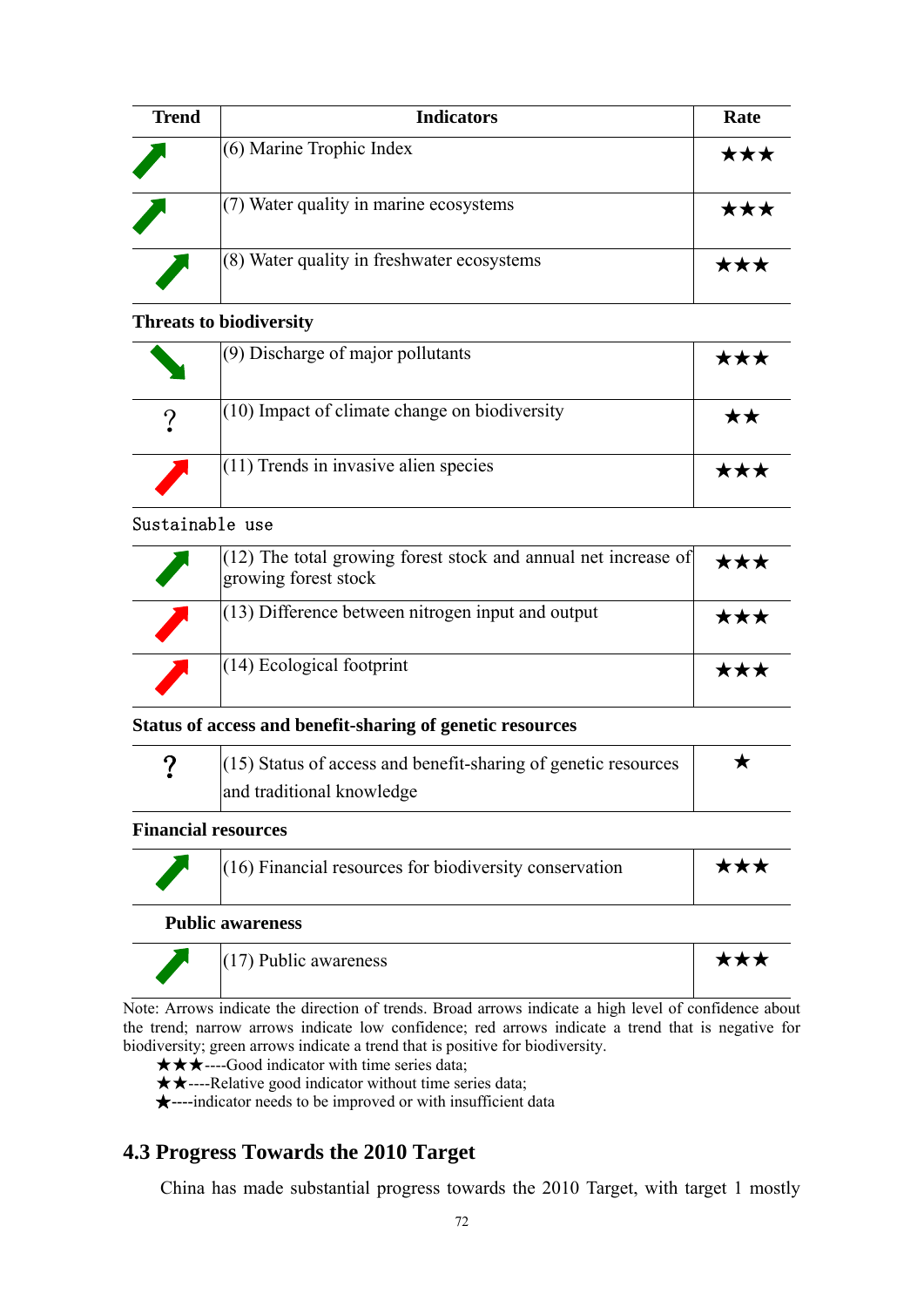| <b>Trend</b> | <b>Indicators</b>                            | Rate |
|--------------|----------------------------------------------|------|
|              | $(6)$ Marine Trophic Index                   | ★★★  |
|              | $(7)$ Water quality in marine ecosystems     | ★★   |
|              | $(8)$ Water quality in freshwater ecosystems |      |

### **Threats to biodiversity**

| $(9)$ Discharge of major pollutants             |  |
|-------------------------------------------------|--|
| $(10)$ Impact of climate change on biodiversity |  |
| $(11)$ Trends in invasive alien species         |  |

### Sustainable use

| $(12)$ The total growing forest stock and annual net increase of<br>growing forest stock | ★★★        |
|------------------------------------------------------------------------------------------|------------|
| $(13)$ Difference between nitrogen input and output                                      | ★★★        |
| $(14)$ Ecological footprint                                                              | <b>***</b> |

### **Status of access and benefit-sharing of genetic resources**

| റ | $(15)$ Status of access and benefit-sharing of genetic resources |  |
|---|------------------------------------------------------------------|--|
|   | and traditional knowledge                                        |  |

### **Financial resources**

| $(16)$ Financial resources for biodiversity conservation | ★★★ |
|----------------------------------------------------------|-----|
|                                                          |     |

### **Public awareness**

| $(17)$ Public awareness | *** |
|-------------------------|-----|
|                         |     |

Note: Arrows indicate the direction of trends. Broad arrows indicate a high level of confidence about the trend; narrow arrows indicate low confidence; red arrows indicate a trend that is negative for biodiversity; green arrows indicate a trend that is positive for biodiversity.

★★★----Good indicator with time series data;

★★----Relative good indicator without time series data;

★**----**indicator needs to be improved or with insufficient data

### **4.3 Progress Towards the 2010 Target**

China has made substantial progress towards the 2010 Target, with target 1 mostly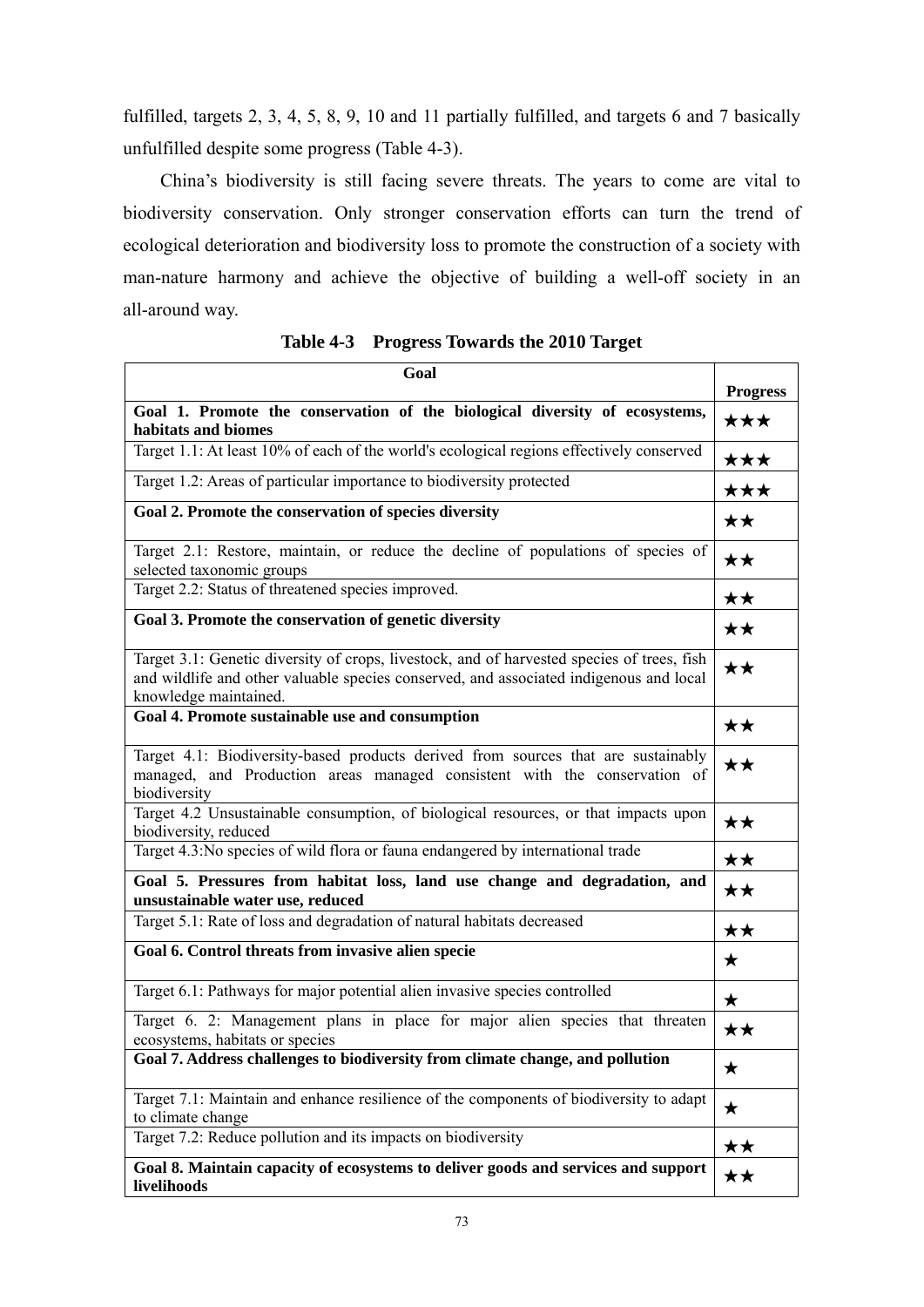fulfilled, targets 2, 3, 4, 5, 8, 9, 10 and 11 partially fulfilled, and targets 6 and 7 basically unfulfilled despite some progress (Table 4-3).

China's biodiversity is still facing severe threats. The years to come are vital to biodiversity conservation. Only stronger conservation efforts can turn the trend of ecological deterioration and biodiversity loss to promote the construction of a society with man-nature harmony and achieve the objective of building a well-off society in an all-around way.

| Goal                                                                                                                                                                                                          |                 |
|---------------------------------------------------------------------------------------------------------------------------------------------------------------------------------------------------------------|-----------------|
|                                                                                                                                                                                                               | <b>Progress</b> |
| Goal 1. Promote the conservation of the biological diversity of ecosystems,<br>habitats and biomes                                                                                                            | ★★★             |
| Target 1.1: At least 10% of each of the world's ecological regions effectively conserved                                                                                                                      | ★★★             |
| Target 1.2: Areas of particular importance to biodiversity protected                                                                                                                                          | ★★★             |
| Goal 2. Promote the conservation of species diversity                                                                                                                                                         | ★★              |
| Target 2.1: Restore, maintain, or reduce the decline of populations of species of<br>selected taxonomic groups                                                                                                | ★★              |
| Target 2.2: Status of threatened species improved.                                                                                                                                                            | ★★              |
| Goal 3. Promote the conservation of genetic diversity                                                                                                                                                         | ★★              |
| Target 3.1: Genetic diversity of crops, livestock, and of harvested species of trees, fish<br>and wildlife and other valuable species conserved, and associated indigenous and local<br>knowledge maintained. | ★★              |
| Goal 4. Promote sustainable use and consumption                                                                                                                                                               | ★★              |
| Target 4.1: Biodiversity-based products derived from sources that are sustainably<br>managed, and Production areas managed consistent with the conservation of<br>biodiversity                                | ★★              |
| Target 4.2 Unsustainable consumption, of biological resources, or that impacts upon<br>biodiversity, reduced                                                                                                  | ★★              |
| Target 4.3: No species of wild flora or fauna endangered by international trade                                                                                                                               | ★★              |
| Goal 5. Pressures from habitat loss, land use change and degradation, and<br>unsustainable water use, reduced                                                                                                 | ★★              |
| Target 5.1: Rate of loss and degradation of natural habitats decreased                                                                                                                                        | ★★              |
| Goal 6. Control threats from invasive alien specie                                                                                                                                                            | $\star$         |
| Target 6.1: Pathways for major potential alien invasive species controlled                                                                                                                                    | $\bigstar$      |
| Target 6. 2: Management plans in place for major alien species that threaten<br>ecosystems, habitats or species                                                                                               | $\star\star$    |
| Goal 7. Address challenges to biodiversity from climate change, and pollution                                                                                                                                 | ★               |
| Target 7.1: Maintain and enhance resilience of the components of biodiversity to adapt<br>to climate change                                                                                                   | $\bigstar$      |
| Target 7.2: Reduce pollution and its impacts on biodiversity                                                                                                                                                  | $\star\star$    |
| Goal 8. Maintain capacity of ecosystems to deliver goods and services and support<br>livelihoods                                                                                                              | $\star\star$    |

|  | Table 4-3 Progress Towards the 2010 Target |  |  |  |  |
|--|--------------------------------------------|--|--|--|--|
|--|--------------------------------------------|--|--|--|--|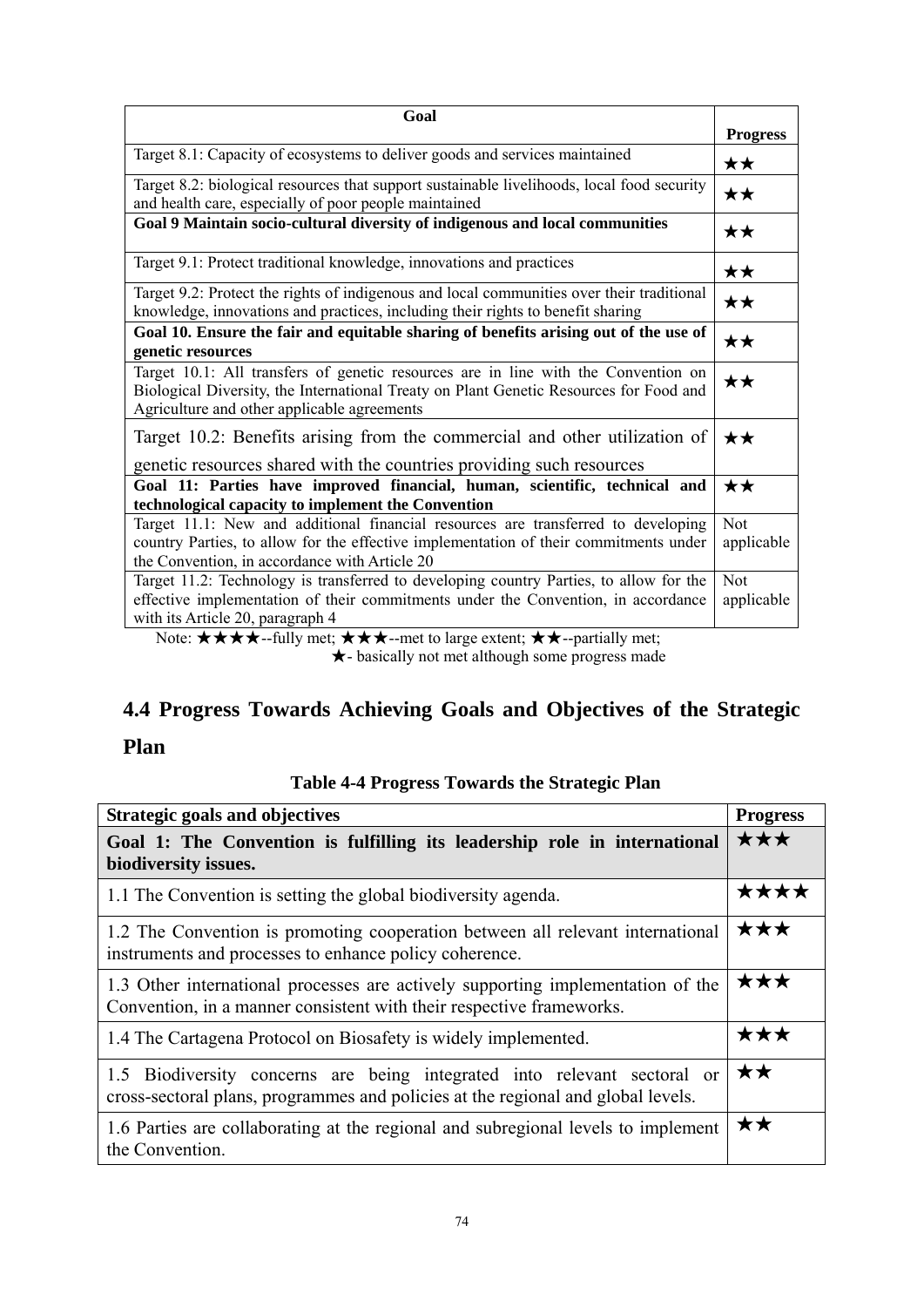| Goal                                                                                                                                                                                                                        |                          |
|-----------------------------------------------------------------------------------------------------------------------------------------------------------------------------------------------------------------------------|--------------------------|
|                                                                                                                                                                                                                             | <b>Progress</b>          |
| Target 8.1: Capacity of ecosystems to deliver goods and services maintained                                                                                                                                                 | ★★                       |
| Target 8.2: biological resources that support sustainable livelihoods, local food security<br>and health care, especially of poor people maintained                                                                         | ★★                       |
| Goal 9 Maintain socio-cultural diversity of indigenous and local communities                                                                                                                                                | ★★                       |
| Target 9.1: Protect traditional knowledge, innovations and practices                                                                                                                                                        | $\star\star$             |
| Target 9.2: Protect the rights of indigenous and local communities over their traditional<br>knowledge, innovations and practices, including their rights to benefit sharing                                                | ★★                       |
| Goal 10. Ensure the fair and equitable sharing of benefits arising out of the use of<br>genetic resources                                                                                                                   | $\star\star$             |
| Target 10.1: All transfers of genetic resources are in line with the Convention on<br>Biological Diversity, the International Treaty on Plant Genetic Resources for Food and<br>Agriculture and other applicable agreements | $\star\star$             |
| Target 10.2: Benefits arising from the commercial and other utilization of<br>genetic resources shared with the countries providing such resources                                                                          | ★★                       |
| Goal 11: Parties have improved financial, human, scientific, technical and<br>technological capacity to implement the Convention                                                                                            | ★★                       |
| Target 11.1: New and additional financial resources are transferred to developing                                                                                                                                           | Not                      |
| country Parties, to allow for the effective implementation of their commitments under                                                                                                                                       | applicable               |
| the Convention, in accordance with Article 20                                                                                                                                                                               |                          |
| Target 11.2: Technology is transferred to developing country Parties, to allow for the<br>effective implementation of their commitments under the Convention, in accordance<br>with its Article 20, paragraph 4             | <b>Not</b><br>applicable |

Note:  $\star \star \star \star$ --fully met;  $\star \star \star$ --met to large extent;  $\star \star$ --partially met; ★- basically not met although some progress made

# **4.4 Progress Towards Achieving Goals and Objectives of the Strategic**

## **Plan**

### **Table 4-4 Progress Towards the Strategic Plan**

| <b>Strategic goals and objectives</b>                                                                                                                        | <b>Progress</b> |
|--------------------------------------------------------------------------------------------------------------------------------------------------------------|-----------------|
| Goal 1: The Convention is fulfilling its leadership role in international<br>biodiversity issues.                                                            | ★★★             |
| 1.1 The Convention is setting the global biodiversity agenda.                                                                                                | ★★★★            |
| 1.2 The Convention is promoting cooperation between all relevant international<br>instruments and processes to enhance policy coherence.                     | ★★★             |
| 1.3 Other international processes are actively supporting implementation of the<br>Convention, in a manner consistent with their respective frameworks.      | ★★★             |
| 1.4 The Cartagena Protocol on Biosafety is widely implemented.                                                                                               | ★★★             |
| 1.5 Biodiversity concerns are being integrated into relevant sectoral or<br>cross-sectoral plans, programmes and policies at the regional and global levels. | $\star\star$    |
| 1.6 Parties are collaborating at the regional and subregional levels to implement<br>the Convention.                                                         | ★★              |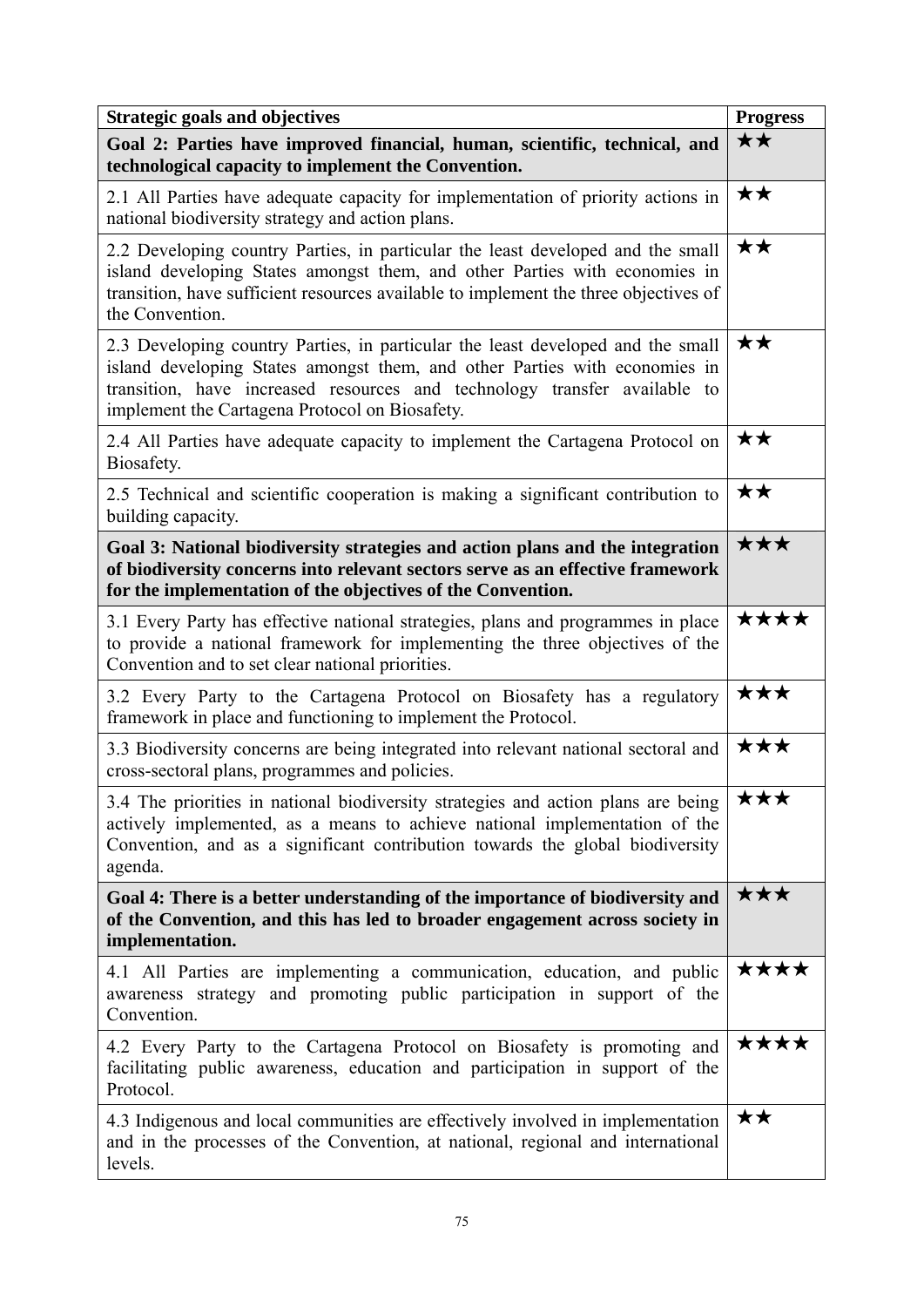| <b>Strategic goals and objectives</b>                                                                                                                                                                                                                                                        | <b>Progress</b> |
|----------------------------------------------------------------------------------------------------------------------------------------------------------------------------------------------------------------------------------------------------------------------------------------------|-----------------|
| Goal 2: Parties have improved financial, human, scientific, technical, and<br>technological capacity to implement the Convention.                                                                                                                                                            | ★★              |
| 2.1 All Parties have adequate capacity for implementation of priority actions in<br>national biodiversity strategy and action plans.                                                                                                                                                         | ★★              |
| 2.2 Developing country Parties, in particular the least developed and the small<br>island developing States amongst them, and other Parties with economies in<br>transition, have sufficient resources available to implement the three objectives of<br>the Convention.                     | ★★              |
| 2.3 Developing country Parties, in particular the least developed and the small<br>island developing States amongst them, and other Parties with economies in<br>transition, have increased resources and technology transfer available to<br>implement the Cartagena Protocol on Biosafety. | ★★              |
| 2.4 All Parties have adequate capacity to implement the Cartagena Protocol on<br>Biosafety.                                                                                                                                                                                                  | ★★              |
| 2.5 Technical and scientific cooperation is making a significant contribution to<br>building capacity.                                                                                                                                                                                       | ★★              |
| Goal 3: National biodiversity strategies and action plans and the integration<br>of biodiversity concerns into relevant sectors serve as an effective framework<br>for the implementation of the objectives of the Convention.                                                               | ★★★             |
| 3.1 Every Party has effective national strategies, plans and programmes in place<br>to provide a national framework for implementing the three objectives of the<br>Convention and to set clear national priorities.                                                                         | ****            |
| 3.2 Every Party to the Cartagena Protocol on Biosafety has a regulatory<br>framework in place and functioning to implement the Protocol.                                                                                                                                                     | ★★★             |
| 3.3 Biodiversity concerns are being integrated into relevant national sectoral and<br>cross-sectoral plans, programmes and policies.                                                                                                                                                         | ★★★             |
| 3.4 The priorities in national biodiversity strategies and action plans are being<br>actively implemented, as a means to achieve national implementation of the<br>Convention, and as a significant contribution towards the global biodiversity<br>agenda.                                  | XXX             |
| Goal 4: There is a better understanding of the importance of biodiversity and<br>of the Convention, and this has led to broader engagement across society in<br>implementation.                                                                                                              | ★★★             |
| 4.1 All Parties are implementing a communication, education, and public<br>awareness strategy and promoting public participation in support of the<br>Convention.                                                                                                                            | ****            |
| 4.2 Every Party to the Cartagena Protocol on Biosafety is promoting and<br>facilitating public awareness, education and participation in support of the<br>Protocol.                                                                                                                         | ★★★★            |
| 4.3 Indigenous and local communities are effectively involved in implementation<br>and in the processes of the Convention, at national, regional and international<br>levels.                                                                                                                | ★★              |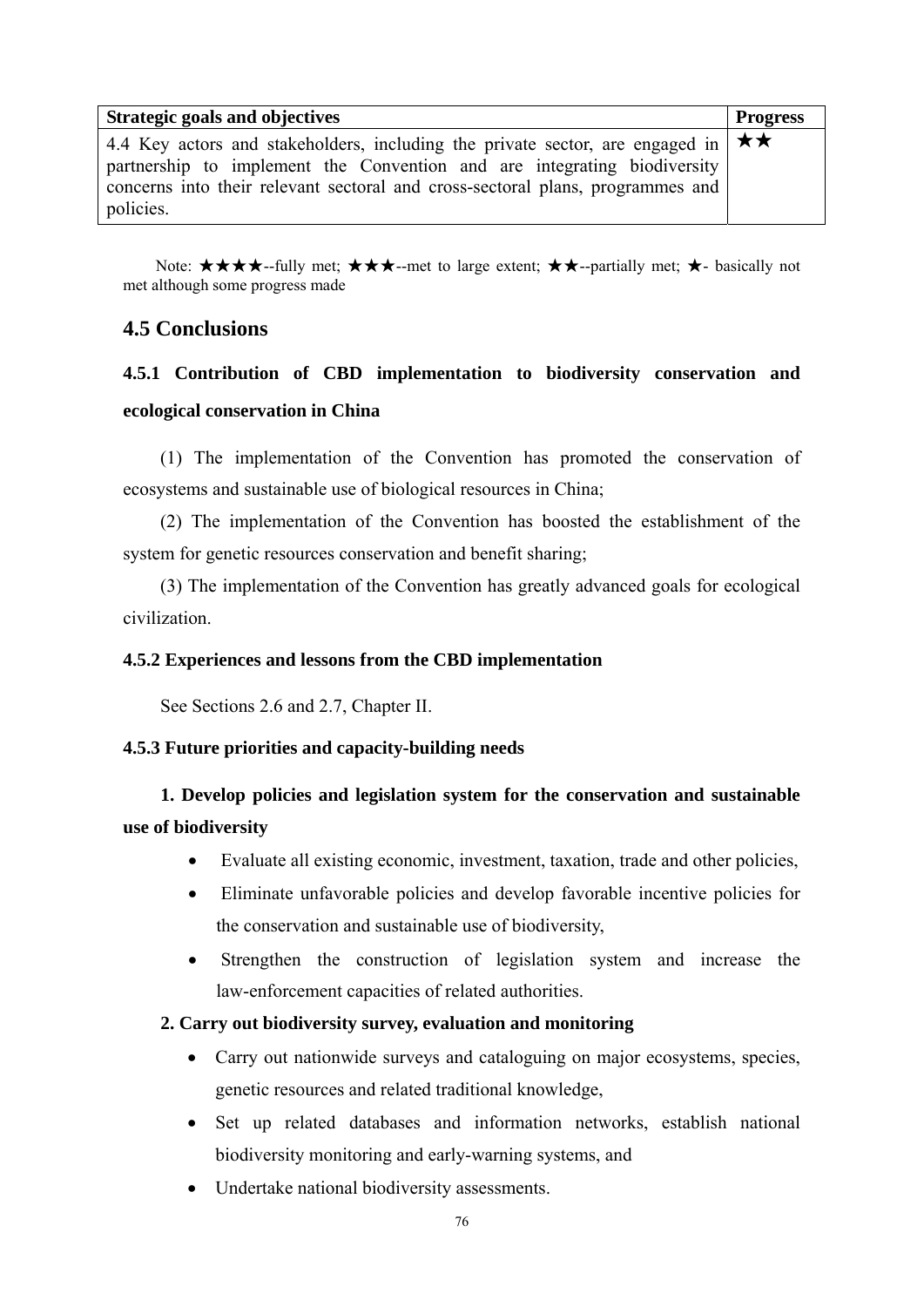| Strategic goals and objectives                                                              | <b>Progress</b> |
|---------------------------------------------------------------------------------------------|-----------------|
| 4.4 Key actors and stakeholders, including the private sector, are engaged in $\star \star$ |                 |
| partnership to implement the Convention and are integrating biodiversity                    |                 |
| concerns into their relevant sectoral and cross-sectoral plans, programmes and              |                 |
| policies.                                                                                   |                 |

Note:  $\star \star \star \star$ --fully met;  $\star \star \star$ --met to large extent;  $\star \star$ --partially met;  $\star$ - basically not met although some progress made

### **4.5 Conclusions**

## **4.5.1 Contribution of CBD implementation to biodiversity conservation and ecological conservation in China**

(1) The implementation of the Convention has promoted the conservation of ecosystems and sustainable use of biological resources in China;

 (2) The implementation of the Convention has boosted the establishment of the system for genetic resources conservation and benefit sharing;

 (3) The implementation of the Convention has greatly advanced goals for ecological civilization.

### **4.5.2 Experiences and lessons from the CBD implementation**

See Sections 2.6 and 2.7, Chapter II.

### **4.5.3 Future priorities and capacity-building needs**

## **1. Develop policies and legislation system for the conservation and sustainable use of biodiversity**

- Evaluate all existing economic, investment, taxation, trade and other policies,
- Eliminate unfavorable policies and develop favorable incentive policies for the conservation and sustainable use of biodiversity,
- Strengthen the construction of legislation system and increase the law-enforcement capacities of related authorities.

### **2. Carry out biodiversity survey, evaluation and monitoring**

- Carry out nationwide surveys and cataloguing on major ecosystems, species, genetic resources and related traditional knowledge,
- Set up related databases and information networks, establish national biodiversity monitoring and early-warning systems, and
- Undertake national biodiversity assessments.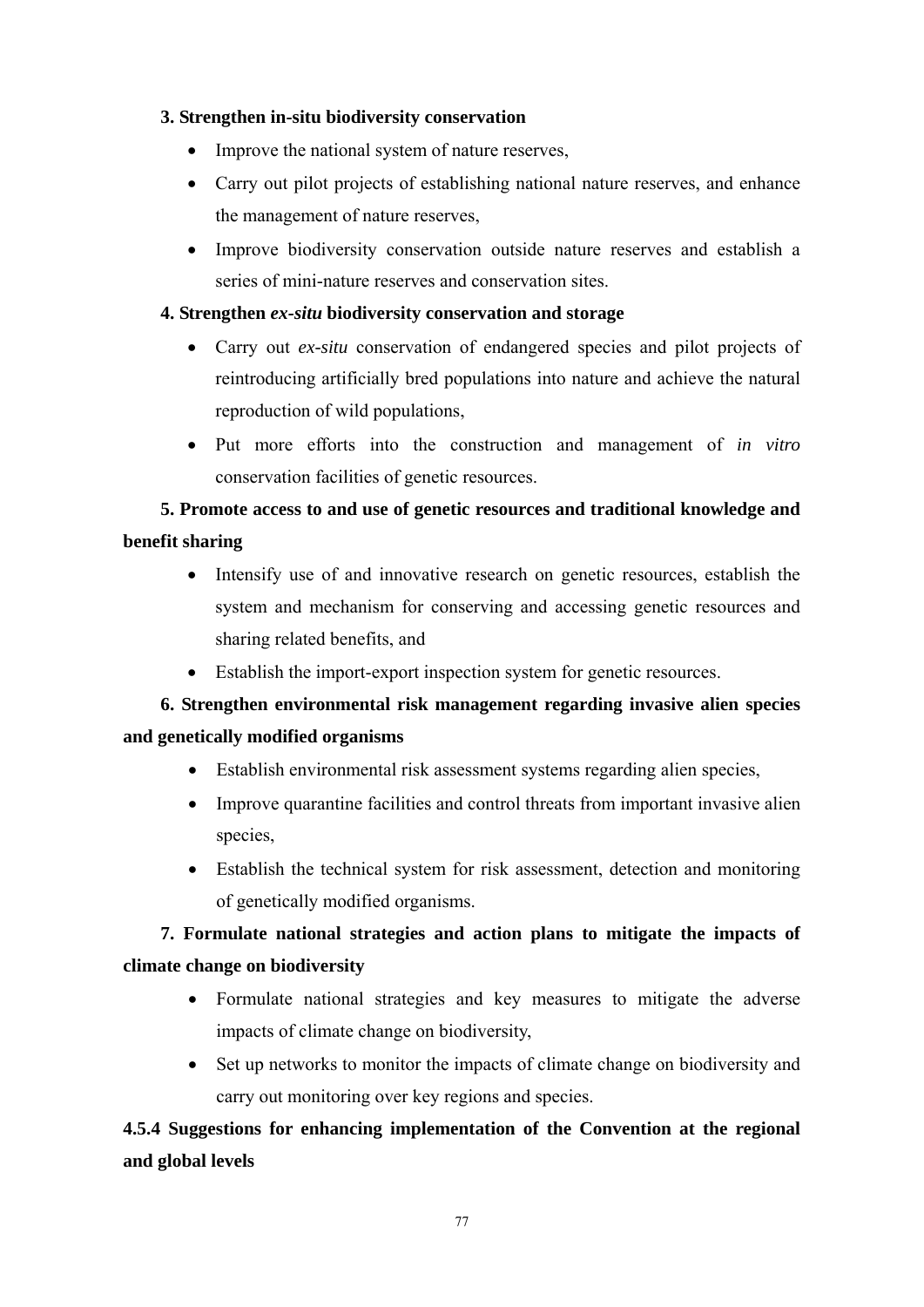### **3. Strengthen in-situ biodiversity conservation**

- Improve the national system of nature reserves,
- Carry out pilot projects of establishing national nature reserves, and enhance the management of nature reserves,
- Improve biodiversity conservation outside nature reserves and establish a series of mini-nature reserves and conservation sites.

### **4. Strengthen** *ex-situ* **biodiversity conservation and storage**

- Carry out *ex-situ* conservation of endangered species and pilot projects of reintroducing artificially bred populations into nature and achieve the natural reproduction of wild populations,
- Put more efforts into the construction and management of *in vitro* conservation facilities of genetic resources.

## **5. Promote access to and use of genetic resources and traditional knowledge and benefit sharing**

- Intensify use of and innovative research on genetic resources, establish the system and mechanism for conserving and accessing genetic resources and sharing related benefits, and
- Establish the import-export inspection system for genetic resources.

## **6. Strengthen environmental risk management regarding invasive alien species and genetically modified organisms**

- Establish environmental risk assessment systems regarding alien species,
- Improve quarantine facilities and control threats from important invasive alien species,
- Establish the technical system for risk assessment, detection and monitoring of genetically modified organisms.

## **7. Formulate national strategies and action plans to mitigate the impacts of climate change on biodiversity**

- Formulate national strategies and key measures to mitigate the adverse impacts of climate change on biodiversity,
- Set up networks to monitor the impacts of climate change on biodiversity and carry out monitoring over key regions and species.

## **4.5.4 Suggestions for enhancing implementation of the Convention at the regional and global levels**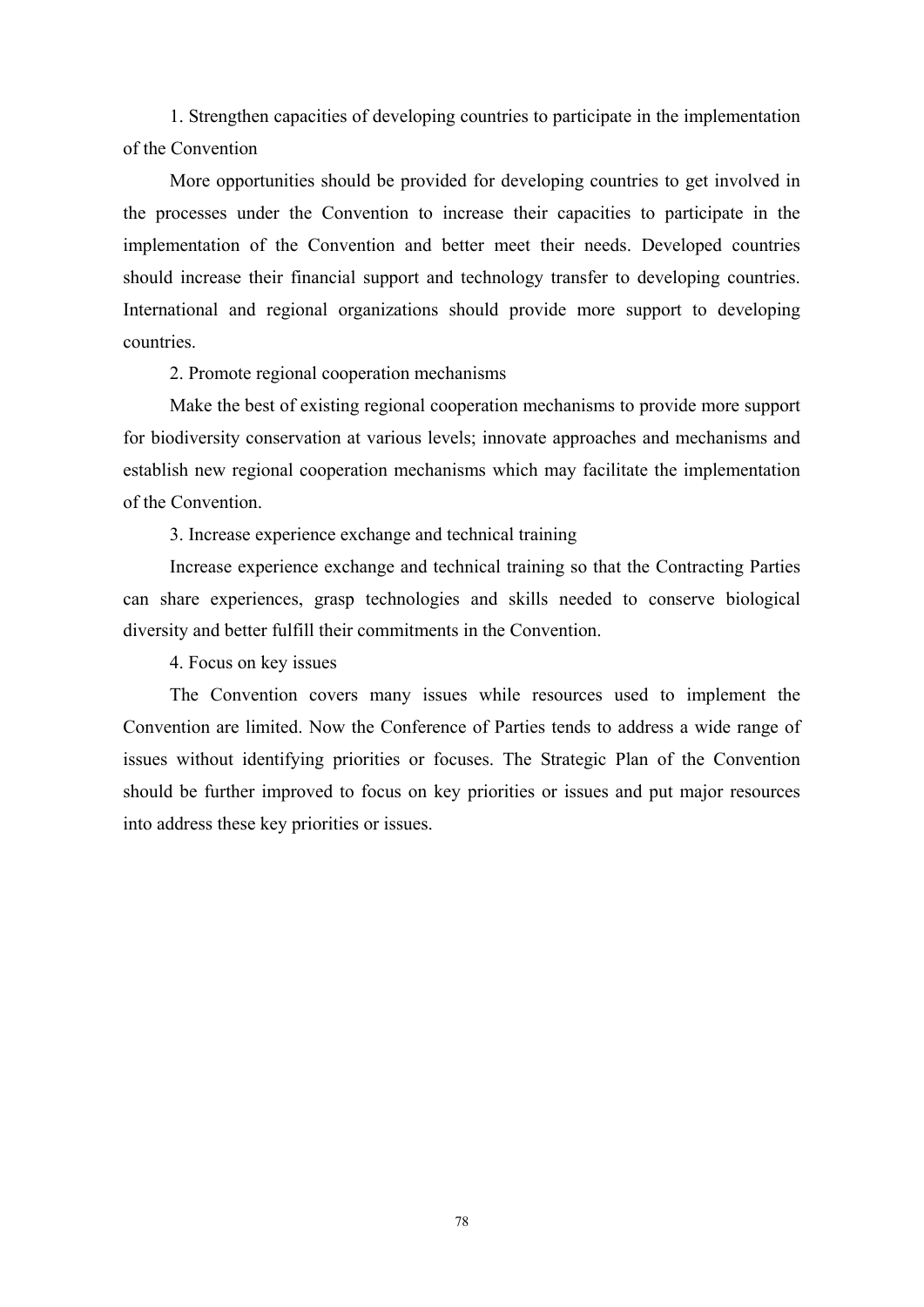1. Strengthen capacities of developing countries to participate in the implementation of the Convention

More opportunities should be provided for developing countries to get involved in the processes under the Convention to increase their capacities to participate in the implementation of the Convention and better meet their needs. Developed countries should increase their financial support and technology transfer to developing countries. International and regional organizations should provide more support to developing countries.

2. Promote regional cooperation mechanisms

Make the best of existing regional cooperation mechanisms to provide more support for biodiversity conservation at various levels; innovate approaches and mechanisms and establish new regional cooperation mechanisms which may facilitate the implementation of the Convention.

3. Increase experience exchange and technical training

Increase experience exchange and technical training so that the Contracting Parties can share experiences, grasp technologies and skills needed to conserve biological diversity and better fulfill their commitments in the Convention.

4. Focus on key issues

The Convention covers many issues while resources used to implement the Convention are limited. Now the Conference of Parties tends to address a wide range of issues without identifying priorities or focuses. The Strategic Plan of the Convention should be further improved to focus on key priorities or issues and put major resources into address these key priorities or issues.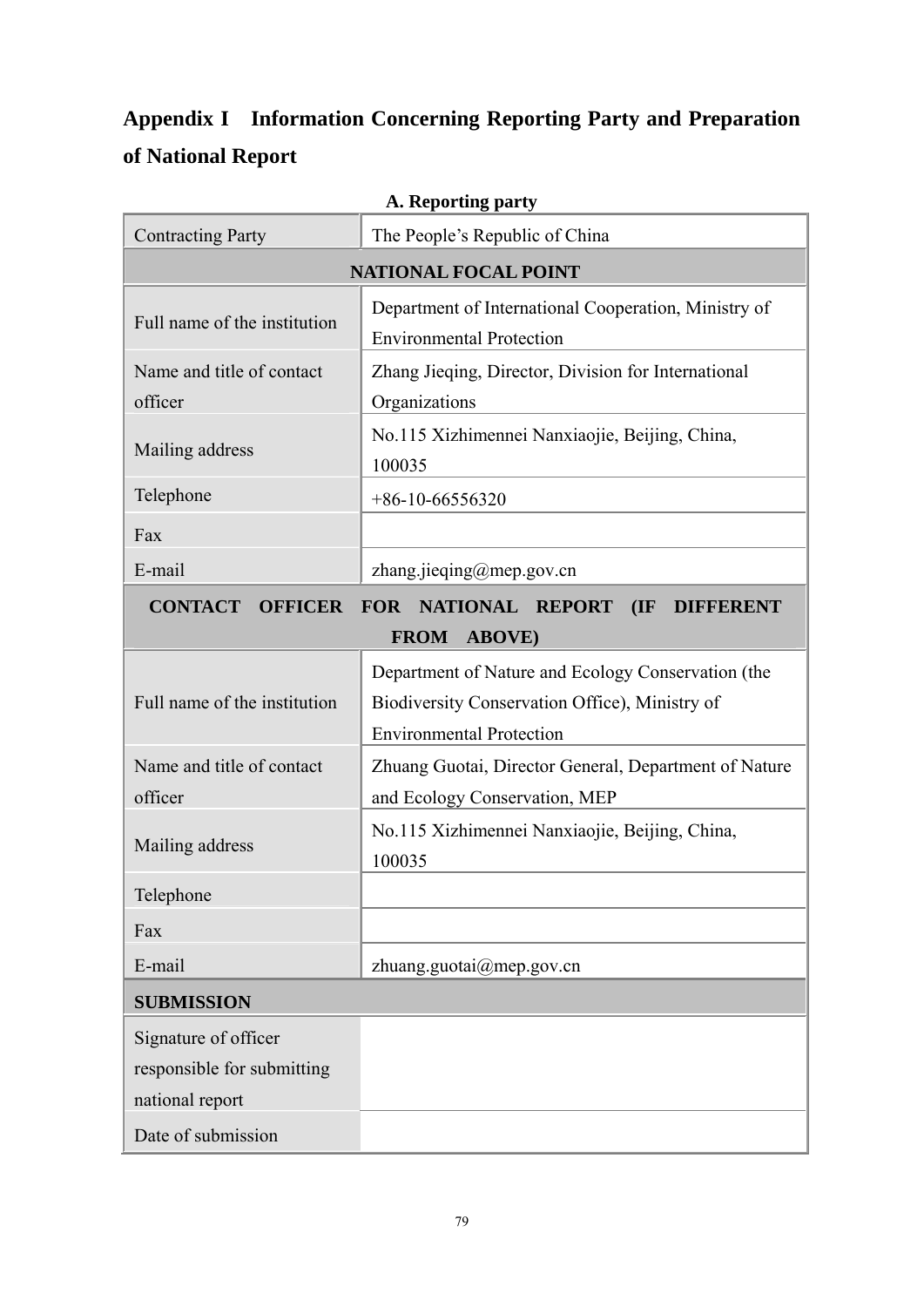# **Appendix I Information Concerning Reporting Party and Preparation of National Report**

| A. Reporting party                                                        |                                                          |  |
|---------------------------------------------------------------------------|----------------------------------------------------------|--|
| <b>Contracting Party</b>                                                  | The People's Republic of China                           |  |
|                                                                           | <b>NATIONAL FOCAL POINT</b>                              |  |
| Full name of the institution                                              | Department of International Cooperation, Ministry of     |  |
|                                                                           | <b>Environmental Protection</b>                          |  |
| Name and title of contact                                                 | Zhang Jieqing, Director, Division for International      |  |
| officer                                                                   | Organizations                                            |  |
| Mailing address                                                           | No.115 Xizhimennei Nanxiaojie, Beijing, China,<br>100035 |  |
| Telephone                                                                 | $+86-10-66556320$                                        |  |
| Fax                                                                       |                                                          |  |
| E-mail                                                                    | zhang.jieqing@mep.gov.cn                                 |  |
| <b>CONTACT OFFICER</b><br>FOR NATIONAL REPORT<br>(IF)<br><b>DIFFERENT</b> |                                                          |  |
| <b>FROM ABOVE)</b>                                                        |                                                          |  |
|                                                                           | Department of Nature and Ecology Conservation (the       |  |
| Full name of the institution                                              | Biodiversity Conservation Office), Ministry of           |  |
|                                                                           | <b>Environmental Protection</b>                          |  |
| Name and title of contact                                                 | Zhuang Guotai, Director General, Department of Nature    |  |
| officer                                                                   | and Ecology Conservation, MEP                            |  |
| Mailing address                                                           | No.115 Xizhimennei Nanxiaojie, Beijing, China,           |  |
|                                                                           | 100035                                                   |  |
| Telephone                                                                 |                                                          |  |
| Fax                                                                       |                                                          |  |
| E-mail                                                                    | zhuang.guotai@mep.gov.cn                                 |  |
| <b>SUBMISSION</b>                                                         |                                                          |  |
| Signature of officer                                                      |                                                          |  |
| responsible for submitting                                                |                                                          |  |
| national report                                                           |                                                          |  |
| Date of submission                                                        |                                                          |  |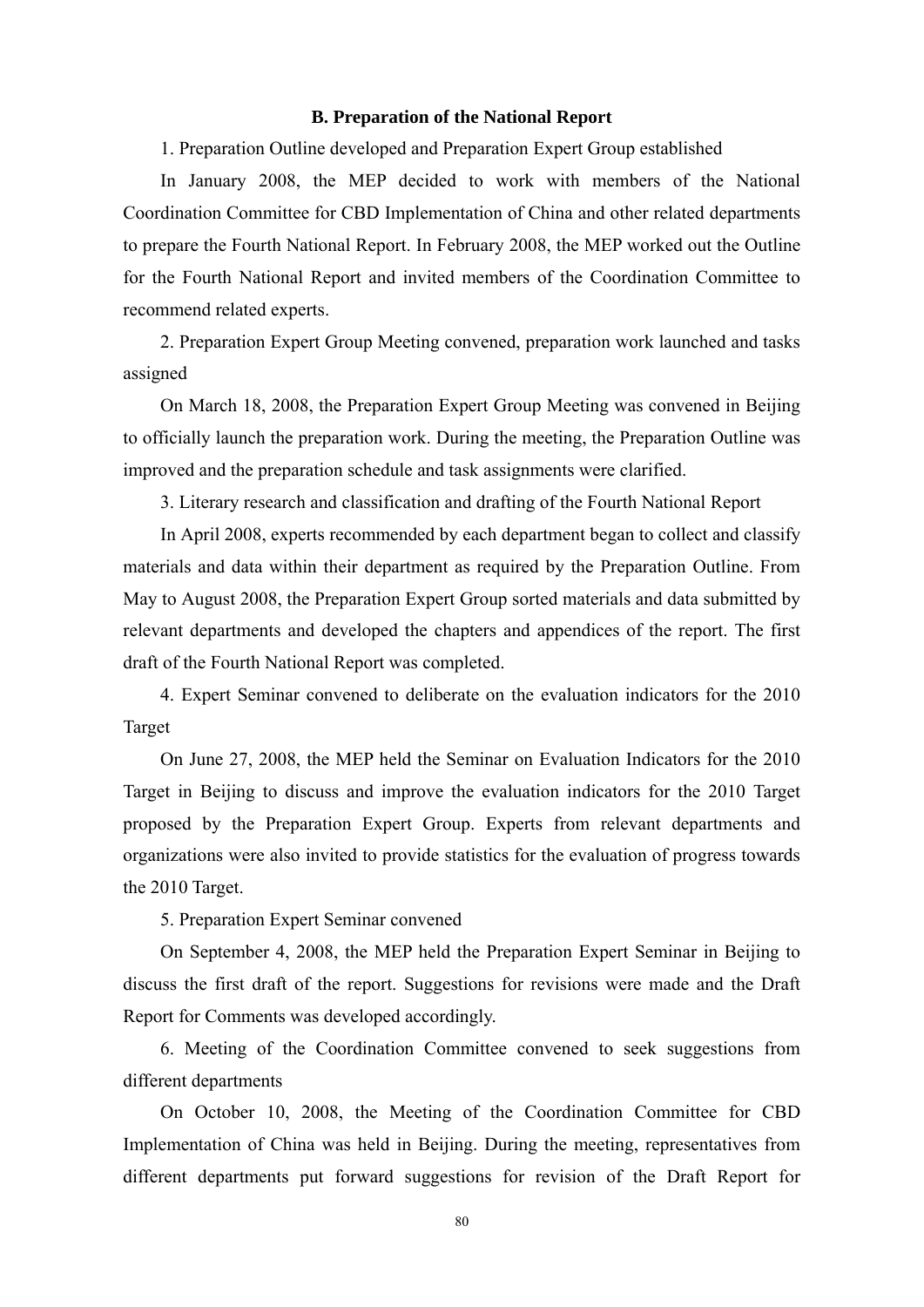### **B. Preparation of the National Report**

1. Preparation Outline developed and Preparation Expert Group established

 In January 2008, the MEP decided to work with members of the National Coordination Committee for CBD Implementation of China and other related departments to prepare the Fourth National Report. In February 2008, the MEP worked out the Outline for the Fourth National Report and invited members of the Coordination Committee to recommend related experts.

2. Preparation Expert Group Meeting convened, preparation work launched and tasks assigned

 On March 18, 2008, the Preparation Expert Group Meeting was convened in Beijing to officially launch the preparation work. During the meeting, the Preparation Outline was improved and the preparation schedule and task assignments were clarified.

3. Literary research and classification and drafting of the Fourth National Report

 In April 2008, experts recommended by each department began to collect and classify materials and data within their department as required by the Preparation Outline. From May to August 2008, the Preparation Expert Group sorted materials and data submitted by relevant departments and developed the chapters and appendices of the report. The first draft of the Fourth National Report was completed.

4. Expert Seminar convened to deliberate on the evaluation indicators for the 2010 Target

On June 27, 2008, the MEP held the Seminar on Evaluation Indicators for the 2010 Target in Beijing to discuss and improve the evaluation indicators for the 2010 Target proposed by the Preparation Expert Group. Experts from relevant departments and organizations were also invited to provide statistics for the evaluation of progress towards the 2010 Target.

5. Preparation Expert Seminar convened

On September 4, 2008, the MEP held the Preparation Expert Seminar in Beijing to discuss the first draft of the report. Suggestions for revisions were made and the Draft Report for Comments was developed accordingly.

6. Meeting of the Coordination Committee convened to seek suggestions from different departments

On October 10, 2008, the Meeting of the Coordination Committee for CBD Implementation of China was held in Beijing. During the meeting, representatives from different departments put forward suggestions for revision of the Draft Report for

80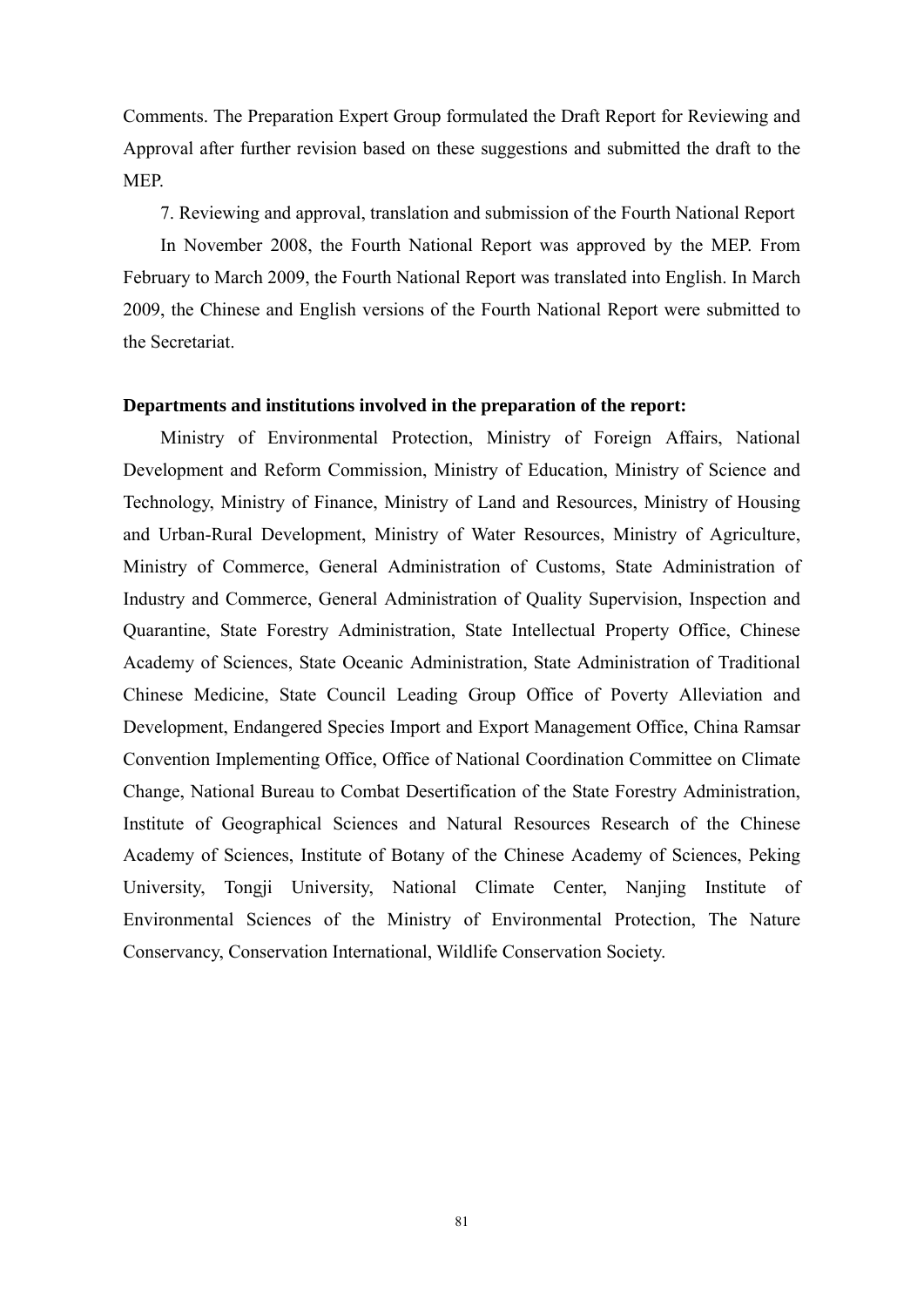Comments. The Preparation Expert Group formulated the Draft Report for Reviewing and Approval after further revision based on these suggestions and submitted the draft to the MEP.

7. Reviewing and approval, translation and submission of the Fourth National Report

In November 2008, the Fourth National Report was approved by the MEP. From February to March 2009, the Fourth National Report was translated into English. In March 2009, the Chinese and English versions of the Fourth National Report were submitted to the Secretariat.

#### **Departments and institutions involved in the preparation of the report:**

Ministry of Environmental Protection, Ministry of Foreign Affairs, National Development and Reform Commission, Ministry of Education, Ministry of Science and Technology, Ministry of Finance, Ministry of Land and Resources, Ministry of Housing and Urban-Rural Development, Ministry of Water Resources, Ministry of Agriculture, Ministry of Commerce, General Administration of Customs, State Administration of Industry and Commerce, General Administration of Quality Supervision, Inspection and Quarantine, State Forestry Administration, State Intellectual Property Office, Chinese Academy of Sciences, State Oceanic Administration, State Administration of Traditional Chinese Medicine, State Council Leading Group Office of Poverty Alleviation and Development, Endangered Species Import and Export Management Office, China Ramsar Convention Implementing Office, Office of National Coordination Committee on Climate Change, National Bureau to Combat Desertification of the State Forestry Administration, Institute of Geographical Sciences and Natural Resources Research of the Chinese Academy of Sciences, Institute of Botany of the Chinese Academy of Sciences, Peking University, Tongji University, National Climate Center, Nanjing Institute of Environmental Sciences of the Ministry of Environmental Protection, The Nature Conservancy, Conservation International, Wildlife Conservation Society.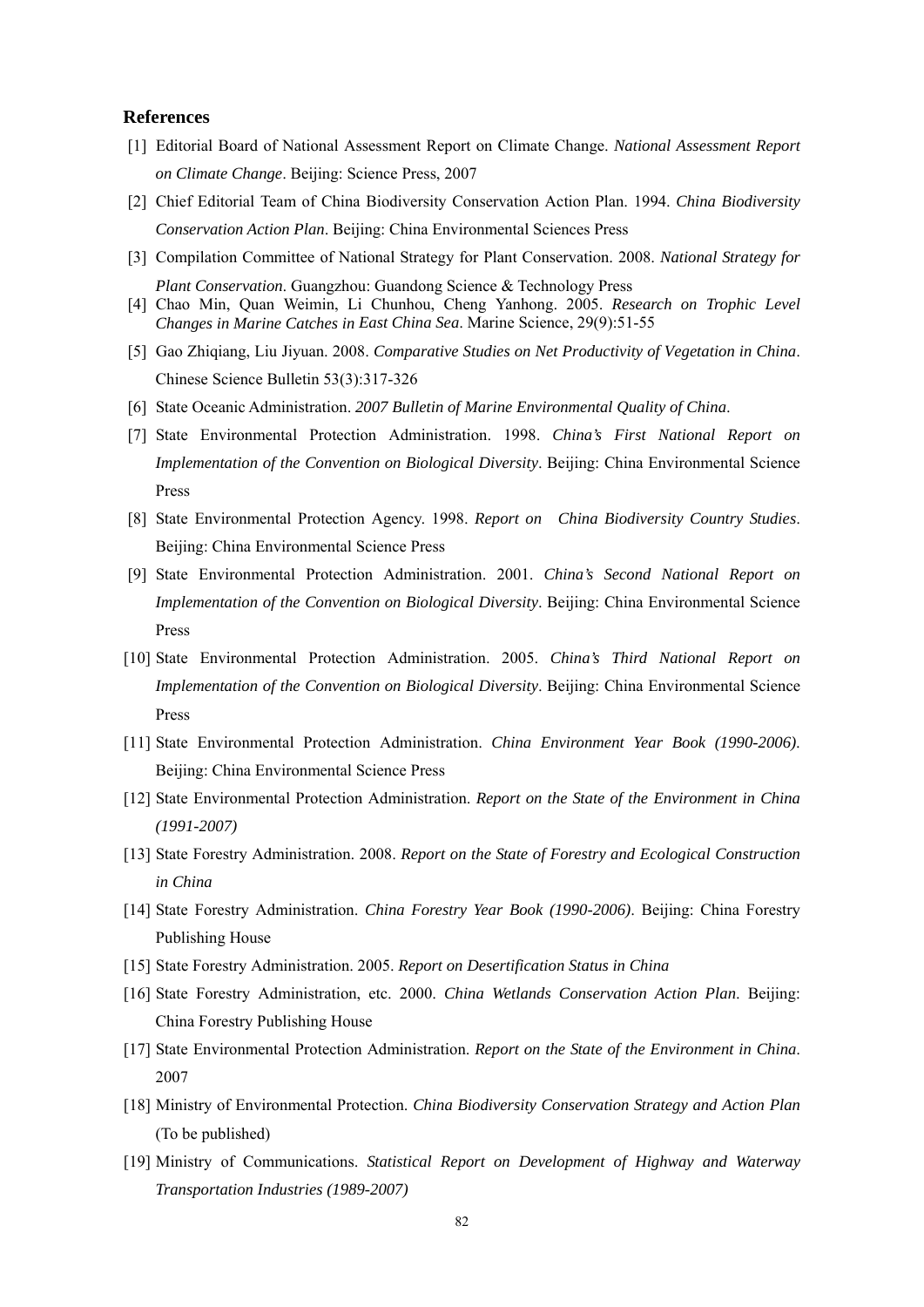#### **References**

- [1] Editorial Board of National Assessment Report on Climate Change. *National Assessment Report on Climate Change*. Beijing: Science Press, 2007
- [2] Chief Editorial Team of China Biodiversity Conservation Action Plan. 1994. *China Biodiversity Conservation Action Plan*. Beijing: China Environmental Sciences Press
- [3] Compilation Committee of National Strategy for Plant Conservation. 2008. *National Strategy for Plant Conservation*. Guangzhou: Guandong Science & Technology Press
- [4] Chao Min, Quan Weimin, Li Chunhou, Cheng Yanhong. 2005. *Research on Trophic Level Changes in Marine Catches in East China Sea*. Marine Science, 29(9):51-55
- [5] Gao Zhiqiang, Liu Jiyuan. 2008. *Comparative Studies on Net Productivity of Vegetation in China*. Chinese Science Bulletin 53(3):317-326
- [6] State Oceanic Administration. *2007 Bulletin of Marine Environmental Quality of China*.
- [7] State Environmental Protection Administration. 1998. *China's First National Report on Implementation of the Convention on Biological Diversity*. Beijing: China Environmental Science Press
- [8] State Environmental Protection Agency. 1998. *Report on China Biodiversity Country Studies*. Beijing: China Environmental Science Press
- [9] State Environmental Protection Administration. 2001. *China's Second National Report on Implementation of the Convention on Biological Diversity*. Beijing: China Environmental Science Press
- [10] State Environmental Protection Administration. 2005. *China's Third National Report on Implementation of the Convention on Biological Diversity*. Beijing: China Environmental Science Press
- [11] State Environmental Protection Administration. *China Environment Year Book (1990-2006)*. Beijing: China Environmental Science Press
- [12] State Environmental Protection Administration. *Report on the State of the Environment in China (1991-2007)*
- [13] State Forestry Administration. 2008. *Report on the State of Forestry and Ecological Construction in China*
- [14] State Forestry Administration. *China Forestry Year Book (1990-2006)*. Beijing: China Forestry Publishing House
- [15] State Forestry Administration. 2005. *Report on Desertification Status in China*
- [16] State Forestry Administration, etc. 2000. *China Wetlands Conservation Action Plan*. Beijing: China Forestry Publishing House
- [17] State Environmental Protection Administration. *Report on the State of the Environment in China*. 2007
- [18] Ministry of Environmental Protection. *China Biodiversity Conservation Strategy and Action Plan* (To be published)
- [19] Ministry of Communications. *Statistical Report on Development of Highway and Waterway Transportation Industries (1989-2007)*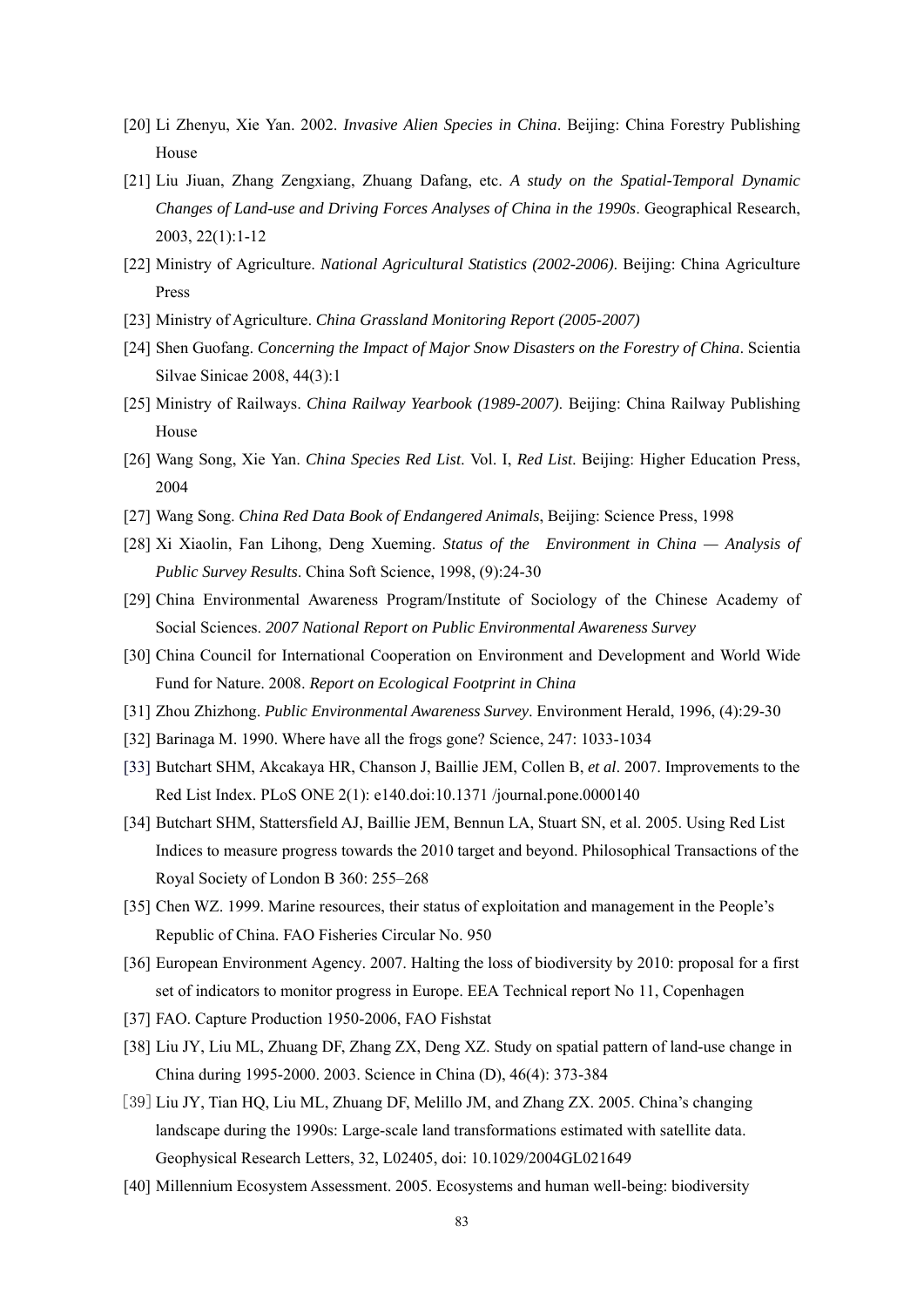- [20] Li Zhenyu, Xie Yan. 2002. *Invasive Alien Species in China*. Beijing: China Forestry Publishing House
- [21] Liu Jiuan, Zhang Zengxiang, Zhuang Dafang, etc. *A study on the Spatial-Temporal Dynamic Changes of Land-use and Driving Forces Analyses of China in the 1990s*. Geographical Research, 2003, 22(1):1-12
- [22] Ministry of Agriculture. *National Agricultural Statistics (2002-2006)*. Beijing: China Agriculture Press
- [23] Ministry of Agriculture. *China Grassland Monitoring Report (2005-2007)*
- [24] Shen Guofang. *Concerning the Impact of Major Snow Disasters on the Forestry of China*. Scientia Silvae Sinicae 2008, 44(3):1
- [25] Ministry of Railways. *China Railway Yearbook (1989-2007)*. Beijing: China Railway Publishing House
- [26] Wang Song, Xie Yan. *China Species Red List*. Vol. I, *Red List*. Beijing: Higher Education Press, 2004
- [27] Wang Song. *China Red Data Book of Endangered Animals*, Beijing: Science Press, 1998
- [28] Xi Xiaolin, Fan Lihong, Deng Xueming. *Status of the Environment in China Analysis of Public Survey Results*. China Soft Science, 1998, (9):24-30
- [29] China Environmental Awareness Program/Institute of Sociology of the Chinese Academy of Social Sciences. *2007 National Report on Public Environmental Awareness Survey*
- [30] China Council for International Cooperation on Environment and Development and World Wide Fund for Nature. 2008. *Report on Ecological Footprint in China*
- [31] Zhou Zhizhong. *Public Environmental Awareness Survey*. Environment Herald, 1996, (4):29-30
- [32] Barinaga M. 1990. Where have all the frogs gone? Science, 247: 1033-1034
- [33] Butchart SHM, Akcakaya HR, Chanson J, Baillie JEM, Collen B, *et al*. 2007. Improvements to the Red List Index. PLoS ONE 2(1): e140.doi:10.1371 /journal.pone.0000140
- [34] Butchart SHM, Stattersfield AJ, Baillie JEM, Bennun LA, Stuart SN, et al. 2005. Using Red List Indices to measure progress towards the 2010 target and beyond. Philosophical Transactions of the Royal Society of London B 360: 255–268
- [35] Chen WZ. 1999. Marine resources, their status of exploitation and management in the People's Republic of China. FAO Fisheries Circular No. 950
- [36] European Environment Agency. 2007. Halting the loss of biodiversity by 2010: proposal for a first set of indicators to monitor progress in Europe. EEA Technical report No 11, Copenhagen
- [37] FAO. Capture Production 1950-2006, FAO Fishstat
- [38] Liu JY, Liu ML, Zhuang DF, Zhang ZX, Deng XZ. Study on spatial pattern of land-use change in China during 1995-2000. 2003. Science in China (D), 46(4): 373-384
- [39] Liu JY, Tian HQ, Liu ML, Zhuang DF, Melillo JM, and Zhang ZX. 2005. China's changing landscape during the 1990s: Large-scale land transformations estimated with satellite data. Geophysical Research Letters, 32, L02405, doi: 10.1029/2004GL021649
- [40] Millennium Ecosystem Assessment. 2005. Ecosystems and human well-being: biodiversity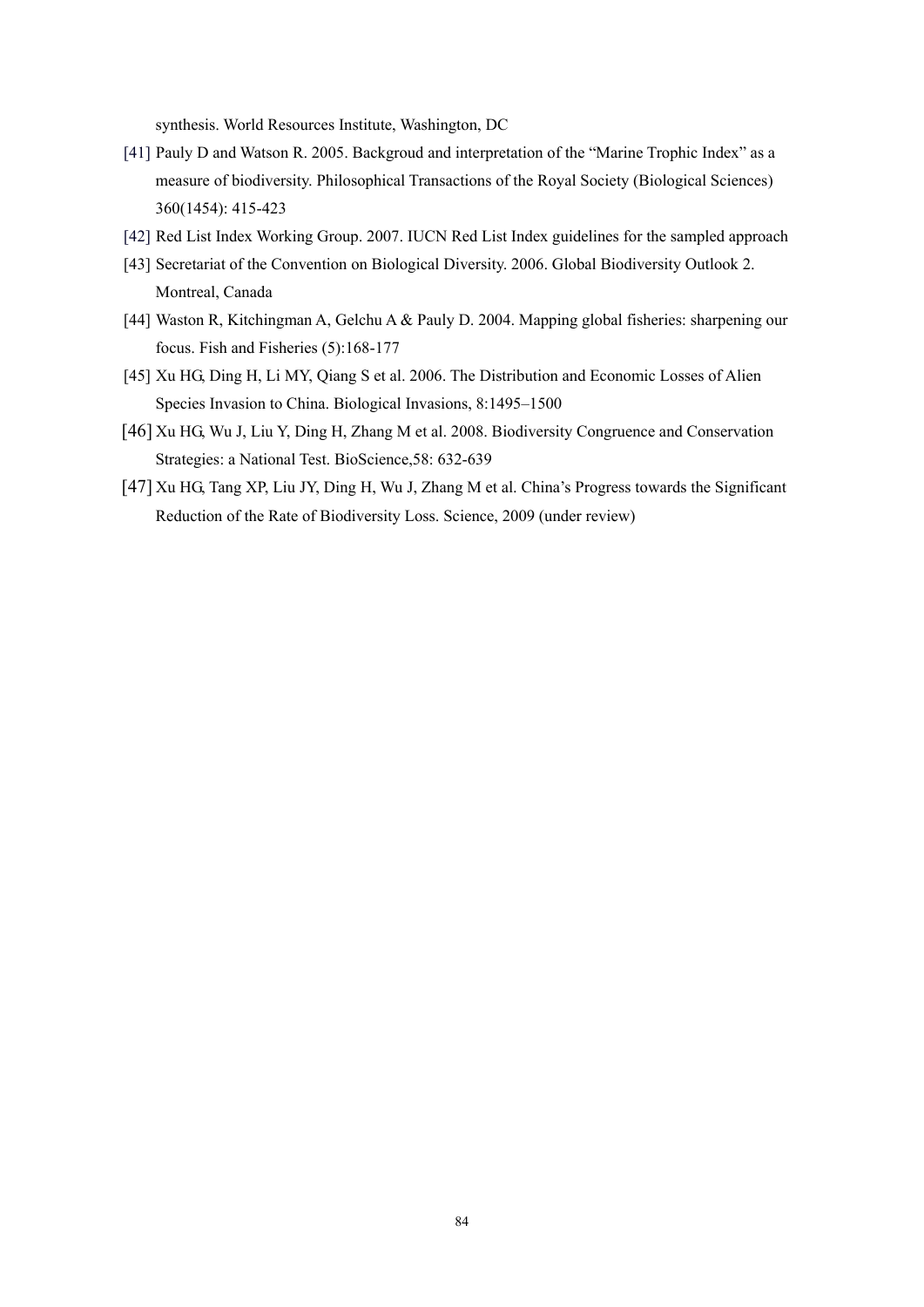synthesis. World Resources Institute, Washington, DC

- [41] Pauly D and Watson R. 2005. Backgroud and interpretation of the "Marine Trophic Index" as a measure of biodiversity. Philosophical Transactions of the Royal Society (Biological Sciences) 360(1454): 415-423
- [42] Red List Index Working Group. 2007. IUCN Red List Index guidelines for the sampled approach
- [43] Secretariat of the Convention on Biological Diversity. 2006. Global Biodiversity Outlook 2. Montreal, Canada
- [44] Waston R, Kitchingman A, Gelchu A & Pauly D. 2004. Mapping global fisheries: sharpening our focus. Fish and Fisheries (5):168-177
- [45] Xu HG, Ding H, Li MY, Qiang S et al. 2006. The Distribution and Economic Losses of Alien Species Invasion to China. Biological Invasions, 8:1495–1500
- [46] Xu HG, Wu J, Liu Y, Ding H, Zhang M et al. 2008. Biodiversity Congruence and Conservation Strategies: a National Test. BioScience,58: 632-639
- [47] Xu HG, Tang XP, Liu JY, Ding H, Wu J, Zhang M et al. China's Progress towards the Significant Reduction of the Rate of Biodiversity Loss. Science, 2009 (under review)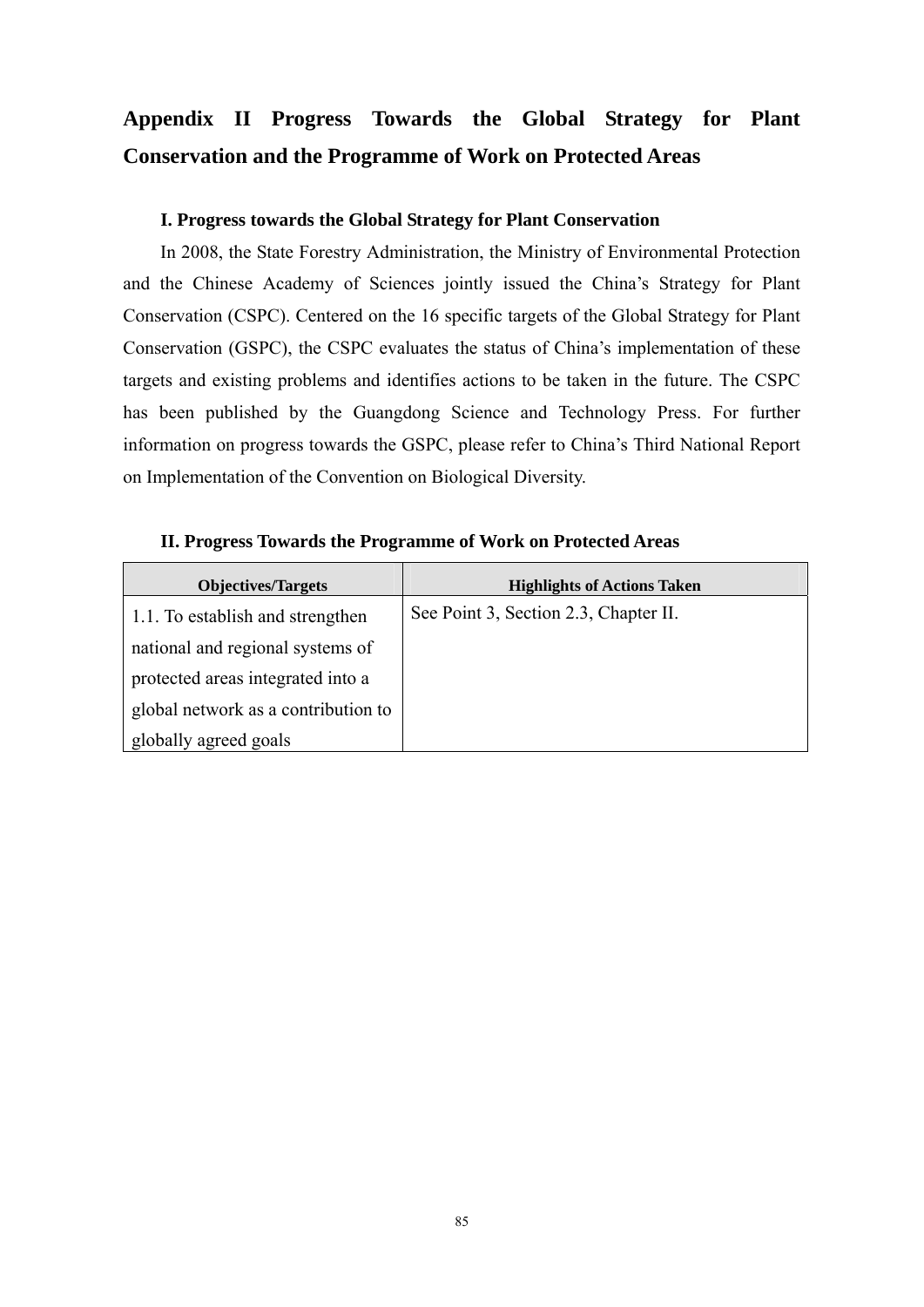## **Appendix II Progress Towards the Global Strategy for Plant Conservation and the Programme of Work on Protected Areas**

### **I. Progress towards the Global Strategy for Plant Conservation**

In 2008, the State Forestry Administration, the Ministry of Environmental Protection and the Chinese Academy of Sciences jointly issued the China's Strategy for Plant Conservation (CSPC). Centered on the 16 specific targets of the Global Strategy for Plant Conservation (GSPC), the CSPC evaluates the status of China's implementation of these targets and existing problems and identifies actions to be taken in the future. The CSPC has been published by the Guangdong Science and Technology Press. For further information on progress towards the GSPC, please refer to China's Third National Report on Implementation of the Convention on Biological Diversity.

| <b>Objectives/Targets</b>           | <b>Highlights of Actions Taken</b>    |
|-------------------------------------|---------------------------------------|
| 1.1. To establish and strengthen    | See Point 3, Section 2.3, Chapter II. |
| national and regional systems of    |                                       |
| protected areas integrated into a   |                                       |
| global network as a contribution to |                                       |
| globally agreed goals               |                                       |

**II. Progress Towards the Programme of Work on Protected Areas**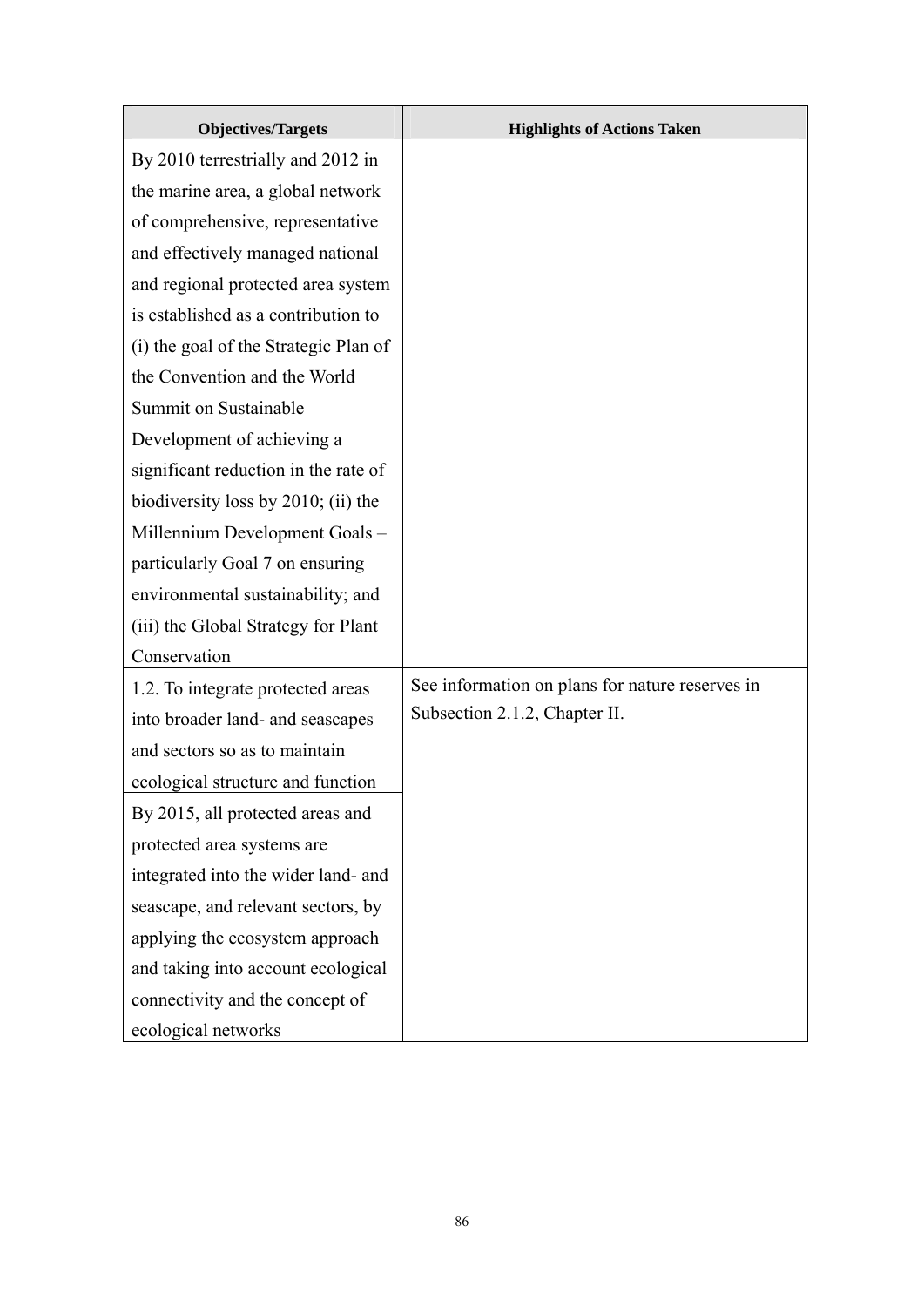| <b>Objectives/Targets</b>             | <b>Highlights of Actions Taken</b>              |
|---------------------------------------|-------------------------------------------------|
| By 2010 terrestrially and 2012 in     |                                                 |
| the marine area, a global network     |                                                 |
| of comprehensive, representative      |                                                 |
| and effectively managed national      |                                                 |
| and regional protected area system    |                                                 |
| is established as a contribution to   |                                                 |
| (i) the goal of the Strategic Plan of |                                                 |
| the Convention and the World          |                                                 |
| Summit on Sustainable                 |                                                 |
| Development of achieving a            |                                                 |
| significant reduction in the rate of  |                                                 |
| biodiversity loss by 2010; (ii) the   |                                                 |
| Millennium Development Goals-         |                                                 |
| particularly Goal 7 on ensuring       |                                                 |
| environmental sustainability; and     |                                                 |
| (iii) the Global Strategy for Plant   |                                                 |
| Conservation                          |                                                 |
| 1.2. To integrate protected areas     | See information on plans for nature reserves in |
| into broader land- and seascapes      | Subsection 2.1.2, Chapter II.                   |
| and sectors so as to maintain         |                                                 |
| ecological structure and function     |                                                 |
| By 2015, all protected areas and      |                                                 |
| protected area systems are            |                                                 |
| integrated into the wider land- and   |                                                 |
| seascape, and relevant sectors, by    |                                                 |
| applying the ecosystem approach       |                                                 |
| and taking into account ecological    |                                                 |
| connectivity and the concept of       |                                                 |
| ecological networks                   |                                                 |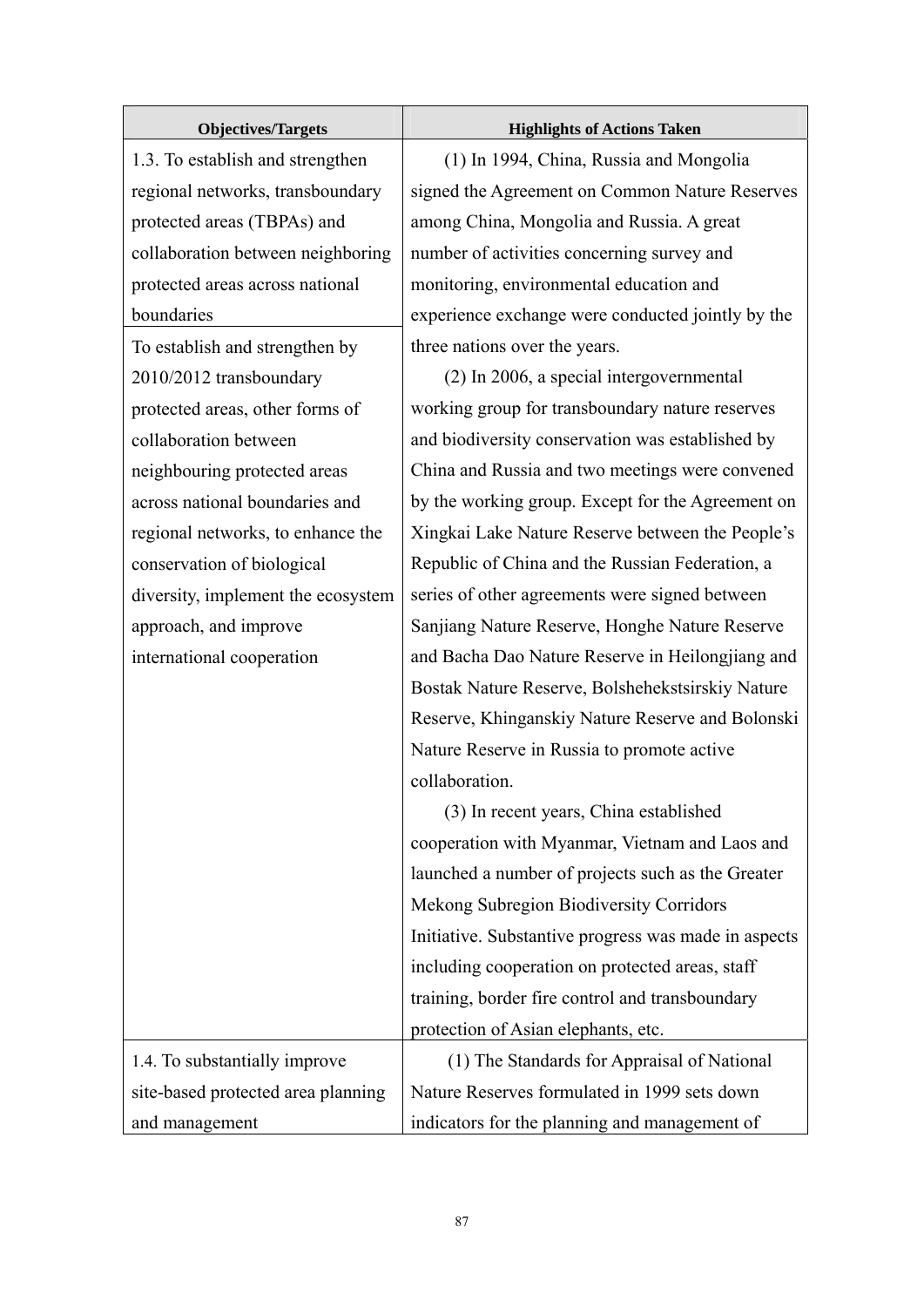| <b>Objectives/Targets</b>          | <b>Highlights of Actions Taken</b>                   |
|------------------------------------|------------------------------------------------------|
| 1.3. To establish and strengthen   | (1) In 1994, China, Russia and Mongolia              |
| regional networks, transboundary   | signed the Agreement on Common Nature Reserves       |
| protected areas (TBPAs) and        | among China, Mongolia and Russia. A great            |
| collaboration between neighboring  | number of activities concerning survey and           |
| protected areas across national    | monitoring, environmental education and              |
| boundaries                         | experience exchange were conducted jointly by the    |
| To establish and strengthen by     | three nations over the years.                        |
| 2010/2012 transboundary            | (2) In 2006, a special intergovernmental             |
| protected areas, other forms of    | working group for transboundary nature reserves      |
| collaboration between              | and biodiversity conservation was established by     |
| neighbouring protected areas       | China and Russia and two meetings were convened      |
| across national boundaries and     | by the working group. Except for the Agreement on    |
| regional networks, to enhance the  | Xingkai Lake Nature Reserve between the People's     |
| conservation of biological         | Republic of China and the Russian Federation, a      |
| diversity, implement the ecosystem | series of other agreements were signed between       |
| approach, and improve              | Sanjiang Nature Reserve, Honghe Nature Reserve       |
| international cooperation          | and Bacha Dao Nature Reserve in Heilongjiang and     |
|                                    | Bostak Nature Reserve, Bolshehekstsirskiy Nature     |
|                                    | Reserve, Khinganskiy Nature Reserve and Bolonski     |
|                                    | Nature Reserve in Russia to promote active           |
|                                    | collaboration.                                       |
|                                    | (3) In recent years, China established               |
|                                    | cooperation with Myanmar, Vietnam and Laos and       |
|                                    | launched a number of projects such as the Greater    |
|                                    | Mekong Subregion Biodiversity Corridors              |
|                                    | Initiative. Substantive progress was made in aspects |
|                                    | including cooperation on protected areas, staff      |
|                                    | training, border fire control and transboundary      |
|                                    | protection of Asian elephants, etc.                  |
| 1.4. To substantially improve      | (1) The Standards for Appraisal of National          |
| site-based protected area planning | Nature Reserves formulated in 1999 sets down         |
| and management                     | indicators for the planning and management of        |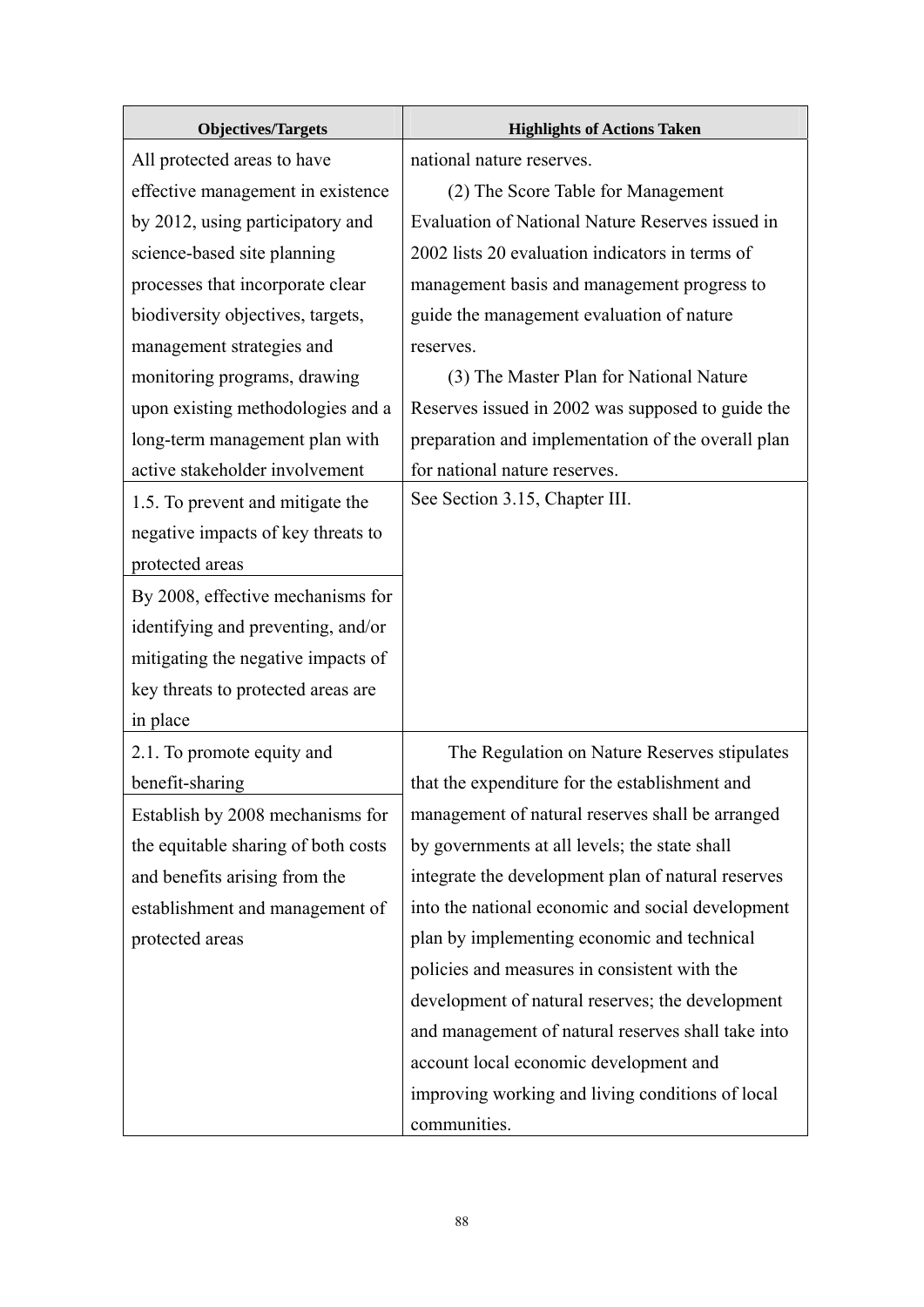| <b>Objectives/Targets</b>           | <b>Highlights of Actions Taken</b>                 |
|-------------------------------------|----------------------------------------------------|
| All protected areas to have         | national nature reserves.                          |
| effective management in existence   | (2) The Score Table for Management                 |
| by 2012, using participatory and    | Evaluation of National Nature Reserves issued in   |
| science-based site planning         | 2002 lists 20 evaluation indicators in terms of    |
| processes that incorporate clear    | management basis and management progress to        |
| biodiversity objectives, targets,   | guide the management evaluation of nature          |
| management strategies and           | reserves.                                          |
| monitoring programs, drawing        | (3) The Master Plan for National Nature            |
| upon existing methodologies and a   | Reserves issued in 2002 was supposed to guide the  |
| long-term management plan with      | preparation and implementation of the overall plan |
| active stakeholder involvement      | for national nature reserves.                      |
| 1.5. To prevent and mitigate the    | See Section 3.15, Chapter III.                     |
| negative impacts of key threats to  |                                                    |
| protected areas                     |                                                    |
| By 2008, effective mechanisms for   |                                                    |
| identifying and preventing, and/or  |                                                    |
| mitigating the negative impacts of  |                                                    |
| key threats to protected areas are  |                                                    |
| in place                            |                                                    |
| 2.1. To promote equity and          | The Regulation on Nature Reserves stipulates       |
| benefit-sharing                     | that the expenditure for the establishment and     |
| Establish by 2008 mechanisms for    | management of natural reserves shall be arranged   |
| the equitable sharing of both costs | by governments at all levels; the state shall      |
| and benefits arising from the       | integrate the development plan of natural reserves |
| establishment and management of     | into the national economic and social development  |
| protected areas                     | plan by implementing economic and technical        |
|                                     | policies and measures in consistent with the       |
|                                     | development of natural reserves; the development   |
|                                     | and management of natural reserves shall take into |
|                                     | account local economic development and             |
|                                     | improving working and living conditions of local   |
|                                     | communities.                                       |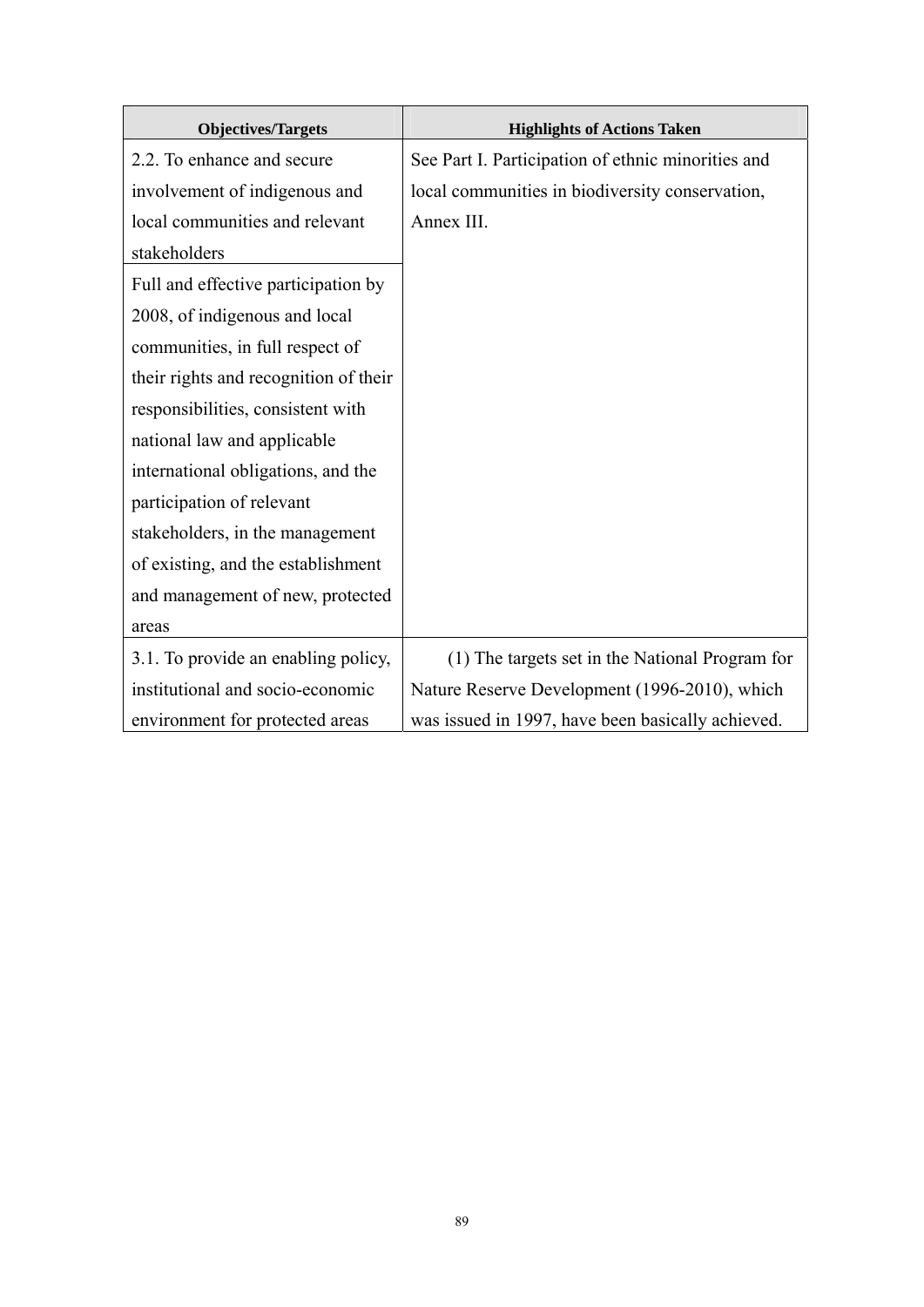| <b>Objectives/Targets</b>             | <b>Highlights of Actions Taken</b>                 |
|---------------------------------------|----------------------------------------------------|
| 2.2. To enhance and secure            | See Part I. Participation of ethnic minorities and |
| involvement of indigenous and         | local communities in biodiversity conservation,    |
| local communities and relevant        | Annex III.                                         |
| stakeholders                          |                                                    |
| Full and effective participation by   |                                                    |
| 2008, of indigenous and local         |                                                    |
| communities, in full respect of       |                                                    |
| their rights and recognition of their |                                                    |
| responsibilities, consistent with     |                                                    |
| national law and applicable           |                                                    |
| international obligations, and the    |                                                    |
| participation of relevant             |                                                    |
| stakeholders, in the management       |                                                    |
| of existing, and the establishment    |                                                    |
| and management of new, protected      |                                                    |
| areas                                 |                                                    |
| 3.1. To provide an enabling policy,   | (1) The targets set in the National Program for    |
| institutional and socio-economic      | Nature Reserve Development (1996-2010), which      |
| environment for protected areas       | was issued in 1997, have been basically achieved.  |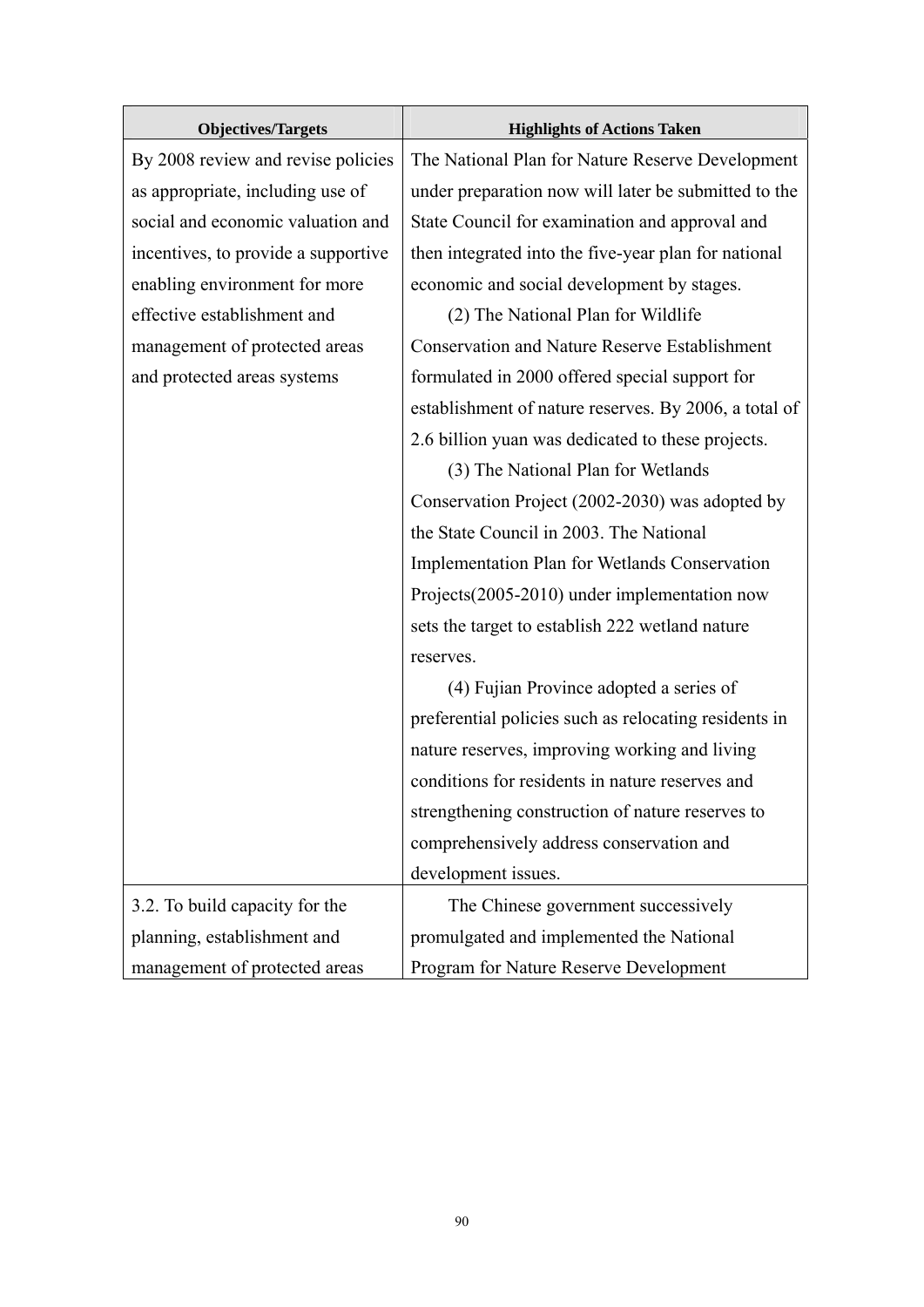| <b>Objectives/Targets</b>           | <b>Highlights of Actions Taken</b>                    |
|-------------------------------------|-------------------------------------------------------|
| By 2008 review and revise policies  | The National Plan for Nature Reserve Development      |
| as appropriate, including use of    | under preparation now will later be submitted to the  |
| social and economic valuation and   | State Council for examination and approval and        |
| incentives, to provide a supportive | then integrated into the five-year plan for national  |
| enabling environment for more       | economic and social development by stages.            |
| effective establishment and         | (2) The National Plan for Wildlife                    |
| management of protected areas       | <b>Conservation and Nature Reserve Establishment</b>  |
| and protected areas systems         | formulated in 2000 offered special support for        |
|                                     | establishment of nature reserves. By 2006, a total of |
|                                     | 2.6 billion yuan was dedicated to these projects.     |
|                                     | (3) The National Plan for Wetlands                    |
|                                     | Conservation Project (2002-2030) was adopted by       |
|                                     | the State Council in 2003. The National               |
|                                     | <b>Implementation Plan for Wetlands Conservation</b>  |
|                                     | Projects(2005-2010) under implementation now          |
|                                     | sets the target to establish 222 wetland nature       |
|                                     | reserves.                                             |
|                                     | (4) Fujian Province adopted a series of               |
|                                     | preferential policies such as relocating residents in |
|                                     | nature reserves, improving working and living         |
|                                     | conditions for residents in nature reserves and       |
|                                     | strengthening construction of nature reserves to      |
|                                     | comprehensively address conservation and              |
|                                     | development issues.                                   |
| 3.2. To build capacity for the      | The Chinese government successively                   |
| planning, establishment and         | promulgated and implemented the National              |
| management of protected areas       | Program for Nature Reserve Development                |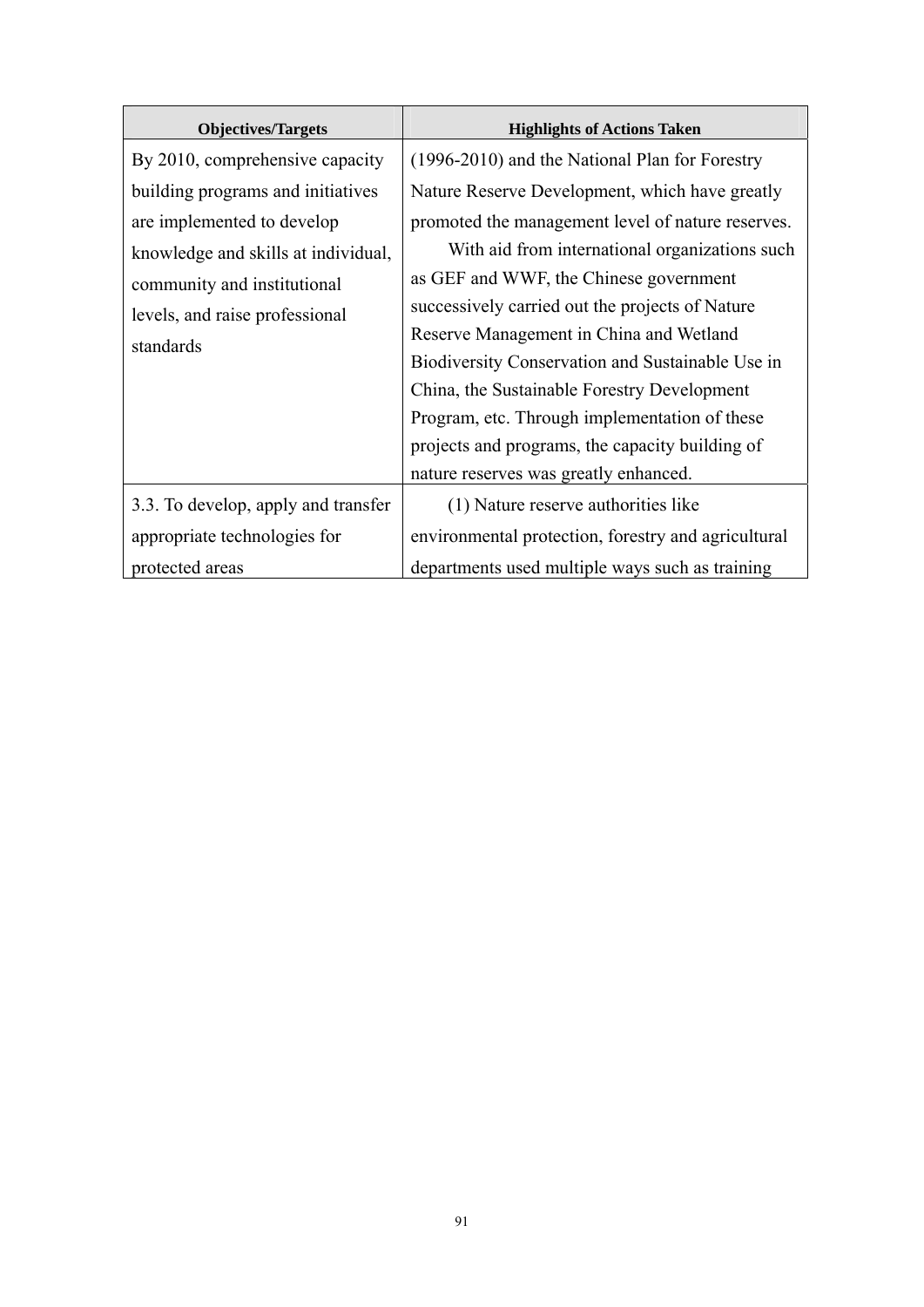| <b>Objectives/Targets</b>           | <b>Highlights of Actions Taken</b>                  |
|-------------------------------------|-----------------------------------------------------|
| By 2010, comprehensive capacity     | (1996-2010) and the National Plan for Forestry      |
| building programs and initiatives   | Nature Reserve Development, which have greatly      |
| are implemented to develop          | promoted the management level of nature reserves.   |
| knowledge and skills at individual, | With aid from international organizations such      |
| community and institutional         | as GEF and WWF, the Chinese government              |
| levels, and raise professional      | successively carried out the projects of Nature     |
| standards                           | Reserve Management in China and Wetland             |
|                                     | Biodiversity Conservation and Sustainable Use in    |
|                                     | China, the Sustainable Forestry Development         |
|                                     | Program, etc. Through implementation of these       |
|                                     | projects and programs, the capacity building of     |
|                                     | nature reserves was greatly enhanced.               |
| 3.3. To develop, apply and transfer | (1) Nature reserve authorities like                 |
| appropriate technologies for        | environmental protection, forestry and agricultural |
| protected areas                     | departments used multiple ways such as training     |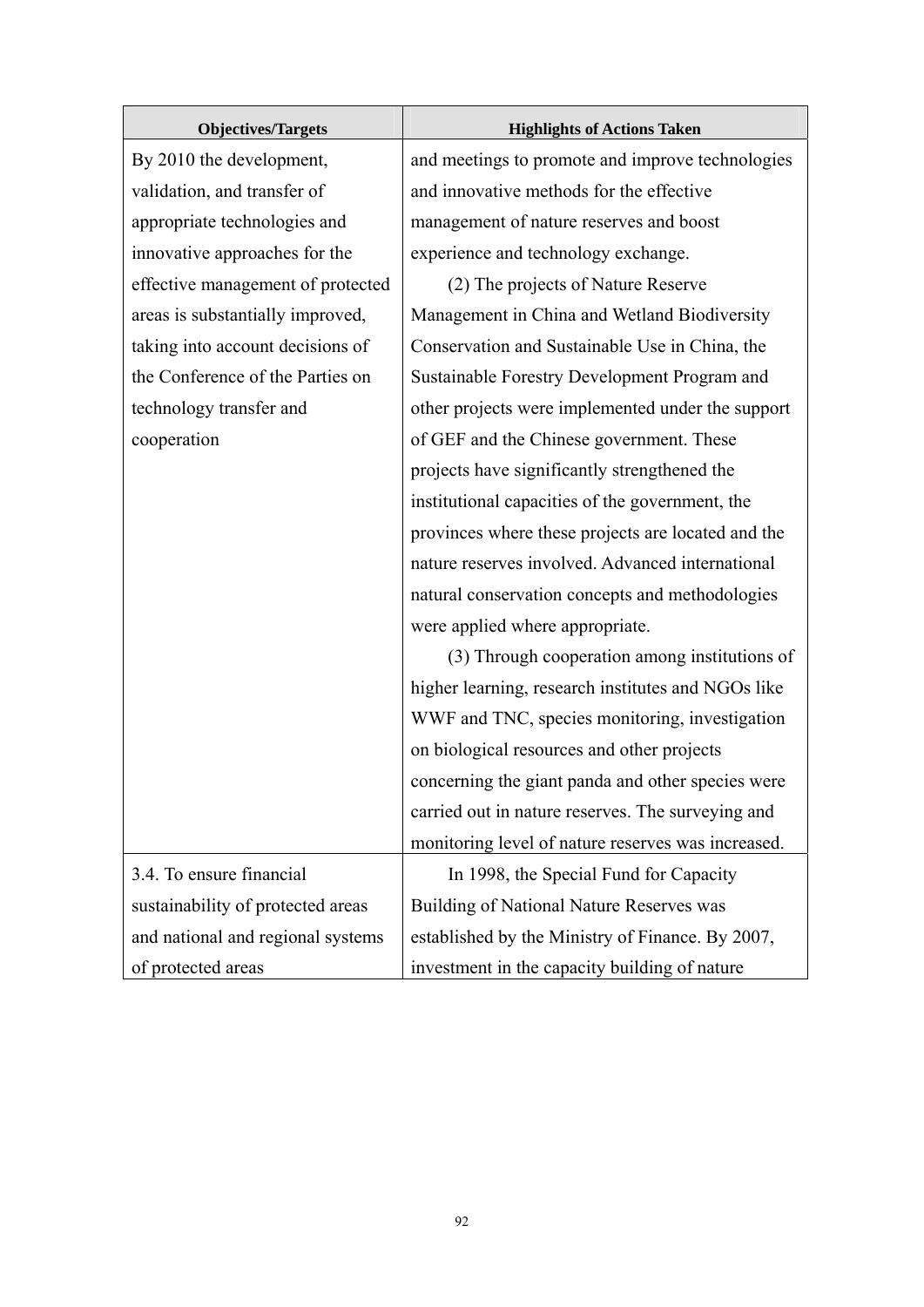| <b>Objectives/Targets</b>         | <b>Highlights of Actions Taken</b>                 |
|-----------------------------------|----------------------------------------------------|
| By 2010 the development,          | and meetings to promote and improve technologies   |
| validation, and transfer of       | and innovative methods for the effective           |
| appropriate technologies and      | management of nature reserves and boost            |
| innovative approaches for the     | experience and technology exchange.                |
| effective management of protected | (2) The projects of Nature Reserve                 |
| areas is substantially improved,  | Management in China and Wetland Biodiversity       |
| taking into account decisions of  | Conservation and Sustainable Use in China, the     |
| the Conference of the Parties on  | Sustainable Forestry Development Program and       |
| technology transfer and           | other projects were implemented under the support  |
| cooperation                       | of GEF and the Chinese government. These           |
|                                   | projects have significantly strengthened the       |
|                                   | institutional capacities of the government, the    |
|                                   | provinces where these projects are located and the |
|                                   | nature reserves involved. Advanced international   |
|                                   | natural conservation concepts and methodologies    |
|                                   | were applied where appropriate.                    |
|                                   | (3) Through cooperation among institutions of      |
|                                   | higher learning, research institutes and NGOs like |
|                                   | WWF and TNC, species monitoring, investigation     |
|                                   | on biological resources and other projects         |
|                                   | concerning the giant panda and other species were  |
|                                   | carried out in nature reserves. The surveying and  |
|                                   | monitoring level of nature reserves was increased. |
| 3.4. To ensure financial          | In 1998, the Special Fund for Capacity             |
| sustainability of protected areas | Building of National Nature Reserves was           |
| and national and regional systems | established by the Ministry of Finance. By 2007,   |
| of protected areas                | investment in the capacity building of nature      |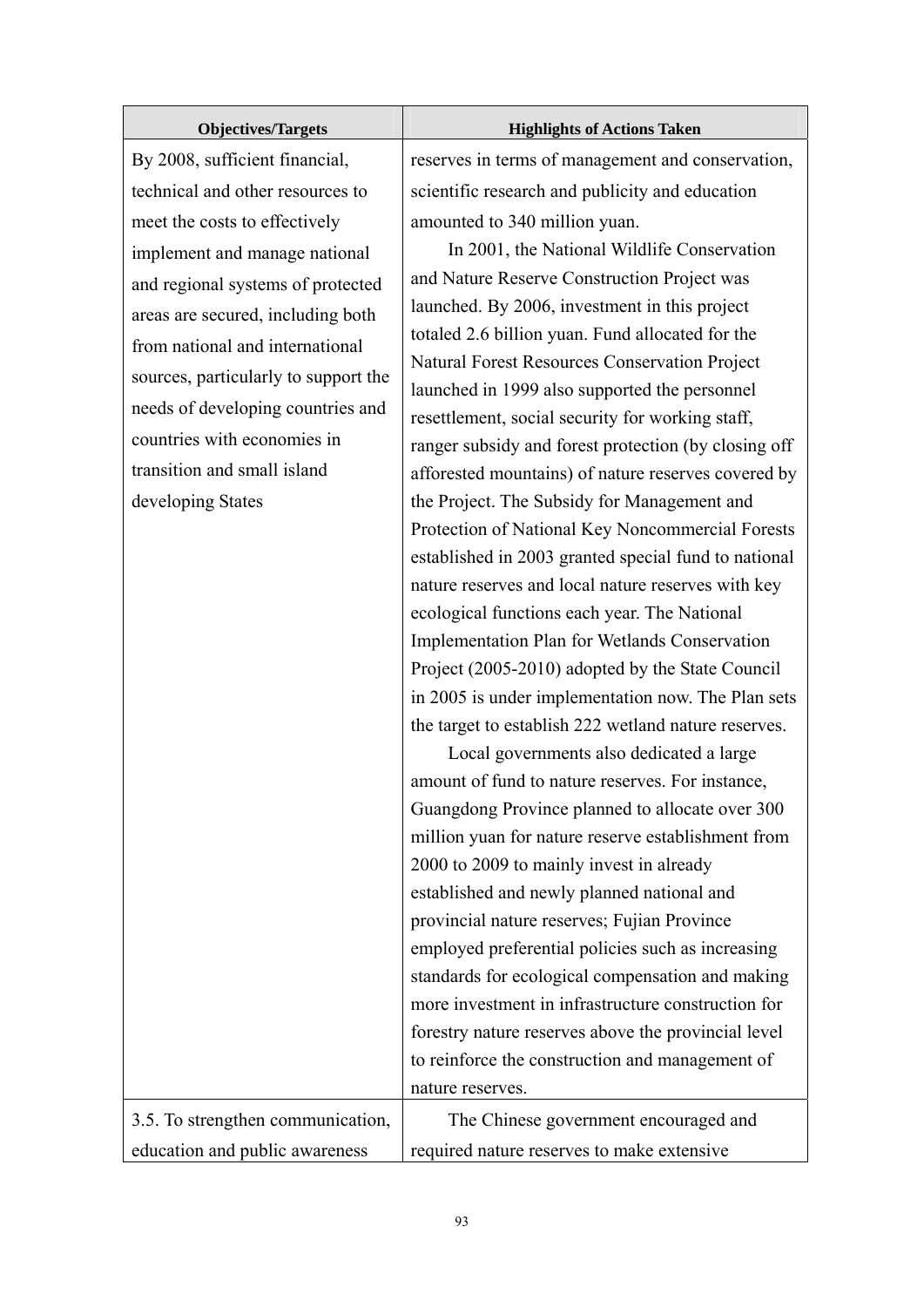| <b>Objectives/Targets</b>                                                                                                                                                                                                                                                 | <b>Highlights of Actions Taken</b>                                                                                                                                                                                                                                                                                                                                                                                                                                                                                                                                                                                                                                                                                                                                                                                                                                                                                                                                                                                                                                                                                                                                                                                                                                                                                                                                                                                                                                                                                                   |
|---------------------------------------------------------------------------------------------------------------------------------------------------------------------------------------------------------------------------------------------------------------------------|--------------------------------------------------------------------------------------------------------------------------------------------------------------------------------------------------------------------------------------------------------------------------------------------------------------------------------------------------------------------------------------------------------------------------------------------------------------------------------------------------------------------------------------------------------------------------------------------------------------------------------------------------------------------------------------------------------------------------------------------------------------------------------------------------------------------------------------------------------------------------------------------------------------------------------------------------------------------------------------------------------------------------------------------------------------------------------------------------------------------------------------------------------------------------------------------------------------------------------------------------------------------------------------------------------------------------------------------------------------------------------------------------------------------------------------------------------------------------------------------------------------------------------------|
| By 2008, sufficient financial,                                                                                                                                                                                                                                            | reserves in terms of management and conservation,                                                                                                                                                                                                                                                                                                                                                                                                                                                                                                                                                                                                                                                                                                                                                                                                                                                                                                                                                                                                                                                                                                                                                                                                                                                                                                                                                                                                                                                                                    |
| technical and other resources to                                                                                                                                                                                                                                          | scientific research and publicity and education                                                                                                                                                                                                                                                                                                                                                                                                                                                                                                                                                                                                                                                                                                                                                                                                                                                                                                                                                                                                                                                                                                                                                                                                                                                                                                                                                                                                                                                                                      |
| meet the costs to effectively                                                                                                                                                                                                                                             | amounted to 340 million yuan.                                                                                                                                                                                                                                                                                                                                                                                                                                                                                                                                                                                                                                                                                                                                                                                                                                                                                                                                                                                                                                                                                                                                                                                                                                                                                                                                                                                                                                                                                                        |
| implement and manage national                                                                                                                                                                                                                                             | In 2001, the National Wildlife Conservation                                                                                                                                                                                                                                                                                                                                                                                                                                                                                                                                                                                                                                                                                                                                                                                                                                                                                                                                                                                                                                                                                                                                                                                                                                                                                                                                                                                                                                                                                          |
| and regional systems of protected<br>areas are secured, including both<br>from national and international<br>sources, particularly to support the<br>needs of developing countries and<br>countries with economies in<br>transition and small island<br>developing States | and Nature Reserve Construction Project was<br>launched. By 2006, investment in this project<br>totaled 2.6 billion yuan. Fund allocated for the<br>Natural Forest Resources Conservation Project<br>launched in 1999 also supported the personnel<br>resettlement, social security for working staff,<br>ranger subsidy and forest protection (by closing off<br>afforested mountains) of nature reserves covered by<br>the Project. The Subsidy for Management and<br>Protection of National Key Noncommercial Forests<br>established in 2003 granted special fund to national<br>nature reserves and local nature reserves with key<br>ecological functions each year. The National<br>Implementation Plan for Wetlands Conservation<br>Project (2005-2010) adopted by the State Council<br>in 2005 is under implementation now. The Plan sets<br>the target to establish 222 wetland nature reserves.<br>Local governments also dedicated a large<br>amount of fund to nature reserves. For instance,<br>Guangdong Province planned to allocate over 300<br>million yuan for nature reserve establishment from<br>2000 to 2009 to mainly invest in already<br>established and newly planned national and<br>provincial nature reserves; Fujian Province<br>employed preferential policies such as increasing<br>standards for ecological compensation and making<br>more investment in infrastructure construction for<br>forestry nature reserves above the provincial level<br>to reinforce the construction and management of |
|                                                                                                                                                                                                                                                                           | nature reserves.                                                                                                                                                                                                                                                                                                                                                                                                                                                                                                                                                                                                                                                                                                                                                                                                                                                                                                                                                                                                                                                                                                                                                                                                                                                                                                                                                                                                                                                                                                                     |
| 3.5. To strengthen communication,                                                                                                                                                                                                                                         | The Chinese government encouraged and                                                                                                                                                                                                                                                                                                                                                                                                                                                                                                                                                                                                                                                                                                                                                                                                                                                                                                                                                                                                                                                                                                                                                                                                                                                                                                                                                                                                                                                                                                |
| education and public awareness                                                                                                                                                                                                                                            | required nature reserves to make extensive                                                                                                                                                                                                                                                                                                                                                                                                                                                                                                                                                                                                                                                                                                                                                                                                                                                                                                                                                                                                                                                                                                                                                                                                                                                                                                                                                                                                                                                                                           |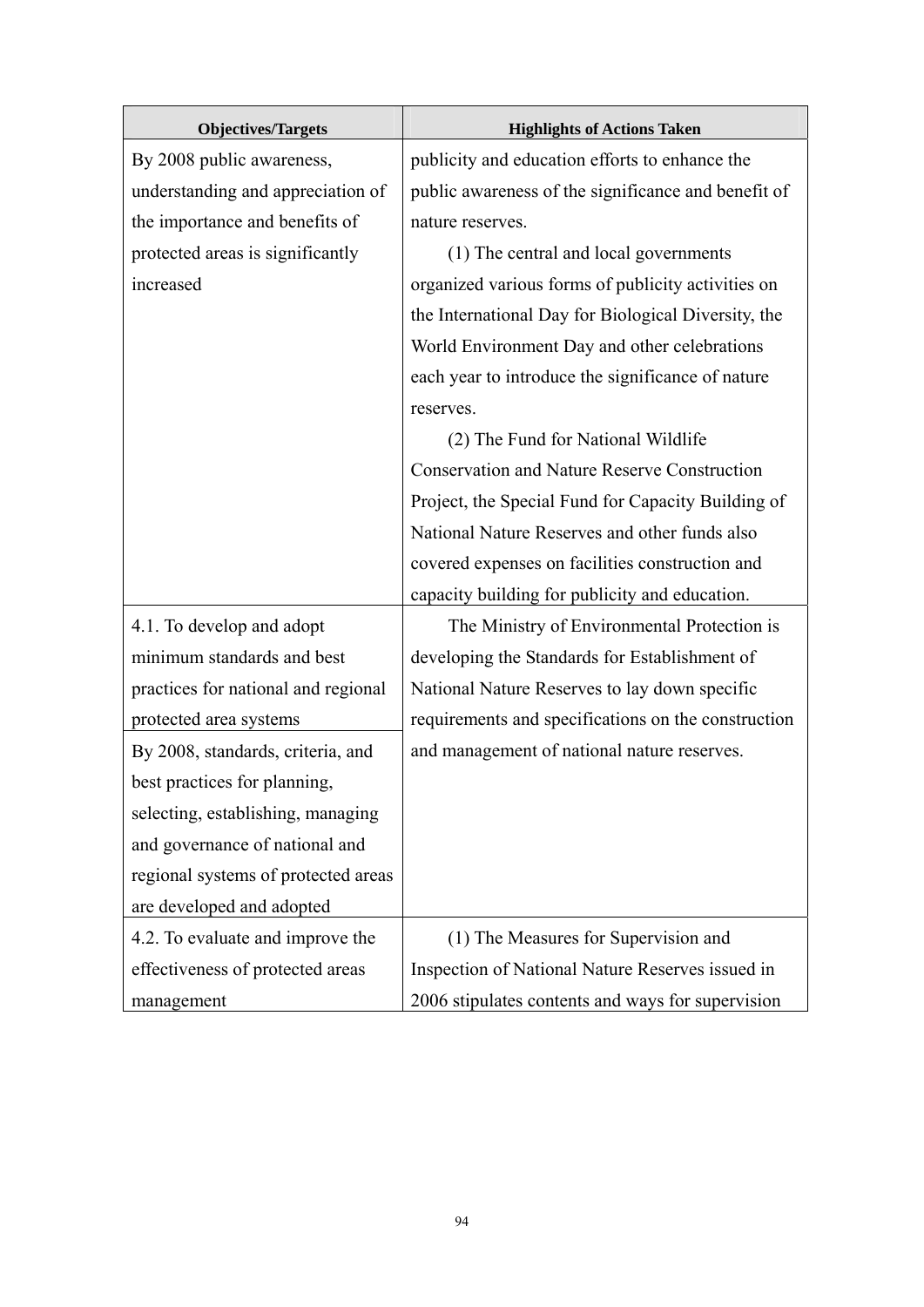| <b>Objectives/Targets</b>           | <b>Highlights of Actions Taken</b>                  |
|-------------------------------------|-----------------------------------------------------|
| By 2008 public awareness,           | publicity and education efforts to enhance the      |
| understanding and appreciation of   | public awareness of the significance and benefit of |
| the importance and benefits of      | nature reserves.                                    |
| protected areas is significantly    | (1) The central and local governments               |
| increased                           | organized various forms of publicity activities on  |
|                                     | the International Day for Biological Diversity, the |
|                                     | World Environment Day and other celebrations        |
|                                     | each year to introduce the significance of nature   |
|                                     | reserves.                                           |
|                                     | (2) The Fund for National Wildlife                  |
|                                     | <b>Conservation and Nature Reserve Construction</b> |
|                                     | Project, the Special Fund for Capacity Building of  |
|                                     | National Nature Reserves and other funds also       |
|                                     | covered expenses on facilities construction and     |
|                                     | capacity building for publicity and education.      |
| 4.1. To develop and adopt           | The Ministry of Environmental Protection is         |
| minimum standards and best          | developing the Standards for Establishment of       |
| practices for national and regional | National Nature Reserves to lay down specific       |
| protected area systems              | requirements and specifications on the construction |
| By 2008, standards, criteria, and   | and management of national nature reserves.         |
| best practices for planning,        |                                                     |
| selecting, establishing, managing   |                                                     |
| and governance of national and      |                                                     |
| regional systems of protected areas |                                                     |
| are developed and adopted           |                                                     |
| 4.2. To evaluate and improve the    | (1) The Measures for Supervision and                |
| effectiveness of protected areas    | Inspection of National Nature Reserves issued in    |
| management                          | 2006 stipulates contents and ways for supervision   |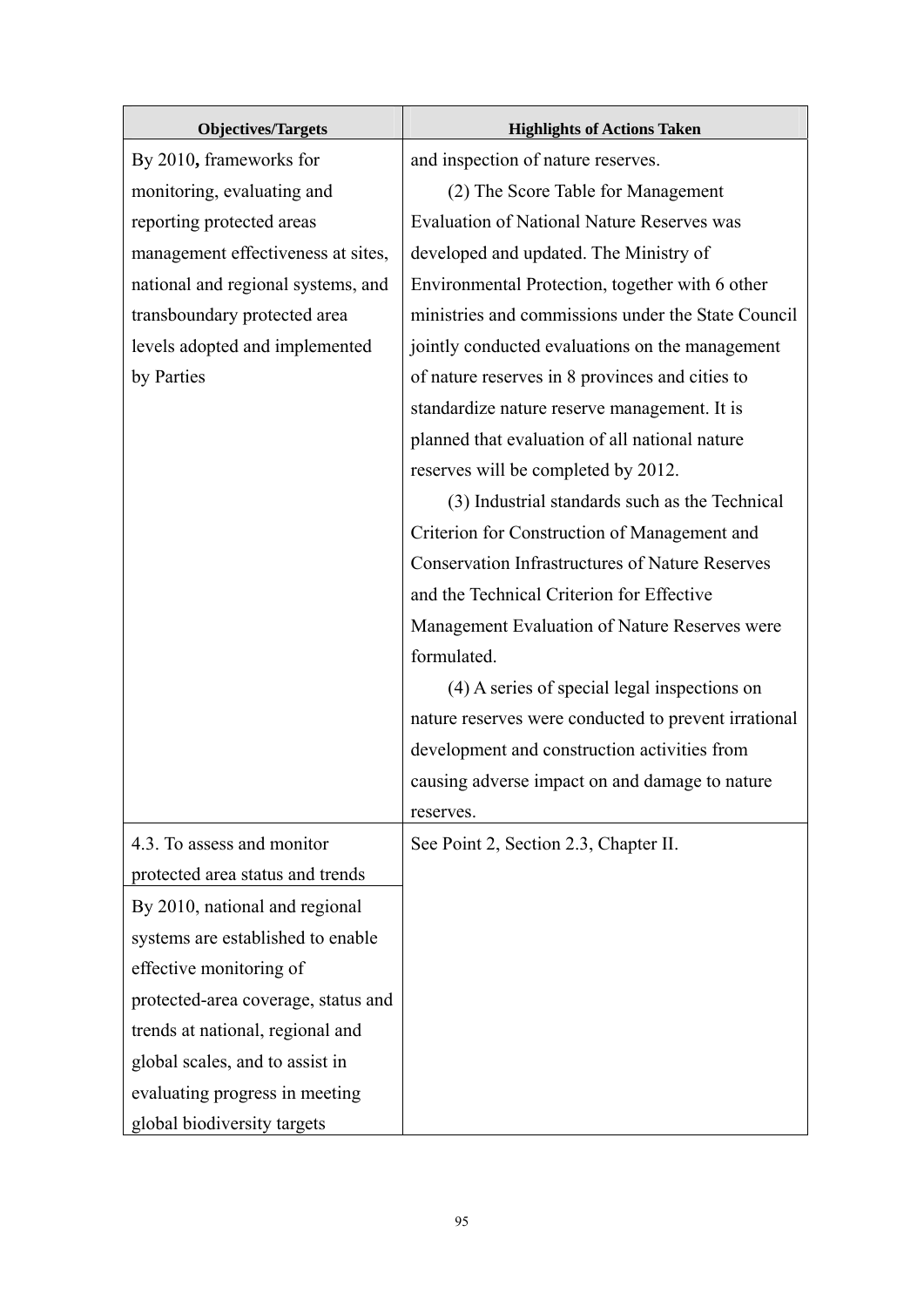| <b>Objectives/Targets</b>           | <b>Highlights of Actions Taken</b>                     |
|-------------------------------------|--------------------------------------------------------|
| By 2010, frameworks for             | and inspection of nature reserves.                     |
| monitoring, evaluating and          | (2) The Score Table for Management                     |
| reporting protected areas           | <b>Evaluation of National Nature Reserves was</b>      |
| management effectiveness at sites,  | developed and updated. The Ministry of                 |
| national and regional systems, and  | Environmental Protection, together with 6 other        |
| transboundary protected area        | ministries and commissions under the State Council     |
| levels adopted and implemented      | jointly conducted evaluations on the management        |
| by Parties                          | of nature reserves in 8 provinces and cities to        |
|                                     | standardize nature reserve management. It is           |
|                                     | planned that evaluation of all national nature         |
|                                     | reserves will be completed by 2012.                    |
|                                     | (3) Industrial standards such as the Technical         |
|                                     | Criterion for Construction of Management and           |
|                                     | <b>Conservation Infrastructures of Nature Reserves</b> |
|                                     | and the Technical Criterion for Effective              |
|                                     | Management Evaluation of Nature Reserves were          |
|                                     | formulated.                                            |
|                                     | (4) A series of special legal inspections on           |
|                                     | nature reserves were conducted to prevent irrational   |
|                                     | development and construction activities from           |
|                                     | causing adverse impact on and damage to nature         |
|                                     | reserves.                                              |
| 4.3. To assess and monitor          | See Point 2, Section 2.3, Chapter II.                  |
| protected area status and trends    |                                                        |
| By 2010, national and regional      |                                                        |
| systems are established to enable   |                                                        |
| effective monitoring of             |                                                        |
| protected-area coverage, status and |                                                        |
| trends at national, regional and    |                                                        |
| global scales, and to assist in     |                                                        |
| evaluating progress in meeting      |                                                        |
| global biodiversity targets         |                                                        |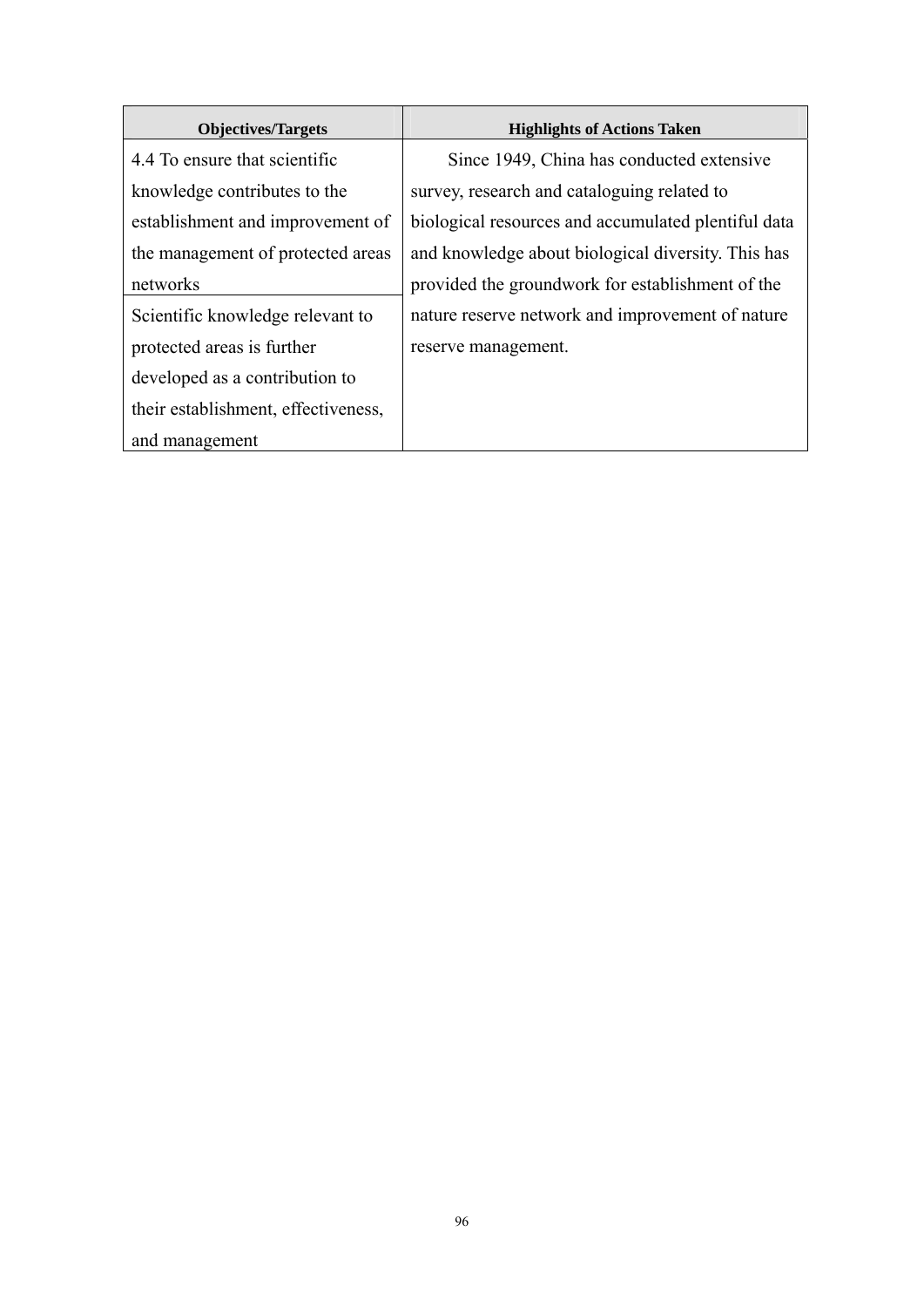| <b>Objectives/Targets</b>           | <b>Highlights of Actions Taken</b>                  |
|-------------------------------------|-----------------------------------------------------|
| 4.4 To ensure that scientific       | Since 1949, China has conducted extensive           |
| knowledge contributes to the        | survey, research and cataloguing related to         |
| establishment and improvement of    | biological resources and accumulated plentiful data |
| the management of protected areas   | and knowledge about biological diversity. This has  |
| networks                            | provided the groundwork for establishment of the    |
| Scientific knowledge relevant to    | nature reserve network and improvement of nature    |
| protected areas is further          | reserve management.                                 |
| developed as a contribution to      |                                                     |
| their establishment, effectiveness, |                                                     |
| and management                      |                                                     |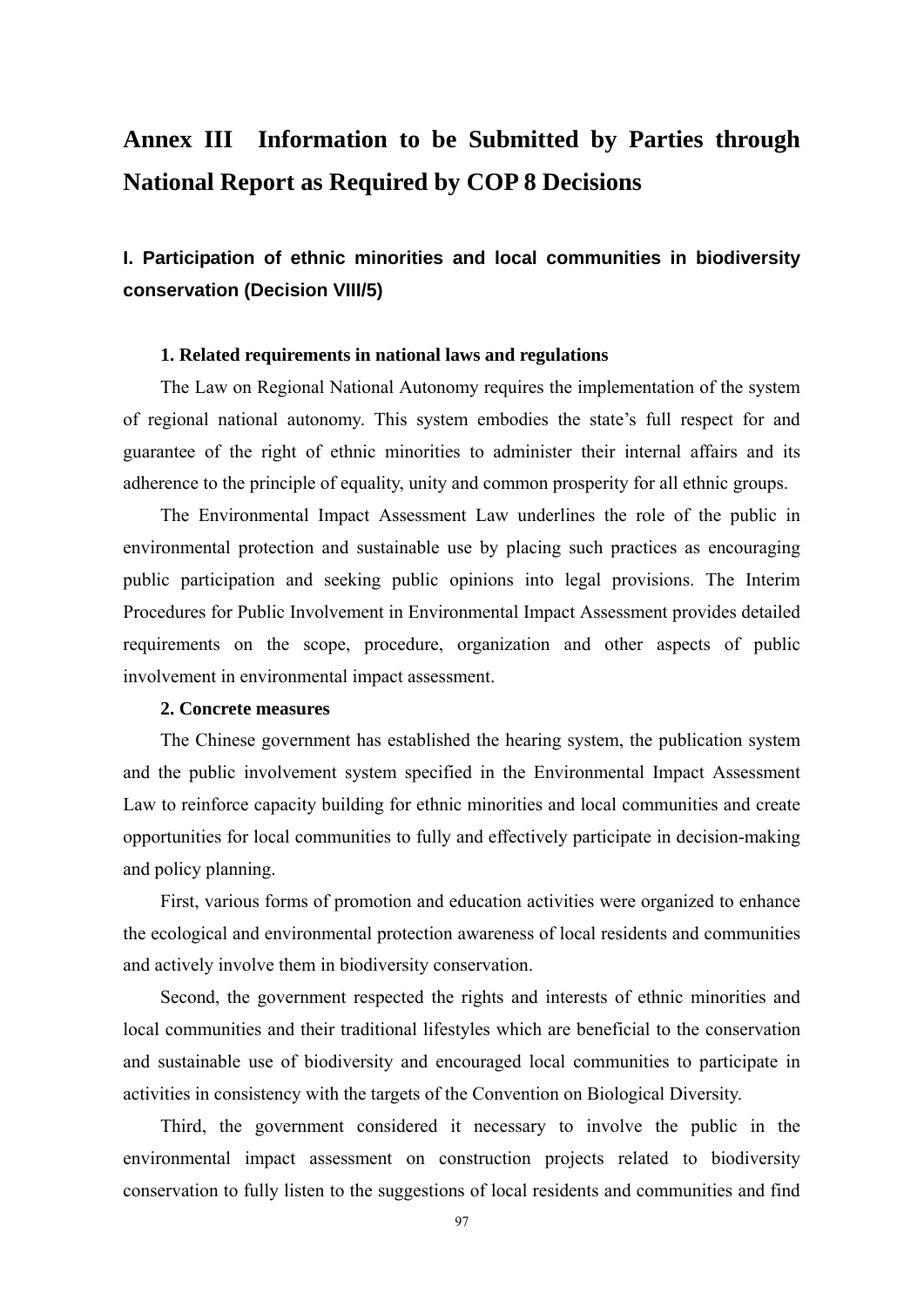# **Annex III Information to be Submitted by Parties through National Report as Required by COP 8 Decisions**

## **I. Participation of ethnic minorities and local communities in biodiversity conservation (Decision VIII/5)**

#### **1. Related requirements in national laws and regulations**

The Law on Regional National Autonomy requires the implementation of the system of regional national autonomy. This system embodies the state's full respect for and guarantee of the right of ethnic minorities to administer their internal affairs and its adherence to the principle of equality, unity and common prosperity for all ethnic groups.

The Environmental Impact Assessment Law underlines the role of the public in environmental protection and sustainable use by placing such practices as encouraging public participation and seeking public opinions into legal provisions. The Interim Procedures for Public Involvement in Environmental Impact Assessment provides detailed requirements on the scope, procedure, organization and other aspects of public involvement in environmental impact assessment.

### **2. Concrete measures**

The Chinese government has established the hearing system, the publication system and the public involvement system specified in the Environmental Impact Assessment Law to reinforce capacity building for ethnic minorities and local communities and create opportunities for local communities to fully and effectively participate in decision-making and policy planning.

First, various forms of promotion and education activities were organized to enhance the ecological and environmental protection awareness of local residents and communities and actively involve them in biodiversity conservation.

Second, the government respected the rights and interests of ethnic minorities and local communities and their traditional lifestyles which are beneficial to the conservation and sustainable use of biodiversity and encouraged local communities to participate in activities in consistency with the targets of the Convention on Biological Diversity.

Third, the government considered it necessary to involve the public in the environmental impact assessment on construction projects related to biodiversity conservation to fully listen to the suggestions of local residents and communities and find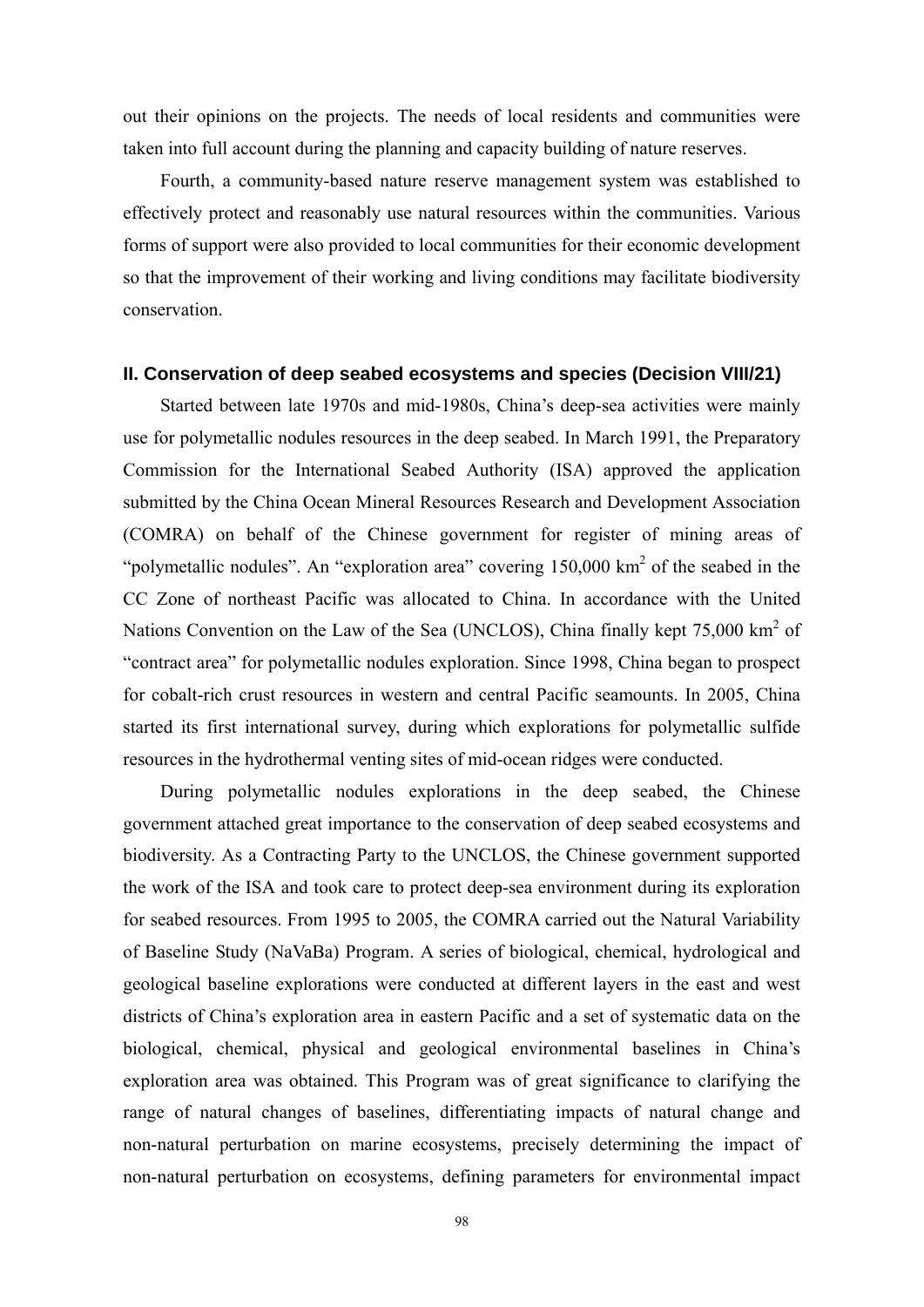out their opinions on the projects. The needs of local residents and communities were taken into full account during the planning and capacity building of nature reserves.

Fourth, a community-based nature reserve management system was established to effectively protect and reasonably use natural resources within the communities. Various forms of support were also provided to local communities for their economic development so that the improvement of their working and living conditions may facilitate biodiversity conservation.

## **II. Conservation of deep seabed ecosystems and species (Decision VIII/21)**

Started between late 1970s and mid-1980s, China's deep-sea activities were mainly use for polymetallic nodules resources in the deep seabed. In March 1991, the Preparatory Commission for the International Seabed Authority (ISA) approved the application submitted by the China Ocean Mineral Resources Research and Development Association (COMRA) on behalf of the Chinese government for register of mining areas of "polymetallic nodules". An "exploration area" covering  $150,000 \text{ km}^2$  of the seabed in the CC Zone of northeast Pacific was allocated to China. In accordance with the United Nations Convention on the Law of the Sea (UNCLOS), China finally kept 75,000 km<sup>2</sup> of "contract area" for polymetallic nodules exploration. Since 1998, China began to prospect for cobalt-rich crust resources in western and central Pacific seamounts. In 2005, China started its first international survey, during which explorations for polymetallic sulfide resources in the hydrothermal venting sites of mid-ocean ridges were conducted.

During polymetallic nodules explorations in the deep seabed, the Chinese government attached great importance to the conservation of deep seabed ecosystems and biodiversity. As a Contracting Party to the UNCLOS, the Chinese government supported the work of the ISA and took care to protect deep-sea environment during its exploration for seabed resources. From 1995 to 2005, the COMRA carried out the Natural Variability of Baseline Study (NaVaBa) Program. A series of biological, chemical, hydrological and geological baseline explorations were conducted at different layers in the east and west districts of China's exploration area in eastern Pacific and a set of systematic data on the biological, chemical, physical and geological environmental baselines in China's exploration area was obtained. This Program was of great significance to clarifying the range of natural changes of baselines, differentiating impacts of natural change and non-natural perturbation on marine ecosystems, precisely determining the impact of non-natural perturbation on ecosystems, defining parameters for environmental impact